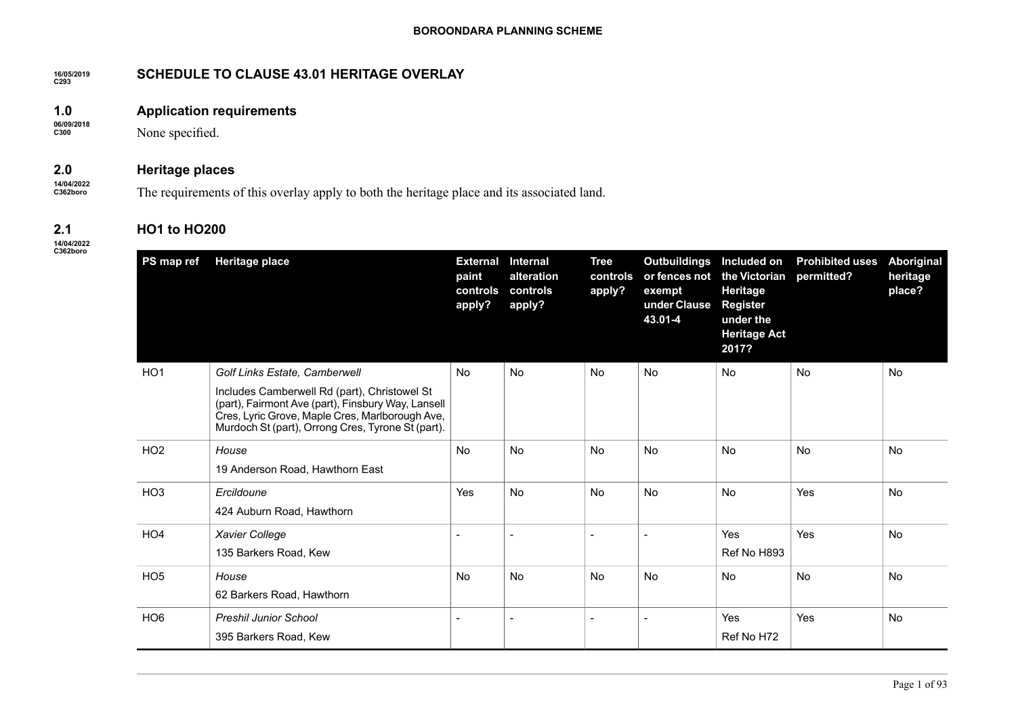#### **16/05/2019 C293 SCHEDULE TO CLAUSE 43.01 HERITAGE OVERLAY**

#### **1.0 Application requirements**

None specified.

#### **2.0 Heritage places**

**14/04/2022 C362boro**

The requirements of this overlay apply to both the heritage place and its associated land.

# **HO1 to HO200**

**14/04/2022 C362boro**

**2.1**

**06/09/2018 C300**

| PS map ref      | <b>Heritage place</b>                                                                                                                                                                                      | <b>External</b><br>paint<br>controls<br>apply? | <b>Internal</b><br>alteration<br>controls<br>apply? | <b>Tree</b><br>controls<br>apply? | <b>Outbuildings</b><br>or fences not<br>exempt<br>under Clause<br>43.01-4 | Included on<br>the Victorian<br>Heritage<br><b>Register</b><br>under the<br><b>Heritage Act</b> | <b>Prohibited uses</b><br>permitted? | Aboriginal<br>heritage<br>place? |
|-----------------|------------------------------------------------------------------------------------------------------------------------------------------------------------------------------------------------------------|------------------------------------------------|-----------------------------------------------------|-----------------------------------|---------------------------------------------------------------------------|-------------------------------------------------------------------------------------------------|--------------------------------------|----------------------------------|
|                 |                                                                                                                                                                                                            |                                                |                                                     |                                   |                                                                           | 2017?                                                                                           |                                      |                                  |
| HO <sub>1</sub> | <b>Golf Links Estate, Camberwell</b>                                                                                                                                                                       | <b>No</b>                                      | No                                                  | <b>No</b>                         | No                                                                        | <b>No</b>                                                                                       | <b>No</b>                            | No                               |
|                 | Includes Camberwell Rd (part), Christowel St<br>(part), Fairmont Ave (part), Finsbury Way, Lansell<br>Cres, Lyric Grove, Maple Cres, Marlborough Ave,<br>Murdoch St (part), Orrong Cres, Tyrone St (part). |                                                |                                                     |                                   |                                                                           |                                                                                                 |                                      |                                  |
| HO <sub>2</sub> | House                                                                                                                                                                                                      | No.                                            | <b>No</b>                                           | <b>No</b>                         | <b>No</b>                                                                 | <b>No</b>                                                                                       | <b>No</b>                            | <b>No</b>                        |
|                 | 19 Anderson Road, Hawthorn East                                                                                                                                                                            |                                                |                                                     |                                   |                                                                           |                                                                                                 |                                      |                                  |
| HO <sub>3</sub> | Ercildoune                                                                                                                                                                                                 | Yes                                            | <b>No</b>                                           | <b>No</b>                         | <b>No</b>                                                                 | <b>No</b>                                                                                       | Yes                                  | <b>No</b>                        |
|                 | 424 Auburn Road, Hawthorn                                                                                                                                                                                  |                                                |                                                     |                                   |                                                                           |                                                                                                 |                                      |                                  |
| HO <sub>4</sub> | Xavier College                                                                                                                                                                                             | $\overline{\phantom{a}}$                       | $\overline{\phantom{a}}$                            |                                   |                                                                           | Yes                                                                                             | Yes                                  | No                               |
|                 | 135 Barkers Road, Kew                                                                                                                                                                                      |                                                |                                                     |                                   |                                                                           | Ref No H893                                                                                     |                                      |                                  |
| HO <sub>5</sub> | House                                                                                                                                                                                                      | No.                                            | <b>No</b>                                           | <b>No</b>                         | <b>No</b>                                                                 | <b>No</b>                                                                                       | <b>No</b>                            | <b>No</b>                        |
|                 | 62 Barkers Road, Hawthorn                                                                                                                                                                                  |                                                |                                                     |                                   |                                                                           |                                                                                                 |                                      |                                  |
| HO <sub>6</sub> | <b>Preshil Junior School</b>                                                                                                                                                                               | $\overline{\phantom{a}}$                       | $\overline{\phantom{a}}$                            | $\blacksquare$                    |                                                                           | Yes                                                                                             | Yes                                  | <b>No</b>                        |
|                 | 395 Barkers Road, Kew                                                                                                                                                                                      |                                                |                                                     |                                   |                                                                           | Ref No H72                                                                                      |                                      |                                  |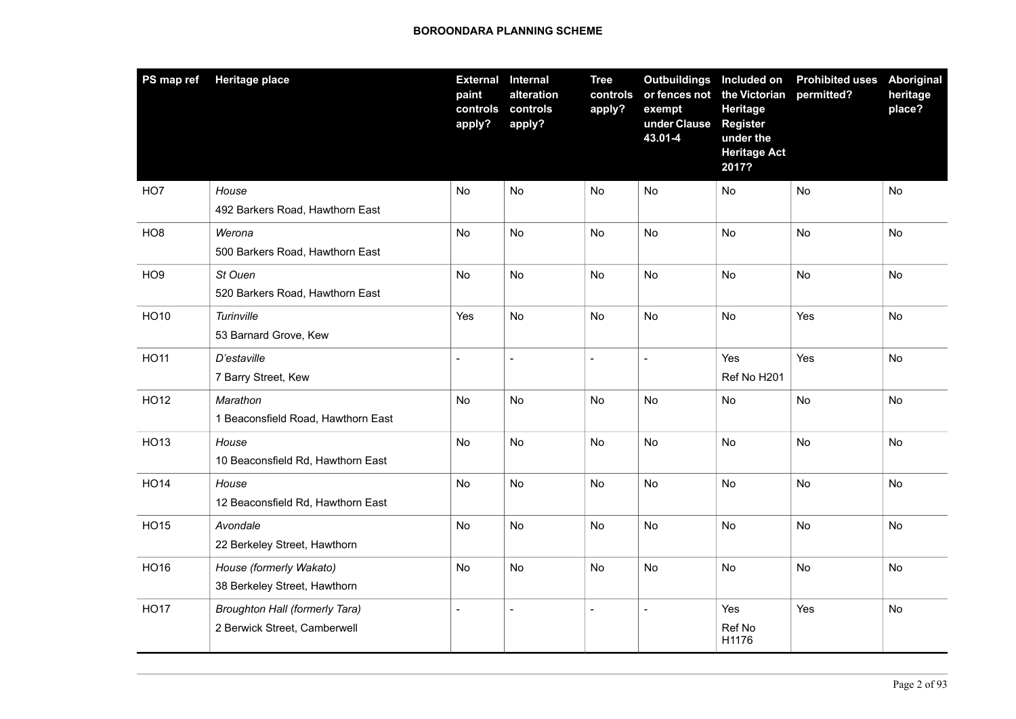| PS map ref      | <b>Heritage place</b>                                                 | <b>External Internal</b><br>paint<br>controls<br>apply? | alteration<br>controls<br>apply? | <b>Tree</b><br>controls<br>apply? | Outbuildings Included on<br>or fences not<br>exempt<br>under Clause<br>43.01-4 | the Victorian<br><b>Heritage</b><br><b>Register</b><br>under the<br><b>Heritage Act</b><br>2017? | <b>Prohibited uses</b><br>permitted? | Aboriginal<br>heritage<br>place? |
|-----------------|-----------------------------------------------------------------------|---------------------------------------------------------|----------------------------------|-----------------------------------|--------------------------------------------------------------------------------|--------------------------------------------------------------------------------------------------|--------------------------------------|----------------------------------|
| HO7             | House<br>492 Barkers Road, Hawthorn East                              | No                                                      | No                               | No                                | <b>No</b>                                                                      | No                                                                                               | <b>No</b>                            | No                               |
| HO <sub>8</sub> | Werona<br>500 Barkers Road, Hawthorn East                             | No                                                      | No                               | <b>No</b>                         | <b>No</b>                                                                      | No                                                                                               | <b>No</b>                            | No                               |
| HO <sub>9</sub> | St Ouen<br>520 Barkers Road, Hawthorn East                            | No                                                      | No                               | No                                | No                                                                             | <b>No</b>                                                                                        | No                                   | No                               |
| <b>HO10</b>     | Turinville<br>53 Barnard Grove, Kew                                   | Yes                                                     | No                               | No                                | <b>No</b>                                                                      | No                                                                                               | Yes                                  | No                               |
| <b>HO11</b>     | D'estaville<br>7 Barry Street, Kew                                    | $\overline{a}$                                          | $\overline{a}$                   | $\overline{a}$                    |                                                                                | Yes<br>Ref No H201                                                                               | Yes                                  | No                               |
| <b>HO12</b>     | Marathon<br>1 Beaconsfield Road, Hawthorn East                        | No                                                      | No                               | No                                | No                                                                             | No                                                                                               | No                                   | No                               |
| HO13            | House<br>10 Beaconsfield Rd, Hawthorn East                            | No                                                      | No                               | No                                | <b>No</b>                                                                      | No                                                                                               | No                                   | No                               |
| <b>HO14</b>     | House<br>12 Beaconsfield Rd, Hawthorn East                            | No                                                      | <b>No</b>                        | <b>No</b>                         | <b>No</b>                                                                      | No                                                                                               | <b>No</b>                            | No                               |
| <b>HO15</b>     | Avondale<br>22 Berkeley Street, Hawthorn                              | No                                                      | No                               | No                                | <b>No</b>                                                                      | No                                                                                               | No                                   | No                               |
| HO16            | House (formerly Wakato)<br>38 Berkeley Street, Hawthorn               | No                                                      | No                               | No                                | No                                                                             | No                                                                                               | No                                   | No                               |
| <b>HO17</b>     | <b>Broughton Hall (formerly Tara)</b><br>2 Berwick Street, Camberwell | $\overline{a}$                                          | $\blacksquare$                   | $\blacksquare$                    |                                                                                | Yes<br>Ref No<br>H1176                                                                           | Yes                                  | No                               |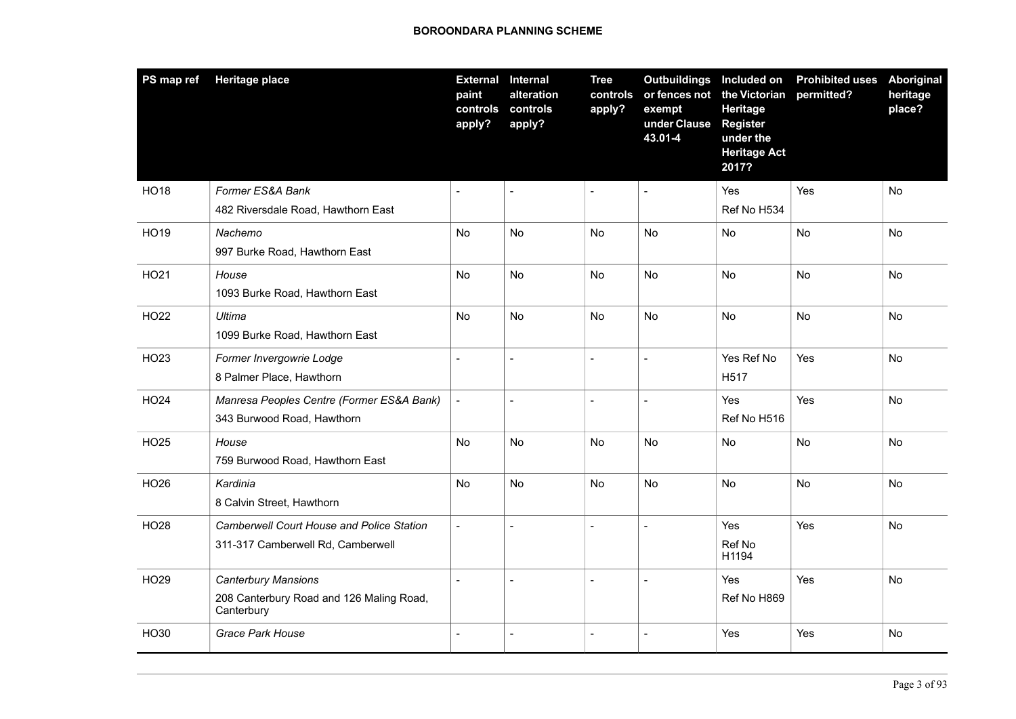| PS map ref  | <b>Heritage place</b>                                                                 | <b>External Internal</b><br>paint<br>controls<br>apply? | alteration<br>controls<br>apply? | <b>Tree</b><br>controls<br>apply? | Outbuildings Included on<br>or fences not<br>exempt<br>under Clause<br>43.01-4 | the Victorian<br>Heritage<br><b>Register</b><br>under the<br><b>Heritage Act</b><br>2017? | <b>Prohibited uses</b><br>permitted? | Aboriginal<br>heritage<br>place? |
|-------------|---------------------------------------------------------------------------------------|---------------------------------------------------------|----------------------------------|-----------------------------------|--------------------------------------------------------------------------------|-------------------------------------------------------------------------------------------|--------------------------------------|----------------------------------|
| <b>HO18</b> | Former ES&A Bank<br>482 Riversdale Road, Hawthorn East                                | $\overline{a}$                                          | $\blacksquare$                   | $\overline{\phantom{a}}$          |                                                                                | Yes<br>Ref No H534                                                                        | Yes                                  | No                               |
| <b>HO19</b> | Nachemo<br>997 Burke Road, Hawthorn East                                              | No                                                      | <b>No</b>                        | <b>No</b>                         | <b>No</b>                                                                      | No                                                                                        | No                                   | No                               |
| HO21        | House<br>1093 Burke Road, Hawthorn East                                               | No                                                      | No                               | <b>No</b>                         | <b>No</b>                                                                      | <b>No</b>                                                                                 | <b>No</b>                            | <b>No</b>                        |
| <b>HO22</b> | Ultima<br>1099 Burke Road, Hawthorn East                                              | No                                                      | No                               | No                                | <b>No</b>                                                                      | No                                                                                        | No                                   | No                               |
| HO23        | Former Invergowrie Lodge<br>8 Palmer Place, Hawthorn                                  | $\overline{a}$                                          | $\overline{\phantom{a}}$         | $\blacksquare$                    |                                                                                | Yes Ref No<br>H517                                                                        | Yes                                  | No                               |
| <b>HO24</b> | Manresa Peoples Centre (Former ES&A Bank)<br>343 Burwood Road, Hawthorn               | $\overline{a}$                                          | $\blacksquare$                   | $\blacksquare$                    | $\overline{a}$                                                                 | Yes<br>Ref No H516                                                                        | Yes                                  | No                               |
| HO25        | House<br>759 Burwood Road, Hawthorn East                                              | No                                                      | No                               | No                                | No                                                                             | No                                                                                        | No                                   | No                               |
| HO26        | Kardinia<br>8 Calvin Street, Hawthorn                                                 | No                                                      | No                               | <b>No</b>                         | <b>No</b>                                                                      | <b>No</b>                                                                                 | No                                   | No                               |
| <b>HO28</b> | <b>Camberwell Court House and Police Station</b><br>311-317 Camberwell Rd, Camberwell | $\blacksquare$                                          | $\overline{a}$                   | $\blacksquare$                    | $\overline{a}$                                                                 | Yes<br>Ref No<br>H1194                                                                    | Yes                                  | No                               |
| HO29        | <b>Canterbury Mansions</b><br>208 Canterbury Road and 126 Maling Road,<br>Canterbury  | $\overline{a}$                                          | $\blacksquare$                   | $\blacksquare$                    |                                                                                | Yes<br>Ref No H869                                                                        | Yes                                  | No                               |
| HO30        | Grace Park House                                                                      | $\overline{a}$                                          | $\overline{\phantom{a}}$         | $\blacksquare$                    | $\overline{a}$                                                                 | Yes                                                                                       | Yes                                  | No                               |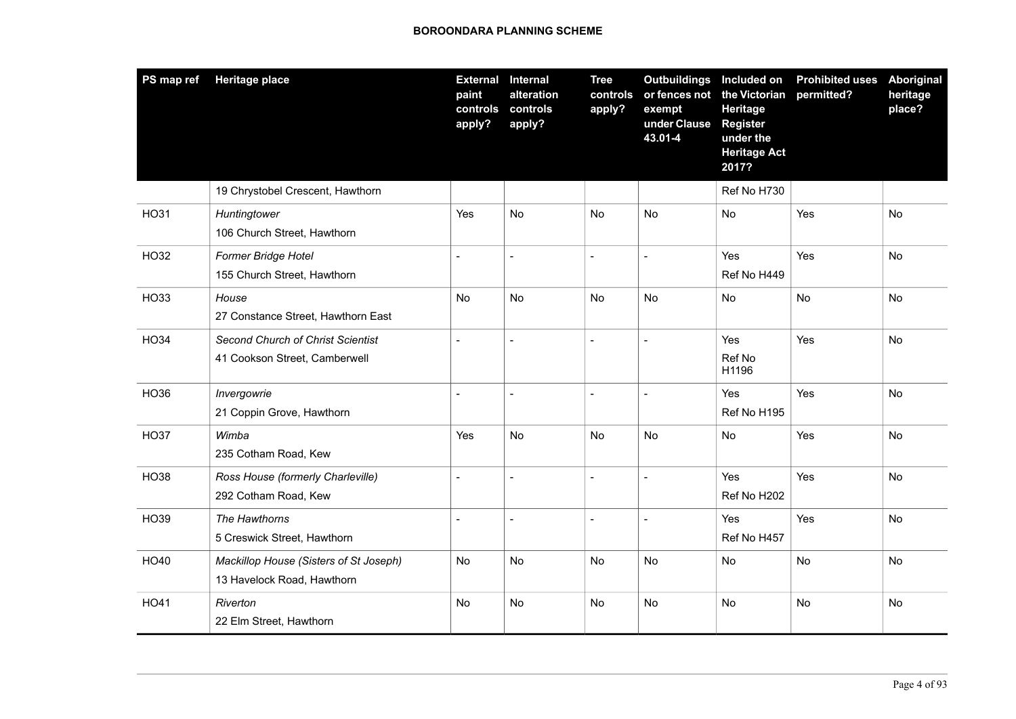| PS map ref  | <b>Heritage place</b>                                                | <b>External</b><br>paint<br>controls<br>apply? | <b>Internal</b><br>alteration<br>controls<br>apply? | <b>Tree</b><br>controls<br>apply? | Outbuildings Included on<br>exempt<br>under Clause<br>43.01-4 | or fences not the Victorian<br>Heritage<br><b>Register</b><br>under the<br><b>Heritage Act</b><br>2017? | <b>Prohibited uses</b><br>permitted? | Aboriginal<br>heritage<br>place? |
|-------------|----------------------------------------------------------------------|------------------------------------------------|-----------------------------------------------------|-----------------------------------|---------------------------------------------------------------|---------------------------------------------------------------------------------------------------------|--------------------------------------|----------------------------------|
|             | 19 Chrystobel Crescent, Hawthorn                                     |                                                |                                                     |                                   |                                                               | Ref No H730                                                                                             |                                      |                                  |
| <b>HO31</b> | Huntingtower<br>106 Church Street, Hawthorn                          | Yes                                            | <b>No</b>                                           | <b>No</b>                         | <b>No</b>                                                     | <b>No</b>                                                                                               | Yes                                  | N <sub>o</sub>                   |
| HO32        | Former Bridge Hotel<br>155 Church Street, Hawthorn                   | $\overline{a}$                                 | $\overline{a}$                                      | $\overline{a}$                    | $\overline{a}$                                                | Yes<br>Ref No H449                                                                                      | Yes                                  | <b>No</b>                        |
| HO33        | House<br>27 Constance Street, Hawthorn East                          | No.                                            | No                                                  | <b>No</b>                         | <b>No</b>                                                     | No                                                                                                      | <b>No</b>                            | No                               |
| <b>HO34</b> | Second Church of Christ Scientist<br>41 Cookson Street, Camberwell   |                                                | $\overline{a}$                                      |                                   | $\sim$                                                        | Yes<br>Ref No<br>H1196                                                                                  | Yes                                  | No                               |
| <b>HO36</b> | Invergowrie<br>21 Coppin Grove, Hawthorn                             |                                                | ÷,                                                  | $\blacksquare$                    |                                                               | Yes<br>Ref No H195                                                                                      | Yes                                  | No                               |
| <b>HO37</b> | Wimba<br>235 Cotham Road, Kew                                        | Yes                                            | No                                                  | No                                | No                                                            | No                                                                                                      | Yes                                  | No                               |
| <b>HO38</b> | Ross House (formerly Charleville)<br>292 Cotham Road, Kew            |                                                | L,                                                  | $\overline{\phantom{a}}$          | $\sim$                                                        | Yes<br>Ref No H202                                                                                      | Yes                                  | No                               |
| HO39        | The Hawthorns<br>5 Creswick Street, Hawthorn                         | $\sim$                                         | $\blacksquare$                                      | $\overline{\phantom{a}}$          | $\blacksquare$                                                | Yes<br>Ref No H457                                                                                      | Yes                                  | No                               |
| HO40        | Mackillop House (Sisters of St Joseph)<br>13 Havelock Road, Hawthorn | No                                             | No                                                  | <b>No</b>                         | No                                                            | No                                                                                                      | No                                   | No                               |
| HO41        | Riverton<br>22 Elm Street, Hawthorn                                  | No                                             | <b>No</b>                                           | No                                | <b>No</b>                                                     | No                                                                                                      | No                                   | No                               |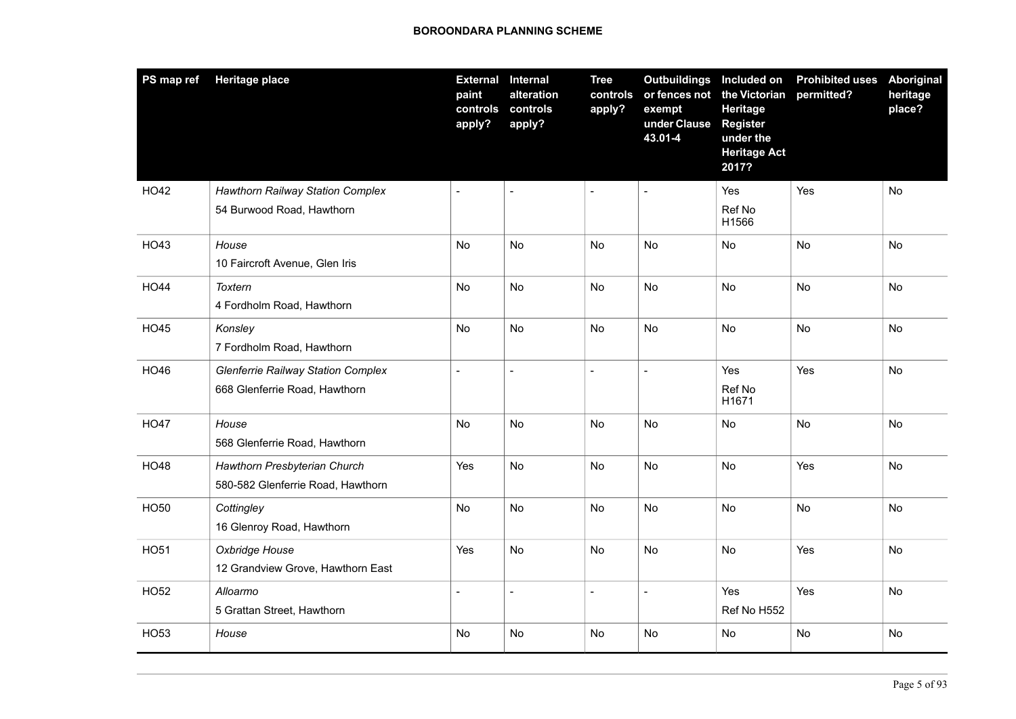| PS map ref  | Heritage place                                                             | <b>External</b><br>paint<br>controls<br>apply? | <b>Internal</b><br>alteration<br>controls<br>apply? | <b>Tree</b><br>controls<br>apply? | Outbuildings Included on<br>or fences not<br>exempt<br>under Clause<br>43.01-4 | the Victorian<br>Heritage<br><b>Register</b><br>under the<br><b>Heritage Act</b><br>2017? | <b>Prohibited uses</b><br>permitted? | Aboriginal<br>heritage<br>place? |
|-------------|----------------------------------------------------------------------------|------------------------------------------------|-----------------------------------------------------|-----------------------------------|--------------------------------------------------------------------------------|-------------------------------------------------------------------------------------------|--------------------------------------|----------------------------------|
| HO42        | <b>Hawthorn Railway Station Complex</b><br>54 Burwood Road, Hawthorn       | $\blacksquare$                                 | $\overline{\phantom{a}}$                            | $\blacksquare$                    | $\sim$                                                                         | Yes<br>Ref No<br>H1566                                                                    | Yes                                  | No                               |
| HO43        | House<br>10 Faircroft Avenue, Glen Iris                                    | No                                             | No                                                  | No                                | No                                                                             | No                                                                                        | No                                   | No                               |
| <b>HO44</b> | Toxtern<br>4 Fordholm Road, Hawthorn                                       | No                                             | <b>No</b>                                           | No                                | <b>No</b>                                                                      | No                                                                                        | <b>No</b>                            | No                               |
| <b>HO45</b> | Konsley<br>7 Fordholm Road, Hawthorn                                       | No                                             | No                                                  | No                                | No                                                                             | No                                                                                        | No                                   | No                               |
| HO46        | <b>Glenferrie Railway Station Complex</b><br>668 Glenferrie Road, Hawthorn | $\blacksquare$                                 | $\overline{\phantom{a}}$                            | $\overline{\phantom{a}}$          | $\blacksquare$                                                                 | Yes<br>Ref No<br>H1671                                                                    | Yes                                  | No                               |
| <b>HO47</b> | House<br>568 Glenferrie Road, Hawthorn                                     | No                                             | No                                                  | No                                | No                                                                             | No                                                                                        | No                                   | No                               |
| <b>HO48</b> | Hawthorn Presbyterian Church<br>580-582 Glenferrie Road, Hawthorn          | Yes                                            | <b>No</b>                                           | <b>No</b>                         | <b>No</b>                                                                      | No                                                                                        | Yes                                  | No                               |
| <b>HO50</b> | Cottingley<br>16 Glenroy Road, Hawthorn                                    | No                                             | No                                                  | No                                | No                                                                             | No                                                                                        | No                                   | No                               |
| <b>HO51</b> | Oxbridge House<br>12 Grandview Grove, Hawthorn East                        | Yes                                            | No                                                  | No                                | <b>No</b>                                                                      | No                                                                                        | Yes                                  | No                               |
| <b>HO52</b> | Alloarmo<br>5 Grattan Street, Hawthorn                                     | $\overline{a}$                                 | $\blacksquare$                                      | $\overline{\phantom{a}}$          |                                                                                | Yes<br>Ref No H552                                                                        | Yes                                  | No                               |
| HO53        | House                                                                      | No                                             | No                                                  | No                                | No                                                                             | No                                                                                        | No                                   | No                               |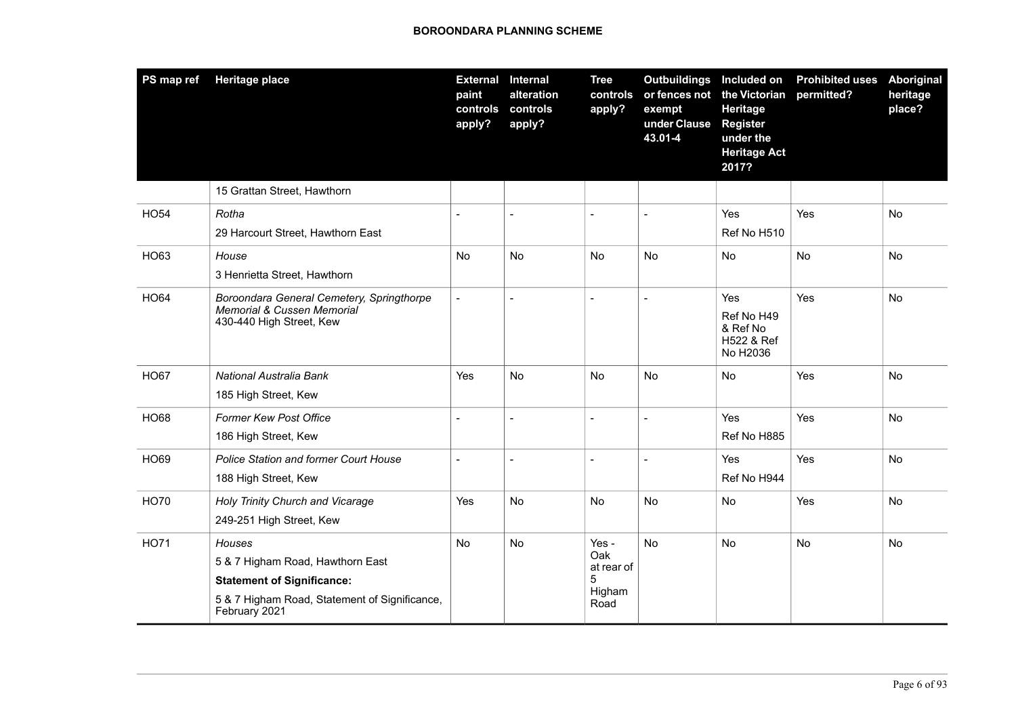| PS map ref  | <b>Heritage place</b>                                                                               | <b>External</b><br>paint<br>controls<br>apply? | Internal<br>alteration<br>controls<br>apply? | <b>Tree</b><br>controls<br>apply? | <b>Outbuildings</b><br>or fences not<br>exempt<br>under Clause<br>43.01-4 | Included on<br>the Victorian<br>Heritage<br><b>Register</b><br>under the<br><b>Heritage Act</b><br>2017? | <b>Prohibited uses</b><br>permitted? | <b>Aboriginal</b><br>heritage<br>place? |
|-------------|-----------------------------------------------------------------------------------------------------|------------------------------------------------|----------------------------------------------|-----------------------------------|---------------------------------------------------------------------------|----------------------------------------------------------------------------------------------------------|--------------------------------------|-----------------------------------------|
|             | 15 Grattan Street, Hawthorn                                                                         |                                                |                                              |                                   |                                                                           |                                                                                                          |                                      |                                         |
| <b>HO54</b> | Rotha                                                                                               |                                                | $\overline{a}$                               | $\overline{a}$                    | $\sim$                                                                    | Yes                                                                                                      | Yes                                  | No                                      |
|             | 29 Harcourt Street, Hawthorn East                                                                   |                                                |                                              |                                   |                                                                           | Ref No H510                                                                                              |                                      |                                         |
| HO63        | House                                                                                               | <b>No</b>                                      | No                                           | No                                | No                                                                        | <b>No</b>                                                                                                | No                                   | No                                      |
|             | 3 Henrietta Street, Hawthorn                                                                        |                                                |                                              |                                   |                                                                           |                                                                                                          |                                      |                                         |
| <b>HO64</b> | Boroondara General Cemetery, Springthorpe<br>Memorial & Cussen Memorial<br>430-440 High Street, Kew | $\sim$                                         |                                              |                                   | $\overline{a}$                                                            | Yes<br>Ref No H49<br>& Ref No<br>H522 & Ref<br>No H2036                                                  | Yes                                  | No                                      |
| <b>HO67</b> | National Australia Bank                                                                             | Yes                                            | No.                                          | No                                | No                                                                        | No                                                                                                       | Yes                                  | No                                      |
|             | 185 High Street, Kew                                                                                |                                                |                                              |                                   |                                                                           |                                                                                                          |                                      |                                         |
| <b>HO68</b> | <b>Former Kew Post Office</b>                                                                       |                                                |                                              | $\overline{a}$                    | $\overline{a}$                                                            | Yes                                                                                                      | Yes                                  | <b>No</b>                               |
|             | 186 High Street, Kew                                                                                |                                                |                                              |                                   |                                                                           | Ref No H885                                                                                              |                                      |                                         |
| <b>HO69</b> | <b>Police Station and former Court House</b>                                                        | $\blacksquare$                                 | $\blacksquare$                               | $\overline{a}$                    | $\overline{a}$                                                            | Yes                                                                                                      | Yes                                  | No                                      |
|             | 188 High Street, Kew                                                                                |                                                |                                              |                                   |                                                                           | Ref No H944                                                                                              |                                      |                                         |
| <b>HO70</b> | Holy Trinity Church and Vicarage                                                                    | Yes                                            | <b>No</b>                                    | <b>No</b>                         | No                                                                        | <b>No</b>                                                                                                | Yes                                  | <b>No</b>                               |
|             | 249-251 High Street, Kew                                                                            |                                                |                                              |                                   |                                                                           |                                                                                                          |                                      |                                         |
| <b>HO71</b> | Houses                                                                                              | No                                             | <b>No</b>                                    | Yes -<br>Oak                      | <b>No</b>                                                                 | No                                                                                                       | No                                   | No                                      |
|             | 5 & 7 Higham Road, Hawthorn East                                                                    |                                                |                                              | at rear of                        |                                                                           |                                                                                                          |                                      |                                         |
|             | <b>Statement of Significance:</b>                                                                   |                                                |                                              | 5<br>Higham                       |                                                                           |                                                                                                          |                                      |                                         |
|             | 5 & 7 Higham Road, Statement of Significance,<br>February 2021                                      |                                                |                                              | Road                              |                                                                           |                                                                                                          |                                      |                                         |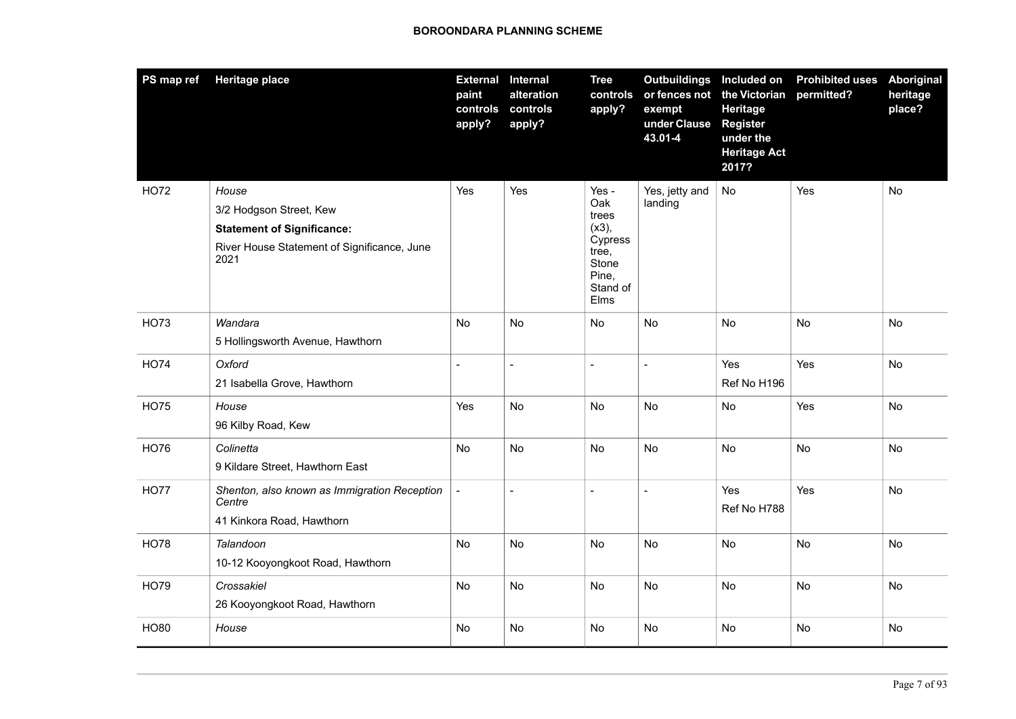| PS map ref  | <b>Heritage place</b>                               | <b>External</b><br>paint<br>controls<br>apply? | <b>Internal</b><br>alteration<br>controls<br>apply? | <b>Tree</b><br>controls<br>apply?           | <b>Outbuildings</b> Included on<br>or fences not the Victorian<br>exempt<br>under Clause<br>43.01-4 | Heritage<br><b>Register</b><br>under the<br><b>Heritage Act</b><br>2017? | <b>Prohibited uses</b><br>permitted? | Aboriginal<br>heritage<br>place? |
|-------------|-----------------------------------------------------|------------------------------------------------|-----------------------------------------------------|---------------------------------------------|-----------------------------------------------------------------------------------------------------|--------------------------------------------------------------------------|--------------------------------------|----------------------------------|
| <b>HO72</b> | House                                               | Yes                                            | Yes                                                 | Yes -<br>Oak                                | Yes, jetty and                                                                                      | No                                                                       | Yes                                  | No                               |
|             | 3/2 Hodgson Street, Kew                             |                                                |                                                     | trees                                       | landing                                                                                             |                                                                          |                                      |                                  |
|             | <b>Statement of Significance:</b>                   |                                                |                                                     | $(x3)$ ,<br>Cypress                         |                                                                                                     |                                                                          |                                      |                                  |
|             | River House Statement of Significance, June<br>2021 |                                                |                                                     | tree,<br>Stone<br>Pine,<br>Stand of<br>Elms |                                                                                                     |                                                                          |                                      |                                  |
| HO73        | Wandara                                             | No                                             | <b>No</b>                                           | No                                          | <b>No</b>                                                                                           | No                                                                       | <b>No</b>                            | No                               |
|             | 5 Hollingsworth Avenue, Hawthorn                    |                                                |                                                     |                                             |                                                                                                     |                                                                          |                                      |                                  |
| <b>HO74</b> | Oxford                                              | $\overline{a}$                                 | $\overline{a}$                                      | $\overline{a}$                              | $\overline{\phantom{a}}$                                                                            | Yes                                                                      | Yes                                  | No                               |
|             | 21 Isabella Grove, Hawthorn                         |                                                |                                                     |                                             |                                                                                                     | Ref No H196                                                              |                                      |                                  |
| <b>HO75</b> | House                                               | Yes                                            | No                                                  | No                                          | No                                                                                                  | No                                                                       | Yes                                  | No                               |
|             | 96 Kilby Road, Kew                                  |                                                |                                                     |                                             |                                                                                                     |                                                                          |                                      |                                  |
| <b>HO76</b> | Colinetta                                           | <b>No</b>                                      | <b>No</b>                                           | <b>No</b>                                   | <b>No</b>                                                                                           | <b>No</b>                                                                | No                                   | No                               |
|             | 9 Kildare Street, Hawthorn East                     |                                                |                                                     |                                             |                                                                                                     |                                                                          |                                      |                                  |
| <b>HO77</b> | Shenton, also known as Immigration Reception        |                                                | $\overline{\phantom{a}}$                            | $\overline{\phantom{a}}$                    | $\blacksquare$                                                                                      | Yes                                                                      | Yes                                  | No                               |
|             | Centre                                              |                                                |                                                     |                                             |                                                                                                     | Ref No H788                                                              |                                      |                                  |
|             | 41 Kinkora Road, Hawthorn                           |                                                |                                                     |                                             |                                                                                                     |                                                                          |                                      |                                  |
| <b>HO78</b> | Talandoon                                           | No                                             | No                                                  | No                                          | No                                                                                                  | No                                                                       | No                                   | No                               |
|             | 10-12 Kooyongkoot Road, Hawthorn                    |                                                |                                                     |                                             |                                                                                                     |                                                                          |                                      |                                  |
| <b>HO79</b> | Crossakiel                                          | No                                             | No                                                  | No                                          | <b>No</b>                                                                                           | No                                                                       | No                                   | No                               |
|             | 26 Kooyongkoot Road, Hawthorn                       |                                                |                                                     |                                             |                                                                                                     |                                                                          |                                      |                                  |
| <b>HO80</b> | House                                               | No                                             | No                                                  | No                                          | No                                                                                                  | No                                                                       | No                                   | No                               |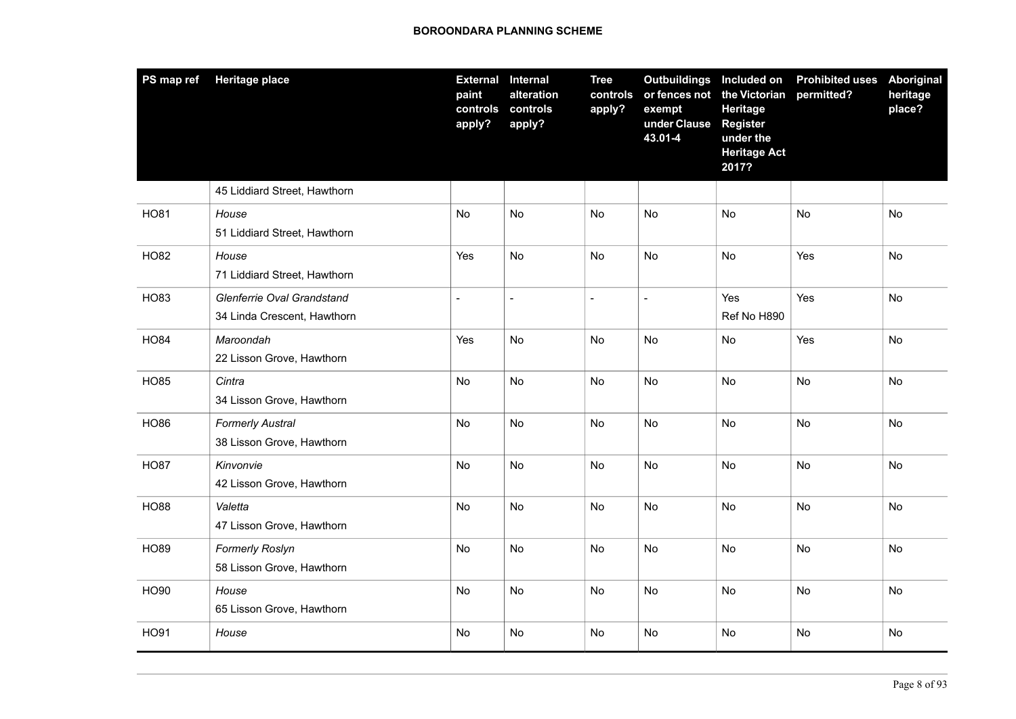| PS map ref  | <b>Heritage place</b>                                     | <b>External</b><br>paint<br>controls<br>apply? | <b>Internal</b><br>alteration<br>controls<br>apply? | <b>Tree</b><br>controls<br>apply? | Outbuildings Included on<br>or fences not the Victorian<br>exempt<br>under Clause<br>43.01-4 | Heritage<br><b>Register</b><br>under the<br><b>Heritage Act</b><br>2017? | <b>Prohibited uses</b><br>permitted? | Aboriginal<br>heritage<br>place? |
|-------------|-----------------------------------------------------------|------------------------------------------------|-----------------------------------------------------|-----------------------------------|----------------------------------------------------------------------------------------------|--------------------------------------------------------------------------|--------------------------------------|----------------------------------|
|             | 45 Liddiard Street, Hawthorn                              |                                                |                                                     |                                   |                                                                                              |                                                                          |                                      |                                  |
| <b>HO81</b> | House<br>51 Liddiard Street, Hawthorn                     | No                                             | <b>No</b>                                           | No                                | No                                                                                           | No                                                                       | No                                   | No                               |
| <b>HO82</b> | House<br>71 Liddiard Street, Hawthorn                     | Yes                                            | No                                                  | No                                | No                                                                                           | No                                                                       | Yes                                  | No                               |
| HO83        | Glenferrie Oval Grandstand<br>34 Linda Crescent, Hawthorn | $\blacksquare$                                 | $\blacksquare$                                      | $\blacksquare$                    | $\overline{a}$                                                                               | Yes<br>Ref No H890                                                       | Yes                                  | No                               |
| <b>HO84</b> | Maroondah<br>22 Lisson Grove, Hawthorn                    | Yes                                            | No                                                  | No                                | <b>No</b>                                                                                    | No                                                                       | Yes                                  | No                               |
| <b>HO85</b> | Cintra<br>34 Lisson Grove, Hawthorn                       | No                                             | No                                                  | <b>No</b>                         | No                                                                                           | No.                                                                      | No                                   | No                               |
| <b>HO86</b> | <b>Formerly Austral</b><br>38 Lisson Grove, Hawthorn      | No                                             | No                                                  | No                                | No                                                                                           | No                                                                       | No                                   | No                               |
| <b>HO87</b> | Kinvonvie<br>42 Lisson Grove, Hawthorn                    | No                                             | No                                                  | No                                | No                                                                                           | No                                                                       | No                                   | No                               |
| <b>HO88</b> | Valetta<br>47 Lisson Grove, Hawthorn                      | No                                             | No                                                  | No                                | <b>No</b>                                                                                    | No                                                                       | No                                   | No                               |
| <b>HO89</b> | <b>Formerly Roslyn</b><br>58 Lisson Grove, Hawthorn       | No                                             | No                                                  | No                                | No                                                                                           | No                                                                       | No                                   | No                               |
| <b>HO90</b> | House<br>65 Lisson Grove, Hawthorn                        | No.                                            | <b>No</b>                                           | No                                | <b>No</b>                                                                                    | No.                                                                      | No                                   | No                               |
| <b>HO91</b> | House                                                     | No                                             | No                                                  | No                                | No                                                                                           | No                                                                       | No                                   | No                               |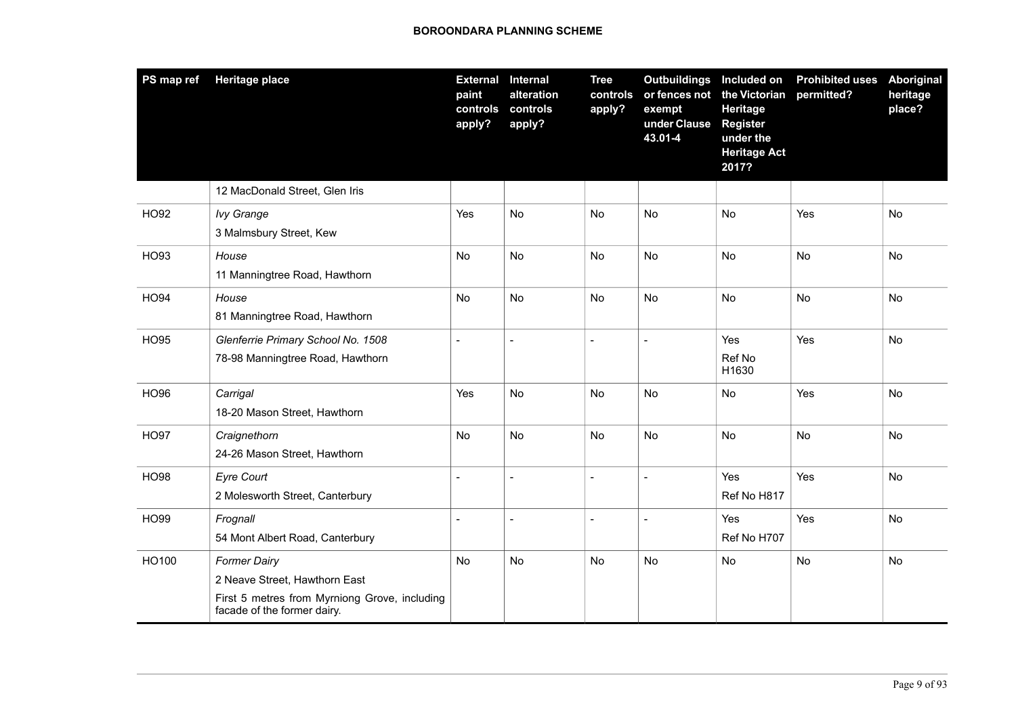| PS map ref  | <b>Heritage place</b>                                                                                                                | <b>External</b><br>paint<br>controls<br>apply? | Internal<br>alteration<br>controls<br>apply? | <b>Tree</b><br>controls<br>apply? | <b>Outbuildings</b><br>or fences not<br>exempt<br>under Clause<br>43.01-4 | Included on<br>the Victorian<br>Heritage<br><b>Register</b><br>under the<br><b>Heritage Act</b><br>2017? | <b>Prohibited uses</b><br>permitted? | <b>Aboriginal</b><br>heritage<br>place? |
|-------------|--------------------------------------------------------------------------------------------------------------------------------------|------------------------------------------------|----------------------------------------------|-----------------------------------|---------------------------------------------------------------------------|----------------------------------------------------------------------------------------------------------|--------------------------------------|-----------------------------------------|
|             | 12 MacDonald Street, Glen Iris                                                                                                       |                                                |                                              |                                   |                                                                           |                                                                                                          |                                      |                                         |
| <b>HO92</b> | <b>Ivy Grange</b><br>3 Malmsbury Street, Kew                                                                                         | Yes                                            | No                                           | <b>No</b>                         | <b>No</b>                                                                 | No                                                                                                       | Yes                                  | <b>No</b>                               |
| HO93        | House<br>11 Manningtree Road, Hawthorn                                                                                               | No                                             | <b>No</b>                                    | <b>No</b>                         | No                                                                        | No                                                                                                       | No                                   | No                                      |
| <b>HO94</b> | House<br>81 Manningtree Road, Hawthorn                                                                                               | No                                             | <b>No</b>                                    | No                                | <b>No</b>                                                                 | No                                                                                                       | No                                   | No                                      |
| <b>HO95</b> | Glenferrie Primary School No. 1508<br>78-98 Manningtree Road, Hawthorn                                                               | $\sim$                                         | $\blacksquare$                               | $\overline{a}$                    | $\overline{a}$                                                            | Yes<br>Ref No<br>H1630                                                                                   | Yes                                  | No                                      |
| <b>HO96</b> | Carrigal<br>18-20 Mason Street, Hawthorn                                                                                             | Yes                                            | No                                           | <b>No</b>                         | <b>No</b>                                                                 | No                                                                                                       | Yes                                  | No                                      |
| <b>HO97</b> | Craignethorn<br>24-26 Mason Street, Hawthorn                                                                                         | N <sub>o</sub>                                 | <b>No</b>                                    | <b>No</b>                         | <b>No</b>                                                                 | <b>No</b>                                                                                                | No                                   | No                                      |
| <b>HO98</b> | <b>Eyre Court</b><br>2 Molesworth Street, Canterbury                                                                                 |                                                | $\blacksquare$                               | $\blacksquare$                    |                                                                           | Yes<br>Ref No H817                                                                                       | Yes                                  | No                                      |
| HO99        | Frognall<br>54 Mont Albert Road, Canterbury                                                                                          | $\blacksquare$                                 | $\blacksquare$                               | $\overline{\phantom{a}}$          | $\sim$                                                                    | <b>Yes</b><br>Ref No H707                                                                                | Yes                                  | <b>No</b>                               |
| HO100       | <b>Former Dairy</b><br>2 Neave Street, Hawthorn East<br>First 5 metres from Myrniong Grove, including<br>facade of the former dairy. | No                                             | No                                           | <b>No</b>                         | <b>No</b>                                                                 | No                                                                                                       | No                                   | No                                      |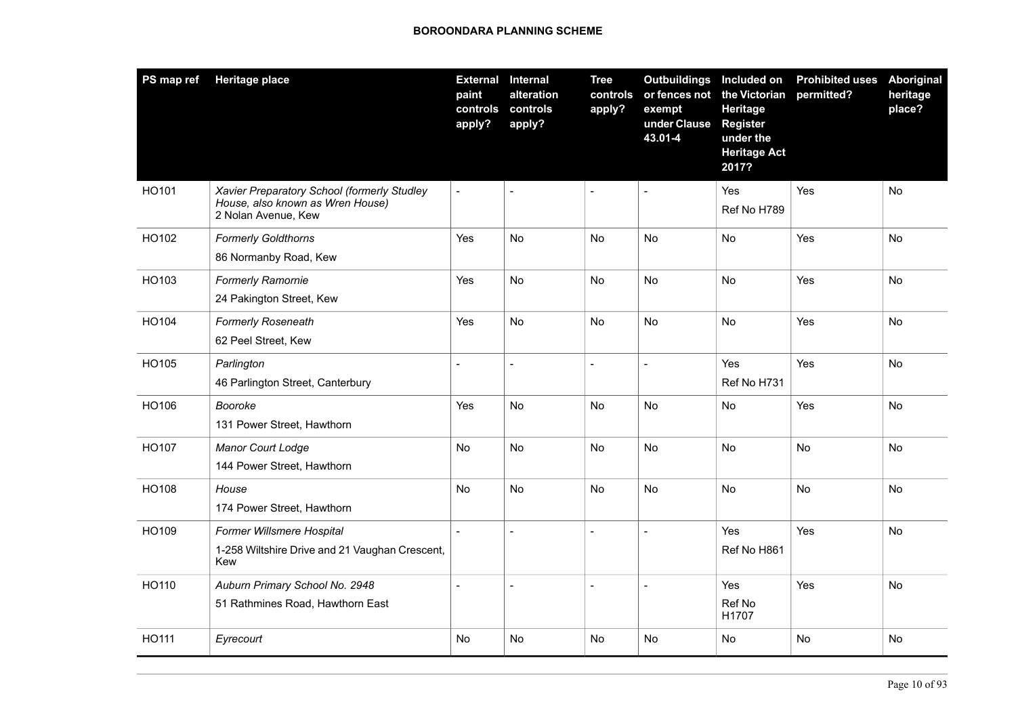| PS map ref | <b>Heritage place</b>                                                                                  | <b>External Internal</b><br>paint<br>controls<br>apply? | alteration<br>controls<br>apply? | <b>Tree</b><br>controls<br>apply? | Outbuildings Included on<br>or fences not<br>exempt<br>under Clause<br>43.01-4 | the Victorian<br>Heritage<br><b>Register</b><br>under the<br><b>Heritage Act</b><br>2017? | <b>Prohibited uses</b><br>permitted? | Aboriginal<br>heritage<br>place? |
|------------|--------------------------------------------------------------------------------------------------------|---------------------------------------------------------|----------------------------------|-----------------------------------|--------------------------------------------------------------------------------|-------------------------------------------------------------------------------------------|--------------------------------------|----------------------------------|
| HO101      | Xavier Preparatory School (formerly Studley<br>House, also known as Wren House)<br>2 Nolan Avenue, Kew | $\bar{\phantom{a}}$                                     | $\blacksquare$                   | $\blacksquare$                    |                                                                                | Yes<br>Ref No H789                                                                        | Yes                                  | No.                              |
| HO102      | <b>Formerly Goldthorns</b><br>86 Normanby Road, Kew                                                    | Yes                                                     | <b>No</b>                        | No.                               | No                                                                             | No                                                                                        | Yes                                  | No                               |
| HO103      | <b>Formerly Ramornie</b><br>24 Pakington Street, Kew                                                   | Yes                                                     | No                               | <b>No</b>                         | <b>No</b>                                                                      | No                                                                                        | Yes                                  | <b>No</b>                        |
| HO104      | <b>Formerly Roseneath</b><br>62 Peel Street, Kew                                                       | Yes                                                     | No                               | No                                | <b>No</b>                                                                      | No                                                                                        | Yes                                  | No                               |
| HO105      | Parlington<br>46 Parlington Street, Canterbury                                                         | $\overline{\phantom{a}}$                                | $\overline{a}$                   | $\overline{\phantom{a}}$          | $\overline{a}$                                                                 | Yes<br>Ref No H731                                                                        | Yes                                  | <b>No</b>                        |
| HO106      | Booroke<br>131 Power Street, Hawthorn                                                                  | Yes                                                     | <b>No</b>                        | <b>No</b>                         | <b>No</b>                                                                      | No.                                                                                       | Yes                                  | No.                              |
| HO107      | <b>Manor Court Lodge</b><br>144 Power Street, Hawthorn                                                 | No                                                      | No                               | No                                | No                                                                             | No                                                                                        | No                                   | No                               |
| HO108      | House<br>174 Power Street, Hawthorn                                                                    | No                                                      | No                               | No                                | No                                                                             | No                                                                                        | <b>No</b>                            | No                               |
| HO109      | Former Willsmere Hospital<br>1-258 Wiltshire Drive and 21 Vaughan Crescent,<br>Kew                     |                                                         | $\overline{a}$                   | $\overline{a}$                    |                                                                                | Yes<br>Ref No H861                                                                        | Yes                                  | No                               |
| HO110      | Auburn Primary School No. 2948<br>51 Rathmines Road, Hawthorn East                                     | $\overline{a}$                                          | $\overline{a}$                   | $\blacksquare$                    | $\overline{a}$                                                                 | Yes<br>Ref No<br>H1707                                                                    | Yes                                  | No                               |
| HO111      | Eyrecourt                                                                                              | No                                                      | No                               | No.                               | <b>No</b>                                                                      | No                                                                                        | No                                   | No.                              |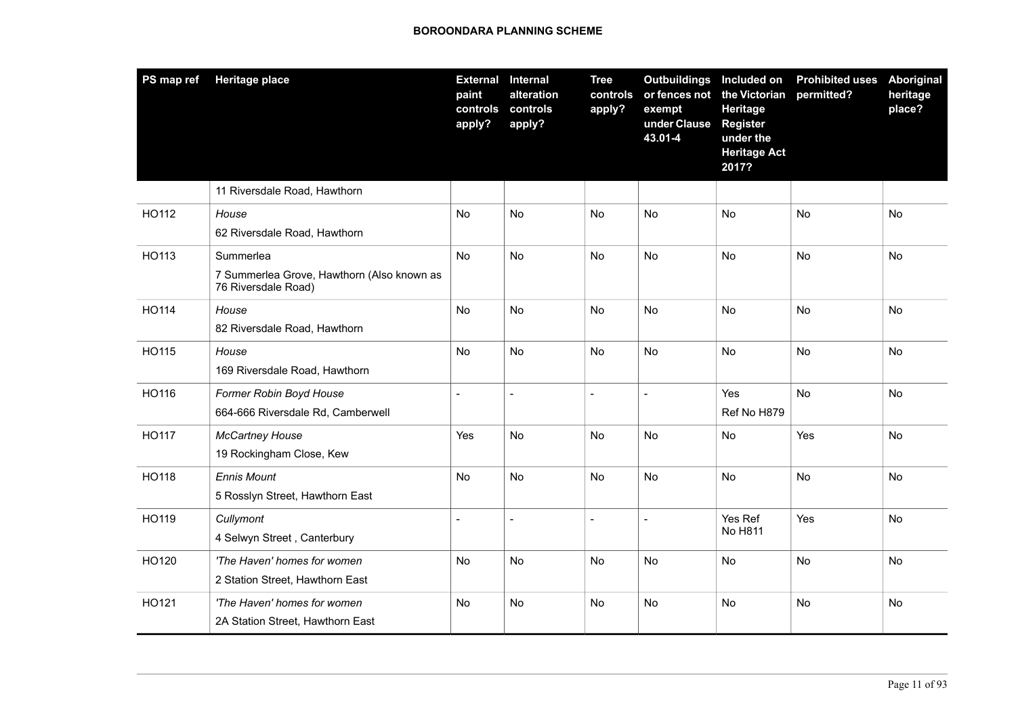| PS map ref   | <b>Heritage place</b>                                                          | <b>External</b><br>paint<br>controls<br>apply? | <b>Internal</b><br>alteration<br>controls<br>apply? | <b>Tree</b><br>controls<br>apply? | Outbuildings Included on<br>or fences not the Victorian<br>exempt<br>under Clause<br>43.01-4 | Heritage<br><b>Register</b><br>under the<br><b>Heritage Act</b><br>2017? | <b>Prohibited uses</b><br>permitted? | <b>Aboriginal</b><br>heritage<br>place? |
|--------------|--------------------------------------------------------------------------------|------------------------------------------------|-----------------------------------------------------|-----------------------------------|----------------------------------------------------------------------------------------------|--------------------------------------------------------------------------|--------------------------------------|-----------------------------------------|
|              | 11 Riversdale Road, Hawthorn                                                   |                                                |                                                     |                                   |                                                                                              |                                                                          |                                      |                                         |
| HO112        | House<br>62 Riversdale Road, Hawthorn                                          | No                                             | No                                                  | <b>No</b>                         | No                                                                                           | No                                                                       | No                                   | No                                      |
| HO113        | Summerlea<br>7 Summerlea Grove, Hawthorn (Also known as<br>76 Riversdale Road) | No.                                            | <b>No</b>                                           | <b>No</b>                         | <b>No</b>                                                                                    | <b>No</b>                                                                | <b>No</b>                            | <b>No</b>                               |
| HO114        | House<br>82 Riversdale Road, Hawthorn                                          | No                                             | No                                                  | No                                | No                                                                                           | <b>No</b>                                                                | No                                   | No                                      |
| HO115        | House<br>169 Riversdale Road, Hawthorn                                         | <b>No</b>                                      | <b>No</b>                                           | No                                | No                                                                                           | No                                                                       | No                                   | <b>No</b>                               |
| HO116        | Former Robin Boyd House<br>664-666 Riversdale Rd, Camberwell                   |                                                | $\overline{a}$                                      | $\overline{\phantom{a}}$          |                                                                                              | Yes<br>Ref No H879                                                       | <b>No</b>                            | No                                      |
| HO117        | <b>McCartney House</b><br>19 Rockingham Close, Kew                             | Yes                                            | <b>No</b>                                           | <b>No</b>                         | <b>No</b>                                                                                    | No                                                                       | Yes                                  | No                                      |
| <b>HO118</b> | <b>Ennis Mount</b><br>5 Rosslyn Street, Hawthorn East                          | No                                             | <b>No</b>                                           | <b>No</b>                         | <b>No</b>                                                                                    | <b>No</b>                                                                | No                                   | No                                      |
| HO119        | Cullymont<br>4 Selwyn Street, Canterbury                                       | $\blacksquare$                                 | $\blacksquare$                                      | $\blacksquare$                    | $\overline{a}$                                                                               | Yes Ref<br>No H811                                                       | Yes                                  | No                                      |
| HO120        | 'The Haven' homes for women<br>2 Station Street, Hawthorn East                 | No                                             | No                                                  | <b>No</b>                         | <b>No</b>                                                                                    | No                                                                       | <b>No</b>                            | No                                      |
| HO121        | 'The Haven' homes for women<br>2A Station Street, Hawthorn East                | No                                             | No                                                  | <b>No</b>                         | <b>No</b>                                                                                    | No                                                                       | No                                   | No                                      |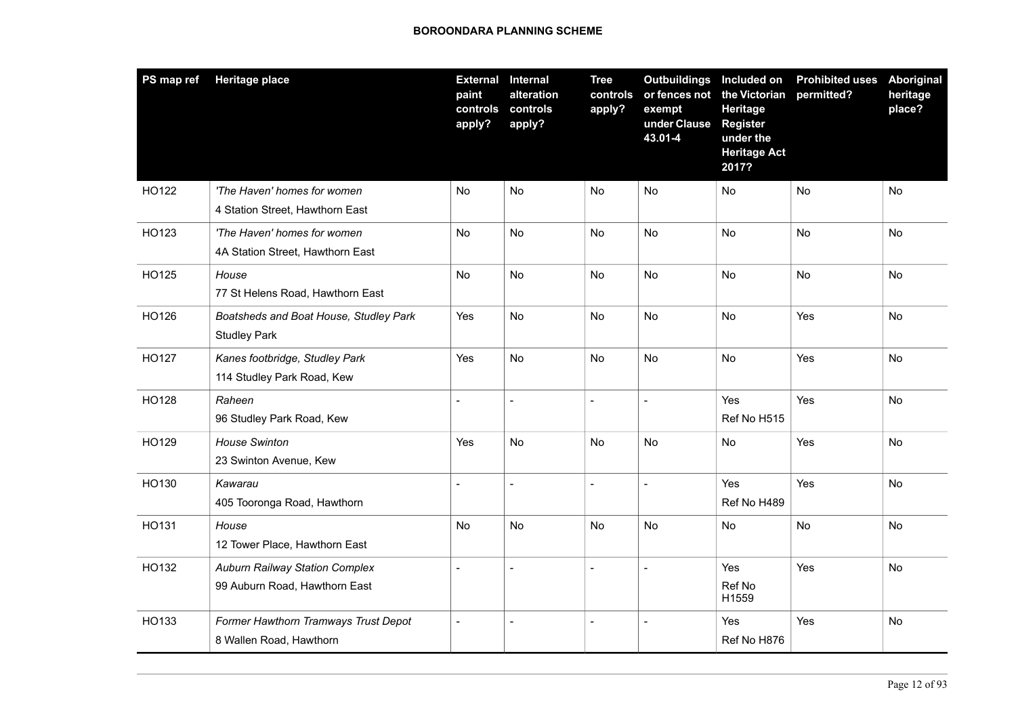| PS map ref | <b>Heritage place</b>                                                  | <b>External Internal</b><br>paint<br>controls<br>apply? | alteration<br>controls<br>apply? | <b>Tree</b><br>controls<br>apply? | Outbuildings Included on<br>or fences not<br>exempt<br>under Clause<br>43.01-4 | the Victorian<br>Heritage<br><b>Register</b><br>under the<br><b>Heritage Act</b><br>2017? | <b>Prohibited uses</b><br>permitted? | <b>Aboriginal</b><br>heritage<br>place? |
|------------|------------------------------------------------------------------------|---------------------------------------------------------|----------------------------------|-----------------------------------|--------------------------------------------------------------------------------|-------------------------------------------------------------------------------------------|--------------------------------------|-----------------------------------------|
| HO122      | 'The Haven' homes for women<br>4 Station Street, Hawthorn East         | No                                                      | <b>No</b>                        | <b>No</b>                         | <b>No</b>                                                                      | <b>No</b>                                                                                 | <b>No</b>                            | No                                      |
| HO123      | 'The Haven' homes for women<br>4A Station Street, Hawthorn East        | No                                                      | <b>No</b>                        | No                                | No                                                                             | <b>No</b>                                                                                 | <b>No</b>                            | No                                      |
| HO125      | House<br>77 St Helens Road, Hawthorn East                              | No.                                                     | <b>No</b>                        | <b>No</b>                         | <b>No</b>                                                                      | <b>No</b>                                                                                 | <b>No</b>                            | <b>No</b>                               |
| HO126      | Boatsheds and Boat House, Studley Park<br><b>Studley Park</b>          | Yes                                                     | <b>No</b>                        | <b>No</b>                         | <b>No</b>                                                                      | <b>No</b>                                                                                 | Yes                                  | <b>No</b>                               |
| HO127      | Kanes footbridge, Studley Park<br>114 Studley Park Road, Kew           | Yes                                                     | <b>No</b>                        | <b>No</b>                         | <b>No</b>                                                                      | <b>No</b>                                                                                 | Yes                                  | <b>No</b>                               |
| HO128      | Raheen<br>96 Studley Park Road, Kew                                    |                                                         | $\overline{a}$                   | $\overline{a}$                    | $\blacksquare$                                                                 | Yes<br>Ref No H515                                                                        | Yes                                  | No                                      |
| HO129      | <b>House Swinton</b><br>23 Swinton Avenue, Kew                         | Yes                                                     | No                               | No                                | No                                                                             | No                                                                                        | Yes                                  | No                                      |
| HO130      | Kawarau<br>405 Tooronga Road, Hawthorn                                 |                                                         | $\overline{a}$                   | $\overline{a}$                    |                                                                                | Yes<br>Ref No H489                                                                        | Yes                                  | No                                      |
| HO131      | House<br>12 Tower Place, Hawthorn East                                 | No.                                                     | No                               | No                                | No                                                                             | No                                                                                        | No                                   | No                                      |
| HO132      | <b>Auburn Railway Station Complex</b><br>99 Auburn Road, Hawthorn East | $\sim$                                                  | $\overline{a}$                   | $\overline{\phantom{a}}$          | $\overline{a}$                                                                 | Yes<br>Ref No<br>H1559                                                                    | Yes                                  | No                                      |
| HO133      | Former Hawthorn Tramways Trust Depot<br>8 Wallen Road, Hawthorn        | $\blacksquare$                                          | $\overline{\phantom{a}}$         | $\overline{\phantom{a}}$          | $\blacksquare$                                                                 | Yes<br>Ref No H876                                                                        | Yes                                  | No                                      |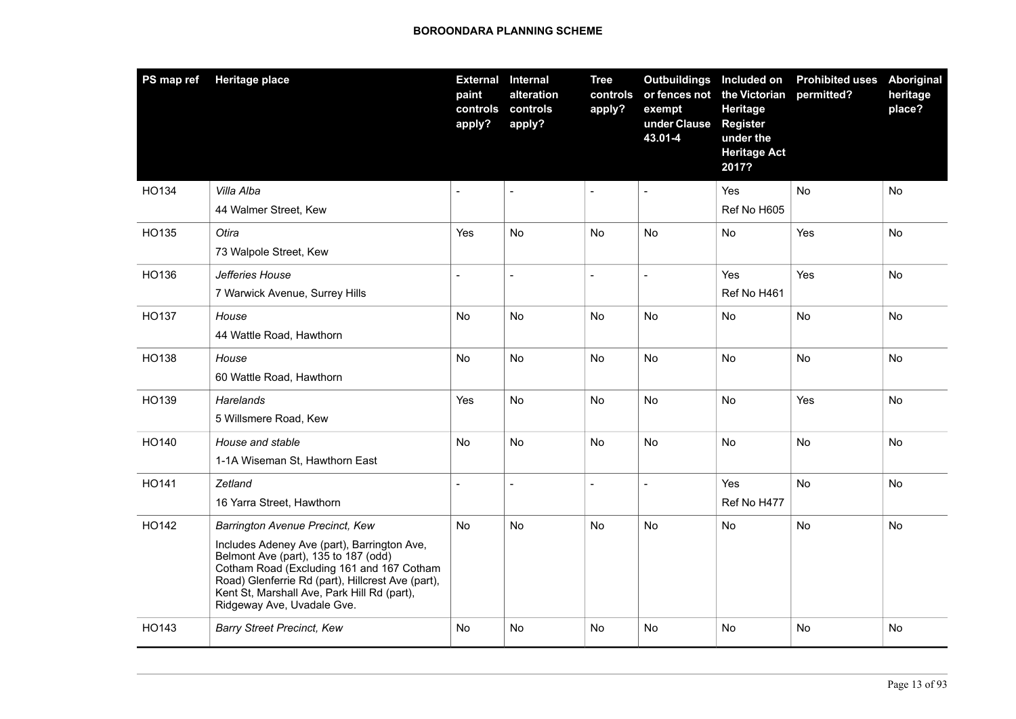| PS map ref | <b>Heritage place</b>                                                                                                                                                                                                                                                                                 | paint<br>controls<br>apply? | <b>External Internal</b><br>alteration<br>controls<br>apply? | <b>Tree</b><br>controls<br>apply? | Outbuildings Included on<br>exempt<br>under Clause<br>43.01-4 | or fences not the Victorian<br>Heritage<br><b>Register</b><br>under the<br><b>Heritage Act</b><br>2017? | <b>Prohibited uses</b><br>permitted? | Aboriginal<br>heritage<br>place? |
|------------|-------------------------------------------------------------------------------------------------------------------------------------------------------------------------------------------------------------------------------------------------------------------------------------------------------|-----------------------------|--------------------------------------------------------------|-----------------------------------|---------------------------------------------------------------|---------------------------------------------------------------------------------------------------------|--------------------------------------|----------------------------------|
| HO134      | Villa Alba<br>44 Walmer Street, Kew                                                                                                                                                                                                                                                                   |                             |                                                              |                                   |                                                               | Yes<br>Ref No H605                                                                                      | <b>No</b>                            | No.                              |
|            |                                                                                                                                                                                                                                                                                                       |                             |                                                              |                                   |                                                               |                                                                                                         |                                      |                                  |
| HO135      | Otira<br>73 Walpole Street, Kew                                                                                                                                                                                                                                                                       | Yes                         | No                                                           | No                                | No                                                            | No                                                                                                      | Yes                                  | No                               |
| HO136      | Jefferies House<br>7 Warwick Avenue, Surrey Hills                                                                                                                                                                                                                                                     | $\overline{a}$              | $\overline{a}$                                               | $\blacksquare$                    | $\bar{\phantom{a}}$                                           | Yes<br>Ref No H461                                                                                      | Yes                                  | No                               |
| HO137      | House<br>44 Wattle Road, Hawthorn                                                                                                                                                                                                                                                                     | No.                         | No                                                           | <b>No</b>                         | No.                                                           | No                                                                                                      | No                                   | No.                              |
| HO138      | House<br>60 Wattle Road, Hawthorn                                                                                                                                                                                                                                                                     | No                          | No                                                           | No                                | No                                                            | No                                                                                                      | No                                   | No.                              |
| HO139      | Harelands<br>5 Willsmere Road, Kew                                                                                                                                                                                                                                                                    | Yes                         | No                                                           | No                                | <b>No</b>                                                     | No                                                                                                      | Yes                                  | <b>No</b>                        |
| HO140      | House and stable<br>1-1A Wiseman St, Hawthorn East                                                                                                                                                                                                                                                    | No                          | No                                                           | No                                | <b>No</b>                                                     | No                                                                                                      | No                                   | No                               |
| HO141      | Zetland<br>16 Yarra Street, Hawthorn                                                                                                                                                                                                                                                                  | $\overline{a}$              | $\overline{a}$                                               | $\overline{a}$                    | $\bar{\phantom{a}}$                                           | Yes<br>Ref No H477                                                                                      | <b>No</b>                            | No                               |
| HO142      | Barrington Avenue Precinct, Kew<br>Includes Adeney Ave (part), Barrington Ave,<br>Belmont Ave (part), 135 to 187 (odd)<br>Cotham Road (Excluding 161 and 167 Cotham<br>Road) Glenferrie Rd (part), Hillcrest Ave (part),<br>Kent St, Marshall Ave, Park Hill Rd (part),<br>Ridgeway Ave, Uvadale Gve. | No                          | No                                                           | No                                | No                                                            | No                                                                                                      | No                                   | No.                              |
| HO143      | <b>Barry Street Precinct, Kew</b>                                                                                                                                                                                                                                                                     | No                          | No                                                           | No                                | No                                                            | No                                                                                                      | No                                   | No                               |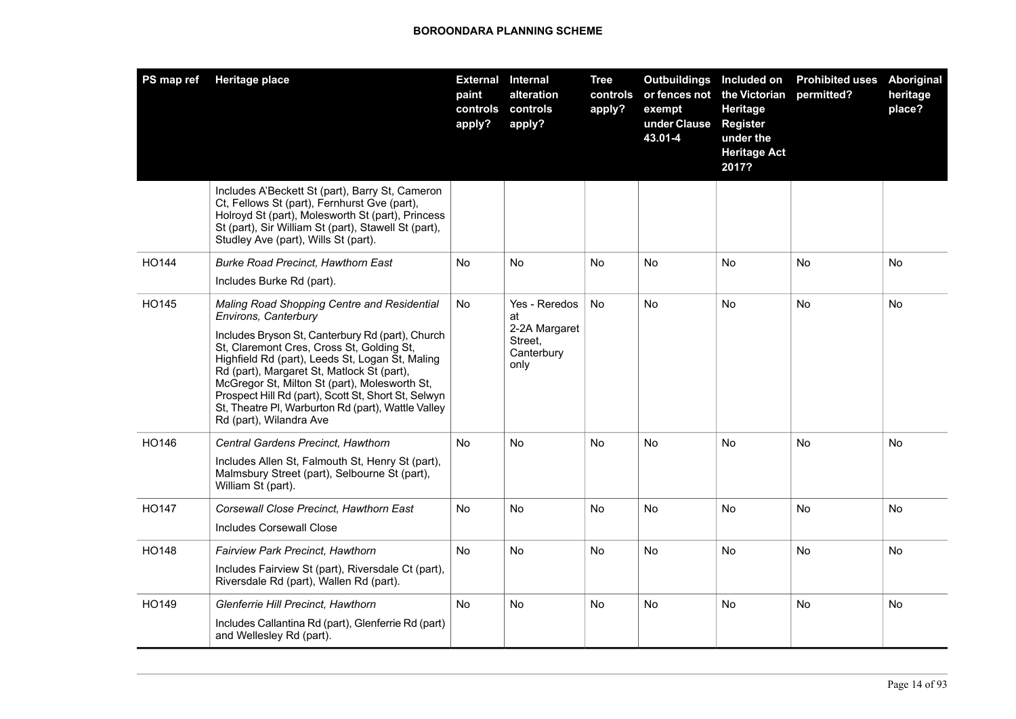| PS map ref   | <b>Heritage place</b>                                                                                                                                                                                                                                                                                                                                                                                                                                          | <b>External Internal</b><br>paint<br>controls<br>apply? | alteration<br>controls<br>apply?                                      | <b>Tree</b><br>controls<br>apply? | <b>Outbuildings</b><br>exempt<br>under Clause<br>43.01-4 | Included on<br>or fences not the Victorian<br>Heritage<br><b>Register</b><br>under the<br><b>Heritage Act</b><br>2017? | <b>Prohibited uses</b><br>permitted? | Aboriginal<br>heritage<br>place? |
|--------------|----------------------------------------------------------------------------------------------------------------------------------------------------------------------------------------------------------------------------------------------------------------------------------------------------------------------------------------------------------------------------------------------------------------------------------------------------------------|---------------------------------------------------------|-----------------------------------------------------------------------|-----------------------------------|----------------------------------------------------------|------------------------------------------------------------------------------------------------------------------------|--------------------------------------|----------------------------------|
|              | Includes A'Beckett St (part), Barry St, Cameron<br>Ct, Fellows St (part), Fernhurst Gve (part),<br>Holroyd St (part), Molesworth St (part), Princess<br>St (part), Sir William St (part), Stawell St (part),<br>Studley Ave (part), Wills St (part).                                                                                                                                                                                                           |                                                         |                                                                       |                                   |                                                          |                                                                                                                        |                                      |                                  |
| HO144        | <b>Burke Road Precinct, Hawthorn East</b><br>Includes Burke Rd (part).                                                                                                                                                                                                                                                                                                                                                                                         | No                                                      | No                                                                    | <b>No</b>                         | No                                                       | No.                                                                                                                    | <b>No</b>                            | No.                              |
| HO145        | Maling Road Shopping Centre and Residential<br>Environs, Canterbury<br>Includes Bryson St, Canterbury Rd (part), Church<br>St, Claremont Cres, Cross St, Golding St,<br>Highfield Rd (part), Leeds St, Logan St, Maling<br>Rd (part), Margaret St, Matlock St (part),<br>McGregor St, Milton St (part), Molesworth St,<br>Prospect Hill Rd (part), Scott St, Short St, Selwyn<br>St, Theatre PI, Warburton Rd (part), Wattle Valley<br>Rd (part), Wilandra Ave | No                                                      | Yes - Reredos<br>at<br>2-2A Margaret<br>Street,<br>Canterbury<br>only | <b>No</b>                         | No                                                       | No.                                                                                                                    | No                                   | No                               |
| HO146        | Central Gardens Precinct, Hawthorn<br>Includes Allen St, Falmouth St, Henry St (part),<br>Malmsbury Street (part), Selbourne St (part),<br>William St (part).                                                                                                                                                                                                                                                                                                  | No                                                      | No.                                                                   | <b>No</b>                         | No                                                       | N <sub>o</sub>                                                                                                         | <b>No</b>                            | No                               |
| <b>HO147</b> | Corsewall Close Precinct. Hawthorn East<br>Includes Corsewall Close                                                                                                                                                                                                                                                                                                                                                                                            | No                                                      | No                                                                    | <b>No</b>                         | No                                                       | No.                                                                                                                    | <b>No</b>                            | No.                              |
| <b>HO148</b> | <b>Fairview Park Precinct, Hawthorn</b><br>Includes Fairview St (part), Riversdale Ct (part),<br>Riversdale Rd (part), Wallen Rd (part).                                                                                                                                                                                                                                                                                                                       | No                                                      | No.                                                                   | <b>No</b>                         | No.                                                      | No.                                                                                                                    | <b>No</b>                            | No.                              |
| HO149        | Glenferrie Hill Precinct, Hawthorn<br>Includes Callantina Rd (part), Glenferrie Rd (part)<br>and Wellesley Rd (part).                                                                                                                                                                                                                                                                                                                                          | No                                                      | No                                                                    | <b>No</b>                         | No                                                       | No.                                                                                                                    | <b>No</b>                            | No.                              |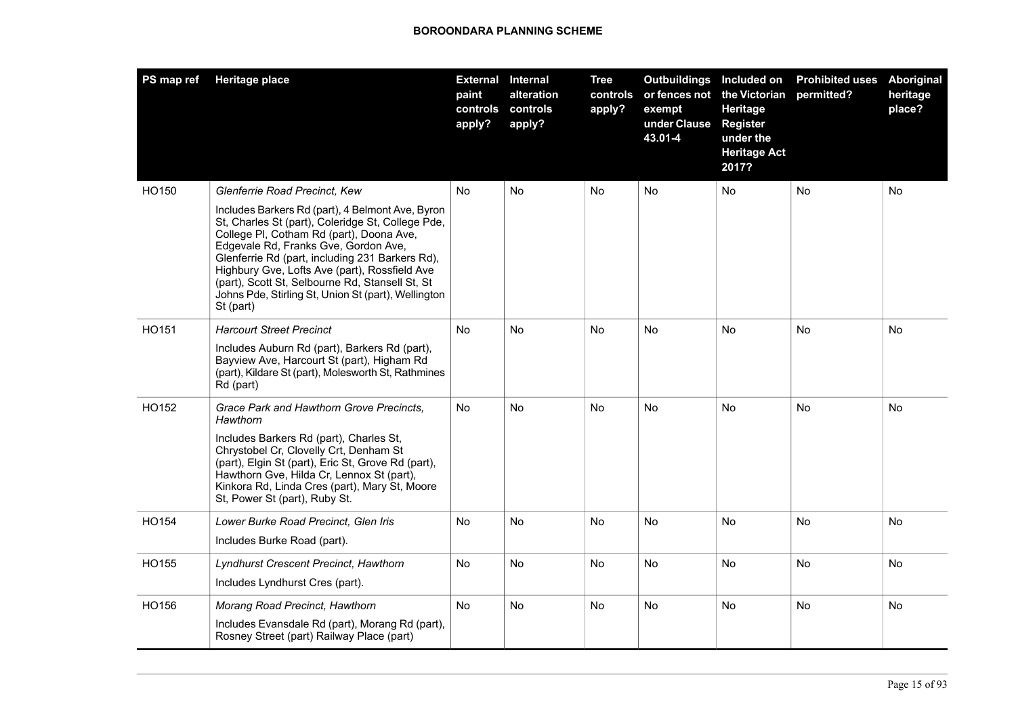| PS map ref | <b>Heritage place</b>                                                                                                                                                                                                                                                                                                                                                                                                                                 | <b>External Internal</b><br>paint<br>controls<br>apply? | alteration<br>controls<br>apply? | <b>Tree</b><br>controls<br>apply? | <b>Outbuildings</b><br>exempt<br>under Clause<br>43.01-4 | Included on<br>or fences not the Victorian<br>Heritage<br><b>Register</b><br>under the<br><b>Heritage Act</b><br>2017? | <b>Prohibited uses</b><br>permitted? | <b>Aboriginal</b><br>heritage<br>place? |
|------------|-------------------------------------------------------------------------------------------------------------------------------------------------------------------------------------------------------------------------------------------------------------------------------------------------------------------------------------------------------------------------------------------------------------------------------------------------------|---------------------------------------------------------|----------------------------------|-----------------------------------|----------------------------------------------------------|------------------------------------------------------------------------------------------------------------------------|--------------------------------------|-----------------------------------------|
| HO150      | Glenferrie Road Precinct, Kew<br>Includes Barkers Rd (part), 4 Belmont Ave, Byron<br>St, Charles St (part), Coleridge St, College Pde,<br>College PI, Cotham Rd (part), Doona Ave,<br>Edgevale Rd, Franks Gve, Gordon Ave,<br>Glenferrie Rd (part, including 231 Barkers Rd),<br>Highbury Gve, Lofts Ave (part), Rossfield Ave<br>(part), Scott St, Selbourne Rd, Stansell St, St<br>Johns Pde, Stirling St, Union St (part), Wellington<br>St (part) | No                                                      | No                               | No                                | No                                                       | No                                                                                                                     | <b>No</b>                            | No                                      |
| HO151      | <b>Harcourt Street Precinct</b><br>Includes Auburn Rd (part), Barkers Rd (part),<br>Bayview Ave, Harcourt St (part), Higham Rd<br>(part), Kildare St (part), Molesworth St, Rathmines<br>Rd (part)                                                                                                                                                                                                                                                    | No                                                      | No.                              | No                                | No                                                       | No                                                                                                                     | No                                   | No.                                     |
| HO152      | Grace Park and Hawthorn Grove Precincts.<br>Hawthorn<br>Includes Barkers Rd (part), Charles St,<br>Chrystobel Cr, Clovelly Crt, Denham St<br>(part), Elgin St (part), Eric St, Grove Rd (part),<br>Hawthorn Gve, Hilda Cr, Lennox St (part),<br>Kinkora Rd, Linda Cres (part), Mary St, Moore<br>St, Power St (part), Ruby St.                                                                                                                        | No                                                      | No.                              | No                                | No                                                       | No                                                                                                                     | <b>No</b>                            | No.                                     |
| HO154      | Lower Burke Road Precinct, Glen Iris<br>Includes Burke Road (part).                                                                                                                                                                                                                                                                                                                                                                                   | No                                                      | No                               | No                                | No                                                       | No                                                                                                                     | No                                   | No                                      |
| HO155      | Lyndhurst Crescent Precinct, Hawthorn<br>Includes Lyndhurst Cres (part).                                                                                                                                                                                                                                                                                                                                                                              | No                                                      | No.                              | <b>No</b>                         | No                                                       | No                                                                                                                     | <b>No</b>                            | No.                                     |
| HO156      | Morang Road Precinct, Hawthorn<br>Includes Evansdale Rd (part), Morang Rd (part),<br>Rosney Street (part) Railway Place (part)                                                                                                                                                                                                                                                                                                                        | No                                                      | No.                              | <b>No</b>                         | No                                                       | No.                                                                                                                    | <b>No</b>                            | No.                                     |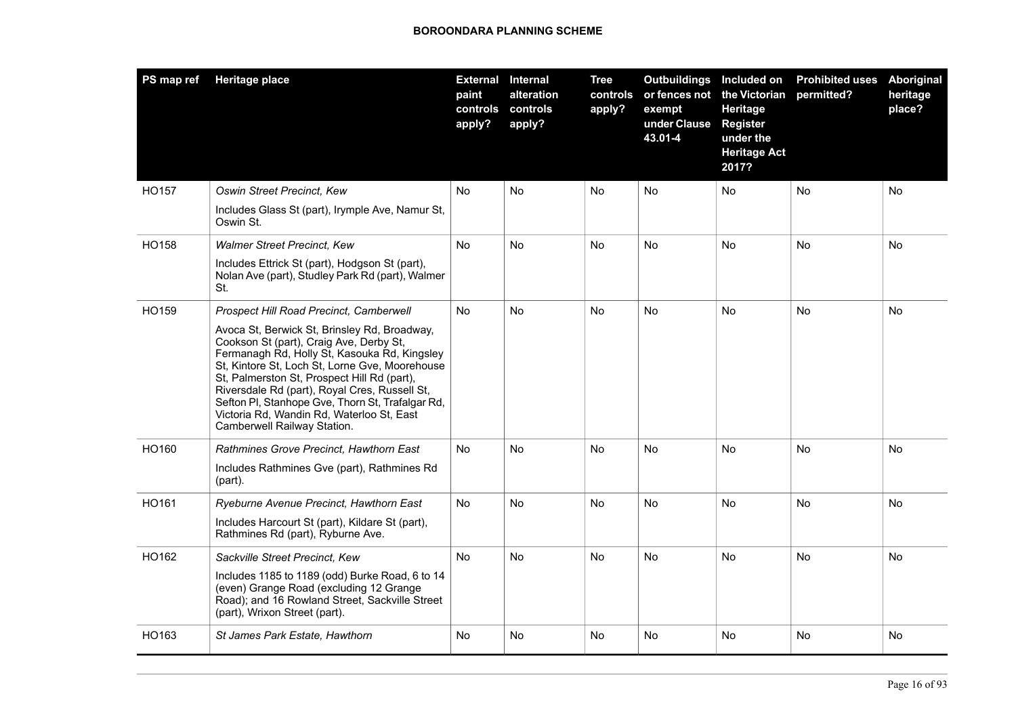| PS map ref | Heritage place                                                                                                                                                                                                                                                                                                                                                                                                                                                       | <b>External Internal</b><br>paint<br>apply? | alteration<br>controls controls<br>apply? | <b>Tree</b><br>controls<br>apply? | Outbuildings Included on<br>exempt<br>under Clause<br>43.01-4 | or fences not the Victorian<br>Heritage<br><b>Register</b><br>under the<br><b>Heritage Act</b><br>2017? | <b>Prohibited uses</b><br>permitted? | Aboriginal<br>heritage<br>place? |
|------------|----------------------------------------------------------------------------------------------------------------------------------------------------------------------------------------------------------------------------------------------------------------------------------------------------------------------------------------------------------------------------------------------------------------------------------------------------------------------|---------------------------------------------|-------------------------------------------|-----------------------------------|---------------------------------------------------------------|---------------------------------------------------------------------------------------------------------|--------------------------------------|----------------------------------|
| HO157      | Oswin Street Precinct, Kew<br>Includes Glass St (part), Irymple Ave, Namur St,                                                                                                                                                                                                                                                                                                                                                                                       | <b>No</b>                                   | No.                                       | No                                | <b>No</b>                                                     | <b>No</b>                                                                                               | <b>No</b>                            | No                               |
|            | Oswin St.                                                                                                                                                                                                                                                                                                                                                                                                                                                            |                                             |                                           |                                   |                                                               |                                                                                                         |                                      |                                  |
| HO158      | <b>Walmer Street Precinct, Kew</b>                                                                                                                                                                                                                                                                                                                                                                                                                                   | No                                          | No.                                       | No                                | No                                                            | No                                                                                                      | No                                   | No                               |
|            | Includes Ettrick St (part), Hodgson St (part),<br>Nolan Ave (part), Studley Park Rd (part), Walmer<br>St.                                                                                                                                                                                                                                                                                                                                                            |                                             |                                           |                                   |                                                               |                                                                                                         |                                      |                                  |
| HO159      | Prospect Hill Road Precinct, Camberwell<br>Avoca St, Berwick St, Brinsley Rd, Broadway,<br>Cookson St (part), Craig Ave, Derby St,<br>Fermanagh Rd, Holly St, Kasouka Rd, Kingsley<br>St, Kintore St, Loch St, Lorne Gve, Moorehouse<br>St, Palmerston St, Prospect Hill Rd (part),<br>Riversdale Rd (part), Royal Cres, Russell St,<br>Sefton PI, Stanhope Gve, Thorn St, Trafalgar Rd,<br>Victoria Rd, Wandin Rd, Waterloo St, East<br>Camberwell Railway Station. | <b>No</b>                                   | <b>No</b>                                 | <b>No</b>                         | <b>No</b>                                                     | <b>No</b>                                                                                               | <b>No</b>                            | <b>No</b>                        |
| HO160      | Rathmines Grove Precinct, Hawthorn East<br>Includes Rathmines Gve (part), Rathmines Rd<br>(part).                                                                                                                                                                                                                                                                                                                                                                    | No                                          | <b>No</b>                                 | <b>No</b>                         | <b>No</b>                                                     | <b>No</b>                                                                                               | <b>No</b>                            | No                               |
| HO161      | Ryeburne Avenue Precinct, Hawthorn East<br>Includes Harcourt St (part), Kildare St (part),<br>Rathmines Rd (part), Ryburne Ave.                                                                                                                                                                                                                                                                                                                                      | No                                          | No                                        | <b>No</b>                         | No.                                                           | No                                                                                                      | <b>No</b>                            | No                               |
| HO162      | Sackville Street Precinct, Kew<br>Includes 1185 to 1189 (odd) Burke Road, 6 to 14<br>(even) Grange Road (excluding 12 Grange<br>Road); and 16 Rowland Street, Sackville Street<br>(part), Wrixon Street (part).                                                                                                                                                                                                                                                      | No.                                         | No                                        | No                                | <b>No</b>                                                     | <b>No</b>                                                                                               | No.                                  | No                               |
| HO163      | St James Park Estate, Hawthorn                                                                                                                                                                                                                                                                                                                                                                                                                                       | No.                                         | No                                        | <b>No</b>                         | No.                                                           | No                                                                                                      | <b>No</b>                            | No                               |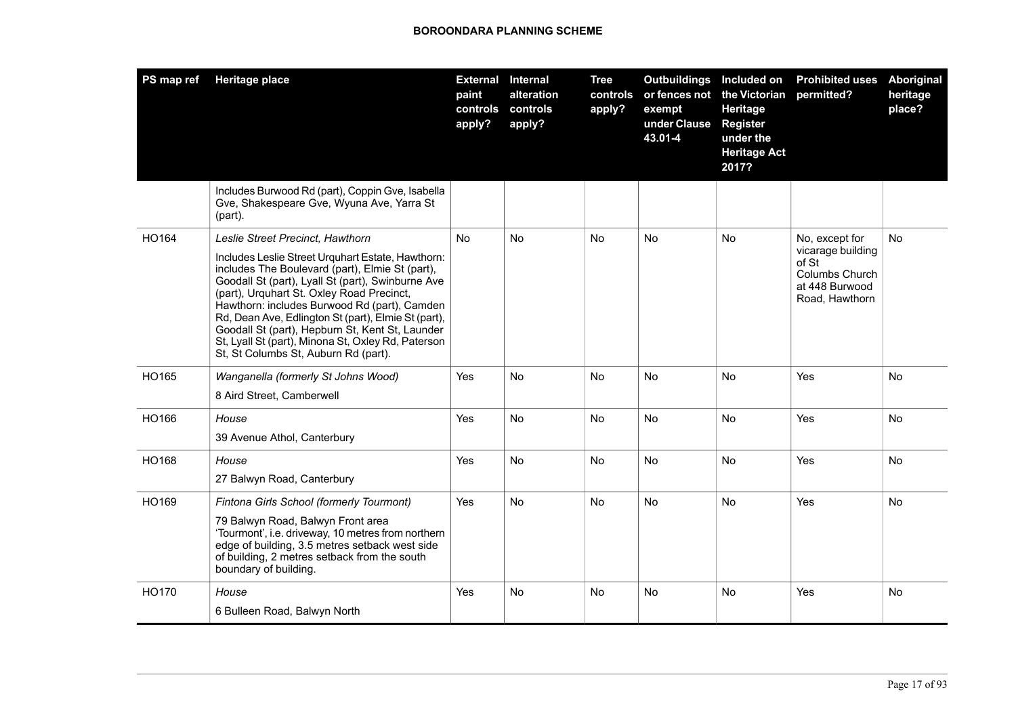| PS map ref | <b>Heritage place</b>                                                                                                                                                                                                                                                                                                                                                                                                                                                                              | paint<br>controls<br>apply? | <b>External Internal</b><br>alteration<br>controls<br>apply? | <b>Tree</b><br>controls<br>apply? | <b>Outbuildings</b> Included on<br>or fences not<br>exempt<br>under Clause<br>43.01-4 | the Victorian<br>Heritage<br><b>Register</b><br>under the<br><b>Heritage Act</b><br>2017? | <b>Prohibited uses</b><br>permitted?                                                               | <b>Aboriginal</b><br>heritage<br>place? |
|------------|----------------------------------------------------------------------------------------------------------------------------------------------------------------------------------------------------------------------------------------------------------------------------------------------------------------------------------------------------------------------------------------------------------------------------------------------------------------------------------------------------|-----------------------------|--------------------------------------------------------------|-----------------------------------|---------------------------------------------------------------------------------------|-------------------------------------------------------------------------------------------|----------------------------------------------------------------------------------------------------|-----------------------------------------|
|            | Includes Burwood Rd (part), Coppin Gve, Isabella<br>Gve, Shakespeare Gve, Wyuna Ave, Yarra St<br>(part).                                                                                                                                                                                                                                                                                                                                                                                           |                             |                                                              |                                   |                                                                                       |                                                                                           |                                                                                                    |                                         |
| HO164      | Leslie Street Precinct, Hawthorn<br>Includes Leslie Street Urquhart Estate, Hawthorn:<br>includes The Boulevard (part), Elmie St (part),<br>Goodall St (part), Lyall St (part), Swinburne Ave<br>(part), Urquhart St. Oxley Road Precinct,<br>Hawthorn: includes Burwood Rd (part), Camden<br>Rd, Dean Ave, Edlington St (part), Elmie St (part),<br>Goodall St (part), Hepburn St, Kent St, Launder<br>St, Lyall St (part), Minona St, Oxley Rd, Paterson<br>St, St Columbs St, Auburn Rd (part). | N <sub>o</sub>              | No.                                                          | <b>No</b>                         | <b>No</b>                                                                             | <b>No</b>                                                                                 | No, except for<br>vicarage building<br>of St<br>Columbs Church<br>at 448 Burwood<br>Road, Hawthorn | <b>No</b>                               |
| HO165      | Wanganella (formerly St Johns Wood)<br>8 Aird Street, Camberwell                                                                                                                                                                                                                                                                                                                                                                                                                                   | Yes                         | <b>No</b>                                                    | No                                | <b>No</b>                                                                             | <b>No</b>                                                                                 | Yes                                                                                                | No                                      |
| HO166      | House<br>39 Avenue Athol, Canterbury                                                                                                                                                                                                                                                                                                                                                                                                                                                               | Yes                         | <b>No</b>                                                    | No                                | No                                                                                    | <b>No</b>                                                                                 | Yes                                                                                                | <b>No</b>                               |
| HO168      | House<br>27 Balwyn Road, Canterbury                                                                                                                                                                                                                                                                                                                                                                                                                                                                | Yes                         | No                                                           | <b>No</b>                         | No                                                                                    | No.                                                                                       | Yes                                                                                                | No.                                     |
| HO169      | Fintona Girls School (formerly Tourmont)<br>79 Balwyn Road, Balwyn Front area<br>'Tourmont', i.e. driveway, 10 metres from northern<br>edge of building, 3.5 metres setback west side<br>of building, 2 metres setback from the south<br>boundary of building.                                                                                                                                                                                                                                     | Yes                         | No                                                           | No                                | <b>No</b>                                                                             | No                                                                                        | Yes                                                                                                | No.                                     |
| HO170      | House<br>6 Bulleen Road, Balwyn North                                                                                                                                                                                                                                                                                                                                                                                                                                                              | Yes                         | No                                                           | No                                | <b>No</b>                                                                             | <b>No</b>                                                                                 | Yes                                                                                                | No.                                     |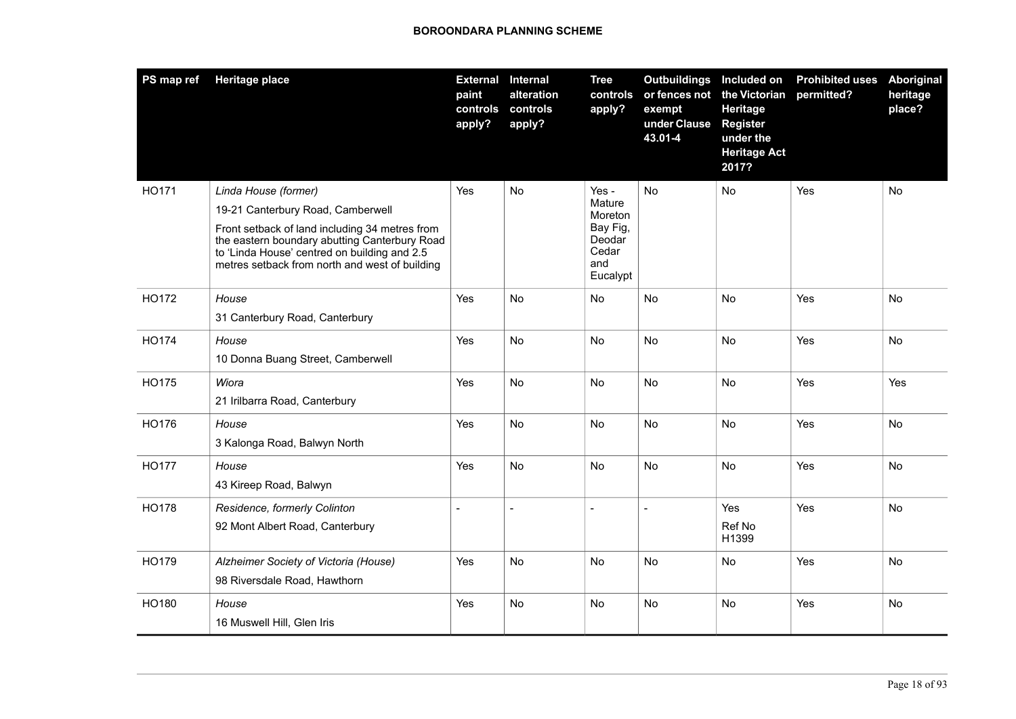| PS map ref   | <b>Heritage place</b>                                                                                                                                                                                                                                          | <b>External Internal</b><br>paint<br>controls<br>apply? | alteration<br>controls<br>apply? | <b>Tree</b><br>controls<br>apply?                                            | <b>Outbuildings</b><br>exempt<br>under Clause<br>43.01-4 | Included on<br>or fences not the Victorian<br>Heritage<br><b>Register</b><br>under the<br><b>Heritage Act</b><br>2017? | <b>Prohibited uses</b><br>permitted? | Aboriginal<br>heritage<br>place? |
|--------------|----------------------------------------------------------------------------------------------------------------------------------------------------------------------------------------------------------------------------------------------------------------|---------------------------------------------------------|----------------------------------|------------------------------------------------------------------------------|----------------------------------------------------------|------------------------------------------------------------------------------------------------------------------------|--------------------------------------|----------------------------------|
| HO171        | Linda House (former)<br>19-21 Canterbury Road, Camberwell<br>Front setback of land including 34 metres from<br>the eastern boundary abutting Canterbury Road<br>to 'Linda House' centred on building and 2.5<br>metres setback from north and west of building | Yes                                                     | No                               | Yes -<br>Mature<br>Moreton<br>Bay Fig,<br>Deodar<br>Cedar<br>and<br>Eucalypt | <b>No</b>                                                | No                                                                                                                     | Yes                                  | No                               |
| HO172        | House<br>31 Canterbury Road, Canterbury                                                                                                                                                                                                                        | Yes                                                     | No                               | No                                                                           | No                                                       | No                                                                                                                     | Yes                                  | No                               |
| HO174        | House<br>10 Donna Buang Street, Camberwell                                                                                                                                                                                                                     | Yes                                                     | No                               | No                                                                           | No                                                       | No                                                                                                                     | Yes                                  | No                               |
| HO175        | Wiora<br>21 Irilbarra Road, Canterbury                                                                                                                                                                                                                         | Yes                                                     | No                               | No                                                                           | No                                                       | No                                                                                                                     | Yes                                  | Yes                              |
| HO176        | House<br>3 Kalonga Road, Balwyn North                                                                                                                                                                                                                          | Yes                                                     | No                               | No                                                                           | No                                                       | No                                                                                                                     | Yes                                  | No.                              |
| <b>HO177</b> | House<br>43 Kireep Road, Balwyn                                                                                                                                                                                                                                | Yes                                                     | <b>No</b>                        | <b>No</b>                                                                    | <b>No</b>                                                | <b>No</b>                                                                                                              | Yes                                  | <b>No</b>                        |
| <b>HO178</b> | Residence, formerly Colinton<br>92 Mont Albert Road, Canterbury                                                                                                                                                                                                |                                                         | $\overline{\phantom{a}}$         |                                                                              | $\overline{a}$                                           | Yes<br>Ref No<br>H1399                                                                                                 | Yes                                  | No                               |
| HO179        | Alzheimer Society of Victoria (House)<br>98 Riversdale Road, Hawthorn                                                                                                                                                                                          | Yes                                                     | No                               | <b>No</b>                                                                    | <b>No</b>                                                | No                                                                                                                     | Yes                                  | No                               |
| HO180        | House<br>16 Muswell Hill, Glen Iris                                                                                                                                                                                                                            | Yes                                                     | No                               | No                                                                           | <b>No</b>                                                | No                                                                                                                     | Yes                                  | No                               |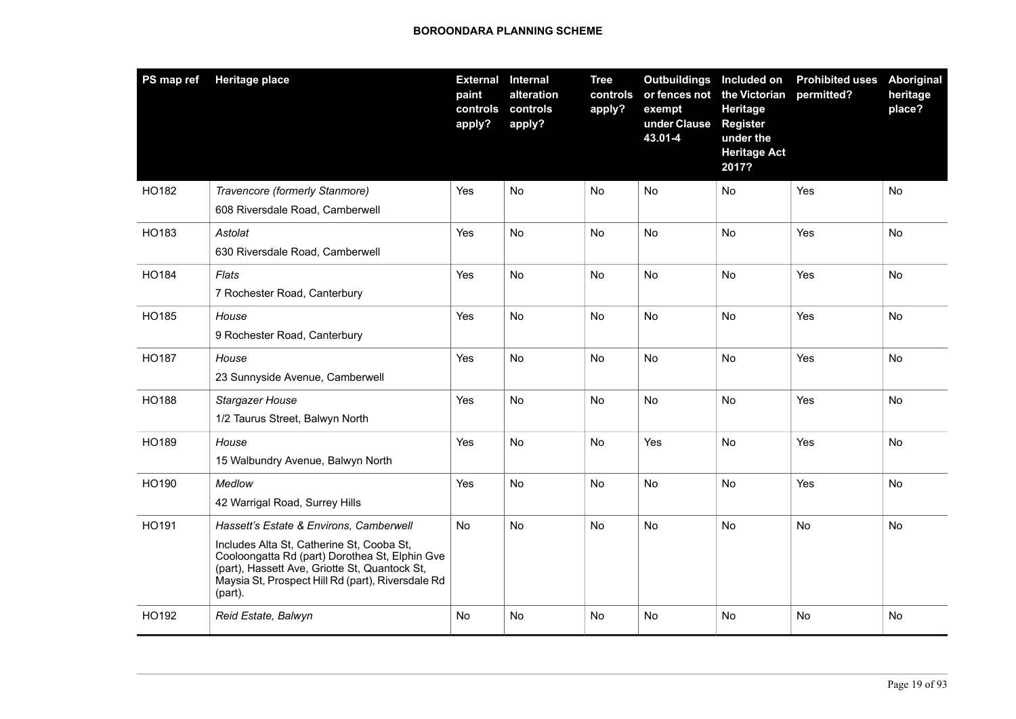| PS map ref   | <b>Heritage place</b>                                                                                                                                                                                                                                   | paint<br>controls<br>apply? | <b>External Internal</b><br>alteration<br>controls<br>apply? | <b>Tree</b><br>controls<br>apply? | Outbuildings Included on<br>or fences not the Victorian<br>exempt<br>under Clause<br>43.01-4 | Heritage<br><b>Register</b><br>under the<br><b>Heritage Act</b><br>2017? | <b>Prohibited uses</b><br>permitted? | <b>Aboriginal</b><br>heritage<br>place? |
|--------------|---------------------------------------------------------------------------------------------------------------------------------------------------------------------------------------------------------------------------------------------------------|-----------------------------|--------------------------------------------------------------|-----------------------------------|----------------------------------------------------------------------------------------------|--------------------------------------------------------------------------|--------------------------------------|-----------------------------------------|
| HO182        | Travencore (formerly Stanmore)<br>608 Riversdale Road, Camberwell                                                                                                                                                                                       | Yes                         | No                                                           | No                                | No                                                                                           | No                                                                       | Yes                                  | No                                      |
| HO183        | Astolat<br>630 Riversdale Road, Camberwell                                                                                                                                                                                                              | Yes                         | No                                                           | No                                | No                                                                                           | No                                                                       | Yes                                  | No                                      |
| HO184        | Flats<br>7 Rochester Road, Canterbury                                                                                                                                                                                                                   | Yes                         | No                                                           | No                                | No                                                                                           | No                                                                       | Yes                                  | No                                      |
| HO185        | House<br>9 Rochester Road, Canterbury                                                                                                                                                                                                                   | Yes                         | <b>No</b>                                                    | No                                | No                                                                                           | <b>No</b>                                                                | Yes                                  | No                                      |
| HO187        | House<br>23 Sunnyside Avenue, Camberwell                                                                                                                                                                                                                | Yes                         | No                                                           | No                                | No                                                                                           | No                                                                       | Yes                                  | No                                      |
| <b>HO188</b> | Stargazer House<br>1/2 Taurus Street, Balwyn North                                                                                                                                                                                                      | Yes                         | No                                                           | <b>No</b>                         | <b>No</b>                                                                                    | No                                                                       | Yes                                  | <b>No</b>                               |
| HO189        | House<br>15 Walbundry Avenue, Balwyn North                                                                                                                                                                                                              | Yes                         | No                                                           | <b>No</b>                         | Yes                                                                                          | <b>No</b>                                                                | Yes                                  | No                                      |
| HO190        | Medlow<br>42 Warrigal Road, Surrey Hills                                                                                                                                                                                                                | Yes                         | <b>No</b>                                                    | <b>No</b>                         | <b>No</b>                                                                                    | <b>No</b>                                                                | Yes                                  | No                                      |
| HO191        | Hassett's Estate & Environs, Camberwell<br>Includes Alta St, Catherine St, Cooba St,<br>Cooloongatta Rd (part) Dorothea St, Elphin Gve<br>(part), Hassett Ave, Griotte St, Quantock St,<br>Maysia St, Prospect Hill Rd (part), Riversdale Rd<br>(part). | <b>No</b>                   | <b>No</b>                                                    | <b>No</b>                         | <b>No</b>                                                                                    | <b>No</b>                                                                | <b>No</b>                            | No                                      |
| HO192        | Reid Estate, Balwyn                                                                                                                                                                                                                                     | No                          | No                                                           | No                                | No                                                                                           | No                                                                       | No                                   | No                                      |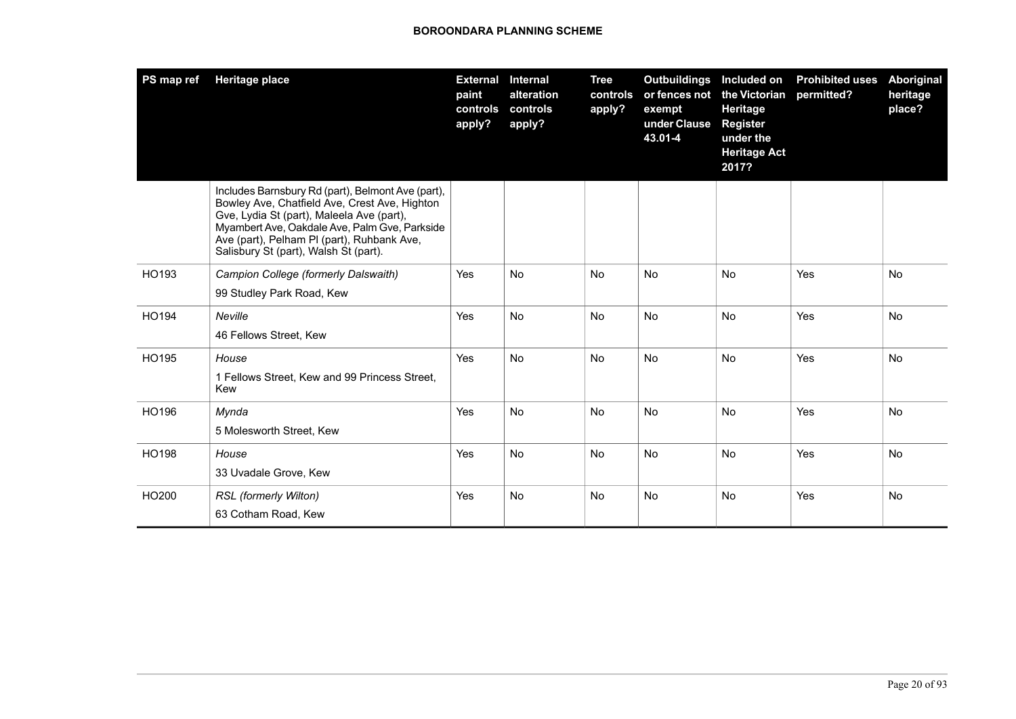| PS map ref   | <b>Heritage place</b>                                                                                                                                                                                                                                                                   | <b>External</b><br>paint<br>controls<br>apply? | Internal<br>alteration<br>controls<br>apply? | <b>Tree</b><br>controls<br>apply? | <b>Outbuildings</b><br>or fences not<br>exempt<br>under Clause<br>43.01-4 | Included on<br>the Victorian<br>Heritage<br><b>Register</b><br>under the<br><b>Heritage Act</b><br>2017? | <b>Prohibited uses</b><br>permitted? | Aboriginal<br>heritage<br>place? |
|--------------|-----------------------------------------------------------------------------------------------------------------------------------------------------------------------------------------------------------------------------------------------------------------------------------------|------------------------------------------------|----------------------------------------------|-----------------------------------|---------------------------------------------------------------------------|----------------------------------------------------------------------------------------------------------|--------------------------------------|----------------------------------|
|              | Includes Barnsbury Rd (part), Belmont Ave (part),<br>Bowley Ave, Chatfield Ave, Crest Ave, Highton<br>Gve, Lydia St (part), Maleela Ave (part),<br>Myambert Ave, Oakdale Ave, Palm Gve, Parkside<br>Ave (part), Pelham PI (part), Ruhbank Ave,<br>Salisbury St (part), Walsh St (part). |                                                |                                              |                                   |                                                                           |                                                                                                          |                                      |                                  |
| HO193        | Campion College (formerly Dalswaith)<br>99 Studley Park Road, Kew                                                                                                                                                                                                                       | Yes                                            | <b>No</b>                                    | No                                | No                                                                        | No                                                                                                       | Yes                                  | No                               |
| HO194        | Neville<br>46 Fellows Street, Kew                                                                                                                                                                                                                                                       | Yes                                            | <b>No</b>                                    | <b>No</b>                         | No                                                                        | <b>No</b>                                                                                                | Yes                                  | <b>No</b>                        |
| HO195        | House<br>1 Fellows Street, Kew and 99 Princess Street,<br>Kew                                                                                                                                                                                                                           | Yes                                            | <b>No</b>                                    | <b>No</b>                         | <b>No</b>                                                                 | <b>No</b>                                                                                                | Yes                                  | <b>No</b>                        |
| HO196        | Mynda<br>5 Molesworth Street, Kew                                                                                                                                                                                                                                                       | Yes                                            | <b>No</b>                                    | <b>No</b>                         | No                                                                        | <b>No</b>                                                                                                | Yes                                  | <b>No</b>                        |
| <b>HO198</b> | House<br>33 Uvadale Grove, Kew                                                                                                                                                                                                                                                          | Yes                                            | <b>No</b>                                    | No                                | No                                                                        | <b>No</b>                                                                                                | Yes                                  | <b>No</b>                        |
| HO200        | RSL (formerly Wilton)<br>63 Cotham Road, Kew                                                                                                                                                                                                                                            | Yes                                            | <b>No</b>                                    | <b>No</b>                         | No                                                                        | <b>No</b>                                                                                                | Yes                                  | No                               |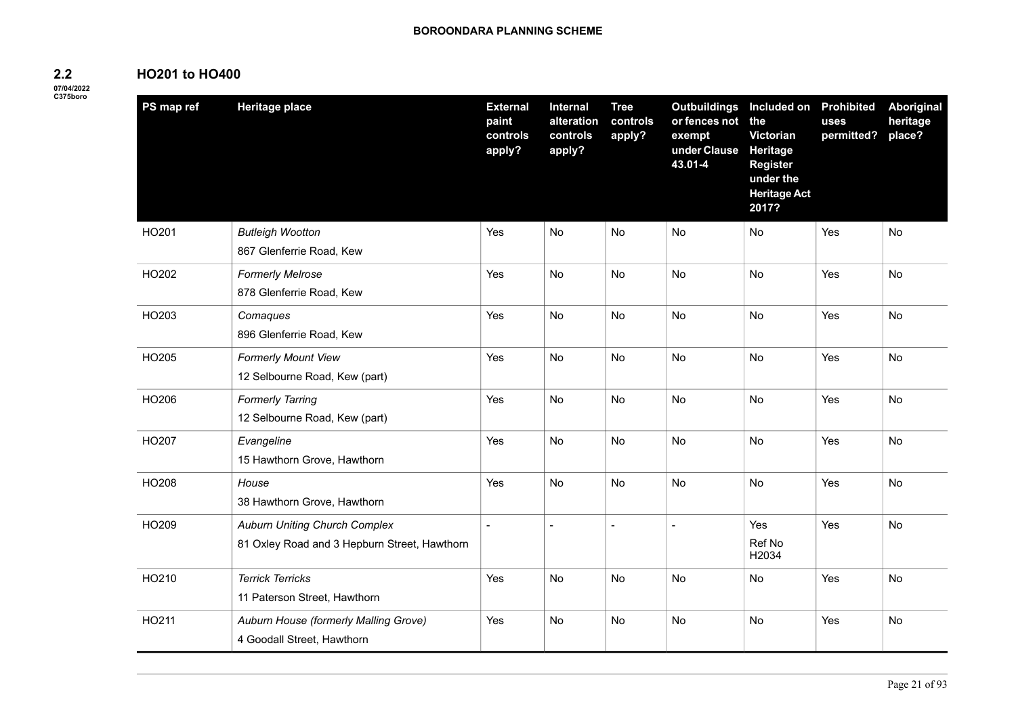# **HO201 to HO400**

**2.2 07/04/2022**

| -----    |  |
|----------|--|
| C375boro |  |
|          |  |

| PS map ref | <b>Heritage place</b>                                                                | <b>External</b><br>paint<br>controls<br>apply? | Internal<br>alteration<br>controls<br>apply? | <b>Tree</b><br>controls<br>apply? | <b>Outbuildings</b><br>or fences not<br>exempt<br>under Clause<br>43.01-4 | Included on Prohibited<br>the<br>Victorian<br><b>Heritage</b><br><b>Register</b><br>under the<br><b>Heritage Act</b><br>2017? | uses<br>permitted? | <b>Aboriginal</b><br>heritage<br>place? |
|------------|--------------------------------------------------------------------------------------|------------------------------------------------|----------------------------------------------|-----------------------------------|---------------------------------------------------------------------------|-------------------------------------------------------------------------------------------------------------------------------|--------------------|-----------------------------------------|
| HO201      | <b>Butleigh Wootton</b><br>867 Glenferrie Road, Kew                                  | Yes                                            | <b>No</b>                                    | No                                | No                                                                        | No                                                                                                                            | <b>Yes</b>         | No.                                     |
| HO202      | <b>Formerly Melrose</b><br>878 Glenferrie Road, Kew                                  | Yes                                            | No                                           | No                                | No                                                                        | No                                                                                                                            | Yes                | No                                      |
| HO203      | Comaques<br>896 Glenferrie Road, Kew                                                 | Yes                                            | <b>No</b>                                    | <b>No</b>                         | <b>No</b>                                                                 | <b>No</b>                                                                                                                     | Yes                | <b>No</b>                               |
| HO205      | <b>Formerly Mount View</b><br>12 Selbourne Road, Kew (part)                          | Yes                                            | <b>No</b>                                    | No                                | No                                                                        | No                                                                                                                            | Yes                | No                                      |
| HO206      | <b>Formerly Tarring</b><br>12 Selbourne Road, Kew (part)                             | Yes                                            | No                                           | No                                | No                                                                        | No                                                                                                                            | Yes                | No                                      |
| HO207      | Evangeline<br>15 Hawthorn Grove, Hawthorn                                            | Yes                                            | <b>No</b>                                    | <b>No</b>                         | No                                                                        | <b>No</b>                                                                                                                     | Yes                | No                                      |
| HO208      | House<br>38 Hawthorn Grove, Hawthorn                                                 | Yes                                            | No                                           | No                                | No                                                                        | <b>No</b>                                                                                                                     | Yes                | No                                      |
| HO209      | <b>Auburn Uniting Church Complex</b><br>81 Oxley Road and 3 Hepburn Street, Hawthorn | $\blacksquare$                                 | $\sim$                                       | $\blacksquare$                    | $\overline{\phantom{a}}$                                                  | Yes<br>Ref No<br>H2034                                                                                                        | Yes                | No                                      |
| HO210      | <b>Terrick Terricks</b><br>11 Paterson Street, Hawthorn                              | Yes                                            | <b>No</b>                                    | <b>No</b>                         | No                                                                        | No                                                                                                                            | Yes                | No                                      |
| HO211      | Auburn House (formerly Malling Grove)<br>4 Goodall Street, Hawthorn                  | Yes                                            | No                                           | No                                | No                                                                        | No                                                                                                                            | Yes                | No                                      |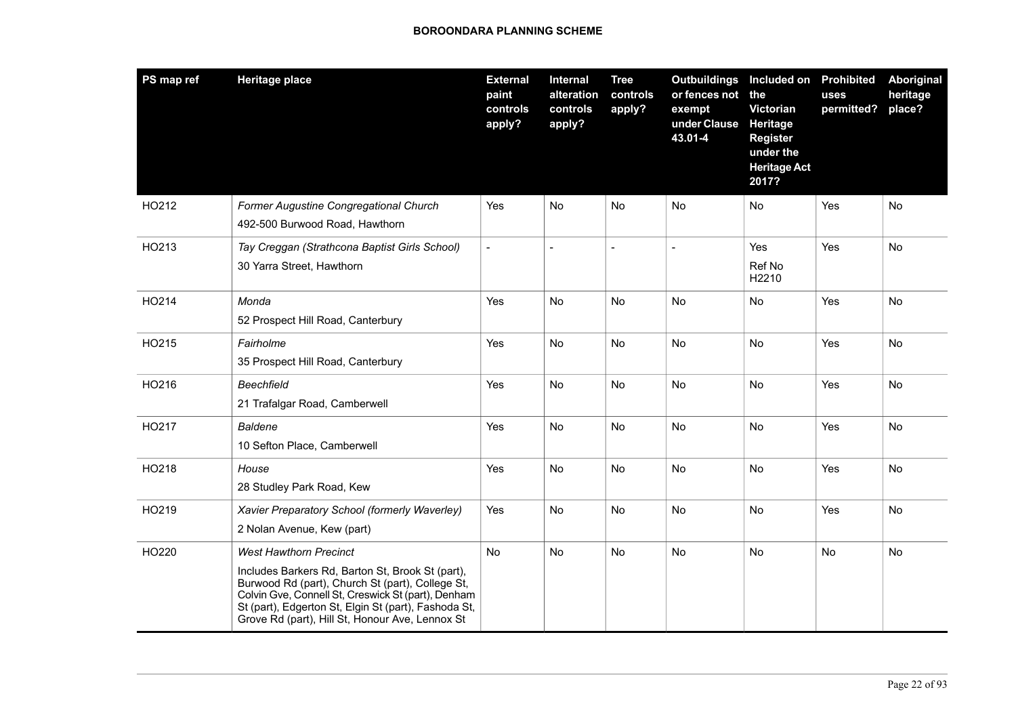| PS map ref | <b>Heritage place</b>                                                                                                                                                                                                                                                                                  | <b>External</b><br>paint<br>controls<br>apply? | Internal<br>alteration<br>controls<br>apply? | <b>Tree</b><br>controls<br>apply? | <b>Outbuildings</b><br>or fences not<br>exempt<br>under Clause<br>43.01-4 | Included on Prohibited<br>the<br>Victorian<br>Heritage<br><b>Register</b><br>under the<br><b>Heritage Act</b><br>2017? | uses<br>permitted? | Aboriginal<br>heritage<br>place? |
|------------|--------------------------------------------------------------------------------------------------------------------------------------------------------------------------------------------------------------------------------------------------------------------------------------------------------|------------------------------------------------|----------------------------------------------|-----------------------------------|---------------------------------------------------------------------------|------------------------------------------------------------------------------------------------------------------------|--------------------|----------------------------------|
| HO212      | Former Augustine Congregational Church<br>492-500 Burwood Road, Hawthorn                                                                                                                                                                                                                               | Yes                                            | No                                           | <b>No</b>                         | No                                                                        | No.                                                                                                                    | Yes                | No                               |
| HO213      | Tay Creggan (Strathcona Baptist Girls School)<br>30 Yarra Street, Hawthorn                                                                                                                                                                                                                             | $\overline{\phantom{a}}$                       | $\overline{a}$                               |                                   | $\overline{a}$                                                            | Yes<br>Ref No<br>H2210                                                                                                 | Yes                | <b>No</b>                        |
| HO214      | Monda<br>52 Prospect Hill Road, Canterbury                                                                                                                                                                                                                                                             | Yes                                            | No                                           | No                                | No                                                                        | No                                                                                                                     | Yes                | No                               |
| HO215      | Fairholme<br>35 Prospect Hill Road, Canterbury                                                                                                                                                                                                                                                         | Yes                                            | <b>No</b>                                    | <b>No</b>                         | <b>No</b>                                                                 | <b>No</b>                                                                                                              | Yes                | <b>No</b>                        |
| HO216      | <b>Beechfield</b><br>21 Trafalgar Road, Camberwell                                                                                                                                                                                                                                                     | Yes                                            | No                                           | No                                | <b>No</b>                                                                 | No                                                                                                                     | Yes                | No                               |
| HO217      | <b>Baldene</b><br>10 Sefton Place, Camberwell                                                                                                                                                                                                                                                          | Yes                                            | <b>No</b>                                    | No                                | No                                                                        | <b>No</b>                                                                                                              | Yes                | No                               |
| HO218      | House<br>28 Studley Park Road, Kew                                                                                                                                                                                                                                                                     | Yes                                            | No                                           | No                                | No                                                                        | No                                                                                                                     | Yes                | No                               |
| HO219      | Xavier Preparatory School (formerly Waverley)<br>2 Nolan Avenue, Kew (part)                                                                                                                                                                                                                            | Yes                                            | <b>No</b>                                    | <b>No</b>                         | <b>No</b>                                                                 | <b>No</b>                                                                                                              | Yes                | <b>No</b>                        |
| HO220      | <b>West Hawthorn Precinct</b><br>Includes Barkers Rd, Barton St, Brook St (part),<br>Burwood Rd (part), Church St (part), College St,<br>Colvin Gve, Connell St, Creswick St (part), Denham<br>St (part), Edgerton St, Elgin St (part), Fashoda St,<br>Grove Rd (part), Hill St, Honour Ave, Lennox St | <b>No</b>                                      | <b>No</b>                                    | <b>No</b>                         | No                                                                        | No                                                                                                                     | No                 | <b>No</b>                        |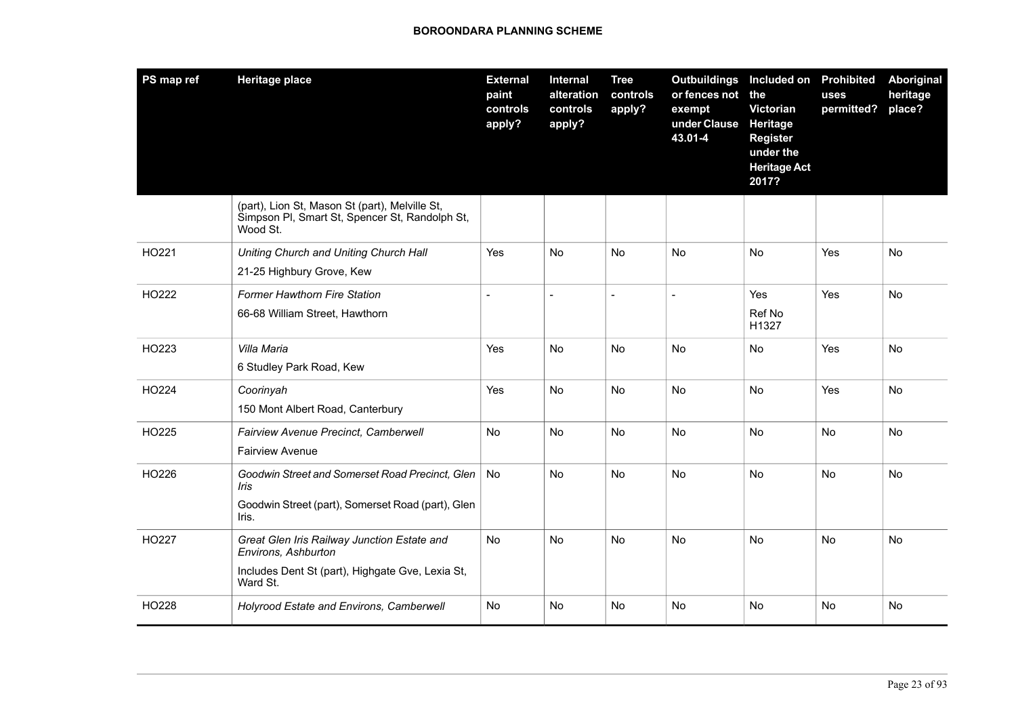| PS map ref | <b>Heritage place</b>                                                                                                              | <b>External</b><br>paint<br>controls<br>apply? | Internal<br>alteration<br>controls<br>apply? | <b>Tree</b><br>controls<br>apply? | <b>Outbuildings</b><br>or fences not<br>exempt<br>under Clause<br>43.01-4 | Included on<br>the<br>Victorian<br>Heritage<br>Register<br>under the<br><b>Heritage Act</b><br>2017? | <b>Prohibited</b><br>uses<br>permitted? | Aboriginal<br>heritage<br>place? |
|------------|------------------------------------------------------------------------------------------------------------------------------------|------------------------------------------------|----------------------------------------------|-----------------------------------|---------------------------------------------------------------------------|------------------------------------------------------------------------------------------------------|-----------------------------------------|----------------------------------|
|            | (part), Lion St, Mason St (part), Melville St,<br>Simpson PI, Smart St, Spencer St, Randolph St,<br>Wood St.                       |                                                |                                              |                                   |                                                                           |                                                                                                      |                                         |                                  |
| HO221      | Uniting Church and Uniting Church Hall<br>21-25 Highbury Grove, Kew                                                                | Yes                                            | <b>No</b>                                    | <b>No</b>                         | <b>No</b>                                                                 | <b>No</b>                                                                                            | Yes                                     | <b>No</b>                        |
| HO222      | Former Hawthorn Fire Station<br>66-68 William Street, Hawthorn                                                                     | $\blacksquare$                                 | $\overline{a}$                               | $\blacksquare$                    | $\overline{\phantom{a}}$                                                  | Yes<br>Ref No<br>H1327                                                                               | Yes                                     | No                               |
| HO223      | Villa Maria<br>6 Studley Park Road, Kew                                                                                            | Yes                                            | No                                           | No                                | No                                                                        | <b>No</b>                                                                                            | Yes                                     | No                               |
| HO224      | Coorinyah<br>150 Mont Albert Road, Canterbury                                                                                      | Yes                                            | <b>No</b>                                    | <b>No</b>                         | No                                                                        | <b>No</b>                                                                                            | Yes                                     | No                               |
| HO225      | Fairview Avenue Precinct, Camberwell<br><b>Fairview Avenue</b>                                                                     | No                                             | No                                           | No                                | No                                                                        | No                                                                                                   | <b>No</b>                               | No                               |
| HO226      | Goodwin Street and Somerset Road Precinct, Glen<br>Iris<br>Goodwin Street (part), Somerset Road (part), Glen<br>Iris.              | No                                             | <b>No</b>                                    | <b>No</b>                         | No                                                                        | <b>No</b>                                                                                            | <b>No</b>                               | No                               |
| HO227      | Great Glen Iris Railway Junction Estate and<br>Environs, Ashburton<br>Includes Dent St (part), Highgate Gve, Lexia St,<br>Ward St. | No                                             | No                                           | No                                | No                                                                        | No                                                                                                   | No                                      | No                               |
| HO228      | Holyrood Estate and Environs, Camberwell                                                                                           | No                                             | No                                           | No                                | No                                                                        | No                                                                                                   | No                                      | No.                              |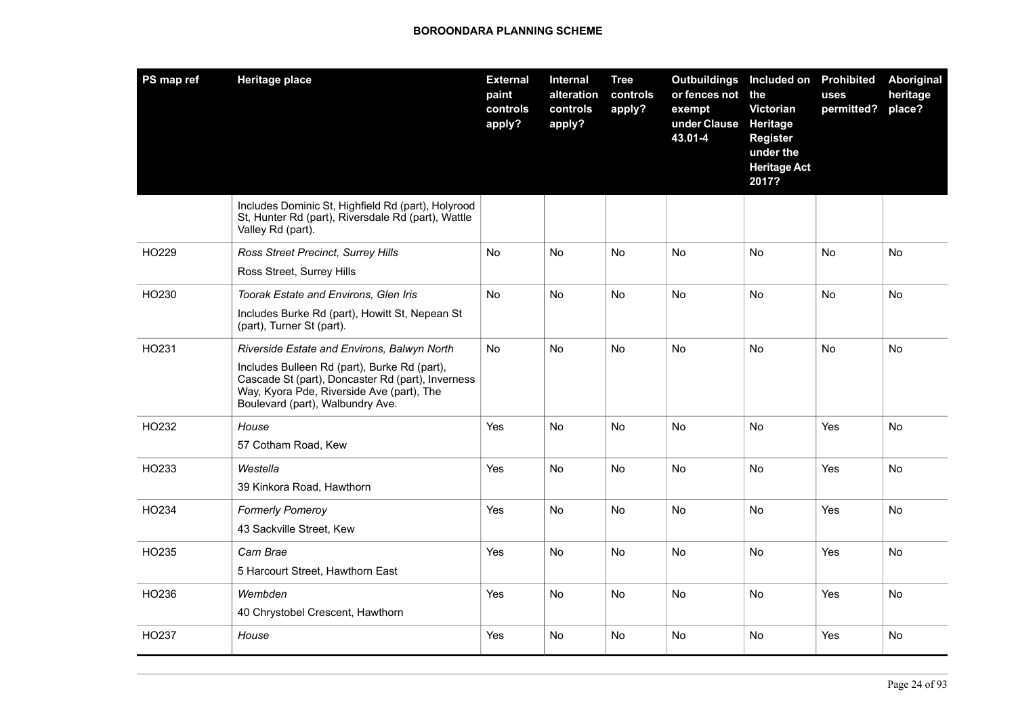| PS map ref | <b>Heritage place</b>                                                                                                                                                              | <b>External</b><br>paint<br>controls<br>apply? | Internal<br>alteration<br>controls<br>apply? | <b>Tree</b><br>controls<br>apply? | <b>Outbuildings</b><br>or fences not<br>exempt<br>under Clause<br>43.01-4 | Included on<br>the<br>Victorian<br>Heritage<br>Register<br>under the<br><b>Heritage Act</b><br>2017? | <b>Prohibited</b><br>uses<br>permitted? | <b>Aboriginal</b><br>heritage<br>place? |
|------------|------------------------------------------------------------------------------------------------------------------------------------------------------------------------------------|------------------------------------------------|----------------------------------------------|-----------------------------------|---------------------------------------------------------------------------|------------------------------------------------------------------------------------------------------|-----------------------------------------|-----------------------------------------|
|            | Includes Dominic St, Highfield Rd (part), Holyrood<br>St, Hunter Rd (part), Riversdale Rd (part), Wattle<br>Valley Rd (part).                                                      |                                                |                                              |                                   |                                                                           |                                                                                                      |                                         |                                         |
| HO229      | Ross Street Precinct, Surrey Hills                                                                                                                                                 | No                                             | No                                           | No                                | No                                                                        | No                                                                                                   | No                                      | No                                      |
|            | Ross Street, Surrey Hills                                                                                                                                                          |                                                |                                              |                                   |                                                                           |                                                                                                      |                                         |                                         |
| HO230      | Toorak Estate and Environs, Glen Iris                                                                                                                                              | <b>No</b>                                      | <b>No</b>                                    | <b>No</b>                         | <b>No</b>                                                                 | <b>No</b>                                                                                            | No                                      | <b>No</b>                               |
|            | Includes Burke Rd (part), Howitt St, Nepean St<br>(part), Turner St (part).                                                                                                        |                                                |                                              |                                   |                                                                           |                                                                                                      |                                         |                                         |
| HO231      | Riverside Estate and Environs, Balwyn North                                                                                                                                        | <b>No</b>                                      | <b>No</b>                                    | <b>No</b>                         | <b>No</b>                                                                 | <b>No</b>                                                                                            | <b>No</b>                               | <b>No</b>                               |
|            | Includes Bulleen Rd (part), Burke Rd (part),<br>Cascade St (part), Doncaster Rd (part), Inverness<br>Way, Kyora Pde, Riverside Ave (part), The<br>Boulevard (part), Walbundry Ave. |                                                |                                              |                                   |                                                                           |                                                                                                      |                                         |                                         |
| HO232      | House                                                                                                                                                                              | Yes                                            | No                                           | No                                | No                                                                        | No.                                                                                                  | Yes                                     | No                                      |
|            | 57 Cotham Road, Kew                                                                                                                                                                |                                                |                                              |                                   |                                                                           |                                                                                                      |                                         |                                         |
| HO233      | Westella                                                                                                                                                                           | Yes                                            | No                                           | <b>No</b>                         | No                                                                        | <b>No</b>                                                                                            | Yes                                     | No                                      |
|            | 39 Kinkora Road, Hawthorn                                                                                                                                                          |                                                |                                              |                                   |                                                                           |                                                                                                      |                                         |                                         |
| HO234      | <b>Formerly Pomeroy</b>                                                                                                                                                            | Yes                                            | <b>No</b>                                    | <b>No</b>                         | <b>No</b>                                                                 | No                                                                                                   | Yes                                     | N <sub>o</sub>                          |
|            | 43 Sackville Street, Kew                                                                                                                                                           |                                                |                                              |                                   |                                                                           |                                                                                                      |                                         |                                         |
| HO235      | Carn Brae                                                                                                                                                                          | Yes                                            | <b>No</b>                                    | <b>No</b>                         | No                                                                        | No                                                                                                   | Yes                                     | No                                      |
|            | 5 Harcourt Street, Hawthorn East                                                                                                                                                   |                                                |                                              |                                   |                                                                           |                                                                                                      |                                         |                                         |
| HO236      | Wembden                                                                                                                                                                            | Yes                                            | <b>No</b>                                    | No                                | No                                                                        | No                                                                                                   | Yes                                     | No                                      |
|            | 40 Chrystobel Crescent, Hawthorn                                                                                                                                                   |                                                |                                              |                                   |                                                                           |                                                                                                      |                                         |                                         |
| HO237      | House                                                                                                                                                                              | Yes                                            | <b>No</b>                                    | <b>No</b>                         | <b>No</b>                                                                 | No                                                                                                   | Yes                                     | <b>No</b>                               |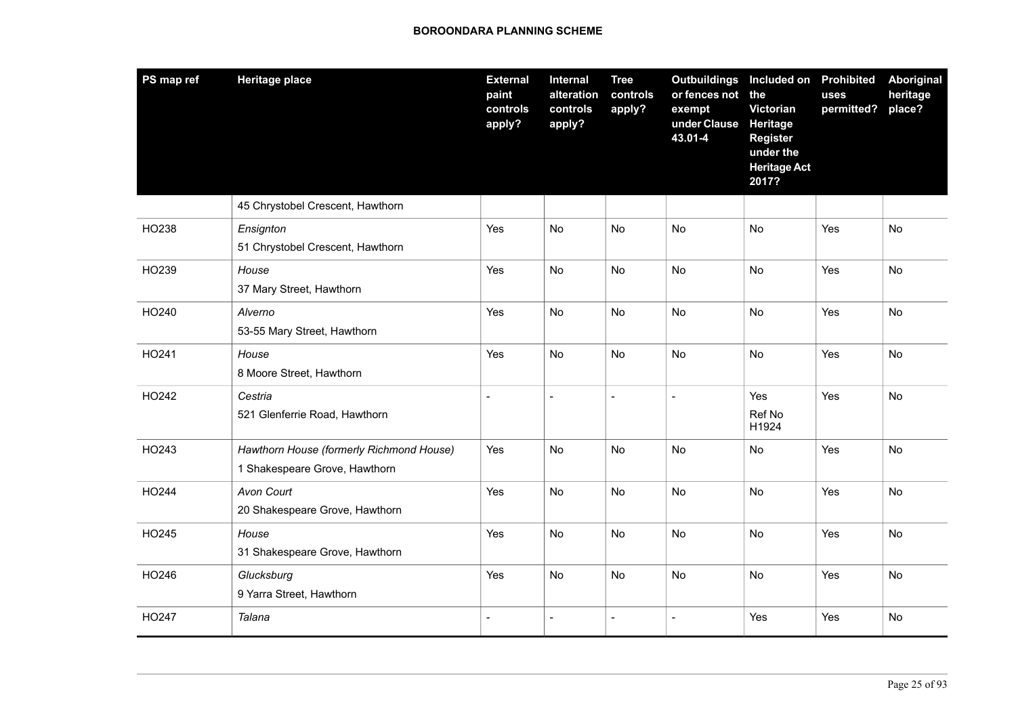| PS map ref | <b>Heritage place</b>                                                     | <b>External</b><br>paint<br>controls<br>apply? | Internal<br>alteration<br>controls<br>apply? | <b>Tree</b><br>controls<br>apply? | <b>Outbuildings</b><br>or fences not<br>exempt<br>under Clause<br>43.01-4 | Included on<br>the<br>Victorian<br><b>Heritage</b><br><b>Register</b><br>under the<br><b>Heritage Act</b><br>2017? | <b>Prohibited</b><br>uses<br>permitted? | Aboriginal<br>heritage<br>place? |
|------------|---------------------------------------------------------------------------|------------------------------------------------|----------------------------------------------|-----------------------------------|---------------------------------------------------------------------------|--------------------------------------------------------------------------------------------------------------------|-----------------------------------------|----------------------------------|
|            | 45 Chrystobel Crescent, Hawthorn                                          |                                                |                                              |                                   |                                                                           |                                                                                                                    |                                         |                                  |
| HO238      | Ensignton<br>51 Chrystobel Crescent, Hawthorn                             | Yes                                            | No                                           | No                                | No                                                                        | No                                                                                                                 | Yes                                     | No                               |
| HO239      | House<br>37 Mary Street, Hawthorn                                         | Yes                                            | No                                           | No                                | No                                                                        | No                                                                                                                 | Yes                                     | No                               |
| HO240      | Alverno<br>53-55 Mary Street, Hawthorn                                    | Yes                                            | No                                           | No                                | No                                                                        | No                                                                                                                 | Yes                                     | No                               |
| HO241      | House<br>8 Moore Street, Hawthorn                                         | Yes                                            | No                                           | <b>No</b>                         | No                                                                        | No                                                                                                                 | Yes                                     | No                               |
| HO242      | Cestria<br>521 Glenferrie Road, Hawthorn                                  | $\overline{a}$                                 | $\overline{a}$                               | $\blacksquare$                    | $\overline{a}$                                                            | Yes<br>Ref No<br>H1924                                                                                             | Yes                                     | <b>No</b>                        |
| HO243      | Hawthorn House (formerly Richmond House)<br>1 Shakespeare Grove, Hawthorn | Yes                                            | No                                           | No                                | No                                                                        | No                                                                                                                 | Yes                                     | No                               |
| HO244      | Avon Court<br>20 Shakespeare Grove, Hawthorn                              | Yes                                            | No                                           | No                                | <b>No</b>                                                                 | <b>No</b>                                                                                                          | Yes                                     | <b>No</b>                        |
| HO245      | House<br>31 Shakespeare Grove, Hawthorn                                   | Yes                                            | <b>No</b>                                    | <b>No</b>                         | <b>No</b>                                                                 | No                                                                                                                 | Yes                                     | No                               |
| HO246      | Glucksburg<br>9 Yarra Street, Hawthorn                                    | Yes                                            | No                                           | No                                | No                                                                        | No                                                                                                                 | Yes                                     | No                               |
| HO247      | Talana                                                                    | $\blacksquare$                                 | $\overline{a}$                               | $\overline{a}$                    | $\overline{\phantom{a}}$                                                  | Yes                                                                                                                | Yes                                     | No                               |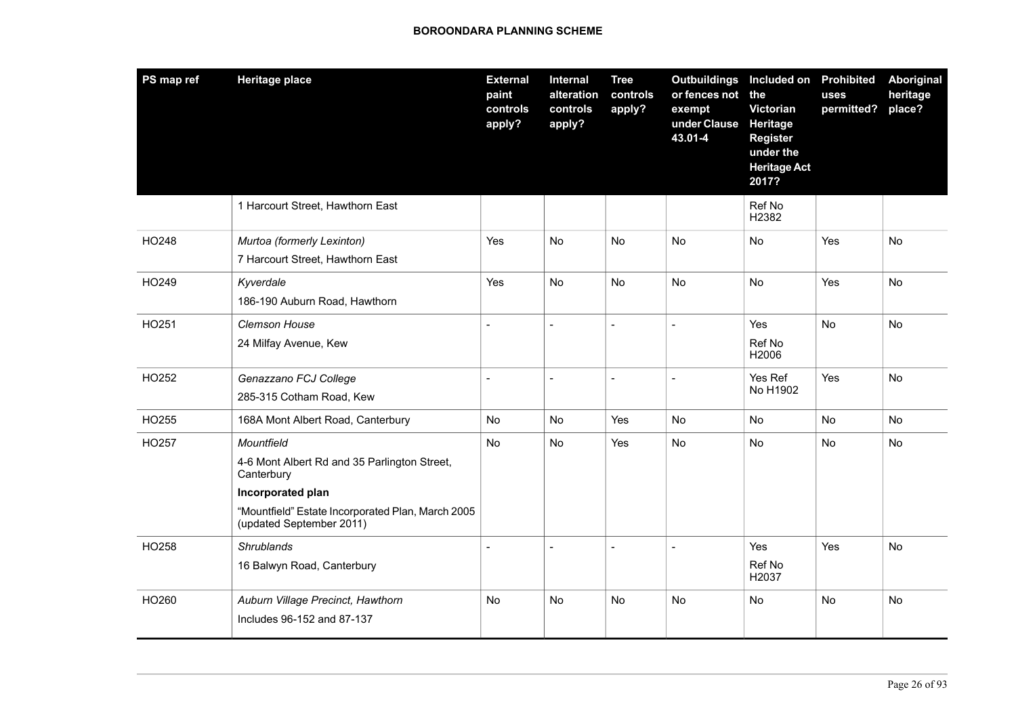| PS map ref | <b>Heritage place</b>                                                                                                                                                          | <b>External</b><br>paint<br>controls<br>apply? | Internal<br>alteration<br>controls<br>apply? | <b>Tree</b><br>controls<br>apply? | <b>Outbuildings</b><br>or fences not<br>exempt<br>under Clause<br>43.01-4 | Included on Prohibited<br>the<br>Victorian<br>Heritage<br><b>Register</b><br>under the<br><b>Heritage Act</b><br>2017? | uses<br>permitted? | <b>Aboriginal</b><br>heritage<br>place? |
|------------|--------------------------------------------------------------------------------------------------------------------------------------------------------------------------------|------------------------------------------------|----------------------------------------------|-----------------------------------|---------------------------------------------------------------------------|------------------------------------------------------------------------------------------------------------------------|--------------------|-----------------------------------------|
|            | 1 Harcourt Street, Hawthorn East                                                                                                                                               |                                                |                                              |                                   |                                                                           | Ref No<br>H2382                                                                                                        |                    |                                         |
| HO248      | Murtoa (formerly Lexinton)<br>7 Harcourt Street, Hawthorn East                                                                                                                 | Yes                                            | No                                           | No                                | No                                                                        | <b>No</b>                                                                                                              | Yes                | <b>No</b>                               |
| HO249      | Kyverdale<br>186-190 Auburn Road, Hawthorn                                                                                                                                     | Yes                                            | <b>No</b>                                    | <b>No</b>                         | <b>No</b>                                                                 | <b>No</b>                                                                                                              | Yes                | <b>No</b>                               |
| HO251      | Clemson House<br>24 Milfay Avenue, Kew                                                                                                                                         | $\overline{a}$                                 | $\overline{a}$                               | $\overline{a}$                    | $\overline{a}$                                                            | Yes<br>Ref No<br>H2006                                                                                                 | No                 | No                                      |
| HO252      | Genazzano FCJ College<br>285-315 Cotham Road, Kew                                                                                                                              | $\overline{\phantom{a}}$                       | $\sim$                                       | $\blacksquare$                    | $\overline{a}$                                                            | Yes Ref<br>No H1902                                                                                                    | Yes                | <b>No</b>                               |
| HO255      | 168A Mont Albert Road, Canterbury                                                                                                                                              | <b>No</b>                                      | N <sub>o</sub>                               | Yes                               | <b>No</b>                                                                 | <b>No</b>                                                                                                              | N <sub>o</sub>     | <b>No</b>                               |
| HO257      | Mountfield<br>4-6 Mont Albert Rd and 35 Parlington Street,<br>Canterbury<br>Incorporated plan<br>"Mountfield" Estate Incorporated Plan, March 2005<br>(updated September 2011) | No                                             | No                                           | Yes                               | No                                                                        | No                                                                                                                     | No                 | No                                      |
| HO258      | <b>Shrublands</b><br>16 Balwyn Road, Canterbury                                                                                                                                | $\overline{\phantom{a}}$                       | $\overline{a}$                               |                                   | $\overline{a}$                                                            | Yes<br>Ref No<br>H2037                                                                                                 | Yes                | No                                      |
| HO260      | Auburn Village Precinct, Hawthorn<br>Includes 96-152 and 87-137                                                                                                                | <b>No</b>                                      | <b>No</b>                                    | No                                | No                                                                        | No                                                                                                                     | No                 | No                                      |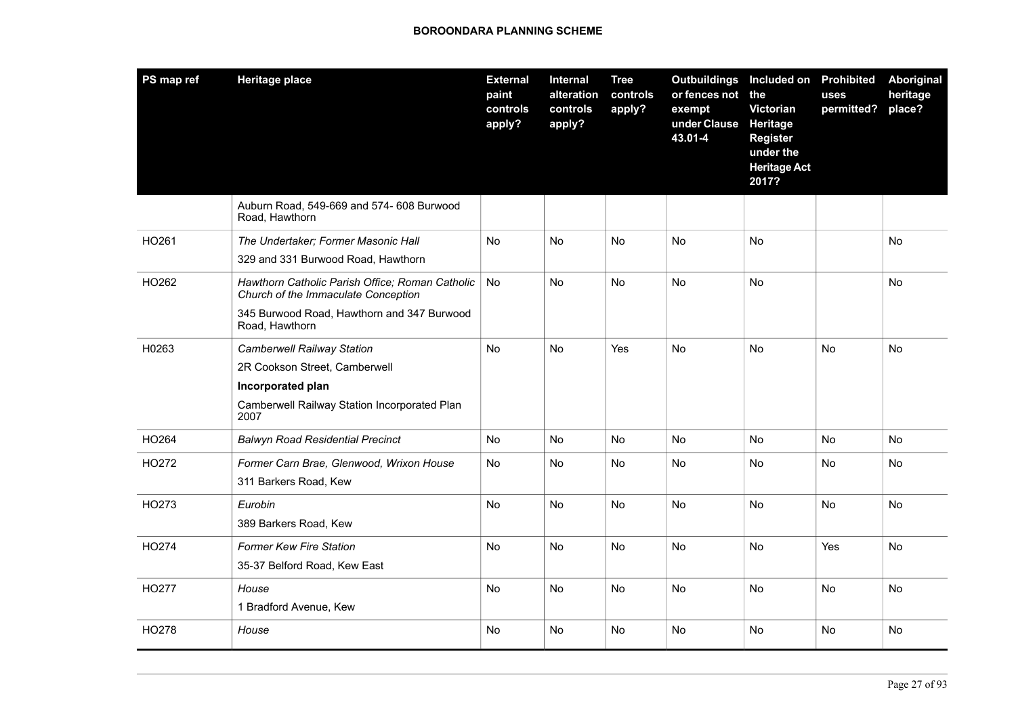| PS map ref | <b>Heritage place</b>                                                                  | <b>External</b><br>paint<br>controls<br>apply? | Internal<br>alteration<br>controls<br>apply? | <b>Tree</b><br>controls<br>apply? | Outbuildings Included on Prohibited<br>or fences not the<br>exempt<br>under Clause<br>43.01-4 | Victorian<br><b>Heritage</b><br><b>Register</b><br>under the<br><b>Heritage Act</b><br>2017? | uses<br>permitted? | Aboriginal<br>heritage<br>place? |
|------------|----------------------------------------------------------------------------------------|------------------------------------------------|----------------------------------------------|-----------------------------------|-----------------------------------------------------------------------------------------------|----------------------------------------------------------------------------------------------|--------------------|----------------------------------|
|            | Auburn Road, 549-669 and 574- 608 Burwood<br>Road, Hawthorn                            |                                                |                                              |                                   |                                                                                               |                                                                                              |                    |                                  |
| HO261      | The Undertaker; Former Masonic Hall                                                    | No                                             | No                                           | No                                | <b>No</b>                                                                                     | No                                                                                           |                    | No                               |
|            | 329 and 331 Burwood Road, Hawthorn                                                     |                                                |                                              |                                   |                                                                                               |                                                                                              |                    |                                  |
| HO262      | Hawthorn Catholic Parish Office; Roman Catholic<br>Church of the Immaculate Conception | <b>No</b>                                      | <b>No</b>                                    | No                                | No                                                                                            | <b>No</b>                                                                                    |                    | No                               |
|            | 345 Burwood Road, Hawthorn and 347 Burwood<br>Road, Hawthorn                           |                                                |                                              |                                   |                                                                                               |                                                                                              |                    |                                  |
| H0263      | <b>Camberwell Railway Station</b>                                                      | <b>No</b>                                      | <b>No</b>                                    | Yes                               | No                                                                                            | <b>No</b>                                                                                    | No                 | No                               |
|            | 2R Cookson Street, Camberwell                                                          |                                                |                                              |                                   |                                                                                               |                                                                                              |                    |                                  |
|            | Incorporated plan                                                                      |                                                |                                              |                                   |                                                                                               |                                                                                              |                    |                                  |
|            | Camberwell Railway Station Incorporated Plan<br>2007                                   |                                                |                                              |                                   |                                                                                               |                                                                                              |                    |                                  |
| HO264      | <b>Balwyn Road Residential Precinct</b>                                                | <b>No</b>                                      | No                                           | No                                | No                                                                                            | <b>No</b>                                                                                    | No                 | No                               |
| HO272      | Former Carn Brae, Glenwood, Wrixon House                                               | No                                             | No                                           | No                                | No                                                                                            | No                                                                                           | No                 | No                               |
|            | 311 Barkers Road, Kew                                                                  |                                                |                                              |                                   |                                                                                               |                                                                                              |                    |                                  |
| HO273      | Eurobin                                                                                | No                                             | <b>No</b>                                    | No                                | <b>No</b>                                                                                     | No                                                                                           | No                 | No                               |
|            | 389 Barkers Road, Kew                                                                  |                                                |                                              |                                   |                                                                                               |                                                                                              |                    |                                  |
| HO274      | <b>Former Kew Fire Station</b>                                                         | <b>No</b>                                      | <b>No</b>                                    | No                                | <b>No</b>                                                                                     | <b>No</b>                                                                                    | Yes                | <b>No</b>                        |
|            | 35-37 Belford Road, Kew East                                                           |                                                |                                              |                                   |                                                                                               |                                                                                              |                    |                                  |
| HO277      | House                                                                                  | <b>No</b>                                      | No                                           | No                                | No                                                                                            | No                                                                                           | No                 | No                               |
|            | 1 Bradford Avenue, Kew                                                                 |                                                |                                              |                                   |                                                                                               |                                                                                              |                    |                                  |
| HO278      | House                                                                                  | <b>No</b>                                      | <b>No</b>                                    | <b>No</b>                         | <b>No</b>                                                                                     | <b>No</b>                                                                                    | No                 | No                               |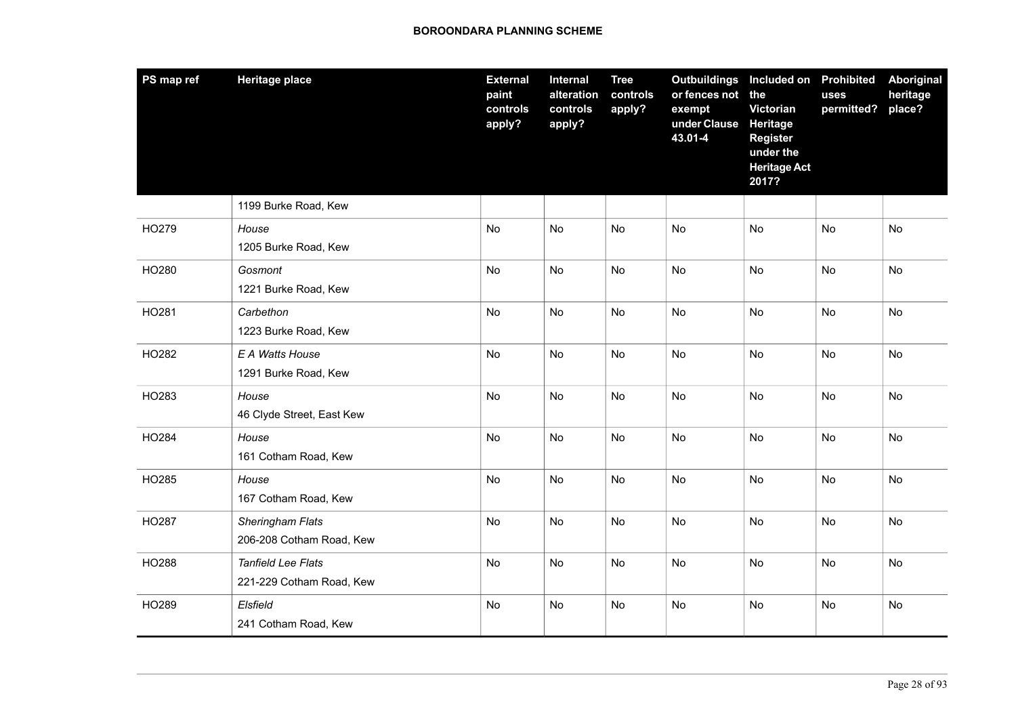| PS map ref | <b>Heritage place</b>                                 | <b>External</b><br>paint<br>controls<br>apply? | Internal<br>alteration<br>controls<br>apply? | <b>Tree</b><br>controls<br>apply? | <b>Outbuildings</b><br>or fences not<br>exempt<br>under Clause<br>43.01-4 | Included on Prohibited<br>the<br>Victorian<br><b>Heritage</b><br><b>Register</b><br>under the<br><b>Heritage Act</b><br>2017? | uses<br>permitted? | Aboriginal<br>heritage<br>place? |
|------------|-------------------------------------------------------|------------------------------------------------|----------------------------------------------|-----------------------------------|---------------------------------------------------------------------------|-------------------------------------------------------------------------------------------------------------------------------|--------------------|----------------------------------|
|            | 1199 Burke Road, Kew                                  |                                                |                                              |                                   |                                                                           |                                                                                                                               |                    |                                  |
| HO279      | House<br>1205 Burke Road, Kew                         | No                                             | No                                           | No                                | No                                                                        | No                                                                                                                            | No                 | No                               |
| HO280      | Gosmont<br>1221 Burke Road, Kew                       | No                                             | <b>No</b>                                    | No                                | No                                                                        | <b>No</b>                                                                                                                     | No                 | No                               |
| HO281      | Carbethon<br>1223 Burke Road, Kew                     | <b>No</b>                                      | No                                           | No                                | No                                                                        | No                                                                                                                            | <b>No</b>          | No                               |
| HO282      | E A Watts House<br>1291 Burke Road, Kew               | <b>No</b>                                      | <b>No</b>                                    | No                                | No                                                                        | <b>No</b>                                                                                                                     | No                 | No                               |
| HO283      | House<br>46 Clyde Street, East Kew                    | <b>No</b>                                      | <b>No</b>                                    | <b>No</b>                         | <b>No</b>                                                                 | <b>No</b>                                                                                                                     | <b>No</b>          | <b>No</b>                        |
| HO284      | House<br>161 Cotham Road, Kew                         | <b>No</b>                                      | <b>No</b>                                    | <b>No</b>                         | <b>No</b>                                                                 | <b>No</b>                                                                                                                     | <b>No</b>          | <b>No</b>                        |
| HO285      | House<br>167 Cotham Road, Kew                         | <b>No</b>                                      | No                                           | <b>No</b>                         | No                                                                        | <b>No</b>                                                                                                                     | No                 | No                               |
| HO287      | Sheringham Flats<br>206-208 Cotham Road, Kew          | <b>No</b>                                      | No                                           | No                                | No                                                                        | <b>No</b>                                                                                                                     | No                 | No                               |
| HO288      | <b>Tanfield Lee Flats</b><br>221-229 Cotham Road, Kew | No                                             | No                                           | No                                | No                                                                        | <b>No</b>                                                                                                                     | No                 | No                               |
| HO289      | Elsfield<br>241 Cotham Road, Kew                      | <b>No</b>                                      | No                                           | <b>No</b>                         | No                                                                        | <b>No</b>                                                                                                                     | No                 | No                               |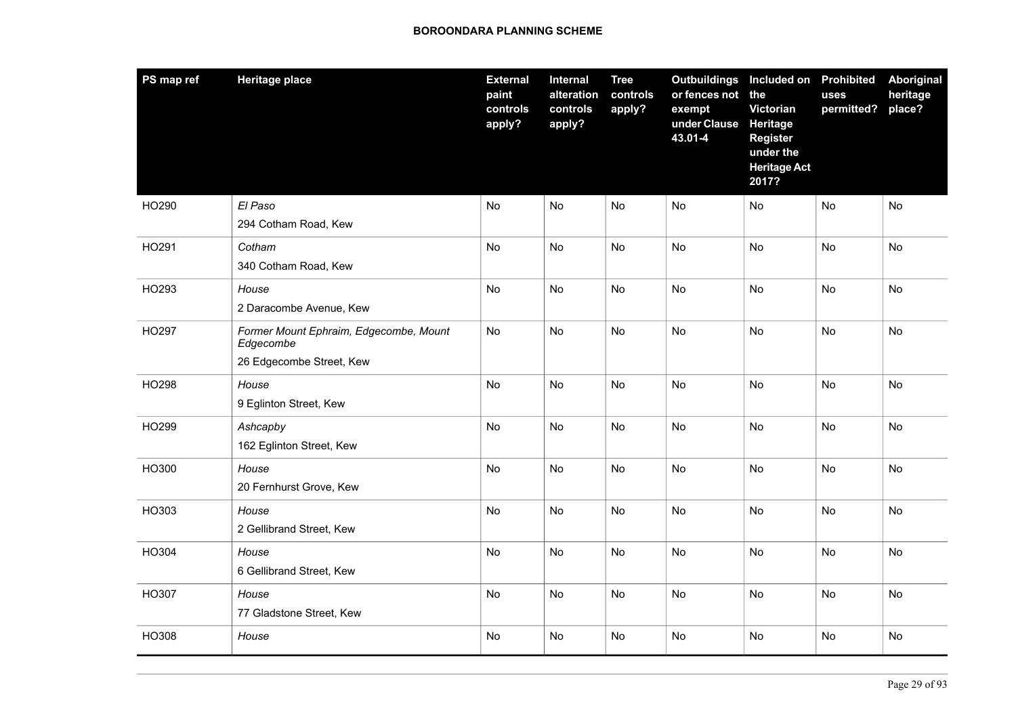| PS map ref | <b>Heritage place</b>                                                           | <b>External</b><br>paint<br>controls<br>apply? | <b>Internal</b><br>alteration<br>controls<br>apply? | <b>Tree</b><br>controls<br>apply? | Outbuildings Included on Prohibited<br>or fences not the<br>exempt<br>under Clause<br>43.01-4 | Victorian<br><b>Heritage</b><br><b>Register</b><br>under the<br><b>Heritage Act</b><br>2017? | uses<br>permitted? | Aboriginal<br>heritage<br>place? |
|------------|---------------------------------------------------------------------------------|------------------------------------------------|-----------------------------------------------------|-----------------------------------|-----------------------------------------------------------------------------------------------|----------------------------------------------------------------------------------------------|--------------------|----------------------------------|
| HO290      | El Paso<br>294 Cotham Road, Kew                                                 | No                                             | No                                                  | No                                | No                                                                                            | <b>No</b>                                                                                    | No                 | No                               |
| HO291      | Cotham<br>340 Cotham Road, Kew                                                  | <b>No</b>                                      | No                                                  | No                                | <b>No</b>                                                                                     | No                                                                                           | No                 | No                               |
| HO293      | House<br>2 Daracombe Avenue, Kew                                                | No                                             | No                                                  | No                                | No                                                                                            | No                                                                                           | No                 | No                               |
| HO297      | Former Mount Ephraim, Edgecombe, Mount<br>Edgecombe<br>26 Edgecombe Street, Kew | No                                             | No                                                  | No                                | No                                                                                            | No                                                                                           | No                 | No                               |
| HO298      | House<br>9 Eglinton Street, Kew                                                 | No                                             | No                                                  | No                                | No                                                                                            | No                                                                                           | No                 | No                               |
| HO299      | Ashcapby<br>162 Eglinton Street, Kew                                            | <b>No</b>                                      | No                                                  | No                                | No                                                                                            | No                                                                                           | No                 | No                               |
| HO300      | House<br>20 Fernhurst Grove, Kew                                                | <b>No</b>                                      | <b>No</b>                                           | <b>No</b>                         | <b>No</b>                                                                                     | <b>No</b>                                                                                    | <b>No</b>          | <b>No</b>                        |
| HO303      | House<br>2 Gellibrand Street, Kew                                               | No                                             | No                                                  | No                                | No                                                                                            | <b>No</b>                                                                                    | No                 | No                               |
| HO304      | House<br>6 Gellibrand Street, Kew                                               | <b>No</b>                                      | <b>No</b>                                           | <b>No</b>                         | No                                                                                            | <b>No</b>                                                                                    | No                 | No                               |
| HO307      | House<br>77 Gladstone Street, Kew                                               | <b>No</b>                                      | <b>No</b>                                           | No                                | No                                                                                            | <b>No</b>                                                                                    | No                 | No                               |
| HO308      | House                                                                           | No                                             | No                                                  | No                                | No                                                                                            | No                                                                                           | No                 | No                               |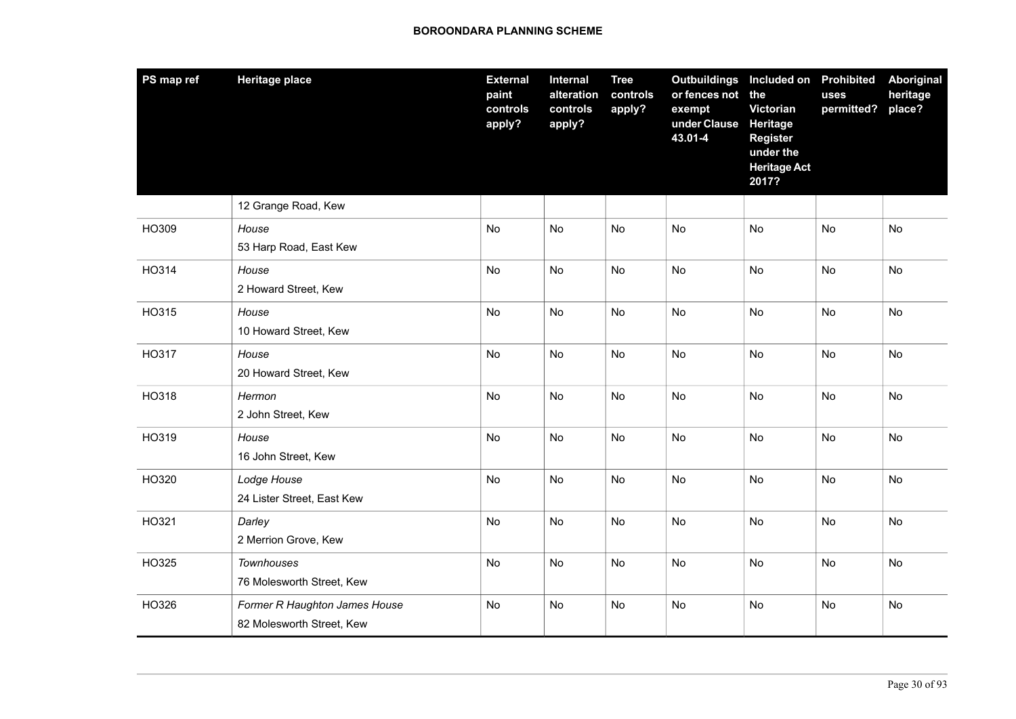| PS map ref | <b>Heritage place</b>                                      | <b>External</b><br>paint<br>controls<br>apply? | <b>Internal</b><br>alteration<br>controls<br>apply? | <b>Tree</b><br>controls<br>apply? | <b>Outbuildings</b><br>or fences not<br>exempt<br>under Clause<br>43.01-4 | Included on Prohibited<br>the<br>Victorian<br>Heritage<br><b>Register</b><br>under the<br><b>Heritage Act</b><br>2017? | uses<br>permitted? | Aboriginal<br>heritage<br>place? |
|------------|------------------------------------------------------------|------------------------------------------------|-----------------------------------------------------|-----------------------------------|---------------------------------------------------------------------------|------------------------------------------------------------------------------------------------------------------------|--------------------|----------------------------------|
|            | 12 Grange Road, Kew                                        |                                                |                                                     |                                   |                                                                           |                                                                                                                        |                    |                                  |
| HO309      | House<br>53 Harp Road, East Kew                            | No                                             | No                                                  | No                                | No                                                                        | <b>No</b>                                                                                                              | No                 | No                               |
| HO314      | House<br>2 Howard Street, Kew                              | <b>No</b>                                      | <b>No</b>                                           | <b>No</b>                         | No                                                                        | <b>No</b>                                                                                                              | <b>No</b>          | No                               |
| HO315      | House<br>10 Howard Street, Kew                             | <b>No</b>                                      | <b>No</b>                                           | No                                | No                                                                        | <b>No</b>                                                                                                              | <b>No</b>          | No                               |
| HO317      | House<br>20 Howard Street, Kew                             | No                                             | No                                                  | No                                | No                                                                        | <b>No</b>                                                                                                              | No                 | No                               |
| HO318      | Hermon<br>2 John Street, Kew                               | No                                             | No                                                  | No                                | No                                                                        | No                                                                                                                     | No                 | No                               |
| HO319      | House<br>16 John Street, Kew                               | No                                             | No                                                  | No                                | No                                                                        | <b>No</b>                                                                                                              | No                 | No                               |
| HO320      | Lodge House<br>24 Lister Street, East Kew                  | No                                             | No                                                  | No                                | No                                                                        | <b>No</b>                                                                                                              | <b>No</b>          | No                               |
| HO321      | Darley<br>2 Merrion Grove, Kew                             | <b>No</b>                                      | <b>No</b>                                           | <b>No</b>                         | <b>No</b>                                                                 | <b>No</b>                                                                                                              | <b>No</b>          | No                               |
| HO325      | <b>Townhouses</b><br>76 Molesworth Street, Kew             | No                                             | No                                                  | No                                | No                                                                        | No                                                                                                                     | No                 | No                               |
| HO326      | Former R Haughton James House<br>82 Molesworth Street, Kew | <b>No</b>                                      | No                                                  | No                                | No                                                                        | No                                                                                                                     | No                 | No                               |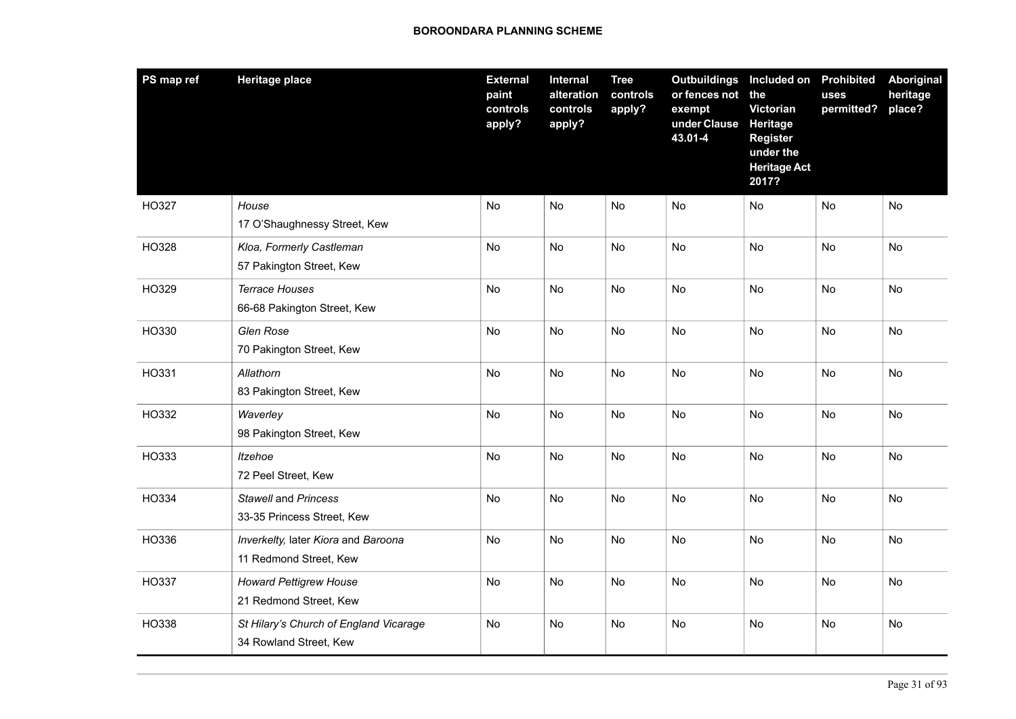| PS map ref | <b>Heritage place</b>                                            | <b>External</b><br>paint<br>controls<br>apply? | Internal<br>alteration<br>controls<br>apply? | <b>Tree</b><br>controls<br>apply? | <b>Outbuildings Included on Prohibited</b><br>or fences not<br>exempt<br>under Clause<br>43.01-4 | the<br>Victorian<br>Heritage<br><b>Register</b><br>under the<br><b>Heritage Act</b><br>2017? | <b>uses</b><br>permitted? | Aboriginal<br>heritage<br>place? |
|------------|------------------------------------------------------------------|------------------------------------------------|----------------------------------------------|-----------------------------------|--------------------------------------------------------------------------------------------------|----------------------------------------------------------------------------------------------|---------------------------|----------------------------------|
| HO327      | House<br>17 O'Shaughnessy Street, Kew                            | No                                             | <b>No</b>                                    | <b>No</b>                         | No                                                                                               | No                                                                                           | No                        | No                               |
| HO328      | Kloa, Formerly Castleman<br>57 Pakington Street, Kew             | No                                             | No                                           | No                                | No                                                                                               | <b>No</b>                                                                                    | No                        | No                               |
| HO329      | <b>Terrace Houses</b><br>66-68 Pakington Street, Kew             | <b>No</b>                                      | <b>No</b>                                    | <b>No</b>                         | <b>No</b>                                                                                        | <b>No</b>                                                                                    | No                        | <b>No</b>                        |
| HO330      | Glen Rose<br>70 Pakington Street, Kew                            | No                                             | No                                           | <b>No</b>                         | <b>No</b>                                                                                        | No                                                                                           | No                        | No                               |
| HO331      | Allathorn<br>83 Pakington Street, Kew                            | No                                             | <b>No</b>                                    | <b>No</b>                         | No                                                                                               | <b>No</b>                                                                                    | No                        | No                               |
| HO332      | Waverley<br>98 Pakington Street, Kew                             | No                                             | No                                           | No                                | No                                                                                               | No                                                                                           | No                        | No                               |
| HO333      | <b>Itzehoe</b><br>72 Peel Street, Kew                            | No                                             | <b>No</b>                                    | No                                | No                                                                                               | <b>No</b>                                                                                    | No                        | No                               |
| HO334      | Stawell and Princess<br>33-35 Princess Street, Kew               | No                                             | No                                           | No                                | No                                                                                               | <b>No</b>                                                                                    | No                        | No                               |
| HO336      | Inverkelty, later Kiora and Baroona<br>11 Redmond Street, Kew    | No                                             | No                                           | No                                | No                                                                                               | <b>No</b>                                                                                    | No                        | No                               |
| HO337      | <b>Howard Pettigrew House</b><br>21 Redmond Street, Kew          | No                                             | <b>No</b>                                    | <b>No</b>                         | No                                                                                               | No                                                                                           | No                        | No                               |
| HO338      | St Hilary's Church of England Vicarage<br>34 Rowland Street, Kew | <b>No</b>                                      | <b>No</b>                                    | <b>No</b>                         | No                                                                                               | <b>No</b>                                                                                    | No                        | No                               |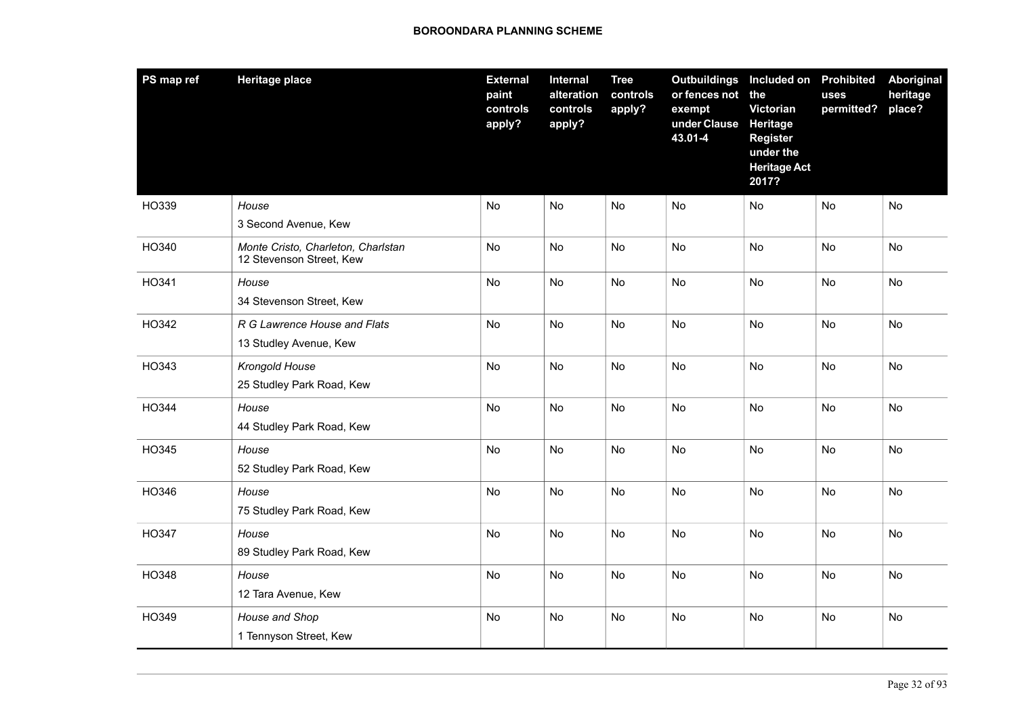| PS map ref | <b>Heritage place</b>                                          | <b>External</b><br>paint<br>controls<br>apply? | Internal<br>alteration<br>controls<br>apply? | <b>Tree</b><br>controls<br>apply? | Outbuildings Included on Prohibited<br>or fences not the<br>exempt<br>under Clause<br>43.01-4 | Victorian<br>Heritage<br><b>Register</b><br>under the<br><b>Heritage Act</b><br>2017? | uses<br>permitted? | Aboriginal<br>heritage<br>place? |
|------------|----------------------------------------------------------------|------------------------------------------------|----------------------------------------------|-----------------------------------|-----------------------------------------------------------------------------------------------|---------------------------------------------------------------------------------------|--------------------|----------------------------------|
| HO339      | House<br>3 Second Avenue, Kew                                  | <b>No</b>                                      | <b>No</b>                                    | <b>No</b>                         | <b>No</b>                                                                                     | <b>No</b>                                                                             | <b>No</b>          | No                               |
| HO340      | Monte Cristo, Charleton, Charlstan<br>12 Stevenson Street, Kew | No                                             | No                                           | No                                | No                                                                                            | No                                                                                    | No                 | No                               |
| HO341      | House<br>34 Stevenson Street, Kew                              | <b>No</b>                                      | <b>No</b>                                    | <b>No</b>                         | No                                                                                            | <b>No</b>                                                                             | <b>No</b>          | <b>No</b>                        |
| HO342      | R G Lawrence House and Flats<br>13 Studley Avenue, Kew         | <b>No</b>                                      | No                                           | <b>No</b>                         | <b>No</b>                                                                                     | <b>No</b>                                                                             | No                 | No                               |
| HO343      | Krongold House<br>25 Studley Park Road, Kew                    | <b>No</b>                                      | No                                           | <b>No</b>                         | No                                                                                            | <b>No</b>                                                                             | No                 | No                               |
| HO344      | House<br>44 Studley Park Road, Kew                             | No                                             | No                                           | No                                | No                                                                                            | <b>No</b>                                                                             | No                 | No                               |
| HO345      | House<br>52 Studley Park Road, Kew                             | No                                             | No                                           | No                                | No                                                                                            | <b>No</b>                                                                             | No                 | No                               |
| HO346      | House<br>75 Studley Park Road, Kew                             | No                                             | No                                           | No                                | No                                                                                            | No                                                                                    | No                 | No                               |
| HO347      | House<br>89 Studley Park Road, Kew                             | No                                             | No                                           | No                                | No                                                                                            | No                                                                                    | No                 | No                               |
| HO348      | House<br>12 Tara Avenue, Kew                                   | <b>No</b>                                      | <b>No</b>                                    | No                                | <b>No</b>                                                                                     | <b>No</b>                                                                             | No                 | No                               |
| HO349      | House and Shop<br>1 Tennyson Street, Kew                       | No                                             | No                                           | No                                | No                                                                                            | <b>No</b>                                                                             | <b>No</b>          | No                               |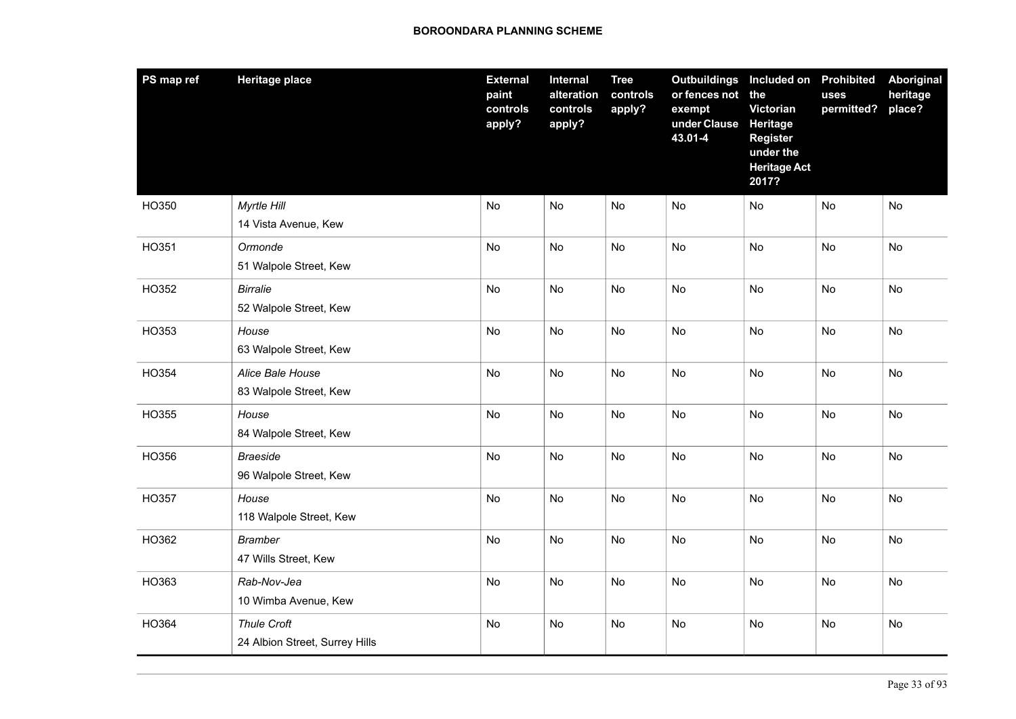| PS map ref | <b>Heritage place</b>                                | <b>External</b><br>paint<br>controls<br>apply? | Internal<br>alteration<br>controls<br>apply? | <b>Tree</b><br>controls<br>apply? | Outbuildings Included on Prohibited<br>or fences not<br>exempt<br>under Clause<br>43.01-4 | the<br>Victorian<br>Heritage<br><b>Register</b><br>under the<br><b>Heritage Act</b><br>2017? | uses<br>permitted? | Aboriginal<br>heritage<br>place? |
|------------|------------------------------------------------------|------------------------------------------------|----------------------------------------------|-----------------------------------|-------------------------------------------------------------------------------------------|----------------------------------------------------------------------------------------------|--------------------|----------------------------------|
| HO350      | Myrtle Hill<br>14 Vista Avenue, Kew                  | No                                             | No                                           | No                                | No                                                                                        | No                                                                                           | No                 | No                               |
| HO351      | Ormonde<br>51 Walpole Street, Kew                    | No                                             | No                                           | No                                | No                                                                                        | <b>No</b>                                                                                    | No                 | No                               |
| HO352      | <b>Birralie</b><br>52 Walpole Street, Kew            | No                                             | <b>No</b>                                    | No                                | No                                                                                        | <b>No</b>                                                                                    | No                 | No                               |
| HO353      | House<br>63 Walpole Street, Kew                      | <b>No</b>                                      | <b>No</b>                                    | <b>No</b>                         | No                                                                                        | <b>No</b>                                                                                    | No                 | No                               |
| HO354      | Alice Bale House<br>83 Walpole Street, Kew           | No                                             | No                                           | No                                | No                                                                                        | <b>No</b>                                                                                    | No                 | No                               |
| HO355      | House<br>84 Walpole Street, Kew                      | No                                             | No                                           | No                                | No                                                                                        | <b>No</b>                                                                                    | No                 | No                               |
| HO356      | <b>Braeside</b><br>96 Walpole Street, Kew            | <b>No</b>                                      | <b>No</b>                                    | <b>No</b>                         | No                                                                                        | <b>No</b>                                                                                    | No                 | No                               |
| HO357      | House<br>118 Walpole Street, Kew                     | No                                             | No                                           | No                                | No                                                                                        | <b>No</b>                                                                                    | No                 | No                               |
| HO362      | <b>Bramber</b><br>47 Wills Street, Kew               | No                                             | No                                           | <b>No</b>                         | No                                                                                        | <b>No</b>                                                                                    | No                 | No                               |
| HO363      | Rab-Nov-Jea<br>10 Wimba Avenue, Kew                  | No                                             | No                                           | No                                | No                                                                                        | No                                                                                           | No                 | No                               |
| HO364      | <b>Thule Croft</b><br>24 Albion Street, Surrey Hills | No                                             | No                                           | No                                | No                                                                                        | No                                                                                           | No                 | No                               |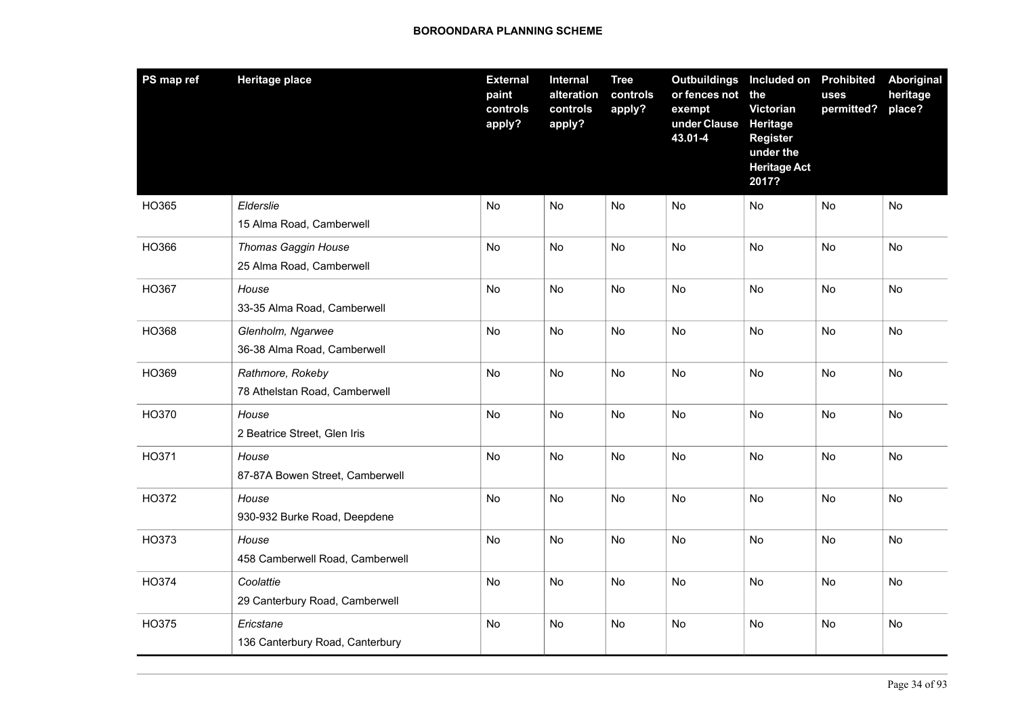| PS map ref | <b>Heritage place</b>                                  | <b>External</b><br>paint<br>controls<br>apply? | Internal<br>alteration<br>controls<br>apply? | <b>Tree</b><br>controls<br>apply? | Outbuildings Included on Prohibited<br>or fences not the<br>exempt<br>under Clause<br>43.01-4 | Victorian<br>Heritage<br><b>Register</b><br>under the<br><b>Heritage Act</b><br>2017? | uses<br>permitted? | <b>Aboriginal</b><br>heritage<br>place? |
|------------|--------------------------------------------------------|------------------------------------------------|----------------------------------------------|-----------------------------------|-----------------------------------------------------------------------------------------------|---------------------------------------------------------------------------------------|--------------------|-----------------------------------------|
| HO365      | Elderslie<br>15 Alma Road, Camberwell                  | No                                             | <b>No</b>                                    | No                                | No                                                                                            | <b>No</b>                                                                             | No                 | No                                      |
| HO366      | <b>Thomas Gaggin House</b><br>25 Alma Road, Camberwell | <b>No</b>                                      | No                                           | <b>No</b>                         | <b>No</b>                                                                                     | No                                                                                    | No                 | <b>No</b>                               |
| HO367      | House<br>33-35 Alma Road, Camberwell                   | No                                             | <b>No</b>                                    | No                                | No                                                                                            | <b>No</b>                                                                             | No                 | No                                      |
| HO368      | Glenholm, Ngarwee<br>36-38 Alma Road, Camberwell       | No                                             | <b>No</b>                                    | No                                | No                                                                                            | No                                                                                    | No                 | No                                      |
| HO369      | Rathmore, Rokeby<br>78 Athelstan Road, Camberwell      | <b>No</b>                                      | <b>No</b>                                    | <b>No</b>                         | <b>No</b>                                                                                     | <b>No</b>                                                                             | <b>No</b>          | <b>No</b>                               |
| HO370      | House<br>2 Beatrice Street, Glen Iris                  | No                                             | <b>No</b>                                    | No                                | No                                                                                            | <b>No</b>                                                                             | No                 | No                                      |
| HO371      | House<br>87-87A Bowen Street, Camberwell               | No                                             | <b>No</b>                                    | No                                | No                                                                                            | No                                                                                    | No                 | No                                      |
| HO372      | House<br>930-932 Burke Road, Deepdene                  | No                                             | No                                           | No                                | No                                                                                            | <b>No</b>                                                                             | No                 | No                                      |
| HO373      | House<br>458 Camberwell Road, Camberwell               | <b>No</b>                                      | <b>No</b>                                    | <b>No</b>                         | <b>No</b>                                                                                     | <b>No</b>                                                                             | No                 | No                                      |
| HO374      | Coolattie<br>29 Canterbury Road, Camberwell            | No                                             | No                                           | No                                | No                                                                                            | No                                                                                    | No                 | No                                      |
| HO375      | Ericstane<br>136 Canterbury Road, Canterbury           | <b>No</b>                                      | <b>No</b>                                    | <b>No</b>                         | <b>No</b>                                                                                     | <b>No</b>                                                                             | No                 | No                                      |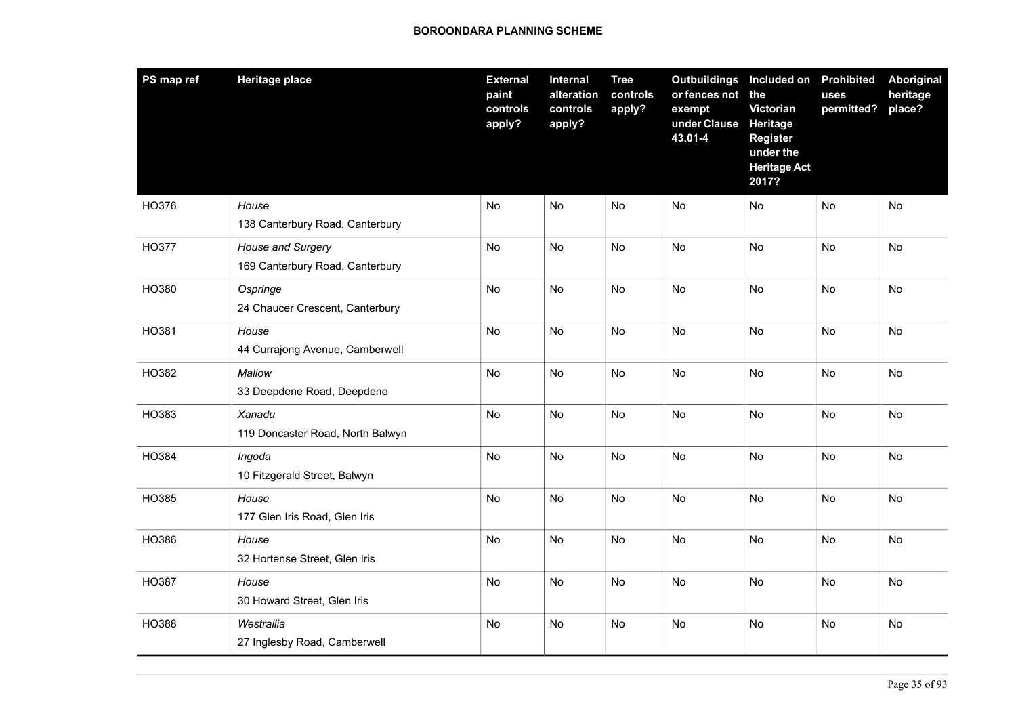| PS map ref   | <b>Heritage place</b>                                | <b>External</b><br>paint<br>controls<br>apply? | Internal<br>alteration<br>controls<br>apply? | <b>Tree</b><br>controls<br>apply? | Outbuildings Included on<br>or fences not the<br>exempt<br>under Clause<br>43.01-4 | <b>Victorian</b><br>Heritage<br><b>Register</b><br>under the<br><b>Heritage Act</b><br>2017? | <b>Prohibited</b><br>uses<br>permitted? | <b>Aboriginal</b><br>heritage<br>place? |
|--------------|------------------------------------------------------|------------------------------------------------|----------------------------------------------|-----------------------------------|------------------------------------------------------------------------------------|----------------------------------------------------------------------------------------------|-----------------------------------------|-----------------------------------------|
| HO376        | House<br>138 Canterbury Road, Canterbury             | <b>No</b>                                      | <b>No</b>                                    | No                                | No                                                                                 | No                                                                                           | No                                      | No                                      |
| <b>HO377</b> | House and Surgery<br>169 Canterbury Road, Canterbury | <b>No</b>                                      | No                                           | No                                | <b>No</b>                                                                          | No                                                                                           | No                                      | No                                      |
| HO380        | Ospringe<br>24 Chaucer Crescent, Canterbury          | No                                             | <b>No</b>                                    | <b>No</b>                         | No                                                                                 | No                                                                                           | No                                      | No                                      |
| HO381        | House<br>44 Currajong Avenue, Camberwell             | <b>No</b>                                      | No                                           | No                                | No                                                                                 | No                                                                                           | No                                      | No                                      |
| HO382        | Mallow<br>33 Deepdene Road, Deepdene                 | <b>No</b>                                      | <b>No</b>                                    | <b>No</b>                         | <b>No</b>                                                                          | <b>No</b>                                                                                    | <b>No</b>                               | <b>No</b>                               |
| HO383        | Xanadu<br>119 Doncaster Road, North Balwyn           | No                                             | No                                           | No                                | No                                                                                 | No                                                                                           | No                                      | No                                      |
| HO384        | Ingoda<br>10 Fitzgerald Street, Balwyn               | <b>No</b>                                      | No                                           | No                                | No                                                                                 | No                                                                                           | No                                      | No                                      |
| HO385        | House<br>177 Glen Iris Road, Glen Iris               | <b>No</b>                                      | No                                           | <b>No</b>                         | No                                                                                 | <b>No</b>                                                                                    | No                                      | No                                      |
| HO386        | House<br>32 Hortense Street, Glen Iris               | <b>No</b>                                      | No.                                          | <b>No</b>                         | No.                                                                                | No                                                                                           | No                                      | No                                      |
| HO387        | House<br>30 Howard Street, Glen Iris                 | No                                             | No                                           | No                                | No                                                                                 | No                                                                                           | No                                      | No                                      |
| HO388        | Westrailia<br>27 Inglesby Road, Camberwell           | <b>No</b>                                      | <b>No</b>                                    | <b>No</b>                         | No                                                                                 | <b>No</b>                                                                                    | No                                      | No                                      |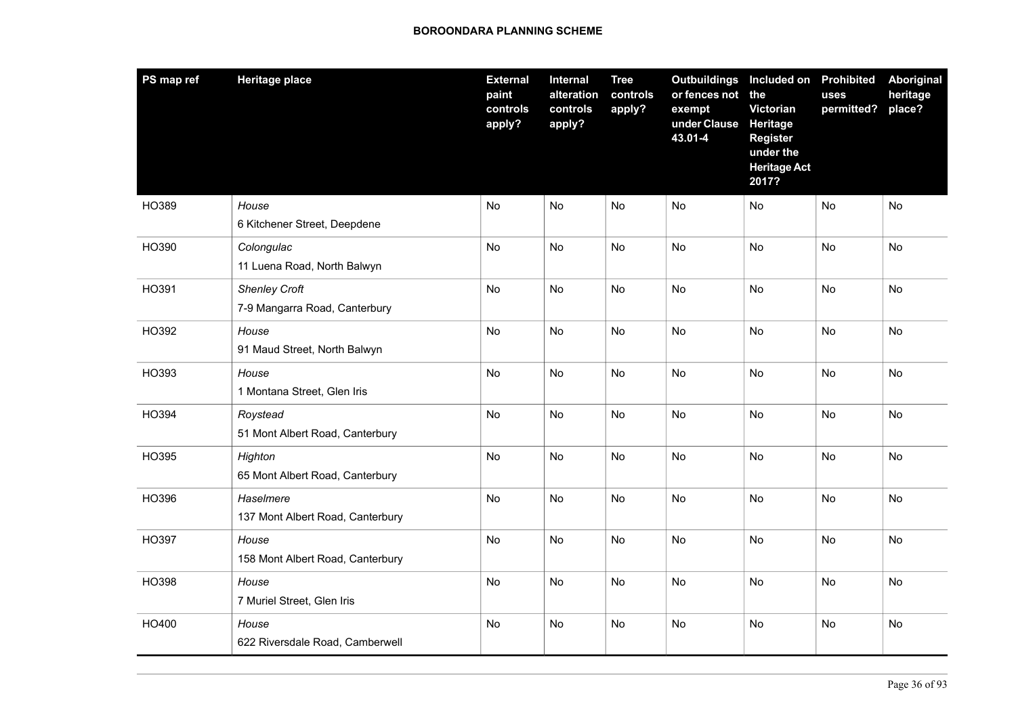| PS map ref | <b>Heritage place</b>                                 | <b>External</b><br>paint<br>controls<br>apply? | Internal<br>alteration<br>controls<br>apply? | <b>Tree</b><br>controls<br>apply? | <b>Outbuildings</b><br>or fences not<br>exempt<br>under Clause<br>43.01-4 | Included on Prohibited<br>the<br>Victorian<br>Heritage<br><b>Register</b><br>under the<br><b>Heritage Act</b><br>2017? | uses<br>permitted? | <b>Aboriginal</b><br>heritage<br>place? |
|------------|-------------------------------------------------------|------------------------------------------------|----------------------------------------------|-----------------------------------|---------------------------------------------------------------------------|------------------------------------------------------------------------------------------------------------------------|--------------------|-----------------------------------------|
| HO389      | House<br>6 Kitchener Street, Deepdene                 | No                                             | <b>No</b>                                    | No                                | No                                                                        | No                                                                                                                     | No                 | No                                      |
| HO390      | Colongulac<br>11 Luena Road, North Balwyn             | No                                             | No                                           | No                                | No                                                                        | No                                                                                                                     | No                 | No                                      |
| HO391      | <b>Shenley Croft</b><br>7-9 Mangarra Road, Canterbury | <b>No</b>                                      | <b>No</b>                                    | <b>No</b>                         | <b>No</b>                                                                 | <b>No</b>                                                                                                              | No                 | <b>No</b>                               |
| HO392      | House<br>91 Maud Street, North Balwyn                 | <b>No</b>                                      | <b>No</b>                                    | <b>No</b>                         | No                                                                        | <b>No</b>                                                                                                              | <b>No</b>          | <b>No</b>                               |
| HO393      | House<br>1 Montana Street, Glen Iris                  | No                                             | No                                           | No                                | No                                                                        | <b>No</b>                                                                                                              | No                 | No                                      |
| HO394      | Roystead<br>51 Mont Albert Road, Canterbury           | <b>No</b>                                      | <b>No</b>                                    | <b>No</b>                         | <b>No</b>                                                                 | <b>No</b>                                                                                                              | No                 | No                                      |
| HO395      | Highton<br>65 Mont Albert Road, Canterbury            | <b>No</b>                                      | <b>No</b>                                    | <b>No</b>                         | <b>No</b>                                                                 | <b>No</b>                                                                                                              | <b>No</b>          | <b>No</b>                               |
| HO396      | Haselmere<br>137 Mont Albert Road, Canterbury         | No                                             | <b>No</b>                                    | No                                | No                                                                        | No                                                                                                                     | No                 | No                                      |
| HO397      | House<br>158 Mont Albert Road, Canterbury             | No                                             | No                                           | No                                | No                                                                        | No                                                                                                                     | No                 | No                                      |
| HO398      | House<br>7 Muriel Street, Glen Iris                   | No                                             | <b>No</b>                                    | No                                | No                                                                        | No                                                                                                                     | No                 | No                                      |
| HO400      | House<br>622 Riversdale Road, Camberwell              | No                                             | No                                           | <b>No</b>                         | No                                                                        | No                                                                                                                     | No                 | No                                      |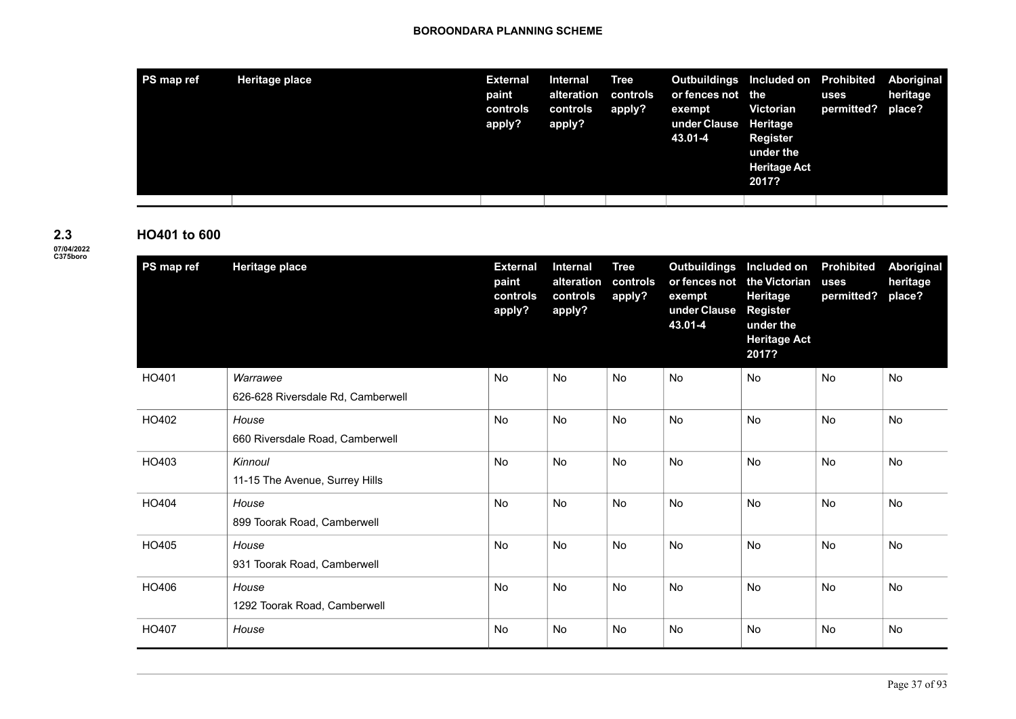| PS map ref | <b>Heritage place</b> | <b>External</b><br>paint<br>controls<br>apply? | Internal<br>alteration<br>controls<br>apply? | <b>Tree</b><br>controls<br>apply? | Outbuildings Included on Prohibited<br>or fences not the<br>exempt<br>under Clause Heritage<br>43.01-4 | <b>Victorian</b><br><b>Register</b><br>under the<br><b>Heritage Act</b><br>2017? | uses<br>permitted? place? | Aboriginal<br>heritage |
|------------|-----------------------|------------------------------------------------|----------------------------------------------|-----------------------------------|--------------------------------------------------------------------------------------------------------|----------------------------------------------------------------------------------|---------------------------|------------------------|
|            |                       |                                                |                                              |                                   |                                                                                                        |                                                                                  |                           |                        |

**2.3**

# **HO401 to 600**

| 2.3                           |  |
|-------------------------------|--|
| <b>07/04/2022</b><br>C375boro |  |

| PS map ref | <b>Heritage place</b>             | <b>External</b><br>paint<br>controls<br>apply? | Internal<br>alteration<br>controls<br>apply? | <b>Tree</b><br>controls<br>apply? | <b>Outbuildings</b><br>or fences not<br>exempt<br>under Clause<br>43.01-4 | Included on<br>the Victorian<br>Heritage<br><b>Register</b><br>under the<br><b>Heritage Act</b><br>2017? | <b>Prohibited</b><br>uses<br>permitted? | Aboriginal<br>heritage<br>place? |
|------------|-----------------------------------|------------------------------------------------|----------------------------------------------|-----------------------------------|---------------------------------------------------------------------------|----------------------------------------------------------------------------------------------------------|-----------------------------------------|----------------------------------|
| HO401      | Warrawee                          | <b>No</b>                                      | <b>No</b>                                    | <b>No</b>                         | <b>No</b>                                                                 | <b>No</b>                                                                                                | <b>No</b>                               | <b>No</b>                        |
|            | 626-628 Riversdale Rd, Camberwell |                                                |                                              |                                   |                                                                           |                                                                                                          |                                         |                                  |
| HO402      | House                             | No                                             | <b>No</b>                                    | <b>No</b>                         | No                                                                        | No                                                                                                       | No                                      | No                               |
|            | 660 Riversdale Road, Camberwell   |                                                |                                              |                                   |                                                                           |                                                                                                          |                                         |                                  |
| HO403      | Kinnoul                           | <b>No</b>                                      | <b>No</b>                                    | <b>No</b>                         | <b>No</b>                                                                 | <b>No</b>                                                                                                | <b>No</b>                               | <b>No</b>                        |
|            | 11-15 The Avenue, Surrey Hills    |                                                |                                              |                                   |                                                                           |                                                                                                          |                                         |                                  |
| HO404      | House                             | No                                             | <b>No</b>                                    | <b>No</b>                         | No                                                                        | <b>No</b>                                                                                                | No                                      | No                               |
|            | 899 Toorak Road, Camberwell       |                                                |                                              |                                   |                                                                           |                                                                                                          |                                         |                                  |
| HO405      | House                             | No                                             | <b>No</b>                                    | No                                | No                                                                        | No                                                                                                       | No                                      | No                               |
|            | 931 Toorak Road, Camberwell       |                                                |                                              |                                   |                                                                           |                                                                                                          |                                         |                                  |
| HO406      | House                             | <b>No</b>                                      | <b>No</b>                                    | No                                | No                                                                        | <b>No</b>                                                                                                | <b>No</b>                               | No                               |
|            | 1292 Toorak Road, Camberwell      |                                                |                                              |                                   |                                                                           |                                                                                                          |                                         |                                  |
| HO407      | House                             | No                                             | <b>No</b>                                    | <b>No</b>                         | No                                                                        | <b>No</b>                                                                                                | <b>No</b>                               | No                               |
|            |                                   |                                                |                                              |                                   |                                                                           |                                                                                                          |                                         |                                  |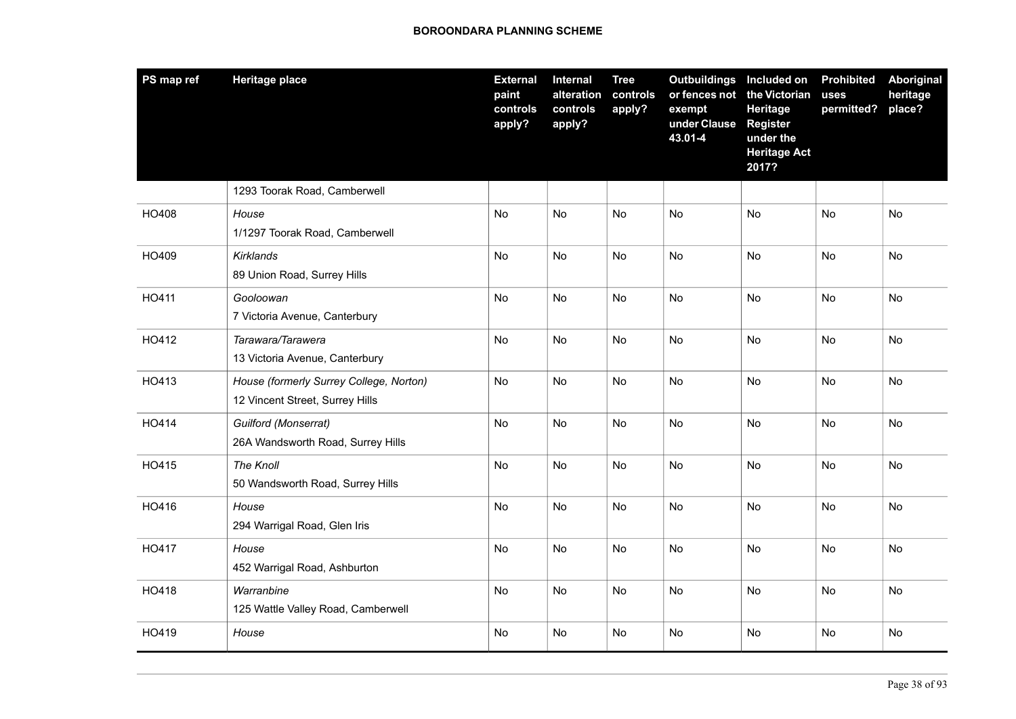| PS map ref | <b>Heritage place</b>                                                      | <b>External</b><br>paint<br>controls<br>apply? | Internal<br>alteration<br>controls<br>apply? | <b>Tree</b><br>controls<br>apply? | <b>Outbuildings</b><br>or fences not<br>exempt<br>under Clause<br>43.01-4 | Included on<br>the Victorian<br>Heritage<br><b>Register</b><br>under the<br><b>Heritage Act</b><br>2017? | <b>Prohibited</b><br>uses<br>permitted? | <b>Aboriginal</b><br>heritage<br>place? |
|------------|----------------------------------------------------------------------------|------------------------------------------------|----------------------------------------------|-----------------------------------|---------------------------------------------------------------------------|----------------------------------------------------------------------------------------------------------|-----------------------------------------|-----------------------------------------|
|            | 1293 Toorak Road, Camberwell                                               |                                                |                                              |                                   |                                                                           |                                                                                                          |                                         |                                         |
| HO408      | House<br>1/1297 Toorak Road, Camberwell                                    | No                                             | No                                           | No                                | No                                                                        | No                                                                                                       | No                                      | No                                      |
| HO409      | <b>Kirklands</b><br>89 Union Road, Surrey Hills                            | No                                             | <b>No</b>                                    | No                                | No                                                                        | No                                                                                                       | No                                      | No                                      |
| HO411      | Gooloowan<br>7 Victoria Avenue, Canterbury                                 | No                                             | No                                           | <b>No</b>                         | No                                                                        | No                                                                                                       | No                                      | No                                      |
| HO412      | Tarawara/Tarawera<br>13 Victoria Avenue, Canterbury                        | No                                             | <b>No</b>                                    | <b>No</b>                         | No                                                                        | No                                                                                                       | No                                      | No                                      |
| HO413      | House (formerly Surrey College, Norton)<br>12 Vincent Street, Surrey Hills | No                                             | No                                           | No                                | No                                                                        | No                                                                                                       | No                                      | No                                      |
| HO414      | Guilford (Monserrat)<br>26A Wandsworth Road, Surrey Hills                  | No                                             | No                                           | No                                | No                                                                        | No                                                                                                       | No                                      | No                                      |
| HO415      | The Knoll<br>50 Wandsworth Road, Surrey Hills                              | No                                             | <b>No</b>                                    | <b>No</b>                         | <b>No</b>                                                                 | <b>No</b>                                                                                                | No                                      | <b>No</b>                               |
| HO416      | House<br>294 Warrigal Road, Glen Iris                                      | No                                             | No                                           | No                                | No                                                                        | No                                                                                                       | No                                      | No                                      |
| HO417      | House<br>452 Warrigal Road, Ashburton                                      | No                                             | No                                           | No                                | No                                                                        | No                                                                                                       | No                                      | No                                      |
| HO418      | Warranbine<br>125 Wattle Valley Road, Camberwell                           | No                                             | <b>No</b>                                    | No                                | <b>No</b>                                                                 | <b>No</b>                                                                                                | No                                      | <b>No</b>                               |
| HO419      | House                                                                      | No                                             | No                                           | No                                | No                                                                        | No                                                                                                       | No                                      | No                                      |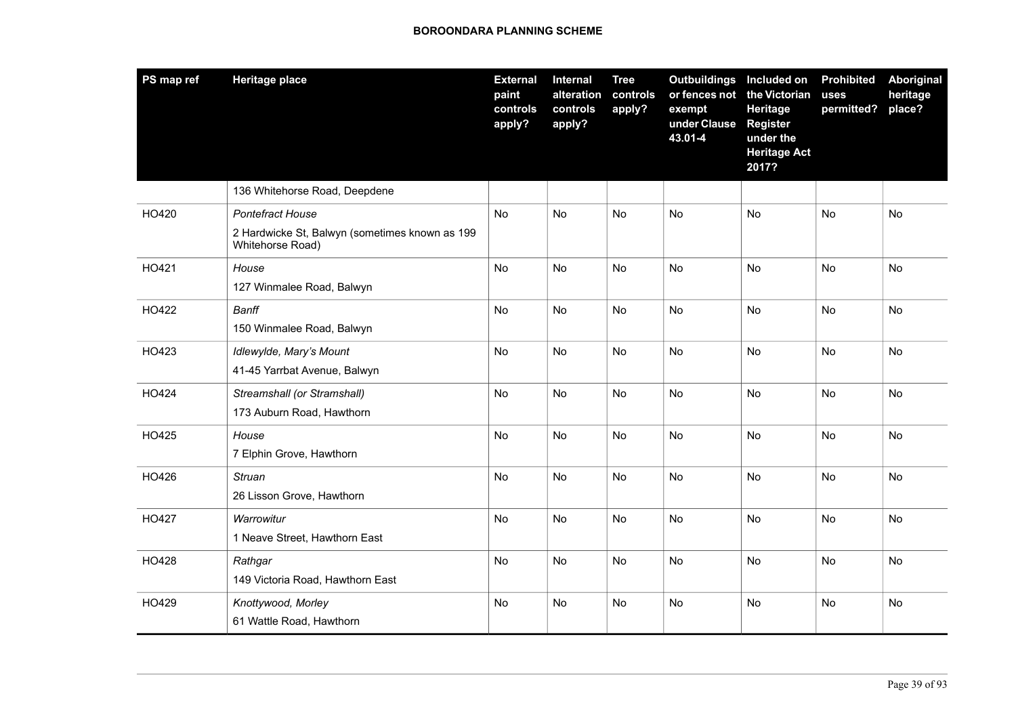| PS map ref | <b>Heritage place</b>                                              | <b>External</b><br>paint<br>controls<br>apply? | Internal<br>alteration<br>controls<br>apply? | <b>Tree</b><br>controls<br>apply? | <b>Outbuildings</b><br>or fences not<br>exempt<br>under Clause<br>43.01-4 | Included on<br>the Victorian<br><b>Heritage</b><br><b>Register</b><br>under the<br><b>Heritage Act</b><br>2017? | <b>Prohibited</b><br>uses<br>permitted? | Aboriginal<br>heritage<br>place? |
|------------|--------------------------------------------------------------------|------------------------------------------------|----------------------------------------------|-----------------------------------|---------------------------------------------------------------------------|-----------------------------------------------------------------------------------------------------------------|-----------------------------------------|----------------------------------|
|            | 136 Whitehorse Road, Deepdene                                      |                                                |                                              |                                   |                                                                           |                                                                                                                 |                                         |                                  |
| HO420      | <b>Pontefract House</b>                                            | <b>No</b>                                      | <b>No</b>                                    | <b>No</b>                         | <b>No</b>                                                                 | <b>No</b>                                                                                                       | No                                      | No                               |
|            | 2 Hardwicke St, Balwyn (sometimes known as 199<br>Whitehorse Road) |                                                |                                              |                                   |                                                                           |                                                                                                                 |                                         |                                  |
| HO421      | House                                                              | <b>No</b>                                      | <b>No</b>                                    | <b>No</b>                         | <b>No</b>                                                                 | <b>No</b>                                                                                                       | <b>No</b>                               | <b>No</b>                        |
|            | 127 Winmalee Road, Balwyn                                          |                                                |                                              |                                   |                                                                           |                                                                                                                 |                                         |                                  |
| HO422      | Banff                                                              | <b>No</b>                                      | No                                           | No                                | No                                                                        | <b>No</b>                                                                                                       | No                                      | <b>No</b>                        |
|            | 150 Winmalee Road, Balwyn                                          |                                                |                                              |                                   |                                                                           |                                                                                                                 |                                         |                                  |
| HO423      | Idlewylde, Mary's Mount                                            | No                                             | No.                                          | <b>No</b>                         | <b>No</b>                                                                 | <b>No</b>                                                                                                       | <b>No</b>                               | <b>No</b>                        |
|            | 41-45 Yarrbat Avenue, Balwyn                                       |                                                |                                              |                                   |                                                                           |                                                                                                                 |                                         |                                  |
| HO424      | Streamshall (or Stramshall)                                        | No                                             | <b>No</b>                                    | <b>No</b>                         | <b>No</b>                                                                 | <b>No</b>                                                                                                       | No                                      | N <sub>o</sub>                   |
|            | 173 Auburn Road, Hawthorn                                          |                                                |                                              |                                   |                                                                           |                                                                                                                 |                                         |                                  |
| HO425      | House                                                              | No                                             | No                                           | No                                | No                                                                        | No                                                                                                              | No                                      | No                               |
|            | 7 Elphin Grove, Hawthorn                                           |                                                |                                              |                                   |                                                                           |                                                                                                                 |                                         |                                  |
| HO426      | Struan                                                             | No                                             | No                                           | No                                | No                                                                        | No                                                                                                              | No                                      | No                               |
|            | 26 Lisson Grove, Hawthorn                                          |                                                |                                              |                                   |                                                                           |                                                                                                                 |                                         |                                  |
| HO427      | Warrowitur                                                         | No                                             | No                                           | No                                | No                                                                        | No                                                                                                              | No                                      | No                               |
|            | 1 Neave Street, Hawthorn East                                      |                                                |                                              |                                   |                                                                           |                                                                                                                 |                                         |                                  |
| HO428      | Rathgar                                                            | No                                             | No                                           | No                                | No                                                                        | No                                                                                                              | No                                      | No                               |
|            | 149 Victoria Road, Hawthorn East                                   |                                                |                                              |                                   |                                                                           |                                                                                                                 |                                         |                                  |
| HO429      | Knottywood, Morley                                                 | No                                             | No                                           | No                                | No                                                                        | <b>No</b>                                                                                                       | No                                      | No                               |
|            | 61 Wattle Road, Hawthorn                                           |                                                |                                              |                                   |                                                                           |                                                                                                                 |                                         |                                  |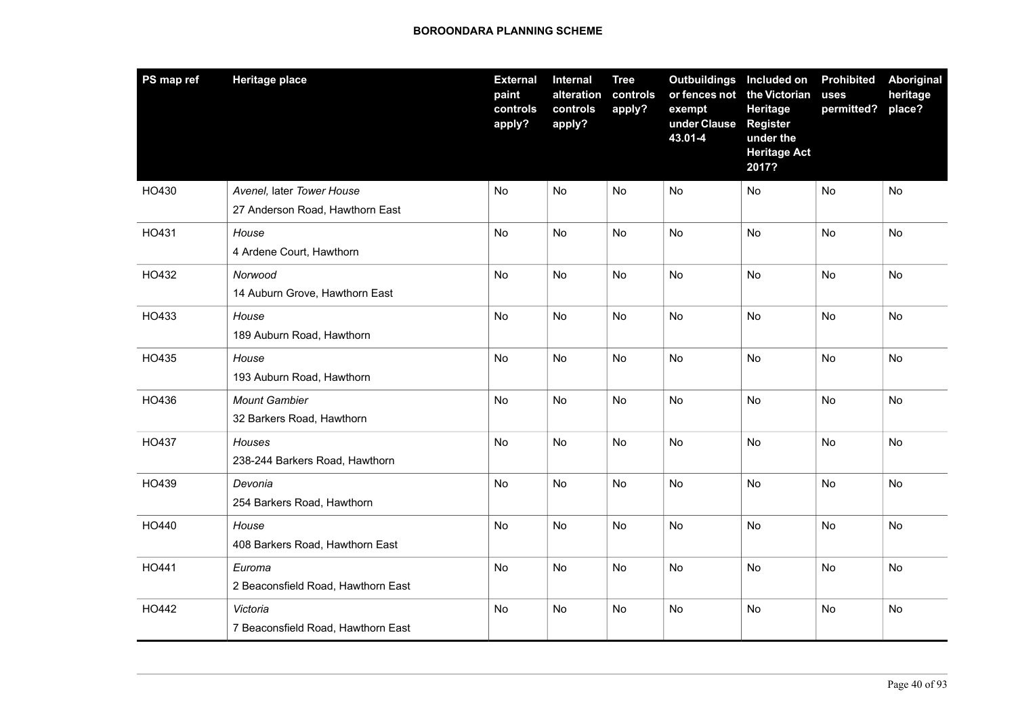| PS map ref | <b>Heritage place</b>                                        | <b>External</b><br>paint<br>controls<br>apply? | Internal<br>alteration<br>controls<br>apply? | <b>Tree</b><br>controls<br>apply? | Outbuildings Included on<br>or fences not<br>exempt<br>under Clause<br>43.01-4 | the Victorian<br>Heritage<br><b>Register</b><br>under the<br><b>Heritage Act</b><br>2017? | <b>Prohibited</b><br>uses<br>permitted? | Aboriginal<br>heritage<br>place? |
|------------|--------------------------------------------------------------|------------------------------------------------|----------------------------------------------|-----------------------------------|--------------------------------------------------------------------------------|-------------------------------------------------------------------------------------------|-----------------------------------------|----------------------------------|
| HO430      | Avenel, later Tower House<br>27 Anderson Road, Hawthorn East | No                                             | No                                           | No                                | No                                                                             | No                                                                                        | No                                      | No                               |
| HO431      | House<br>4 Ardene Court, Hawthorn                            | No                                             | No                                           | No                                | No                                                                             | No                                                                                        | No                                      | No                               |
| HO432      | Norwood<br>14 Auburn Grove, Hawthorn East                    | No                                             | No                                           | No                                | No                                                                             | No                                                                                        | No                                      | No                               |
| HO433      | House<br>189 Auburn Road, Hawthorn                           | No                                             | No                                           | <b>No</b>                         | No                                                                             | <b>No</b>                                                                                 | No                                      | <b>No</b>                        |
| HO435      | House<br>193 Auburn Road, Hawthorn                           | No                                             | No                                           | No                                | No                                                                             | <b>No</b>                                                                                 | No                                      | No                               |
| HO436      | <b>Mount Gambier</b><br>32 Barkers Road, Hawthorn            | No                                             | No                                           | No                                | No                                                                             | No                                                                                        | No                                      | No                               |
| HO437      | Houses<br>238-244 Barkers Road, Hawthorn                     | No                                             | No                                           | No                                | No                                                                             | No.                                                                                       | No                                      | No.                              |
| HO439      | Devonia<br>254 Barkers Road, Hawthorn                        | No                                             | No                                           | No                                | No                                                                             | <b>No</b>                                                                                 | No                                      | <b>No</b>                        |
| HO440      | House<br>408 Barkers Road, Hawthorn East                     | No                                             | No                                           | No                                | No                                                                             | No                                                                                        | No                                      | No                               |
| HO441      | Euroma<br>2 Beaconsfield Road, Hawthorn East                 | No                                             | <b>No</b>                                    | No                                | No                                                                             | No                                                                                        | No                                      | No                               |
| HO442      | Victoria<br>7 Beaconsfield Road, Hawthorn East               | No                                             | No                                           | No                                | No                                                                             | No                                                                                        | No                                      | No                               |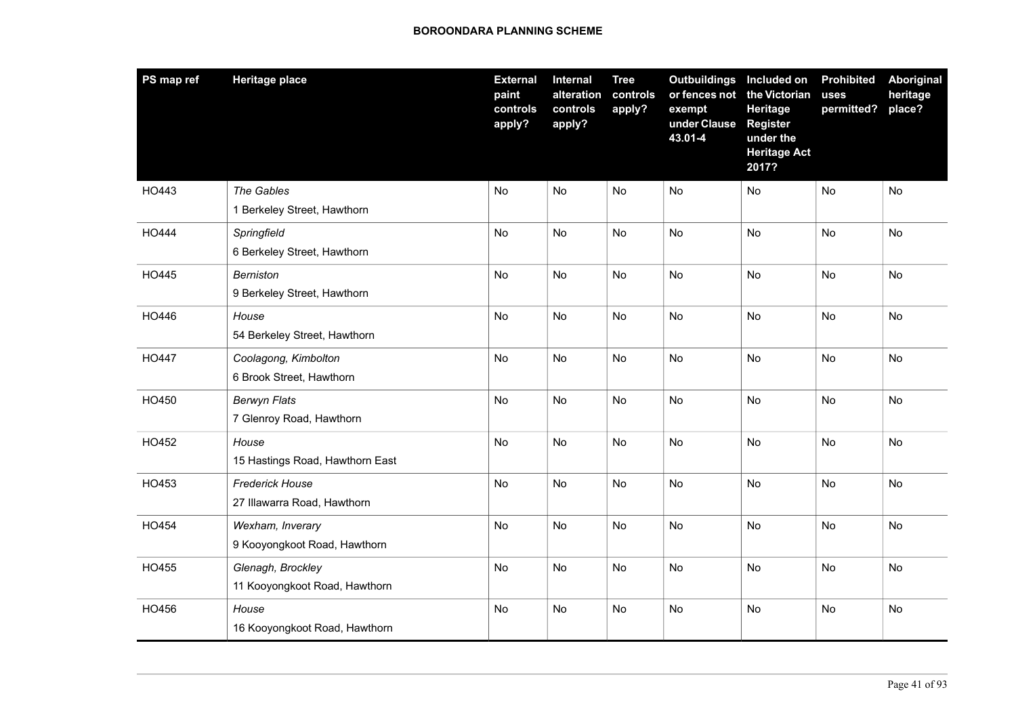| PS map ref   | <b>Heritage place</b>                                 | <b>External</b><br>paint<br>controls<br>apply? | Internal<br>alteration<br>controls<br>apply? | <b>Tree</b><br>controls<br>apply? | Outbuildings Included on<br>or fences not<br>exempt<br>under Clause<br>43.01-4 | the Victorian<br>Heritage<br><b>Register</b><br>under the<br><b>Heritage Act</b><br>2017? | <b>Prohibited</b><br>uses<br>permitted? | <b>Aboriginal</b><br>heritage<br>place? |
|--------------|-------------------------------------------------------|------------------------------------------------|----------------------------------------------|-----------------------------------|--------------------------------------------------------------------------------|-------------------------------------------------------------------------------------------|-----------------------------------------|-----------------------------------------|
| HO443        | The Gables<br>1 Berkeley Street, Hawthorn             | No                                             | No                                           | No                                | No                                                                             | No                                                                                        | No                                      | No                                      |
| HO444        | Springfield<br>6 Berkeley Street, Hawthorn            | No                                             | No                                           | No                                | No                                                                             | No                                                                                        | No                                      | No                                      |
| HO445        | <b>Berniston</b><br>9 Berkeley Street, Hawthorn       | No                                             | No                                           | No                                | No                                                                             | No                                                                                        | No                                      | No                                      |
| HO446        | House<br>54 Berkeley Street, Hawthorn                 | <b>No</b>                                      | No                                           | <b>No</b>                         | <b>No</b>                                                                      | <b>No</b>                                                                                 | <b>No</b>                               | <b>No</b>                               |
| <b>HO447</b> | Coolagong, Kimbolton<br>6 Brook Street, Hawthorn      | No                                             | No                                           | No                                | No                                                                             | No                                                                                        | No                                      | No                                      |
| HO450        | <b>Berwyn Flats</b><br>7 Glenroy Road, Hawthorn       | No                                             | No                                           | No                                | No                                                                             | No                                                                                        | No                                      | No                                      |
| HO452        | House<br>15 Hastings Road, Hawthorn East              | No                                             | No                                           | No                                | No                                                                             | <b>No</b>                                                                                 | No                                      | No                                      |
| HO453        | <b>Frederick House</b><br>27 Illawarra Road, Hawthorn | No                                             | No                                           | No                                | No                                                                             | <b>No</b>                                                                                 | No                                      | <b>No</b>                               |
| HO454        | Wexham, Inverary<br>9 Kooyongkoot Road, Hawthorn      | No                                             | No                                           | No                                | No                                                                             | No                                                                                        | No                                      | No                                      |
| HO455        | Glenagh, Brockley<br>11 Kooyongkoot Road, Hawthorn    | No                                             | No                                           | No                                | No                                                                             | No                                                                                        | No                                      | No                                      |
| HO456        | House<br>16 Kooyongkoot Road, Hawthorn                | No                                             | No                                           | No                                | No                                                                             | No                                                                                        | No                                      | No                                      |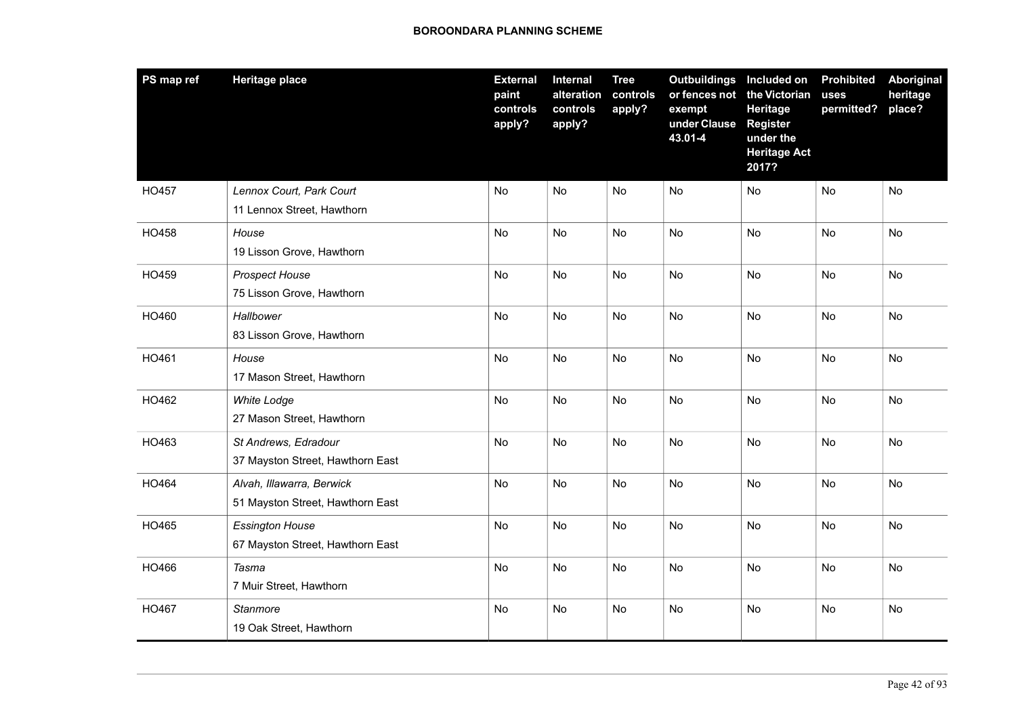| PS map ref | <b>Heritage place</b>                                         | <b>External</b><br>paint<br>controls<br>apply? | Internal<br>alteration<br>controls<br>apply? | <b>Tree</b><br>controls<br>apply? | Outbuildings Included on<br>or fences not<br>exempt<br>under Clause<br>43.01-4 | the Victorian<br>Heritage<br><b>Register</b><br>under the<br><b>Heritage Act</b><br>2017? | <b>Prohibited</b><br>uses<br>permitted? | <b>Aboriginal</b><br>heritage<br>place? |
|------------|---------------------------------------------------------------|------------------------------------------------|----------------------------------------------|-----------------------------------|--------------------------------------------------------------------------------|-------------------------------------------------------------------------------------------|-----------------------------------------|-----------------------------------------|
| HO457      | Lennox Court, Park Court<br>11 Lennox Street, Hawthorn        | No                                             | No                                           | No                                | No                                                                             | No                                                                                        | No                                      | No                                      |
| HO458      | House<br>19 Lisson Grove, Hawthorn                            | No                                             | No                                           | No                                | No                                                                             | <b>No</b>                                                                                 | No                                      | No                                      |
| HO459      | <b>Prospect House</b><br>75 Lisson Grove, Hawthorn            | <b>No</b>                                      | No                                           | <b>No</b>                         | <b>No</b>                                                                      | No                                                                                        | <b>No</b>                               | No                                      |
| HO460      | Hallbower<br>83 Lisson Grove, Hawthorn                        | No                                             | No                                           | <b>No</b>                         | No                                                                             | <b>No</b>                                                                                 | No                                      | No                                      |
| HO461      | House<br>17 Mason Street, Hawthorn                            | No                                             | No                                           | No                                | No                                                                             | No.                                                                                       | No                                      | No                                      |
| HO462      | <b>White Lodge</b><br>27 Mason Street, Hawthorn               | No                                             | No                                           | No                                | No                                                                             | <b>No</b>                                                                                 | No                                      | <b>No</b>                               |
| HO463      | St Andrews, Edradour<br>37 Mayston Street, Hawthorn East      | No                                             | No                                           | <b>No</b>                         | No                                                                             | No                                                                                        | No                                      | No                                      |
| HO464      | Alvah, Illawarra, Berwick<br>51 Mayston Street, Hawthorn East | No                                             | No                                           | No                                | No                                                                             | No                                                                                        | No                                      | No                                      |
| HO465      | <b>Essington House</b><br>67 Mayston Street, Hawthorn East    | No                                             | No                                           | No                                | No                                                                             | No                                                                                        | No                                      | No                                      |
| HO466      | Tasma<br>7 Muir Street, Hawthorn                              | No                                             | No                                           | No                                | No                                                                             | No                                                                                        | No                                      | No                                      |
| HO467      | Stanmore<br>19 Oak Street, Hawthorn                           | No                                             | No                                           | No                                | No                                                                             | No.                                                                                       | No                                      | No                                      |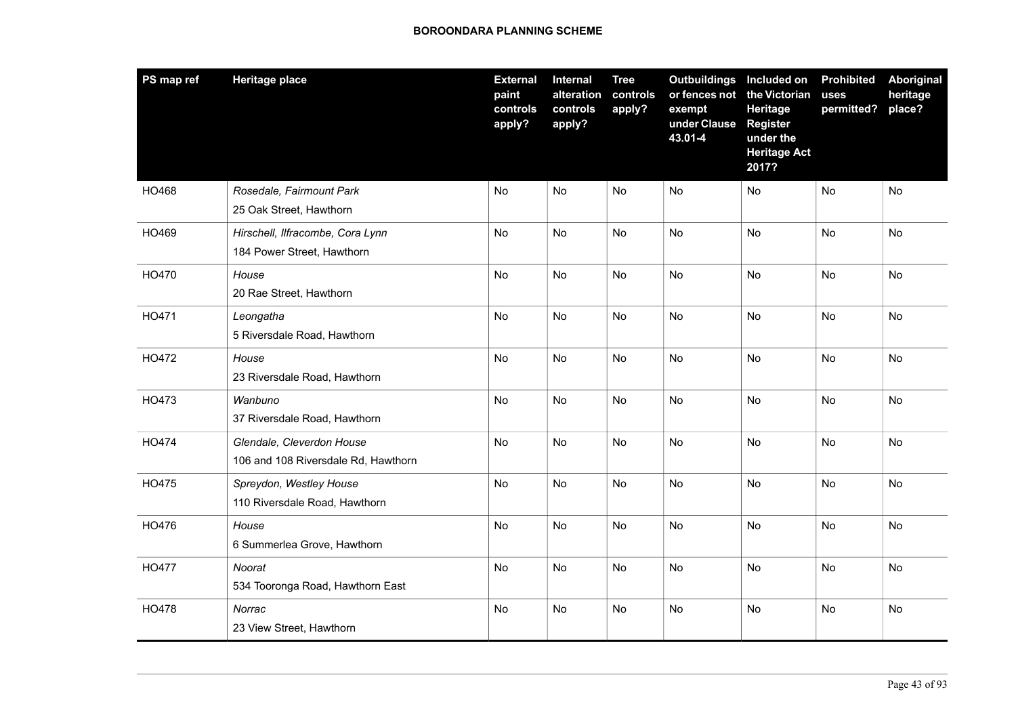| PS map ref   | <b>Heritage place</b>                                            | <b>External</b><br>paint<br>controls<br>apply? | Internal<br>alteration<br>controls<br>apply? | <b>Tree</b><br>controls<br>apply? | Outbuildings Included on<br>or fences not<br>exempt<br>under Clause<br>43.01-4 | the Victorian<br>Heritage<br><b>Register</b><br>under the<br><b>Heritage Act</b><br>2017? | <b>Prohibited</b><br>uses<br>permitted? | Aboriginal<br>heritage<br>place? |
|--------------|------------------------------------------------------------------|------------------------------------------------|----------------------------------------------|-----------------------------------|--------------------------------------------------------------------------------|-------------------------------------------------------------------------------------------|-----------------------------------------|----------------------------------|
| HO468        | Rosedale, Fairmount Park<br>25 Oak Street, Hawthorn              | No                                             | No                                           | No                                | No                                                                             | No                                                                                        | No                                      | No                               |
| HO469        | Hirschell, Ilfracombe, Cora Lynn<br>184 Power Street, Hawthorn   | No                                             | No                                           | No                                | No                                                                             | No                                                                                        | No                                      | No                               |
| HO470        | House<br>20 Rae Street, Hawthorn                                 | No                                             | No                                           | No                                | No                                                                             | No                                                                                        | No                                      | No                               |
| HO471        | Leongatha<br>5 Riversdale Road, Hawthorn                         | No                                             | No                                           | <b>No</b>                         | No                                                                             | <b>No</b>                                                                                 | No                                      | <b>No</b>                        |
| HO472        | House<br>23 Riversdale Road, Hawthorn                            | No                                             | No                                           | No                                | No                                                                             | No                                                                                        | No                                      | No                               |
| HO473        | Wanbuno<br>37 Riversdale Road, Hawthorn                          | No                                             | No                                           | No                                | No                                                                             | No                                                                                        | No                                      | No                               |
| HO474        | Glendale, Cleverdon House<br>106 and 108 Riversdale Rd, Hawthorn | <b>No</b>                                      | No                                           | No                                | No                                                                             | No.                                                                                       | No                                      | No.                              |
| HO475        | Spreydon, Westley House<br>110 Riversdale Road, Hawthorn         | No                                             | No                                           | No                                | No                                                                             | <b>No</b>                                                                                 | No                                      | <b>No</b>                        |
| HO476        | House<br>6 Summerlea Grove, Hawthorn                             | No                                             | No                                           | No                                | No                                                                             | No                                                                                        | No                                      | No                               |
| <b>HO477</b> | Noorat<br>534 Tooronga Road, Hawthorn East                       | No                                             | No                                           | No                                | No                                                                             | No                                                                                        | No                                      | No                               |
| HO478        | Norrac<br>23 View Street, Hawthorn                               | No                                             | No                                           | No                                | No                                                                             | No                                                                                        | No                                      | No                               |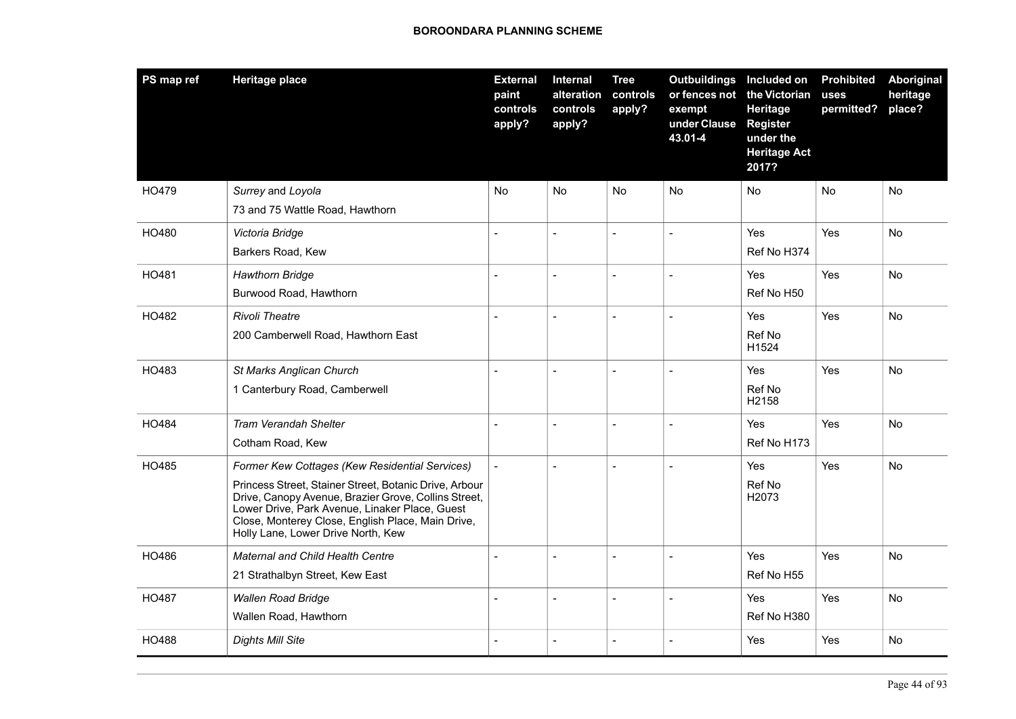| PS map ref | <b>Heritage place</b>                                                                                                                                                                                                                                       | <b>External</b><br>paint<br>controls<br>apply? | <b>Internal</b><br>alteration<br>controls<br>apply? | <b>Tree</b><br>controls<br>apply? | Outbuildings Included on<br>or fences not the Victorian<br>exempt<br>under Clause<br>43.01-4 | Heritage<br><b>Register</b><br>under the<br><b>Heritage Act</b><br>2017? | <b>Prohibited</b><br>uses<br>permitted? | <b>Aboriginal</b><br>heritage<br>place? |
|------------|-------------------------------------------------------------------------------------------------------------------------------------------------------------------------------------------------------------------------------------------------------------|------------------------------------------------|-----------------------------------------------------|-----------------------------------|----------------------------------------------------------------------------------------------|--------------------------------------------------------------------------|-----------------------------------------|-----------------------------------------|
| HO479      | Surrey and Loyola                                                                                                                                                                                                                                           | No                                             | No                                                  | No                                | No                                                                                           | No                                                                       | No                                      | No                                      |
|            | 73 and 75 Wattle Road, Hawthorn                                                                                                                                                                                                                             |                                                |                                                     |                                   |                                                                                              |                                                                          |                                         |                                         |
| HO480      | Victoria Bridge                                                                                                                                                                                                                                             | $\overline{a}$                                 | $\overline{a}$                                      |                                   |                                                                                              | Yes                                                                      | <b>Yes</b>                              | <b>No</b>                               |
|            | Barkers Road, Kew                                                                                                                                                                                                                                           |                                                |                                                     |                                   |                                                                                              | Ref No H374                                                              |                                         |                                         |
| HO481      | <b>Hawthorn Bridge</b>                                                                                                                                                                                                                                      | $\overline{a}$                                 | $\overline{a}$                                      | $\overline{a}$                    | $\overline{a}$                                                                               | Yes                                                                      | Yes                                     | <b>No</b>                               |
|            | Burwood Road, Hawthorn                                                                                                                                                                                                                                      |                                                |                                                     |                                   |                                                                                              | Ref No H50                                                               |                                         |                                         |
| HO482      | <b>Rivoli Theatre</b>                                                                                                                                                                                                                                       | $\overline{a}$                                 | $\overline{a}$                                      |                                   | $\overline{a}$                                                                               | Yes                                                                      | Yes                                     | No                                      |
|            | 200 Camberwell Road, Hawthorn East                                                                                                                                                                                                                          |                                                |                                                     |                                   |                                                                                              | Ref No<br>H1524                                                          |                                         |                                         |
| HO483      | St Marks Anglican Church                                                                                                                                                                                                                                    | $\overline{\phantom{a}}$                       | $\overline{\phantom{a}}$                            | $\overline{\phantom{0}}$          | $\overline{a}$                                                                               | Yes                                                                      | Yes                                     | <b>No</b>                               |
|            | 1 Canterbury Road, Camberwell                                                                                                                                                                                                                               |                                                |                                                     |                                   |                                                                                              | Ref No<br>H2158                                                          |                                         |                                         |
| HO484      | <b>Tram Verandah Shelter</b>                                                                                                                                                                                                                                | $\sim$                                         | $\overline{a}$                                      | $\overline{a}$                    | $\overline{a}$                                                                               | Yes                                                                      | Yes                                     | No                                      |
|            | Cotham Road, Kew                                                                                                                                                                                                                                            |                                                |                                                     |                                   |                                                                                              | Ref No H173                                                              |                                         |                                         |
| HO485      | Former Kew Cottages (Kew Residential Services)                                                                                                                                                                                                              | $\overline{\phantom{a}}$                       |                                                     |                                   |                                                                                              | Yes                                                                      | Yes                                     | No                                      |
|            | Princess Street, Stainer Street, Botanic Drive, Arbour<br>Drive, Canopy Avenue, Brazier Grove, Collins Street,<br>Lower Drive, Park Avenue, Linaker Place, Guest<br>Close, Monterey Close, English Place, Main Drive,<br>Holly Lane, Lower Drive North, Kew |                                                |                                                     |                                   |                                                                                              | Ref No<br>H <sub>20</sub> 73                                             |                                         |                                         |
| HO486      | <b>Maternal and Child Health Centre</b>                                                                                                                                                                                                                     | $\overline{a}$                                 | $\overline{a}$                                      | $\overline{a}$                    | $\overline{a}$                                                                               | Yes                                                                      | <b>Yes</b>                              | <b>No</b>                               |
|            | 21 Strathalbyn Street, Kew East                                                                                                                                                                                                                             |                                                |                                                     |                                   |                                                                                              | Ref No H55                                                               |                                         |                                         |
| HO487      | <b>Wallen Road Bridge</b>                                                                                                                                                                                                                                   | $\sim$                                         | $\overline{a}$                                      | $\overline{a}$                    | $\overline{a}$                                                                               | Yes                                                                      | Yes                                     | No                                      |
|            | Wallen Road, Hawthorn                                                                                                                                                                                                                                       |                                                |                                                     |                                   |                                                                                              | Ref No H380                                                              |                                         |                                         |
| HO488      | <b>Dights Mill Site</b>                                                                                                                                                                                                                                     |                                                |                                                     |                                   |                                                                                              | Yes                                                                      | Yes                                     | No                                      |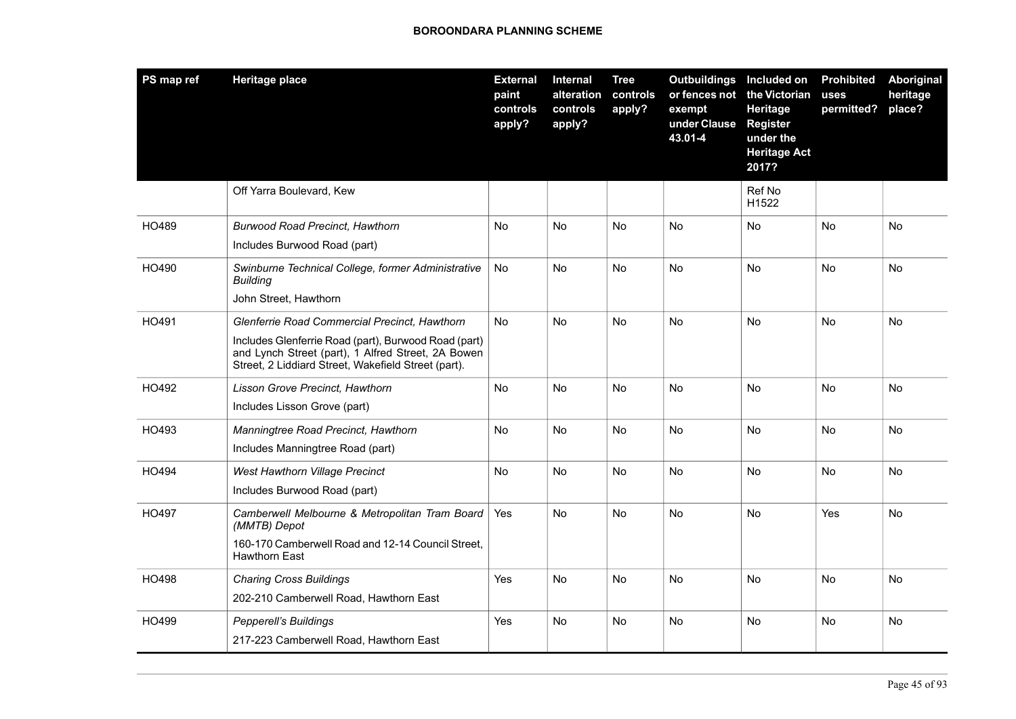| PS map ref | <b>Heritage place</b>                                                                                                                                                                                              | <b>External</b><br>paint<br>controls<br>apply? | <b>Internal</b><br>alteration<br>controls<br>apply? | <b>Tree</b><br>controls<br>apply? | <b>Outbuildings</b><br>or fences not<br>exempt<br>under Clause<br>43.01-4 | Included on<br>the Victorian<br>Heritage<br><b>Register</b><br>under the<br><b>Heritage Act</b><br>2017? | <b>Prohibited</b><br>uses<br>permitted? | Aboriginal<br>heritage<br>place? |
|------------|--------------------------------------------------------------------------------------------------------------------------------------------------------------------------------------------------------------------|------------------------------------------------|-----------------------------------------------------|-----------------------------------|---------------------------------------------------------------------------|----------------------------------------------------------------------------------------------------------|-----------------------------------------|----------------------------------|
|            | Off Yarra Boulevard, Kew                                                                                                                                                                                           |                                                |                                                     |                                   |                                                                           | Ref No<br>H1522                                                                                          |                                         |                                  |
| HO489      | <b>Burwood Road Precinct, Hawthorn</b><br>Includes Burwood Road (part)                                                                                                                                             | No                                             | <b>No</b>                                           | No                                | No                                                                        | No                                                                                                       | No                                      | No                               |
| HO490      | Swinburne Technical College, former Administrative<br>Building<br>John Street, Hawthorn                                                                                                                            | No                                             | <b>No</b>                                           | <b>No</b>                         | <b>No</b>                                                                 | <b>No</b>                                                                                                | <b>No</b>                               | No                               |
| HO491      | Glenferrie Road Commercial Precinct, Hawthorn<br>Includes Glenferrie Road (part), Burwood Road (part)<br>and Lynch Street (part), 1 Alfred Street, 2A Bowen<br>Street, 2 Liddiard Street, Wakefield Street (part). | <b>No</b>                                      | <b>No</b>                                           | <b>No</b>                         | <b>No</b>                                                                 | <b>No</b>                                                                                                | <b>No</b>                               | <b>No</b>                        |
| HO492      | Lisson Grove Precinct, Hawthorn<br>Includes Lisson Grove (part)                                                                                                                                                    | <b>No</b>                                      | <b>No</b>                                           | <b>No</b>                         | <b>No</b>                                                                 | <b>No</b>                                                                                                | <b>No</b>                               | <b>No</b>                        |
| HO493      | Manningtree Road Precinct, Hawthorn<br>Includes Manningtree Road (part)                                                                                                                                            | No                                             | No                                                  | No                                | <b>No</b>                                                                 | <b>No</b>                                                                                                | No                                      | No                               |
| HO494      | West Hawthorn Village Precinct<br>Includes Burwood Road (part)                                                                                                                                                     | No                                             | <b>No</b>                                           | <b>No</b>                         | <b>No</b>                                                                 | <b>No</b>                                                                                                | <b>No</b>                               | No                               |
| HO497      | Camberwell Melbourne & Metropolitan Tram Board<br>(MMTB) Depot<br>160-170 Camberwell Road and 12-14 Council Street,<br><b>Hawthorn East</b>                                                                        | Yes                                            | No                                                  | No                                | No                                                                        | <b>No</b>                                                                                                | Yes                                     | No.                              |
| HO498      | <b>Charing Cross Buildings</b><br>202-210 Camberwell Road, Hawthorn East                                                                                                                                           | Yes                                            | <b>No</b>                                           | <b>No</b>                         | No                                                                        | No                                                                                                       | No                                      | No                               |
| HO499      | <b>Pepperell's Buildings</b><br>217-223 Camberwell Road, Hawthorn East                                                                                                                                             | Yes                                            | <b>No</b>                                           | <b>No</b>                         | <b>No</b>                                                                 | <b>No</b>                                                                                                | No                                      | No                               |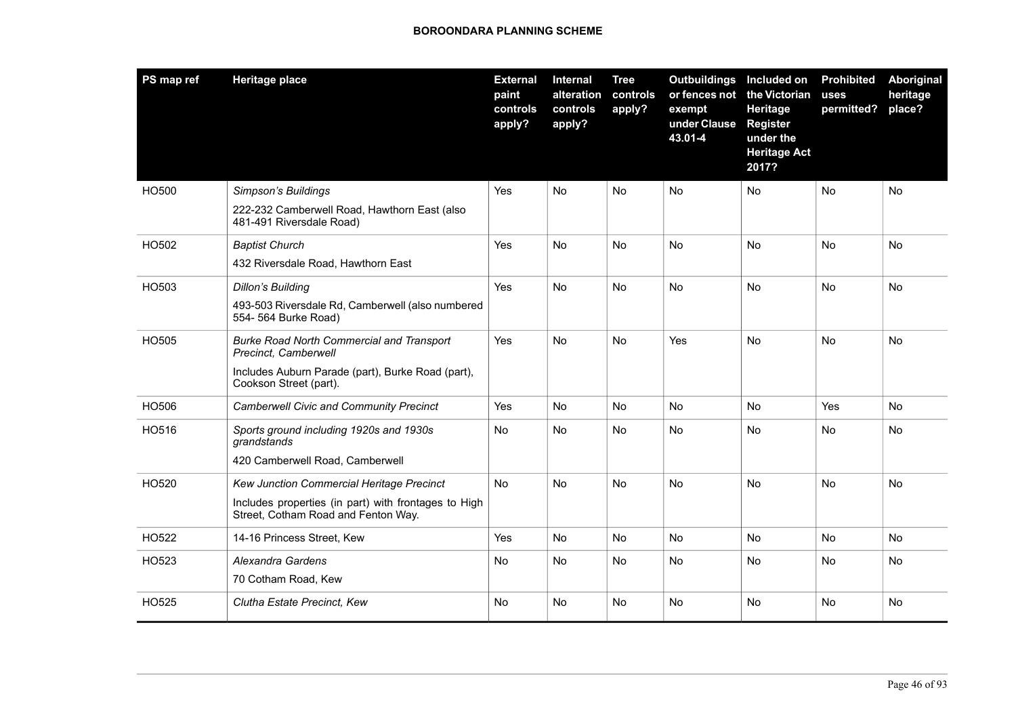| PS map ref | <b>Heritage place</b>                                                                       | <b>External</b><br>paint<br>controls<br>apply? | <b>Internal</b><br>alteration<br>controls<br>apply? | <b>Tree</b><br>controls<br>apply? | Outbuildings Included on<br>or fences not<br>exempt<br>under Clause<br>43.01-4 | the Victorian<br>Heritage<br><b>Register</b><br>under the<br><b>Heritage Act</b><br>2017? | <b>Prohibited</b><br>uses<br>permitted? | <b>Aboriginal</b><br>heritage<br>place? |
|------------|---------------------------------------------------------------------------------------------|------------------------------------------------|-----------------------------------------------------|-----------------------------------|--------------------------------------------------------------------------------|-------------------------------------------------------------------------------------------|-----------------------------------------|-----------------------------------------|
| HO500      | Simpson's Buildings                                                                         | Yes                                            | No                                                  | No                                | No                                                                             | <b>No</b>                                                                                 | No                                      | <b>No</b>                               |
|            | 222-232 Camberwell Road, Hawthorn East (also<br>481-491 Riversdale Road)                    |                                                |                                                     |                                   |                                                                                |                                                                                           |                                         |                                         |
| HO502      | <b>Baptist Church</b>                                                                       | Yes                                            | <b>No</b>                                           | <b>No</b>                         | <b>No</b>                                                                      | <b>No</b>                                                                                 | <b>No</b>                               | <b>No</b>                               |
|            | 432 Riversdale Road, Hawthorn East                                                          |                                                |                                                     |                                   |                                                                                |                                                                                           |                                         |                                         |
| HO503      | <b>Dillon's Building</b>                                                                    | Yes                                            | No.                                                 | N <sub>o</sub>                    | <b>No</b>                                                                      | <b>No</b>                                                                                 | No                                      | <b>No</b>                               |
|            | 493-503 Riversdale Rd, Camberwell (also numbered<br>554- 564 Burke Road)                    |                                                |                                                     |                                   |                                                                                |                                                                                           |                                         |                                         |
| HO505      | <b>Burke Road North Commercial and Transport</b><br>Precinct, Camberwell                    | Yes                                            | <b>No</b>                                           | <b>No</b>                         | Yes                                                                            | <b>No</b>                                                                                 | <b>No</b>                               | No                                      |
|            | Includes Auburn Parade (part), Burke Road (part),<br>Cookson Street (part).                 |                                                |                                                     |                                   |                                                                                |                                                                                           |                                         |                                         |
| HO506      | <b>Camberwell Civic and Community Precinct</b>                                              | Yes                                            | <b>No</b>                                           | No                                | No                                                                             | No                                                                                        | Yes                                     | No                                      |
| HO516      | Sports ground including 1920s and 1930s<br>grandstands                                      | No                                             | No                                                  | No                                | No                                                                             | No                                                                                        | No                                      | No                                      |
|            | 420 Camberwell Road, Camberwell                                                             |                                                |                                                     |                                   |                                                                                |                                                                                           |                                         |                                         |
| HO520      | Kew Junction Commercial Heritage Precinct                                                   | <b>No</b>                                      | No.                                                 | <b>No</b>                         | No                                                                             | <b>No</b>                                                                                 | No                                      | <b>No</b>                               |
|            | Includes properties (in part) with frontages to High<br>Street, Cotham Road and Fenton Way. |                                                |                                                     |                                   |                                                                                |                                                                                           |                                         |                                         |
| HO522      | 14-16 Princess Street, Kew                                                                  | Yes                                            | No.                                                 | <b>No</b>                         | <b>No</b>                                                                      | <b>No</b>                                                                                 | <b>No</b>                               | <b>No</b>                               |
| HO523      | Alexandra Gardens                                                                           | No                                             | <b>No</b>                                           | <b>No</b>                         | <b>No</b>                                                                      | <b>No</b>                                                                                 | <b>No</b>                               | <b>No</b>                               |
|            | 70 Cotham Road, Kew                                                                         |                                                |                                                     |                                   |                                                                                |                                                                                           |                                         |                                         |
| HO525      | Clutha Estate Precinct, Kew                                                                 | No                                             | No                                                  | No                                | No                                                                             | No                                                                                        | No                                      | No                                      |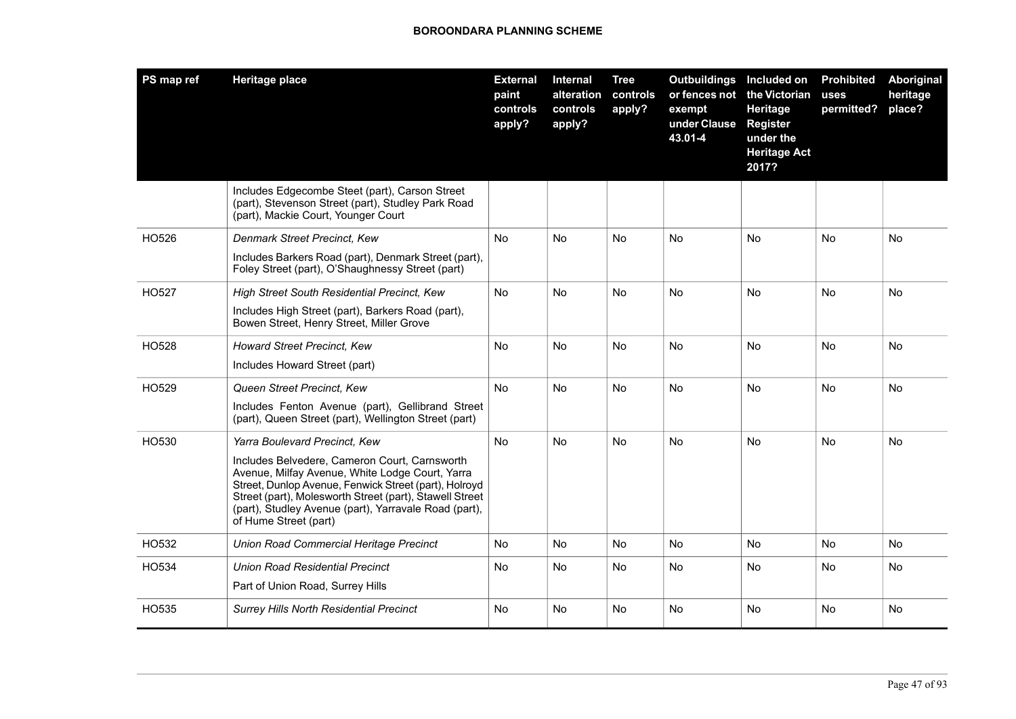| PS map ref | <b>Heritage place</b>                                                                                                                                                                                                                                                                                                                   | <b>External</b><br>paint<br>controls<br>apply? | <b>Internal</b><br>alteration<br>controls<br>apply? | <b>Tree</b><br>controls<br>apply? | <b>Outbuildings</b><br>or fences not<br>exempt<br>under Clause<br>43.01-4 | Included on<br>the Victorian<br>Heritage<br><b>Register</b><br>under the<br><b>Heritage Act</b><br>2017? | <b>Prohibited</b><br>uses<br>permitted? | <b>Aboriginal</b><br>heritage<br>place? |
|------------|-----------------------------------------------------------------------------------------------------------------------------------------------------------------------------------------------------------------------------------------------------------------------------------------------------------------------------------------|------------------------------------------------|-----------------------------------------------------|-----------------------------------|---------------------------------------------------------------------------|----------------------------------------------------------------------------------------------------------|-----------------------------------------|-----------------------------------------|
|            | Includes Edgecombe Steet (part), Carson Street<br>(part), Stevenson Street (part), Studley Park Road<br>(part), Mackie Court, Younger Court                                                                                                                                                                                             |                                                |                                                     |                                   |                                                                           |                                                                                                          |                                         |                                         |
| HO526      | Denmark Street Precinct, Kew<br>Includes Barkers Road (part), Denmark Street (part),<br>Foley Street (part), O'Shaughnessy Street (part)                                                                                                                                                                                                | <b>No</b>                                      | <b>No</b>                                           | <b>No</b>                         | No                                                                        | <b>No</b>                                                                                                | No                                      | <b>No</b>                               |
| HO527      | High Street South Residential Precinct, Kew<br>Includes High Street (part), Barkers Road (part),<br>Bowen Street, Henry Street, Miller Grove                                                                                                                                                                                            | <b>No</b>                                      | N <sub>o</sub>                                      | <b>No</b>                         | <b>No</b>                                                                 | <b>No</b>                                                                                                | <b>No</b>                               | <b>No</b>                               |
| HO528      | <b>Howard Street Precinct, Kew</b><br>Includes Howard Street (part)                                                                                                                                                                                                                                                                     | No                                             | <b>No</b>                                           | No                                | No                                                                        | No                                                                                                       | No                                      | No                                      |
| HO529      | Queen Street Precinct, Kew<br>Includes Fenton Avenue (part), Gellibrand Street<br>(part), Queen Street (part), Wellington Street (part)                                                                                                                                                                                                 | No                                             | No                                                  | No                                | No                                                                        | <b>No</b>                                                                                                | No                                      | No                                      |
| HO530      | Yarra Boulevard Precinct, Kew<br>Includes Belvedere, Cameron Court, Carnsworth<br>Avenue, Milfay Avenue, White Lodge Court, Yarra<br>Street, Dunlop Avenue, Fenwick Street (part), Holroyd<br>Street (part), Molesworth Street (part), Stawell Street<br>(part), Studley Avenue (part), Yarravale Road (part),<br>of Hume Street (part) | No.                                            | No.                                                 | No                                | No                                                                        | <b>No</b>                                                                                                | No                                      | No                                      |
| HO532      | Union Road Commercial Heritage Precinct                                                                                                                                                                                                                                                                                                 | No                                             | <b>No</b>                                           | No                                | No                                                                        | No                                                                                                       | No                                      | No                                      |
| HO534      | Union Road Residential Precinct<br>Part of Union Road, Surrey Hills                                                                                                                                                                                                                                                                     | N <sub>o</sub>                                 | <b>No</b>                                           | No.                               | No                                                                        | <b>No</b>                                                                                                | No                                      | <b>No</b>                               |
| HO535      | <b>Surrey Hills North Residential Precinct</b>                                                                                                                                                                                                                                                                                          | <b>No</b>                                      | No                                                  | No.                               | No                                                                        | <b>No</b>                                                                                                | <b>No</b>                               | <b>No</b>                               |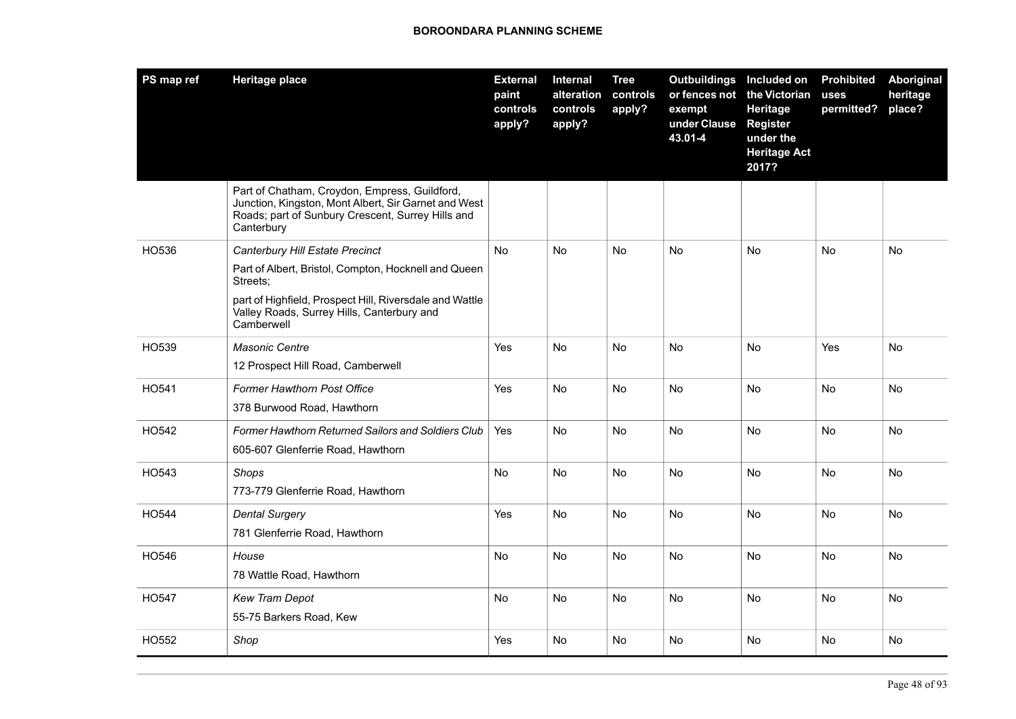| PS map ref | <b>Heritage place</b>                                                                                                                                                                                                      | <b>External</b><br>paint<br>controls<br>apply? | <b>Internal</b><br>alteration<br>controls<br>apply? | <b>Tree</b><br>controls<br>apply? | Outbuildings Included on<br>or fences not<br>exempt<br>under Clause<br>43.01-4 | the Victorian<br>Heritage<br><b>Register</b><br>under the<br><b>Heritage Act</b><br>2017? | <b>Prohibited</b><br>uses<br>permitted? | Aboriginal<br>heritage<br>place? |
|------------|----------------------------------------------------------------------------------------------------------------------------------------------------------------------------------------------------------------------------|------------------------------------------------|-----------------------------------------------------|-----------------------------------|--------------------------------------------------------------------------------|-------------------------------------------------------------------------------------------|-----------------------------------------|----------------------------------|
|            | Part of Chatham, Croydon, Empress, Guildford,<br>Junction, Kingston, Mont Albert, Sir Garnet and West<br>Roads; part of Sunbury Crescent, Surrey Hills and<br>Canterbury                                                   |                                                |                                                     |                                   |                                                                                |                                                                                           |                                         |                                  |
| HO536      | Canterbury Hill Estate Precinct<br>Part of Albert, Bristol, Compton, Hocknell and Queen<br>Streets:<br>part of Highfield, Prospect Hill, Riversdale and Wattle<br>Valley Roads, Surrey Hills, Canterbury and<br>Camberwell | <b>No</b>                                      | No.                                                 | No.                               | No                                                                             | No                                                                                        | No                                      | No                               |
| HO539      | <b>Masonic Centre</b><br>12 Prospect Hill Road, Camberwell                                                                                                                                                                 | Yes                                            | No.                                                 | No.                               | No.                                                                            | No                                                                                        | Yes                                     | No                               |
| HO541      | Former Hawthorn Post Office<br>378 Burwood Road, Hawthorn                                                                                                                                                                  | Yes                                            | No                                                  | No                                | No.                                                                            | No                                                                                        | No                                      | No                               |
| HO542      | <b>Former Hawthorn Returned Sailors and Soldiers Club</b><br>605-607 Glenferrie Road, Hawthorn                                                                                                                             | Yes                                            | <b>No</b>                                           | <b>No</b>                         | <b>No</b>                                                                      | <b>No</b>                                                                                 | No                                      | No                               |
| HO543      | <b>Shops</b><br>773-779 Glenferrie Road, Hawthorn                                                                                                                                                                          | <b>No</b>                                      | <b>No</b>                                           | <b>No</b>                         | <b>No</b>                                                                      | <b>No</b>                                                                                 | No                                      | <b>No</b>                        |
| HO544      | <b>Dental Surgery</b><br>781 Glenferrie Road, Hawthorn                                                                                                                                                                     | Yes                                            | No                                                  | No                                | No                                                                             | No                                                                                        | No                                      | No                               |
| HO546      | House<br>78 Wattle Road, Hawthorn                                                                                                                                                                                          | No                                             | <b>No</b>                                           | <b>No</b>                         | No                                                                             | No                                                                                        | No                                      | No                               |
| HO547      | Kew Tram Depot<br>55-75 Barkers Road, Kew                                                                                                                                                                                  | <b>No</b>                                      | <b>No</b>                                           | <b>No</b>                         | <b>No</b>                                                                      | <b>No</b>                                                                                 | <b>No</b>                               | <b>No</b>                        |
| HO552      | Shop                                                                                                                                                                                                                       | Yes                                            | No                                                  | No                                | No                                                                             | No                                                                                        | No                                      | No                               |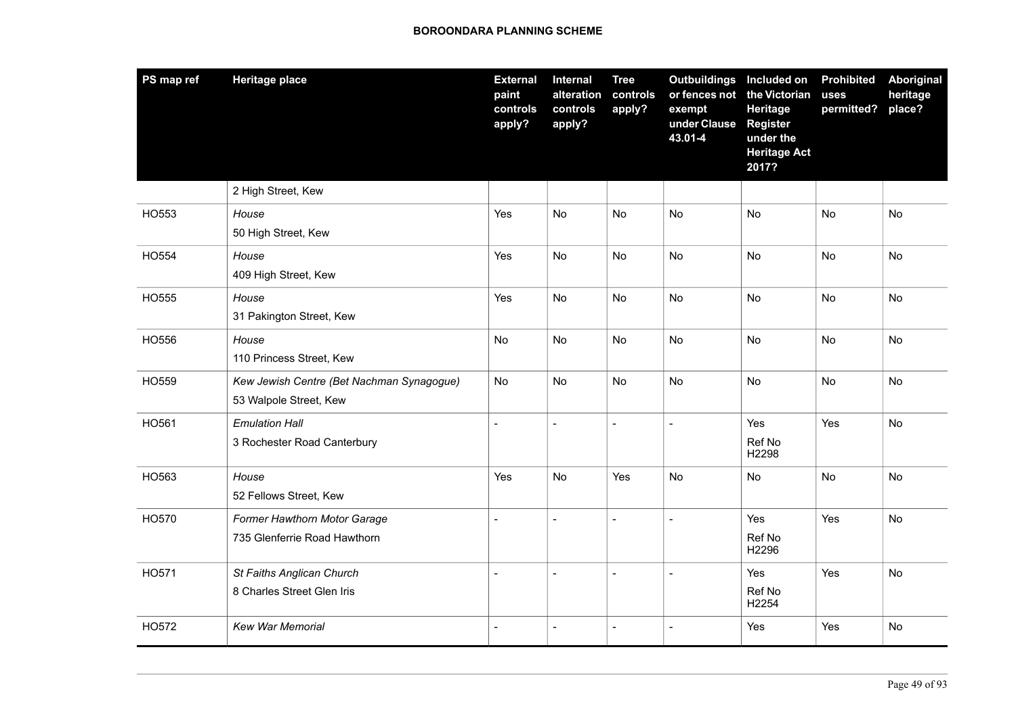| PS map ref | <b>Heritage place</b>                                               | <b>External</b><br>paint<br>controls<br>apply? | Internal<br>alteration<br>controls<br>apply? | <b>Tree</b><br>controls<br>apply? | <b>Outbuildings</b><br>or fences not<br>exempt<br>under Clause<br>43.01-4 | Included on<br>the Victorian<br>Heritage<br>Register<br>under the<br><b>Heritage Act</b><br>2017? | <b>Prohibited</b><br>uses<br>permitted? | <b>Aboriginal</b><br>heritage<br>place? |
|------------|---------------------------------------------------------------------|------------------------------------------------|----------------------------------------------|-----------------------------------|---------------------------------------------------------------------------|---------------------------------------------------------------------------------------------------|-----------------------------------------|-----------------------------------------|
|            | 2 High Street, Kew                                                  |                                                |                                              |                                   |                                                                           |                                                                                                   |                                         |                                         |
| HO553      | House<br>50 High Street, Kew                                        | Yes                                            | <b>No</b>                                    | No                                | No                                                                        | No                                                                                                | No                                      | No                                      |
| HO554      | House<br>409 High Street, Kew                                       | Yes                                            | No                                           | No                                | No                                                                        | No                                                                                                | No                                      | No                                      |
| HO555      | House<br>31 Pakington Street, Kew                                   | Yes                                            | <b>No</b>                                    | No                                | No                                                                        | <b>No</b>                                                                                         | No                                      | <b>No</b>                               |
| HO556      | House<br>110 Princess Street, Kew                                   | No                                             | <b>No</b>                                    | <b>No</b>                         | No                                                                        | <b>No</b>                                                                                         | No                                      | No                                      |
| HO559      | Kew Jewish Centre (Bet Nachman Synagogue)<br>53 Walpole Street, Kew | No                                             | No                                           | <b>No</b>                         | No                                                                        | <b>No</b>                                                                                         | No                                      | No                                      |
| HO561      | <b>Emulation Hall</b><br>3 Rochester Road Canterbury                | $\overline{a}$                                 | $\overline{\phantom{a}}$                     | $\overline{a}$                    | $\blacksquare$                                                            | Yes<br>Ref No<br>H2298                                                                            | Yes                                     | No                                      |
| HO563      | House<br>52 Fellows Street, Kew                                     | Yes                                            | No                                           | Yes                               | No                                                                        | No                                                                                                | No                                      | No                                      |
| HO570      | Former Hawthorn Motor Garage<br>735 Glenferrie Road Hawthorn        | $\blacksquare$                                 | $\blacksquare$                               | $\overline{\phantom{a}}$          | $\overline{a}$                                                            | Yes<br>Ref No<br>H2296                                                                            | Yes                                     | No                                      |
| HO571      | St Faiths Anglican Church<br>8 Charles Street Glen Iris             | $\overline{a}$                                 | $\blacksquare$                               | $\sim$                            | $\overline{a}$                                                            | Yes<br>Ref No<br>H2254                                                                            | Yes                                     | No                                      |
| HO572      | <b>Kew War Memorial</b>                                             | $\overline{a}$                                 | $\blacksquare$                               | $\sim$                            | $\overline{\phantom{a}}$                                                  | Yes                                                                                               | Yes                                     | No                                      |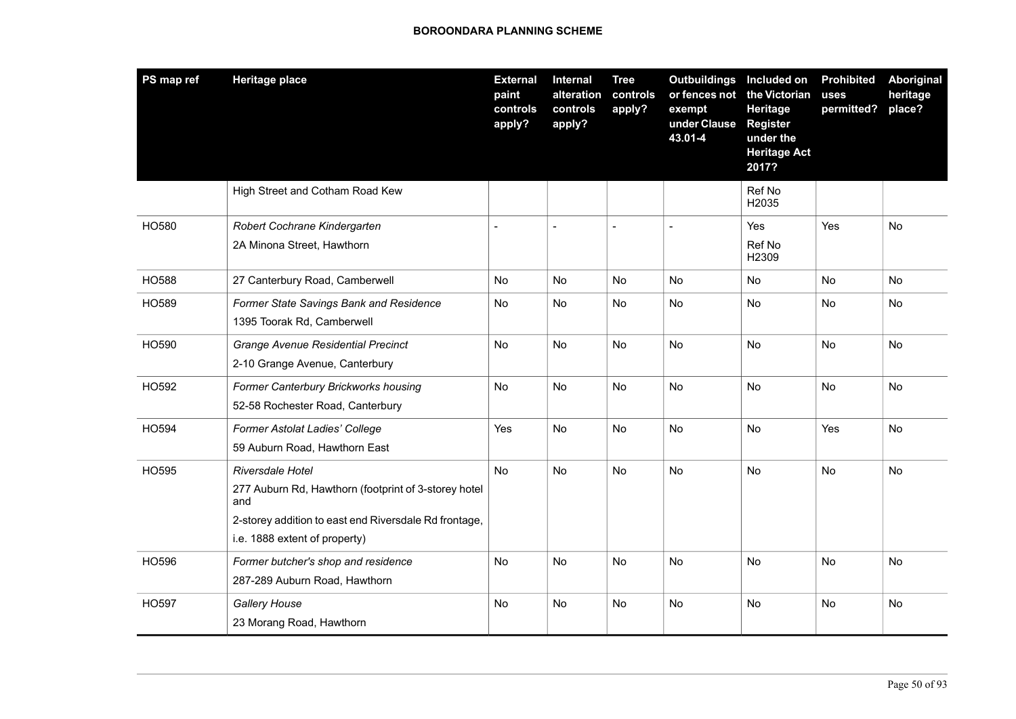| PS map ref   | <b>Heritage place</b>                                                                                                                                                     | <b>External</b><br>paint<br>controls<br>apply? | Internal<br>alteration<br>controls<br>apply? | <b>Tree</b><br>controls<br>apply? | <b>Outbuildings</b><br>or fences not<br>exempt<br>under Clause<br>43.01-4 | Included on<br>the Victorian<br>Heritage<br><b>Register</b><br>under the<br><b>Heritage Act</b><br>2017? | <b>Prohibited</b><br>uses<br>permitted? | <b>Aboriginal</b><br>heritage<br>place? |
|--------------|---------------------------------------------------------------------------------------------------------------------------------------------------------------------------|------------------------------------------------|----------------------------------------------|-----------------------------------|---------------------------------------------------------------------------|----------------------------------------------------------------------------------------------------------|-----------------------------------------|-----------------------------------------|
|              | High Street and Cotham Road Kew                                                                                                                                           |                                                |                                              |                                   |                                                                           | Ref No<br>H2035                                                                                          |                                         |                                         |
| HO580        | Robert Cochrane Kindergarten<br>2A Minona Street, Hawthorn                                                                                                                |                                                | $\overline{\phantom{a}}$                     |                                   |                                                                           | Yes<br>Ref No<br>H2309                                                                                   | Yes                                     | No                                      |
| <b>HO588</b> | 27 Canterbury Road, Camberwell                                                                                                                                            | No                                             | <b>No</b>                                    | No                                | No                                                                        | No.                                                                                                      | No                                      | No.                                     |
| HO589        | Former State Savings Bank and Residence<br>1395 Toorak Rd, Camberwell                                                                                                     | No                                             | No                                           | No                                | No                                                                        | No                                                                                                       | No                                      | No                                      |
| HO590        | <b>Grange Avenue Residential Precinct</b><br>2-10 Grange Avenue, Canterbury                                                                                               | No                                             | No                                           | <b>No</b>                         | No                                                                        | No                                                                                                       | No                                      | No                                      |
| HO592        | Former Canterbury Brickworks housing<br>52-58 Rochester Road, Canterbury                                                                                                  | No                                             | No                                           | No                                | No                                                                        | No                                                                                                       | No                                      | No                                      |
| HO594        | Former Astolat Ladies' College<br>59 Auburn Road, Hawthorn East                                                                                                           | Yes                                            | No                                           | No                                | No                                                                        | No                                                                                                       | Yes                                     | No                                      |
| HO595        | Riversdale Hotel<br>277 Auburn Rd, Hawthorn (footprint of 3-storey hotel<br>and<br>2-storey addition to east end Riversdale Rd frontage,<br>i.e. 1888 extent of property) | No                                             | No                                           | No                                | No                                                                        | <b>No</b>                                                                                                | No                                      | No                                      |
| HO596        | Former butcher's shop and residence<br>287-289 Auburn Road, Hawthorn                                                                                                      | No                                             | No                                           | <b>No</b>                         | No                                                                        | No                                                                                                       | No                                      | No                                      |
| HO597        | Gallery House<br>23 Morang Road, Hawthorn                                                                                                                                 | No                                             | <b>No</b>                                    | <b>No</b>                         | No                                                                        | No                                                                                                       | No                                      | No                                      |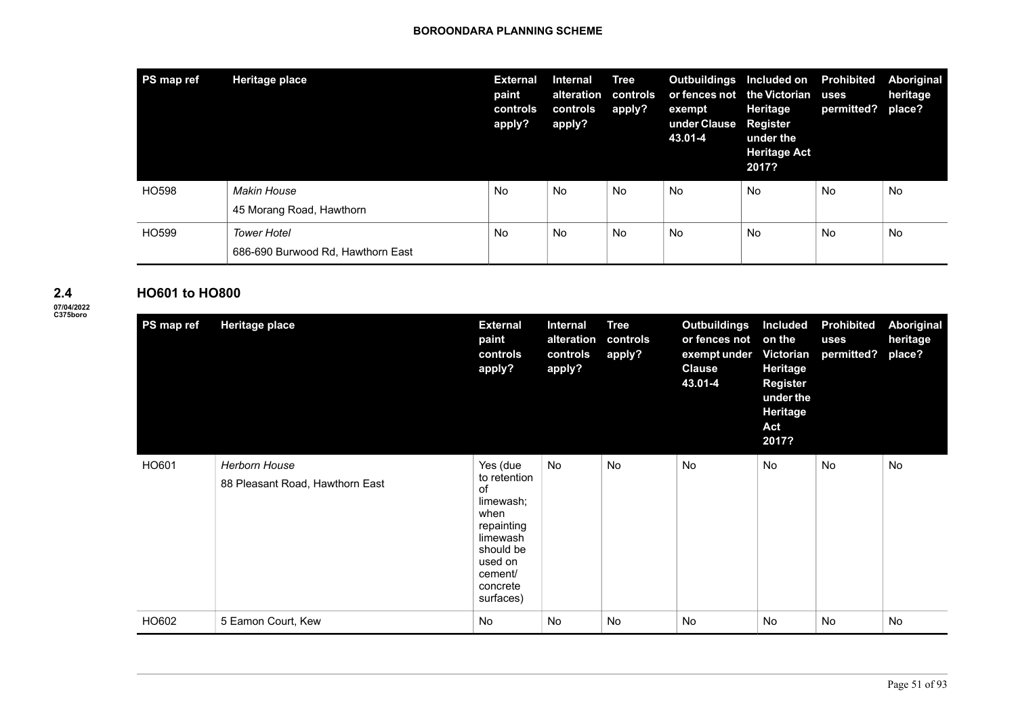| PS map ref | Heritage place                                          | <b>External</b><br>paint<br>controls<br>apply? | <b>Internal</b><br>alteration<br>controls<br>apply? | <b>Tree</b><br>controls<br>apply? | <b>Outbuildings</b><br>or fences not the Victorian<br>exempt<br>under Clause<br>43.01-4 | Included on<br>Heritage<br><b>Register</b><br>under the<br><b>Heritage Act</b><br>2017? | <b>Prohibited</b><br>uses<br>permitted? | Aboriginal<br>heritage<br>place? |
|------------|---------------------------------------------------------|------------------------------------------------|-----------------------------------------------------|-----------------------------------|-----------------------------------------------------------------------------------------|-----------------------------------------------------------------------------------------|-----------------------------------------|----------------------------------|
| HO598      | <b>Makin House</b><br>45 Morang Road, Hawthorn          | No                                             | No                                                  | No                                | No                                                                                      | No                                                                                      | No                                      | No                               |
| HO599      | <b>Tower Hotel</b><br>686-690 Burwood Rd, Hawthorn East | No                                             | No                                                  | No                                | No                                                                                      | No                                                                                      | No                                      | No                               |

### **2.4**

**07/04/2022 C375boro**

| <b>HO601 to HO800</b> |                                                  |                                                                                                                                           |                                                     |                                   |                                                                                  |                                                                                                                       |                                         |                                  |
|-----------------------|--------------------------------------------------|-------------------------------------------------------------------------------------------------------------------------------------------|-----------------------------------------------------|-----------------------------------|----------------------------------------------------------------------------------|-----------------------------------------------------------------------------------------------------------------------|-----------------------------------------|----------------------------------|
| PS map ref            | <b>Heritage place</b>                            | <b>External</b><br>paint<br>controls<br>apply?                                                                                            | <b>Internal</b><br>alteration<br>controls<br>apply? | <b>Tree</b><br>controls<br>apply? | <b>Outbuildings</b><br>or fences not<br>exempt under<br><b>Clause</b><br>43.01-4 | <b>Included</b><br>on the<br><b>Victorian</b><br>Heritage<br><b>Register</b><br>under the<br>Heritage<br>Act<br>2017? | <b>Prohibited</b><br>uses<br>permitted? | Aboriginal<br>heritage<br>place? |
| HO601                 | Herborn House<br>88 Pleasant Road, Hawthorn East | Yes (due<br>to retention<br>of<br>limewash;<br>when<br>repainting<br>limewash<br>should be<br>used on<br>cement/<br>concrete<br>surfaces) | No                                                  | No                                | <b>No</b>                                                                        | <b>No</b>                                                                                                             | No                                      | No                               |
| HO602                 | 5 Eamon Court, Kew                               | <b>No</b>                                                                                                                                 | <b>No</b>                                           | <b>No</b>                         | <b>No</b>                                                                        | <b>No</b>                                                                                                             | No                                      | No                               |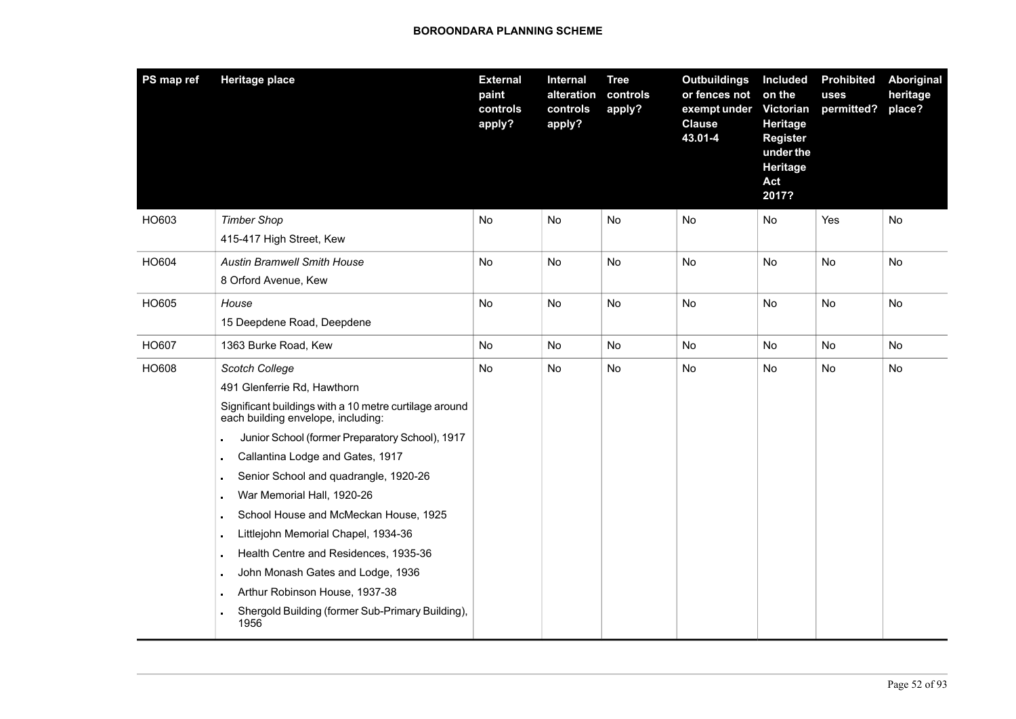| PS map ref | <b>Heritage place</b>                                                                                                                                                                                                                                                                                                                                                                                                                                                                                                                                                                                                         | <b>External</b><br>paint<br>controls<br>apply? | <b>Internal</b><br>alteration<br>controls<br>apply? | <b>Tree</b><br>controls<br>apply? | <b>Outbuildings</b><br>or fences not<br>exempt under<br><b>Clause</b><br>43.01-4 | <b>Included</b><br>on the<br>Victorian<br>Heritage<br><b>Register</b><br>under the<br>Heritage<br>Act<br>2017? | <b>Prohibited</b><br>uses<br>permitted? | <b>Aboriginal</b><br>heritage<br>place? |
|------------|-------------------------------------------------------------------------------------------------------------------------------------------------------------------------------------------------------------------------------------------------------------------------------------------------------------------------------------------------------------------------------------------------------------------------------------------------------------------------------------------------------------------------------------------------------------------------------------------------------------------------------|------------------------------------------------|-----------------------------------------------------|-----------------------------------|----------------------------------------------------------------------------------|----------------------------------------------------------------------------------------------------------------|-----------------------------------------|-----------------------------------------|
| HO603      | <b>Timber Shop</b><br>415-417 High Street, Kew                                                                                                                                                                                                                                                                                                                                                                                                                                                                                                                                                                                | No                                             | No                                                  | No                                | No                                                                               | No                                                                                                             | Yes                                     | No                                      |
| HO604      | <b>Austin Bramwell Smith House</b><br>8 Orford Avenue, Kew                                                                                                                                                                                                                                                                                                                                                                                                                                                                                                                                                                    | No                                             | <b>No</b>                                           | No                                | <b>No</b>                                                                        | <b>No</b>                                                                                                      | No                                      | No                                      |
| HO605      | House<br>15 Deepdene Road, Deepdene                                                                                                                                                                                                                                                                                                                                                                                                                                                                                                                                                                                           | No                                             | No                                                  | No                                | No                                                                               | No                                                                                                             | No                                      | No                                      |
| HO607      | 1363 Burke Road, Kew                                                                                                                                                                                                                                                                                                                                                                                                                                                                                                                                                                                                          | No                                             | No                                                  | No                                | No                                                                               | No                                                                                                             | No                                      | No                                      |
| HO608      | Scotch College<br>491 Glenferrie Rd, Hawthorn<br>Significant buildings with a 10 metre curtilage around<br>each building envelope, including:<br>Junior School (former Preparatory School), 1917<br>$\blacksquare$<br>Callantina Lodge and Gates, 1917<br>$\blacksquare$<br>Senior School and quadrangle, 1920-26<br>War Memorial Hall, 1920-26<br>School House and McMeckan House, 1925<br>Littlejohn Memorial Chapel, 1934-36<br>Health Centre and Residences, 1935-36<br>$\blacksquare$<br>John Monash Gates and Lodge, 1936<br>Arthur Robinson House, 1937-38<br>Shergold Building (former Sub-Primary Building),<br>1956 | No                                             | No                                                  | No                                | No                                                                               | No                                                                                                             | No                                      | No                                      |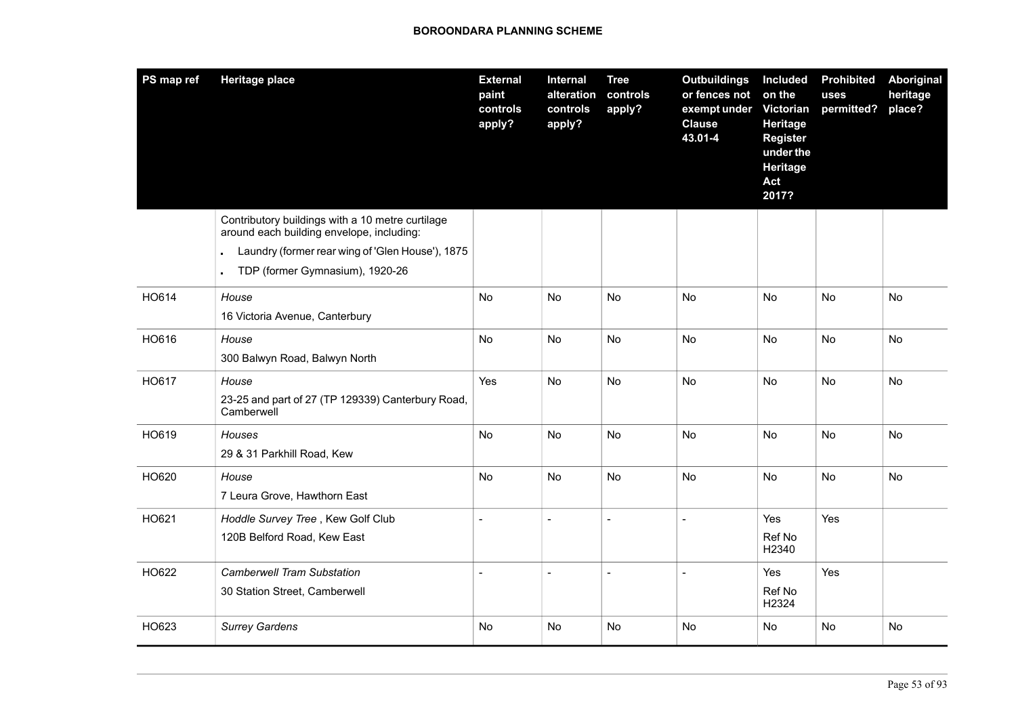| PS map ref | <b>Heritage place</b>                                                                                 | <b>External</b><br>paint<br>controls<br>apply? | Internal<br>alteration<br>controls<br>apply? | <b>Tree</b><br>controls<br>apply? | <b>Outbuildings</b><br>or fences not<br>exempt under<br><b>Clause</b><br>43.01-4 | <b>Included</b><br>on the<br>Victorian<br>Heritage<br><b>Register</b><br>under the<br>Heritage<br>Act<br>2017? | <b>Prohibited</b><br>uses<br>permitted? | Aboriginal<br>heritage<br>place? |
|------------|-------------------------------------------------------------------------------------------------------|------------------------------------------------|----------------------------------------------|-----------------------------------|----------------------------------------------------------------------------------|----------------------------------------------------------------------------------------------------------------|-----------------------------------------|----------------------------------|
|            | Contributory buildings with a 10 metre curtilage<br>around each building envelope, including:         |                                                |                                              |                                   |                                                                                  |                                                                                                                |                                         |                                  |
|            | Laundry (former rear wing of 'Glen House'), 1875<br>TDP (former Gymnasium), 1920-26<br>$\blacksquare$ |                                                |                                              |                                   |                                                                                  |                                                                                                                |                                         |                                  |
| HO614      | House<br>16 Victoria Avenue, Canterbury                                                               | No                                             | <b>No</b>                                    | No                                | <b>No</b>                                                                        | No                                                                                                             | No                                      | No                               |
| HO616      | House<br>300 Balwyn Road, Balwyn North                                                                | No                                             | No                                           | No                                | No                                                                               | No                                                                                                             | No                                      | No                               |
| HO617      | House<br>23-25 and part of 27 (TP 129339) Canterbury Road,<br>Camberwell                              | Yes                                            | No                                           | No                                | No                                                                               | No                                                                                                             | No                                      | No                               |
| HO619      | Houses<br>29 & 31 Parkhill Road, Kew                                                                  | No                                             | No                                           | No                                | No                                                                               | No                                                                                                             | No.                                     | No                               |
| HO620      | House<br>7 Leura Grove, Hawthorn East                                                                 | No                                             | No.                                          | No.                               | <b>No</b>                                                                        | No                                                                                                             | <b>No</b>                               | No                               |
| HO621      | Hoddle Survey Tree, Kew Golf Club<br>120B Belford Road, Kew East                                      |                                                |                                              |                                   | $\overline{a}$                                                                   | Yes<br>Ref No<br>H2340                                                                                         | Yes                                     |                                  |
| HO622      | <b>Camberwell Tram Substation</b><br>30 Station Street, Camberwell                                    |                                                | $\overline{a}$                               |                                   | $\overline{a}$                                                                   | Yes<br>Ref No<br>H2324                                                                                         | Yes                                     |                                  |
| HO623      | <b>Surrey Gardens</b>                                                                                 | No                                             | No                                           | No                                | No                                                                               | No                                                                                                             | No                                      | No                               |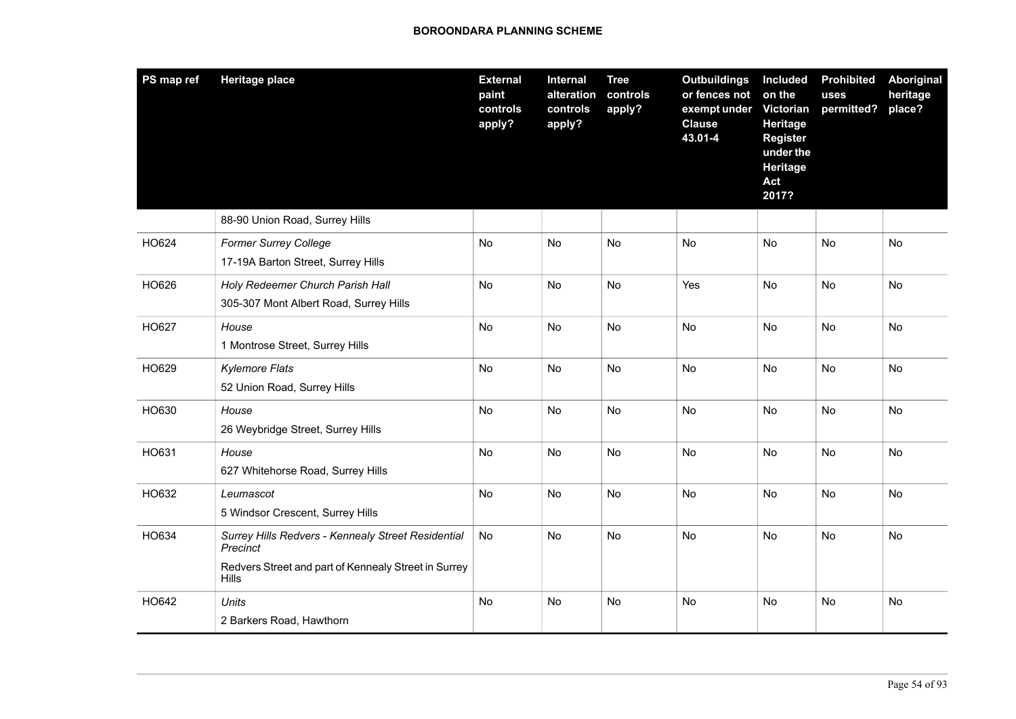| PS map ref | <b>Heritage place</b>                                                                                                                  | <b>External</b><br>paint<br>controls<br>apply? | Internal<br>alteration<br>controls<br>apply? | <b>Tree</b><br>controls<br>apply? | <b>Outbuildings</b><br>or fences not<br>exempt under<br><b>Clause</b><br>43.01-4 | Included<br>on the<br>Victorian<br>Heritage<br><b>Register</b><br>under the<br>Heritage<br>Act<br>2017? | <b>Prohibited</b><br>uses<br>permitted? | Aboriginal<br>heritage<br>place? |
|------------|----------------------------------------------------------------------------------------------------------------------------------------|------------------------------------------------|----------------------------------------------|-----------------------------------|----------------------------------------------------------------------------------|---------------------------------------------------------------------------------------------------------|-----------------------------------------|----------------------------------|
|            | 88-90 Union Road, Surrey Hills                                                                                                         |                                                |                                              |                                   |                                                                                  |                                                                                                         |                                         |                                  |
| HO624      | <b>Former Surrey College</b><br>17-19A Barton Street, Surrey Hills                                                                     | No                                             | No                                           | No                                | No                                                                               | No                                                                                                      | No                                      | No                               |
| HO626      | Holy Redeemer Church Parish Hall<br>305-307 Mont Albert Road, Surrey Hills                                                             | No                                             | <b>No</b>                                    | No                                | Yes                                                                              | <b>No</b>                                                                                               | No                                      | No                               |
| HO627      | House<br>1 Montrose Street, Surrey Hills                                                                                               | <b>No</b>                                      | <b>No</b>                                    | No                                | <b>No</b>                                                                        | <b>No</b>                                                                                               | No                                      | No                               |
| HO629      | <b>Kylemore Flats</b><br>52 Union Road, Surrey Hills                                                                                   | No                                             | No                                           | No                                | No                                                                               | <b>No</b>                                                                                               | No                                      | No                               |
| HO630      | House<br>26 Weybridge Street, Surrey Hills                                                                                             | No                                             | <b>No</b>                                    | No                                | <b>No</b>                                                                        | <b>No</b>                                                                                               | No                                      | No                               |
| HO631      | House<br>627 Whitehorse Road, Surrey Hills                                                                                             | No                                             | No                                           | No                                | <b>No</b>                                                                        | <b>No</b>                                                                                               | No                                      | <b>No</b>                        |
| HO632      | Leumascot<br>5 Windsor Crescent, Surrey Hills                                                                                          | No                                             | <b>No</b>                                    | No                                | No                                                                               | <b>No</b>                                                                                               | No                                      | <b>No</b>                        |
| HO634      | Surrey Hills Redvers - Kennealy Street Residential<br>Precinct<br>Redvers Street and part of Kennealy Street in Surrey<br><b>Hills</b> | No                                             | <b>No</b>                                    | No                                | No                                                                               | <b>No</b>                                                                                               | <b>No</b>                               | No                               |
| HO642      | <b>Units</b><br>2 Barkers Road, Hawthorn                                                                                               | No                                             | No                                           | No                                | No                                                                               | <b>No</b>                                                                                               | No                                      | No                               |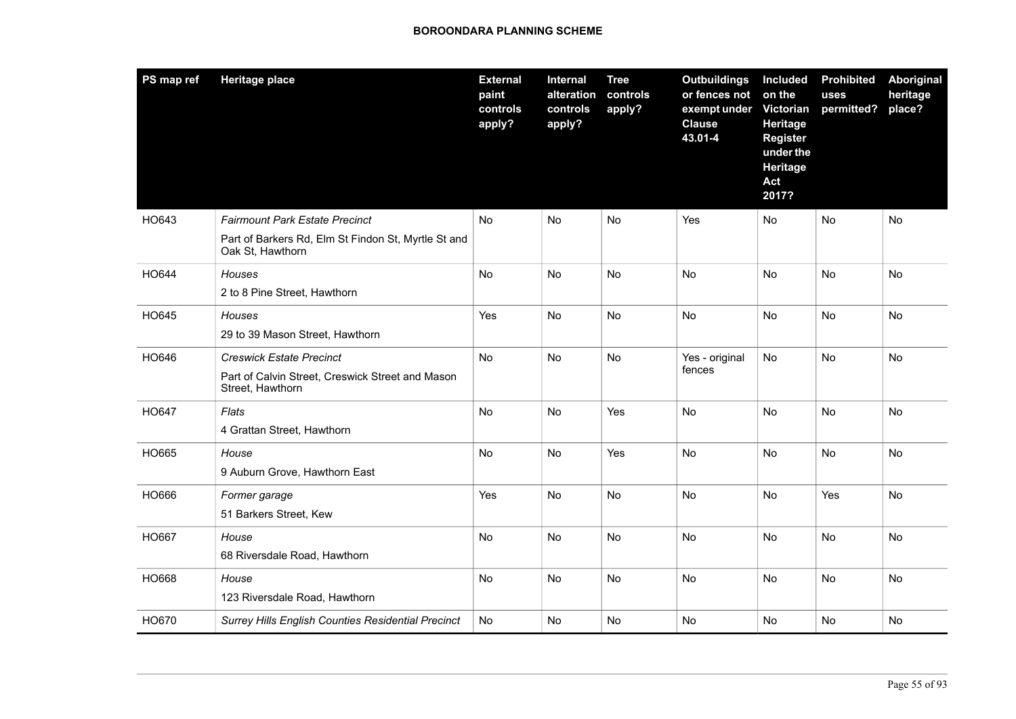| PS map ref | <b>Heritage place</b>                                                   | <b>External</b><br>paint<br>controls<br>apply? | Internal<br>alteration<br>controls<br>apply? | <b>Tree</b><br>controls<br>apply? | <b>Outbuildings</b><br>or fences not<br>exempt under<br><b>Clause</b><br>43.01-4 | Included<br>on the<br><b>Victorian</b><br>Heritage<br><b>Register</b><br>under the<br>Heritage<br>Act<br>2017? | <b>Prohibited</b><br>uses<br>permitted? | Aboriginal<br>heritage<br>place? |
|------------|-------------------------------------------------------------------------|------------------------------------------------|----------------------------------------------|-----------------------------------|----------------------------------------------------------------------------------|----------------------------------------------------------------------------------------------------------------|-----------------------------------------|----------------------------------|
| HO643      | <b>Fairmount Park Estate Precinct</b>                                   | No                                             | No                                           | No                                | Yes                                                                              | No                                                                                                             | No                                      | No                               |
|            | Part of Barkers Rd, Elm St Findon St, Myrtle St and<br>Oak St, Hawthorn |                                                |                                              |                                   |                                                                                  |                                                                                                                |                                         |                                  |
| HO644      | <b>Houses</b>                                                           | No                                             | No                                           | <b>No</b>                         | No                                                                               | No                                                                                                             | No                                      | <b>No</b>                        |
|            | 2 to 8 Pine Street, Hawthorn                                            |                                                |                                              |                                   |                                                                                  |                                                                                                                |                                         |                                  |
| HO645      | Houses                                                                  | Yes                                            | <b>No</b>                                    | No                                | No                                                                               | <b>No</b>                                                                                                      | <b>No</b>                               | No                               |
|            | 29 to 39 Mason Street, Hawthorn                                         |                                                |                                              |                                   |                                                                                  |                                                                                                                |                                         |                                  |
| HO646      | <b>Creswick Estate Precinct</b>                                         | No                                             | <b>No</b>                                    | No                                | Yes - original                                                                   | <b>No</b>                                                                                                      | No                                      | No                               |
|            | Part of Calvin Street, Creswick Street and Mason<br>Street, Hawthorn    |                                                |                                              |                                   | fences                                                                           |                                                                                                                |                                         |                                  |
| HO647      | Flats                                                                   | No                                             | No                                           | Yes                               | No                                                                               | No                                                                                                             | No                                      | No                               |
|            | 4 Grattan Street, Hawthorn                                              |                                                |                                              |                                   |                                                                                  |                                                                                                                |                                         |                                  |
| HO665      | House                                                                   | No                                             | No                                           | Yes                               | No                                                                               | No                                                                                                             | No                                      | No                               |
|            | 9 Auburn Grove, Hawthorn East                                           |                                                |                                              |                                   |                                                                                  |                                                                                                                |                                         |                                  |
| HO666      | Former garage                                                           | Yes                                            | <b>No</b>                                    | <b>No</b>                         | No                                                                               | No                                                                                                             | Yes                                     | <b>No</b>                        |
|            | 51 Barkers Street, Kew                                                  |                                                |                                              |                                   |                                                                                  |                                                                                                                |                                         |                                  |
| HO667      | House                                                                   | No                                             | No                                           | <b>No</b>                         | No                                                                               | No                                                                                                             | No                                      | No                               |
|            | 68 Riversdale Road, Hawthorn                                            |                                                |                                              |                                   |                                                                                  |                                                                                                                |                                         |                                  |
| HO668      | House                                                                   | No                                             | No                                           | No                                | No                                                                               | No.                                                                                                            | No                                      | No                               |
|            | 123 Riversdale Road, Hawthorn                                           |                                                |                                              |                                   |                                                                                  |                                                                                                                |                                         |                                  |
| HO670      | <b>Surrey Hills English Counties Residential Precinct</b>               | No                                             | No                                           | No                                | No                                                                               | No                                                                                                             | No                                      | No                               |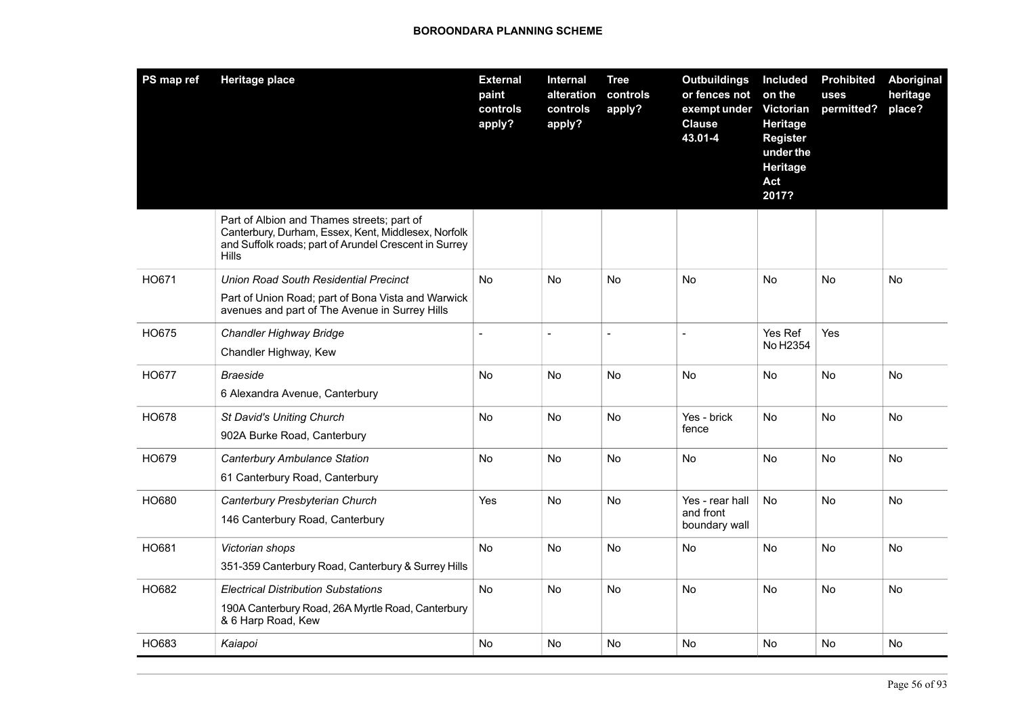| PS map ref | <b>Heritage place</b>                                                                                                                                                      | <b>External</b><br>paint<br>controls<br>apply? | Internal<br>alteration<br>controls<br>apply? | <b>Tree</b><br>controls<br>apply? | <b>Outbuildings</b><br>or fences not<br>exempt under<br><b>Clause</b><br>43.01-4 | Included<br>on the<br>Victorian<br>Heritage<br><b>Register</b><br>under the<br>Heritage<br>Act<br>2017? | <b>Prohibited</b><br>uses<br>permitted? | Aboriginal<br>heritage<br>place? |
|------------|----------------------------------------------------------------------------------------------------------------------------------------------------------------------------|------------------------------------------------|----------------------------------------------|-----------------------------------|----------------------------------------------------------------------------------|---------------------------------------------------------------------------------------------------------|-----------------------------------------|----------------------------------|
|            | Part of Albion and Thames streets; part of<br>Canterbury, Durham, Essex, Kent, Middlesex, Norfolk<br>and Suffolk roads; part of Arundel Crescent in Surrey<br><b>Hills</b> |                                                |                                              |                                   |                                                                                  |                                                                                                         |                                         |                                  |
| HO671      | <b>Union Road South Residential Precinct</b><br>Part of Union Road; part of Bona Vista and Warwick<br>avenues and part of The Avenue in Surrey Hills                       | No                                             | No                                           | No                                | No                                                                               | No                                                                                                      | No                                      | No                               |
| HO675      | Chandler Highway Bridge<br>Chandler Highway, Kew                                                                                                                           | $\equiv$                                       | $\blacksquare$                               | $\blacksquare$                    | $\sim$                                                                           | Yes Ref<br>No H2354                                                                                     | Yes                                     |                                  |
| HO677      | <b>Braeside</b><br>6 Alexandra Avenue, Canterbury                                                                                                                          | No                                             | No                                           | No                                | <b>No</b>                                                                        | No                                                                                                      | No                                      | <b>No</b>                        |
| HO678      | <b>St David's Uniting Church</b><br>902A Burke Road, Canterbury                                                                                                            | No.                                            | No                                           | No                                | Yes - brick<br>fence                                                             | <b>No</b>                                                                                               | No                                      | No.                              |
| HO679      | <b>Canterbury Ambulance Station</b><br>61 Canterbury Road, Canterbury                                                                                                      | No.                                            | No                                           | No                                | <b>No</b>                                                                        | <b>No</b>                                                                                               | No                                      | No.                              |
| HO680      | Canterbury Presbyterian Church<br>146 Canterbury Road, Canterbury                                                                                                          | Yes                                            | No                                           | No                                | Yes - rear hall<br>and front<br>boundary wall                                    | No                                                                                                      | No                                      | No.                              |
| HO681      | Victorian shops<br>351-359 Canterbury Road, Canterbury & Surrey Hills                                                                                                      | No                                             | No                                           | No                                | No                                                                               | No                                                                                                      | No                                      | No                               |
| HO682      | <b>Electrical Distribution Substations</b><br>190A Canterbury Road, 26A Myrtle Road, Canterbury<br>& 6 Harp Road, Kew                                                      | No                                             | No                                           | No                                | No                                                                               | No                                                                                                      | No                                      | No                               |
| HO683      | Kaiapoi                                                                                                                                                                    | No                                             | No                                           | <b>No</b>                         | <b>No</b>                                                                        | No                                                                                                      | <b>No</b>                               | <b>No</b>                        |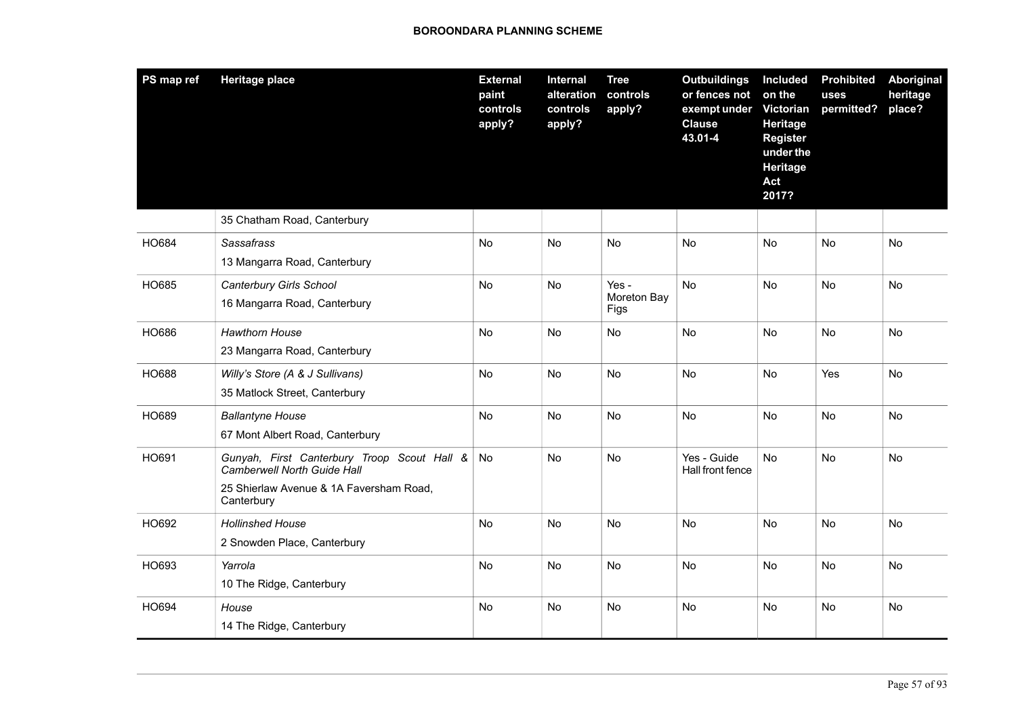| PS map ref | <b>Heritage place</b>                                                                                                                      | <b>External</b><br>paint<br>controls<br>apply? | Internal<br>alteration<br>controls<br>apply? | <b>Tree</b><br>controls<br>apply? | <b>Outbuildings</b><br>or fences not<br>exempt under<br><b>Clause</b><br>43.01-4 | Included<br>on the<br><b>Victorian</b><br>Heritage<br><b>Register</b><br>under the<br>Heritage<br>Act<br>2017? | <b>Prohibited</b><br>uses<br>permitted? | Aboriginal<br>heritage<br>place? |
|------------|--------------------------------------------------------------------------------------------------------------------------------------------|------------------------------------------------|----------------------------------------------|-----------------------------------|----------------------------------------------------------------------------------|----------------------------------------------------------------------------------------------------------------|-----------------------------------------|----------------------------------|
|            | 35 Chatham Road, Canterbury                                                                                                                |                                                |                                              |                                   |                                                                                  |                                                                                                                |                                         |                                  |
| HO684      | Sassafrass<br>13 Mangarra Road, Canterbury                                                                                                 | <b>No</b>                                      | <b>No</b>                                    | <b>No</b>                         | <b>No</b>                                                                        | <b>No</b>                                                                                                      | <b>No</b>                               | <b>No</b>                        |
| HO685      | Canterbury Girls School<br>16 Mangarra Road, Canterbury                                                                                    | No                                             | No                                           | Yes -<br>Moreton Bay<br>Figs      | No                                                                               | No                                                                                                             | No                                      | No                               |
| HO686      | <b>Hawthorn House</b><br>23 Mangarra Road, Canterbury                                                                                      | No                                             | <b>No</b>                                    | No                                | <b>No</b>                                                                        | <b>No</b>                                                                                                      | <b>No</b>                               | <b>No</b>                        |
| HO688      | Willy's Store (A & J Sullivans)<br>35 Matlock Street, Canterbury                                                                           | No                                             | No                                           | No                                | No                                                                               | No                                                                                                             | Yes                                     | No                               |
| HO689      | <b>Ballantyne House</b><br>67 Mont Albert Road, Canterbury                                                                                 | No                                             | No                                           | No                                | No                                                                               | No                                                                                                             | No                                      | No                               |
| HO691      | Gunyah, First Canterbury Troop Scout Hall &<br><b>Camberwell North Guide Hall</b><br>25 Shierlaw Avenue & 1A Faversham Road,<br>Canterbury | No                                             | No                                           | No                                | Yes - Guide<br>Hall front fence                                                  | <b>No</b>                                                                                                      | No                                      | No                               |
| HO692      | <b>Hollinshed House</b><br>2 Snowden Place, Canterbury                                                                                     | No                                             | No                                           | No                                | No                                                                               | No                                                                                                             | No                                      | No                               |
| HO693      | Yarrola<br>10 The Ridge, Canterbury                                                                                                        | No                                             | No                                           | No                                | No                                                                               | No                                                                                                             | No                                      | No                               |
| HO694      | House<br>14 The Ridge, Canterbury                                                                                                          | No                                             | No                                           | No                                | <b>No</b>                                                                        | No                                                                                                             | No                                      | No                               |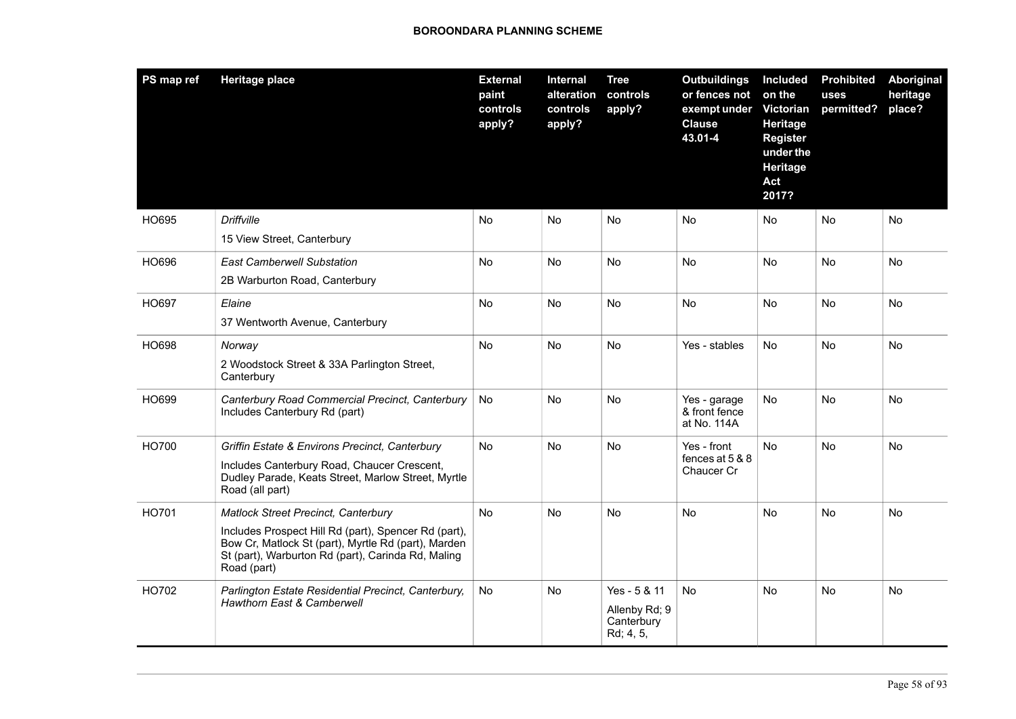| PS map ref | <b>Heritage place</b>                                                                                                                                                                                                          | <b>External</b><br>paint<br>controls<br>apply? | Internal<br>alteration<br>controls<br>apply? | <b>Tree</b><br>controls<br>apply?                        | <b>Outbuildings</b><br>or fences not<br>exempt under<br><b>Clause</b><br>43.01-4 | Included<br>on the<br><b>Victorian</b><br>Heritage<br><b>Register</b><br>under the<br>Heritage<br>Act<br>2017? | <b>Prohibited</b><br>uses<br>permitted? | Aboriginal<br>heritage<br>place? |
|------------|--------------------------------------------------------------------------------------------------------------------------------------------------------------------------------------------------------------------------------|------------------------------------------------|----------------------------------------------|----------------------------------------------------------|----------------------------------------------------------------------------------|----------------------------------------------------------------------------------------------------------------|-----------------------------------------|----------------------------------|
| HO695      | <b>Driffville</b><br>15 View Street, Canterbury                                                                                                                                                                                | No                                             | No.                                          | No                                                       | No                                                                               | No                                                                                                             | No                                      | No                               |
| HO696      | <b>East Camberwell Substation</b><br>2B Warburton Road, Canterbury                                                                                                                                                             | No                                             | No                                           | <b>No</b>                                                | <b>No</b>                                                                        | <b>No</b>                                                                                                      | No                                      | No                               |
| HO697      | Elaine<br>37 Wentworth Avenue, Canterbury                                                                                                                                                                                      | No                                             | No                                           | No.                                                      | No                                                                               | No                                                                                                             | No                                      | No                               |
| HO698      | Norway<br>2 Woodstock Street & 33A Parlington Street,<br>Canterbury                                                                                                                                                            | No                                             | No.                                          | No                                                       | Yes - stables                                                                    | <b>No</b>                                                                                                      | No.                                     | No                               |
| HO699      | Canterbury Road Commercial Precinct, Canterbury<br>Includes Canterbury Rd (part)                                                                                                                                               | <b>No</b>                                      | No.                                          | No                                                       | Yes - garage<br>& front fence<br>at No. 114A                                     | <b>No</b>                                                                                                      | <b>No</b>                               | <b>No</b>                        |
| HO700      | Griffin Estate & Environs Precinct, Canterbury<br>Includes Canterbury Road, Chaucer Crescent,<br>Dudley Parade, Keats Street, Marlow Street, Myrtle<br>Road (all part)                                                         | No                                             | No                                           | No.                                                      | Yes - front<br>fences at 5 & 8<br>Chaucer Cr                                     | <b>No</b>                                                                                                      | No                                      | No                               |
| HO701      | <b>Matlock Street Precinct, Canterbury</b><br>Includes Prospect Hill Rd (part), Spencer Rd (part),<br>Bow Cr, Matlock St (part), Myrtle Rd (part), Marden<br>St (part), Warburton Rd (part), Carinda Rd, Maling<br>Road (part) | No                                             | No                                           | No                                                       | No.                                                                              | No                                                                                                             | No                                      | No                               |
| HO702      | Parlington Estate Residential Precinct, Canterbury,<br><b>Hawthorn East &amp; Camberwell</b>                                                                                                                                   | No                                             | <b>No</b>                                    | Yes - 5 & 11<br>Allenby Rd; 9<br>Canterbury<br>Rd; 4, 5, | <b>No</b>                                                                        | <b>No</b>                                                                                                      | <b>No</b>                               | No                               |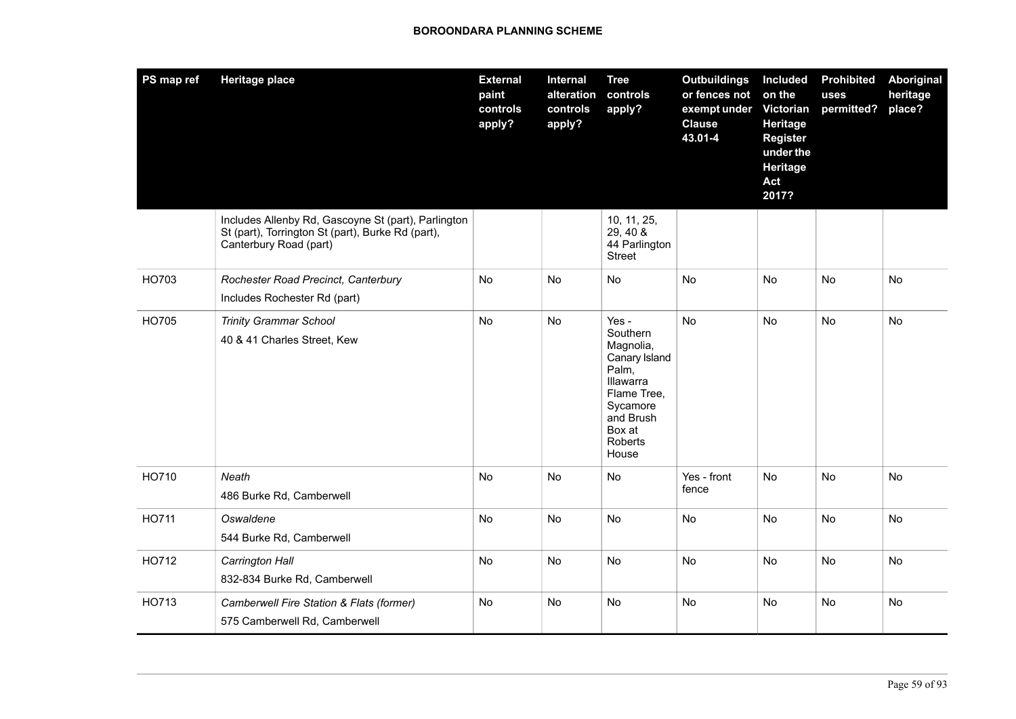| PS map ref | <b>Heritage place</b>                                                                                                              | <b>External</b><br>paint<br>controls<br>apply? | <b>Internal</b><br>alteration<br>controls<br>apply? | <b>Tree</b><br>controls<br>apply?                                                                                                           | <b>Outbuildings</b><br>or fences not<br>exempt under<br><b>Clause</b><br>43.01-4 | Included<br>on the<br>Victorian<br>Heritage<br><b>Register</b><br>under the<br><b>Heritage</b><br>Act<br>2017? | <b>Prohibited</b><br>uses<br>permitted? | <b>Aboriginal</b><br>heritage<br>place? |
|------------|------------------------------------------------------------------------------------------------------------------------------------|------------------------------------------------|-----------------------------------------------------|---------------------------------------------------------------------------------------------------------------------------------------------|----------------------------------------------------------------------------------|----------------------------------------------------------------------------------------------------------------|-----------------------------------------|-----------------------------------------|
|            | Includes Allenby Rd, Gascoyne St (part), Parlington<br>St (part), Torrington St (part), Burke Rd (part),<br>Canterbury Road (part) |                                                |                                                     | 10, 11, 25,<br>29, 40 &<br>44 Parlington<br><b>Street</b>                                                                                   |                                                                                  |                                                                                                                |                                         |                                         |
| HO703      | Rochester Road Precinct, Canterbury<br>Includes Rochester Rd (part)                                                                | <b>No</b>                                      | No.                                                 | <b>No</b>                                                                                                                                   | <b>No</b>                                                                        | <b>No</b>                                                                                                      | <b>No</b>                               | <b>No</b>                               |
| HO705      | <b>Trinity Grammar School</b><br>40 & 41 Charles Street, Kew                                                                       | <b>No</b>                                      | <b>No</b>                                           | Yes -<br>Southern<br>Magnolia,<br>Canary Island<br>Palm,<br>Illawarra<br>Flame Tree,<br>Sycamore<br>and Brush<br>Box at<br>Roberts<br>House | <b>No</b>                                                                        | <b>No</b>                                                                                                      | <b>No</b>                               | No                                      |
| HO710      | Neath<br>486 Burke Rd, Camberwell                                                                                                  | No                                             | No                                                  | No                                                                                                                                          | Yes - front<br>fence                                                             | No                                                                                                             | No                                      | No                                      |
| HO711      | Oswaldene<br>544 Burke Rd, Camberwell                                                                                              | No                                             | No                                                  | No                                                                                                                                          | No                                                                               | No                                                                                                             | No                                      | No                                      |
| HO712      | Carrington Hall<br>832-834 Burke Rd, Camberwell                                                                                    | No                                             | No                                                  | No                                                                                                                                          | No                                                                               | No                                                                                                             | No                                      | No                                      |
| HO713      | Camberwell Fire Station & Flats (former)<br>575 Camberwell Rd, Camberwell                                                          | No                                             | No                                                  | No                                                                                                                                          | No                                                                               | <b>No</b>                                                                                                      | No                                      | No                                      |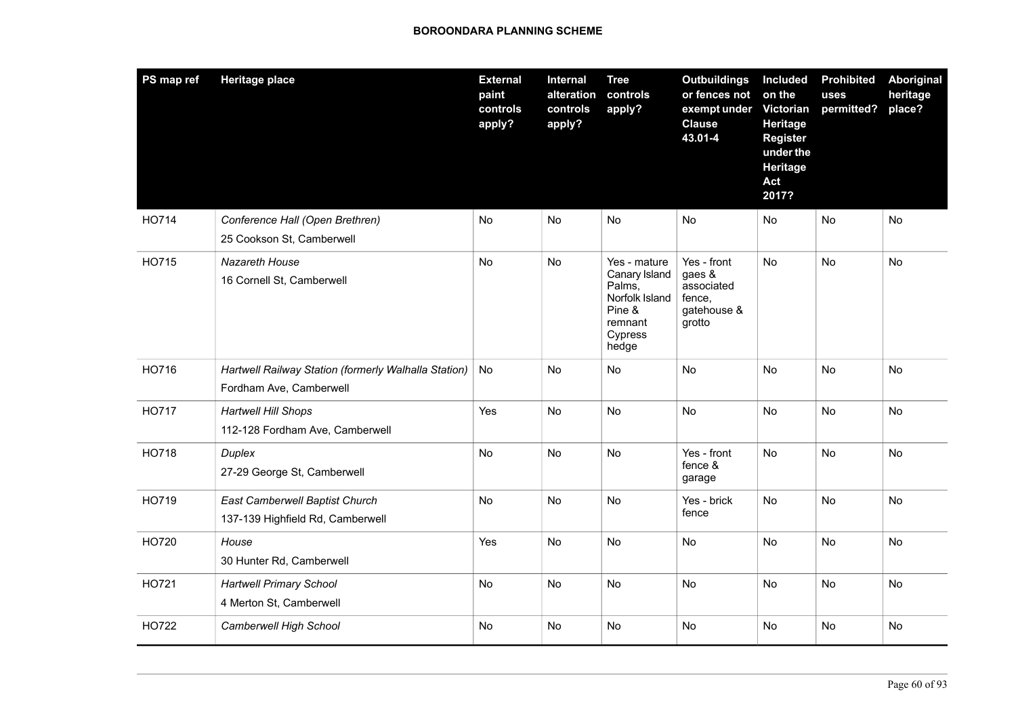| PS map ref   | <b>Heritage place</b>                                                           | <b>External</b><br>paint<br>controls<br>apply? | <b>Internal</b><br>alteration<br>controls<br>apply? | <b>Tree</b><br>controls<br>apply?                                                                  | <b>Outbuildings</b><br>or fences not<br>exempt under<br><b>Clause</b><br>43.01-4 | Included<br>on the<br>Victorian<br>Heritage<br><b>Register</b><br>under the<br><b>Heritage</b><br>Act<br>2017? | <b>Prohibited</b><br>uses<br>permitted? | Aboriginal<br>heritage<br>place? |
|--------------|---------------------------------------------------------------------------------|------------------------------------------------|-----------------------------------------------------|----------------------------------------------------------------------------------------------------|----------------------------------------------------------------------------------|----------------------------------------------------------------------------------------------------------------|-----------------------------------------|----------------------------------|
| HO714        | Conference Hall (Open Brethren)<br>25 Cookson St, Camberwell                    | No                                             | No                                                  | No                                                                                                 | No                                                                               | <b>No</b>                                                                                                      | No                                      | No                               |
| HO715        | Nazareth House<br>16 Cornell St, Camberwell                                     | No                                             | No                                                  | Yes - mature<br>Canary Island<br>Palms,<br>Norfolk Island<br>Pine &<br>remnant<br>Cypress<br>hedge | Yes - front<br>gaes &<br>associated<br>fence,<br>gatehouse &<br>grotto           | No                                                                                                             | No                                      | No                               |
| HO716        | Hartwell Railway Station (formerly Walhalla Station)<br>Fordham Ave, Camberwell | No                                             | No                                                  | No                                                                                                 | No                                                                               | No                                                                                                             | No                                      | No                               |
| <b>HO717</b> | <b>Hartwell Hill Shops</b><br>112-128 Fordham Ave, Camberwell                   | Yes                                            | No                                                  | No                                                                                                 | <b>No</b>                                                                        | No                                                                                                             | No                                      | No                               |
| HO718        | Duplex<br>27-29 George St, Camberwell                                           | No                                             | No                                                  | No                                                                                                 | Yes - front<br>fence &<br>garage                                                 | <b>No</b>                                                                                                      | No                                      | No                               |
| HO719        | East Camberwell Baptist Church<br>137-139 Highfield Rd, Camberwell              | No                                             | No                                                  | No                                                                                                 | Yes - brick<br>fence                                                             | No                                                                                                             | No                                      | No                               |
| HO720        | House<br>30 Hunter Rd, Camberwell                                               | Yes                                            | No                                                  | No                                                                                                 | No                                                                               | No                                                                                                             | No                                      | No                               |
| HO721        | <b>Hartwell Primary School</b><br>4 Merton St, Camberwell                       | No                                             | <b>No</b>                                           | No                                                                                                 | <b>No</b>                                                                        | <b>No</b>                                                                                                      | No                                      | <b>No</b>                        |
| HO722        | Camberwell High School                                                          | No                                             | No                                                  | No                                                                                                 | No                                                                               | No                                                                                                             | No                                      | No                               |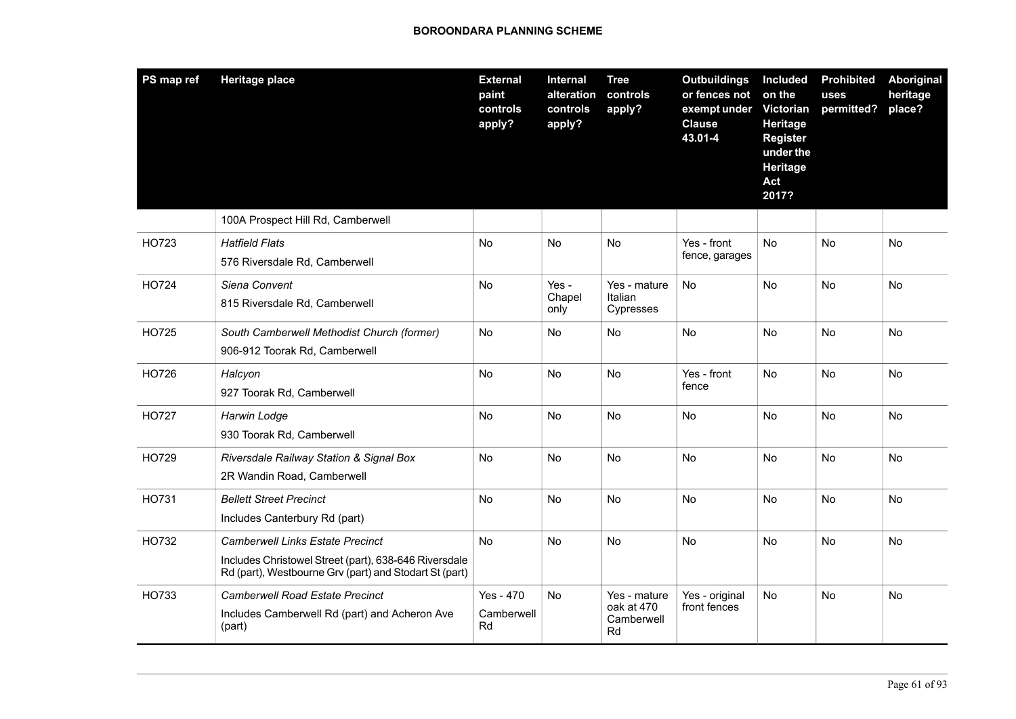| PS map ref | <b>Heritage place</b>                                                                                                                                      | <b>External</b><br>paint<br>controls<br>apply? | Internal<br>alteration<br>controls<br>apply? | <b>Tree</b><br>controls<br>apply?              | <b>Outbuildings</b><br>or fences not<br>exempt under<br><b>Clause</b><br>43.01-4 | Included<br>on the<br>Victorian<br>Heritage<br><b>Register</b><br>under the<br>Heritage<br>Act<br>2017? | <b>Prohibited</b><br>uses<br>permitted? | Aboriginal<br>heritage<br>place? |
|------------|------------------------------------------------------------------------------------------------------------------------------------------------------------|------------------------------------------------|----------------------------------------------|------------------------------------------------|----------------------------------------------------------------------------------|---------------------------------------------------------------------------------------------------------|-----------------------------------------|----------------------------------|
|            | 100A Prospect Hill Rd, Camberwell                                                                                                                          |                                                |                                              |                                                |                                                                                  |                                                                                                         |                                         |                                  |
| HO723      | <b>Hatfield Flats</b><br>576 Riversdale Rd, Camberwell                                                                                                     | No                                             | No                                           | No                                             | Yes - front<br>fence, garages                                                    | No                                                                                                      | No                                      | No                               |
| HO724      | Siena Convent<br>815 Riversdale Rd, Camberwell                                                                                                             | No                                             | Yes -<br>Chapel<br>only                      | Yes - mature<br>Italian<br>Cypresses           | N <sub>o</sub>                                                                   | <b>No</b>                                                                                               | No                                      | No                               |
| HO725      | South Camberwell Methodist Church (former)<br>906-912 Toorak Rd, Camberwell                                                                                | No                                             | No                                           | No                                             | No                                                                               | <b>No</b>                                                                                               | No                                      | No                               |
| HO726      | Halcyon<br>927 Toorak Rd, Camberwell                                                                                                                       | No                                             | No                                           | No                                             | Yes - front<br>fence                                                             | No                                                                                                      | No                                      | No                               |
| HO727      | Harwin Lodge<br>930 Toorak Rd, Camberwell                                                                                                                  | No                                             | No                                           | No                                             | No                                                                               | <b>No</b>                                                                                               | No                                      | No                               |
| HO729      | Riversdale Railway Station & Signal Box<br>2R Wandin Road, Camberwell                                                                                      | No                                             | <b>No</b>                                    | No                                             | <b>No</b>                                                                        | <b>No</b>                                                                                               | No                                      | No                               |
| HO731      | <b>Bellett Street Precinct</b><br>Includes Canterbury Rd (part)                                                                                            | No                                             | No                                           | No                                             | No                                                                               | No                                                                                                      | No                                      | No                               |
| HO732      | <b>Camberwell Links Estate Precinct</b><br>Includes Christowel Street (part), 638-646 Riversdale<br>Rd (part), Westbourne Grv (part) and Stodart St (part) | No                                             | <b>No</b>                                    | No                                             | <b>No</b>                                                                        | No                                                                                                      | No                                      | No                               |
| HO733      | <b>Camberwell Road Estate Precinct</b><br>Includes Camberwell Rd (part) and Acheron Ave<br>(part)                                                          | Yes - 470<br>Camberwell<br>Rd                  | <b>No</b>                                    | Yes - mature<br>oak at 470<br>Camberwell<br>Rd | Yes - original<br>front fences                                                   | No                                                                                                      | No                                      | No                               |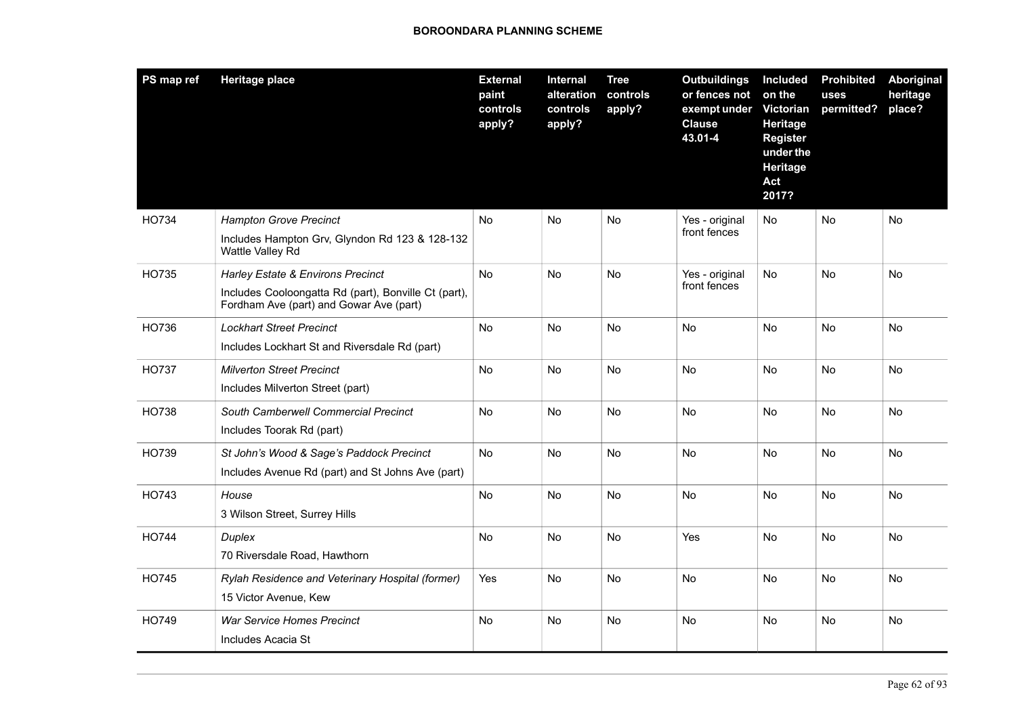| PS map ref   | <b>Heritage place</b>                                                                                                                | <b>External</b><br>paint<br>controls<br>apply? | Internal<br>alteration<br>controls<br>apply? | <b>Tree</b><br>controls<br>apply? | <b>Outbuildings</b><br>or fences not<br>exempt under<br><b>Clause</b><br>43.01-4 | Included<br>on the<br><b>Victorian</b><br>Heritage<br><b>Register</b><br>under the<br>Heritage<br>Act<br>2017? | <b>Prohibited</b><br>uses<br>permitted? | Aboriginal<br>heritage<br>place? |
|--------------|--------------------------------------------------------------------------------------------------------------------------------------|------------------------------------------------|----------------------------------------------|-----------------------------------|----------------------------------------------------------------------------------|----------------------------------------------------------------------------------------------------------------|-----------------------------------------|----------------------------------|
| HO734        | <b>Hampton Grove Precinct</b><br>Includes Hampton Grv, Glyndon Rd 123 & 128-132<br>Wattle Valley Rd                                  | <b>No</b>                                      | <b>No</b>                                    | No                                | Yes - original<br>front fences                                                   | No                                                                                                             | <b>No</b>                               | No                               |
| HO735        | Harley Estate & Environs Precinct<br>Includes Cooloongatta Rd (part), Bonville Ct (part),<br>Fordham Ave (part) and Gowar Ave (part) | <b>No</b>                                      | <b>No</b>                                    | No                                | Yes - original<br>front fences                                                   | <b>No</b>                                                                                                      | <b>No</b>                               | <b>No</b>                        |
| HO736        | <b>Lockhart Street Precinct</b><br>Includes Lockhart St and Riversdale Rd (part)                                                     | No                                             | No                                           | No                                | <b>No</b>                                                                        | <b>No</b>                                                                                                      | No                                      | No                               |
| HO737        | <b>Milverton Street Precinct</b><br>Includes Milverton Street (part)                                                                 | <b>No</b>                                      | <b>No</b>                                    | <b>No</b>                         | No                                                                               | No                                                                                                             | No                                      | No                               |
| HO738        | <b>South Camberwell Commercial Precinct</b><br>Includes Toorak Rd (part)                                                             | No                                             | No                                           | No                                | <b>No</b>                                                                        | No                                                                                                             | No                                      | No                               |
| HO739        | St John's Wood & Sage's Paddock Precinct<br>Includes Avenue Rd (part) and St Johns Ave (part)                                        | No                                             | <b>No</b>                                    | No                                | <b>No</b>                                                                        | <b>No</b>                                                                                                      | No                                      | No                               |
| HO743        | House<br>3 Wilson Street, Surrey Hills                                                                                               | No                                             | No                                           | No                                | <b>No</b>                                                                        | <b>No</b>                                                                                                      | <b>No</b>                               | No                               |
| HO744        | Duplex<br>70 Riversdale Road, Hawthorn                                                                                               | No                                             | <b>No</b>                                    | <b>No</b>                         | Yes                                                                              | No                                                                                                             | No                                      | No                               |
| <b>HO745</b> | Rylah Residence and Veterinary Hospital (former)<br>15 Victor Avenue, Kew                                                            | Yes                                            | <b>No</b>                                    | No                                | <b>No</b>                                                                        | <b>No</b>                                                                                                      | No                                      | No                               |
| HO749        | <b>War Service Homes Precinct</b><br>Includes Acacia St                                                                              | No                                             | No                                           | No                                | <b>No</b>                                                                        | <b>No</b>                                                                                                      | <b>No</b>                               | No                               |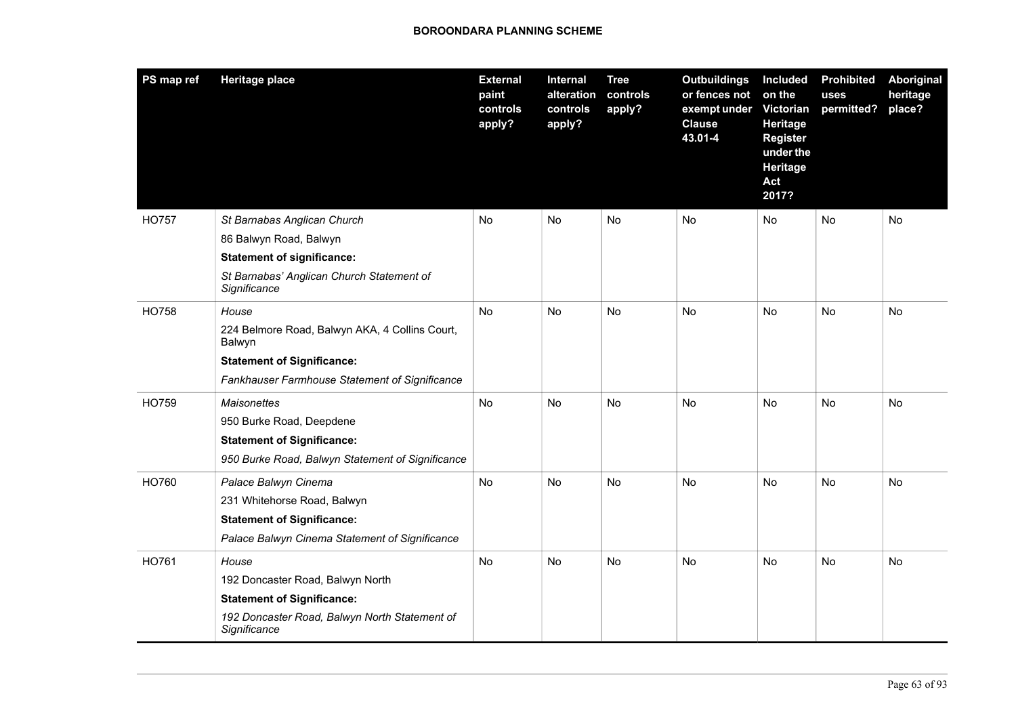| PS map ref   | <b>Heritage place</b>                                         | <b>External</b><br>paint<br>controls<br>apply? | Internal<br>alteration<br>controls<br>apply? | <b>Tree</b><br>controls<br>apply? | <b>Outbuildings</b><br>or fences not<br>exempt under<br><b>Clause</b><br>43.01-4 | <b>Included</b><br>on the<br>Victorian<br><b>Heritage</b><br><b>Register</b><br>under the<br>Heritage<br>Act<br>2017? | <b>Prohibited</b><br>uses<br>permitted? | Aboriginal<br>heritage<br>place? |
|--------------|---------------------------------------------------------------|------------------------------------------------|----------------------------------------------|-----------------------------------|----------------------------------------------------------------------------------|-----------------------------------------------------------------------------------------------------------------------|-----------------------------------------|----------------------------------|
| <b>HO757</b> | St Barnabas Anglican Church                                   | No                                             | No                                           | No                                | No.                                                                              | No.                                                                                                                   | No                                      | No.                              |
|              | 86 Balwyn Road, Balwyn                                        |                                                |                                              |                                   |                                                                                  |                                                                                                                       |                                         |                                  |
|              | <b>Statement of significance:</b>                             |                                                |                                              |                                   |                                                                                  |                                                                                                                       |                                         |                                  |
|              | St Barnabas' Anglican Church Statement of<br>Significance     |                                                |                                              |                                   |                                                                                  |                                                                                                                       |                                         |                                  |
| <b>HO758</b> | House                                                         | <b>No</b>                                      | <b>No</b>                                    | <b>No</b>                         | <b>No</b>                                                                        | <b>No</b>                                                                                                             | <b>No</b>                               | <b>No</b>                        |
|              | 224 Belmore Road, Balwyn AKA, 4 Collins Court,<br>Balwyn      |                                                |                                              |                                   |                                                                                  |                                                                                                                       |                                         |                                  |
|              | <b>Statement of Significance:</b>                             |                                                |                                              |                                   |                                                                                  |                                                                                                                       |                                         |                                  |
|              | Fankhauser Farmhouse Statement of Significance                |                                                |                                              |                                   |                                                                                  |                                                                                                                       |                                         |                                  |
| HO759        | <b>Maisonettes</b>                                            | No                                             | No                                           | No                                | <b>No</b>                                                                        | <b>No</b>                                                                                                             | No                                      | No                               |
|              | 950 Burke Road, Deepdene                                      |                                                |                                              |                                   |                                                                                  |                                                                                                                       |                                         |                                  |
|              | <b>Statement of Significance:</b>                             |                                                |                                              |                                   |                                                                                  |                                                                                                                       |                                         |                                  |
|              | 950 Burke Road, Balwyn Statement of Significance              |                                                |                                              |                                   |                                                                                  |                                                                                                                       |                                         |                                  |
| HO760        | Palace Balwyn Cinema                                          | No                                             | No                                           | No                                | <b>No</b>                                                                        | <b>No</b>                                                                                                             | No                                      | No                               |
|              | 231 Whitehorse Road, Balwyn                                   |                                                |                                              |                                   |                                                                                  |                                                                                                                       |                                         |                                  |
|              | <b>Statement of Significance:</b>                             |                                                |                                              |                                   |                                                                                  |                                                                                                                       |                                         |                                  |
|              | Palace Balwyn Cinema Statement of Significance                |                                                |                                              |                                   |                                                                                  |                                                                                                                       |                                         |                                  |
| HO761        | House                                                         | No                                             | No                                           | No                                | No                                                                               | No                                                                                                                    | No                                      | No                               |
|              | 192 Doncaster Road, Balwyn North                              |                                                |                                              |                                   |                                                                                  |                                                                                                                       |                                         |                                  |
|              | <b>Statement of Significance:</b>                             |                                                |                                              |                                   |                                                                                  |                                                                                                                       |                                         |                                  |
|              | 192 Doncaster Road, Balwyn North Statement of<br>Significance |                                                |                                              |                                   |                                                                                  |                                                                                                                       |                                         |                                  |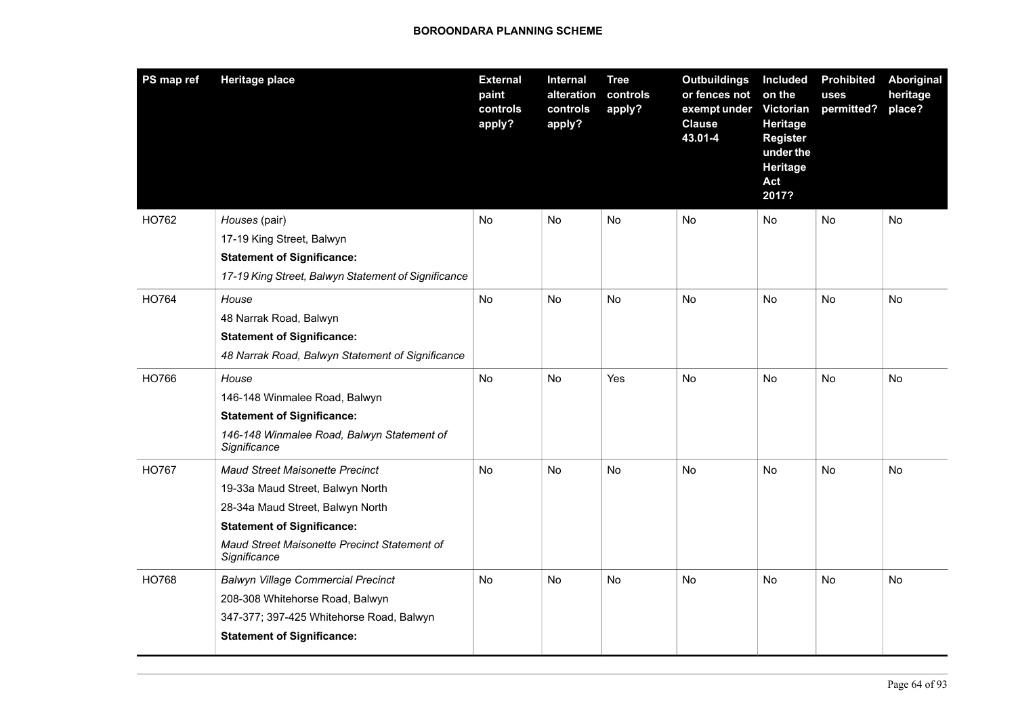| PS map ref   | <b>Heritage place</b>                                        | <b>External</b><br>paint<br>controls<br>apply? | Internal<br>alteration<br>controls<br>apply? | <b>Tree</b><br>controls<br>apply? | <b>Outbuildings</b><br>or fences not<br>exempt under<br><b>Clause</b><br>43.01-4 | Included<br>on the<br><b>Victorian</b><br>Heritage<br><b>Register</b><br>under the<br>Heritage<br>Act<br>2017? | <b>Prohibited</b><br>uses<br>permitted? | Aboriginal<br>heritage<br>place? |
|--------------|--------------------------------------------------------------|------------------------------------------------|----------------------------------------------|-----------------------------------|----------------------------------------------------------------------------------|----------------------------------------------------------------------------------------------------------------|-----------------------------------------|----------------------------------|
| HO762        | Houses (pair)                                                | <b>No</b>                                      | <b>No</b>                                    | No                                | N <sub>o</sub>                                                                   | No                                                                                                             | No                                      | No                               |
|              | 17-19 King Street, Balwyn                                    |                                                |                                              |                                   |                                                                                  |                                                                                                                |                                         |                                  |
|              | <b>Statement of Significance:</b>                            |                                                |                                              |                                   |                                                                                  |                                                                                                                |                                         |                                  |
|              | 17-19 King Street, Balwyn Statement of Significance          |                                                |                                              |                                   |                                                                                  |                                                                                                                |                                         |                                  |
| HO764        | House                                                        | No                                             | <b>No</b>                                    | No                                | <b>No</b>                                                                        | No                                                                                                             | <b>No</b>                               | No                               |
|              | 48 Narrak Road, Balwyn                                       |                                                |                                              |                                   |                                                                                  |                                                                                                                |                                         |                                  |
|              | <b>Statement of Significance:</b>                            |                                                |                                              |                                   |                                                                                  |                                                                                                                |                                         |                                  |
|              | 48 Narrak Road, Balwyn Statement of Significance             |                                                |                                              |                                   |                                                                                  |                                                                                                                |                                         |                                  |
| HO766        | House                                                        | No                                             | No                                           | Yes                               | <b>No</b>                                                                        | <b>No</b>                                                                                                      | No                                      | No                               |
|              | 146-148 Winmalee Road, Balwyn                                |                                                |                                              |                                   |                                                                                  |                                                                                                                |                                         |                                  |
|              | <b>Statement of Significance:</b>                            |                                                |                                              |                                   |                                                                                  |                                                                                                                |                                         |                                  |
|              | 146-148 Winmalee Road, Balwyn Statement of<br>Significance   |                                                |                                              |                                   |                                                                                  |                                                                                                                |                                         |                                  |
| <b>HO767</b> | <b>Maud Street Maisonette Precinct</b>                       | No                                             | No                                           | No                                | No                                                                               | No                                                                                                             | No                                      | No                               |
|              | 19-33a Maud Street, Balwyn North                             |                                                |                                              |                                   |                                                                                  |                                                                                                                |                                         |                                  |
|              | 28-34a Maud Street, Balwyn North                             |                                                |                                              |                                   |                                                                                  |                                                                                                                |                                         |                                  |
|              | <b>Statement of Significance:</b>                            |                                                |                                              |                                   |                                                                                  |                                                                                                                |                                         |                                  |
|              | Maud Street Maisonette Precinct Statement of<br>Significance |                                                |                                              |                                   |                                                                                  |                                                                                                                |                                         |                                  |
| <b>HO768</b> | <b>Balwyn Village Commercial Precinct</b>                    | No                                             | No                                           | No                                | No                                                                               | No                                                                                                             | No                                      | No                               |
|              | 208-308 Whitehorse Road, Balwyn                              |                                                |                                              |                                   |                                                                                  |                                                                                                                |                                         |                                  |
|              | 347-377; 397-425 Whitehorse Road, Balwyn                     |                                                |                                              |                                   |                                                                                  |                                                                                                                |                                         |                                  |
|              | <b>Statement of Significance:</b>                            |                                                |                                              |                                   |                                                                                  |                                                                                                                |                                         |                                  |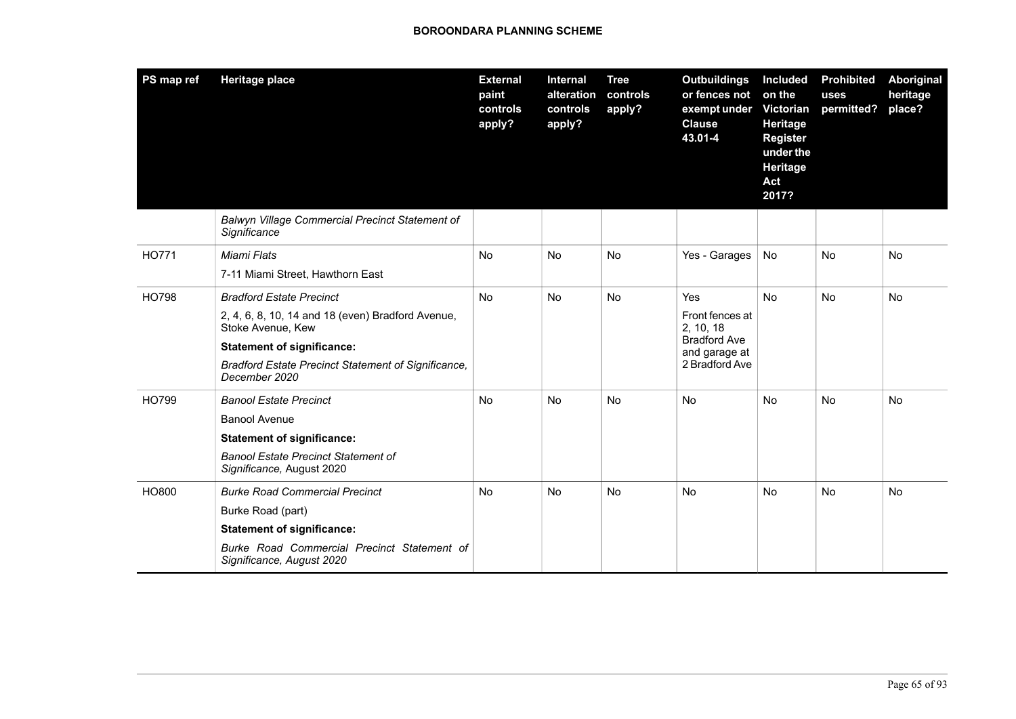| PS map ref   | <b>Heritage place</b>                                                                                                                                                                                                  | <b>External</b><br>paint<br>controls<br>apply? | Internal<br>alteration<br>controls<br>apply? | <b>Tree</b><br>controls<br>apply? | <b>Outbuildings</b><br>or fences not<br>exempt under Victorian<br><b>Clause</b><br>43.01-4           | <b>Included</b><br>on the<br><b>Heritage</b><br><b>Register</b><br>under the<br>Heritage<br>Act<br>2017? | <b>Prohibited</b><br>uses<br>permitted? | <b>Aboriginal</b><br>heritage<br>place? |
|--------------|------------------------------------------------------------------------------------------------------------------------------------------------------------------------------------------------------------------------|------------------------------------------------|----------------------------------------------|-----------------------------------|------------------------------------------------------------------------------------------------------|----------------------------------------------------------------------------------------------------------|-----------------------------------------|-----------------------------------------|
|              | Balwyn Village Commercial Precinct Statement of<br>Significance                                                                                                                                                        |                                                |                                              |                                   |                                                                                                      |                                                                                                          |                                         |                                         |
| HO771        | Miami Flats<br>7-11 Miami Street, Hawthorn East                                                                                                                                                                        | <b>No</b>                                      | <b>No</b>                                    | <b>No</b>                         | Yes - Garages                                                                                        | No                                                                                                       | <b>No</b>                               | <b>No</b>                               |
| <b>HO798</b> | <b>Bradford Estate Precinct</b><br>2, 4, 6, 8, 10, 14 and 18 (even) Bradford Avenue,<br>Stoke Avenue, Kew<br><b>Statement of significance:</b><br>Bradford Estate Precinct Statement of Significance,<br>December 2020 | <b>No</b>                                      | <b>No</b>                                    | <b>No</b>                         | <b>Yes</b><br>Front fences at<br>2, 10, 18<br><b>Bradford Ave</b><br>and garage at<br>2 Bradford Ave | <b>No</b>                                                                                                | <b>No</b>                               | <b>No</b>                               |
| HO799        | <b>Banool Estate Precinct</b><br><b>Banool Avenue</b><br><b>Statement of significance:</b><br><b>Banool Estate Precinct Statement of</b><br>Significance, August 2020                                                  | <b>No</b>                                      | No                                           | <b>No</b>                         | <b>No</b>                                                                                            | No                                                                                                       | <b>No</b>                               | <b>No</b>                               |
| HO800        | <b>Burke Road Commercial Precinct</b><br>Burke Road (part)<br><b>Statement of significance:</b><br>Burke Road Commercial Precinct Statement of<br>Significance, August 2020                                            | <b>No</b>                                      | <b>No</b>                                    | <b>No</b>                         | <b>No</b>                                                                                            | No                                                                                                       | <b>No</b>                               | <b>No</b>                               |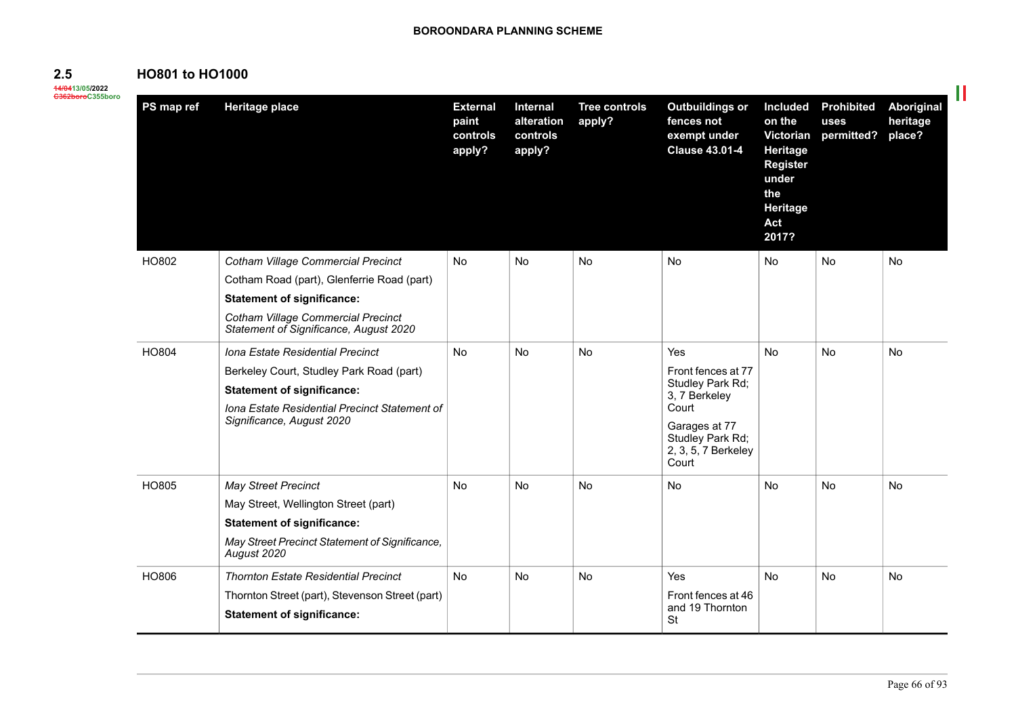# **HO801 to HO1000**

**14/0413/05/2022 C362boroC355boro**

**2.5**

| PS map ref | <b>Heritage place</b>                                                                                                                                                                                               | <b>External</b><br>paint<br>controls<br>apply? | <b>Internal</b><br>alteration<br>controls<br>apply? | <b>Tree controls</b><br>apply? | <b>Outbuildings or</b><br>fences not<br>exempt under<br><b>Clause 43.01-4</b>                                                                | <b>Included</b><br>on the<br>Victorian<br>Heritage<br><b>Register</b><br>under<br>the<br>Heritage<br>Act<br>2017? | <b>Prohibited</b><br>uses<br>permitted? | Aboriginal<br>heritage<br>place? |
|------------|---------------------------------------------------------------------------------------------------------------------------------------------------------------------------------------------------------------------|------------------------------------------------|-----------------------------------------------------|--------------------------------|----------------------------------------------------------------------------------------------------------------------------------------------|-------------------------------------------------------------------------------------------------------------------|-----------------------------------------|----------------------------------|
| HO802      | <b>Cotham Village Commercial Precinct</b><br>Cotham Road (part), Glenferrie Road (part)<br><b>Statement of significance:</b><br><b>Cotham Village Commercial Precinct</b><br>Statement of Significance, August 2020 | N <sub>o</sub>                                 | No.                                                 | No.                            | No                                                                                                                                           | <b>No</b>                                                                                                         | No                                      | No                               |
| HO804      | Iona Estate Residential Precinct<br>Berkeley Court, Studley Park Road (part)<br><b>Statement of significance:</b><br>Iona Estate Residential Precinct Statement of<br>Significance, August 2020                     | <b>No</b>                                      | <b>No</b>                                           | No                             | Yes<br>Front fences at 77<br>Studley Park Rd;<br>3, 7 Berkeley<br>Court<br>Garages at 77<br>Studley Park Rd;<br>2, 3, 5, 7 Berkeley<br>Court | No                                                                                                                | No                                      | No                               |
| HO805      | <b>May Street Precinct</b><br>May Street, Wellington Street (part)<br><b>Statement of significance:</b><br>May Street Precinct Statement of Significance,<br>August 2020                                            | <b>No</b>                                      | <b>No</b>                                           | <b>No</b>                      | <b>No</b>                                                                                                                                    | <b>No</b>                                                                                                         | <b>No</b>                               | <b>No</b>                        |
| HO806      | <b>Thornton Estate Residential Precinct</b><br>Thornton Street (part), Stevenson Street (part)<br><b>Statement of significance:</b>                                                                                 | No                                             | No                                                  | No                             | Yes<br>Front fences at 46<br>and 19 Thornton<br><b>St</b>                                                                                    | No                                                                                                                | No                                      | No                               |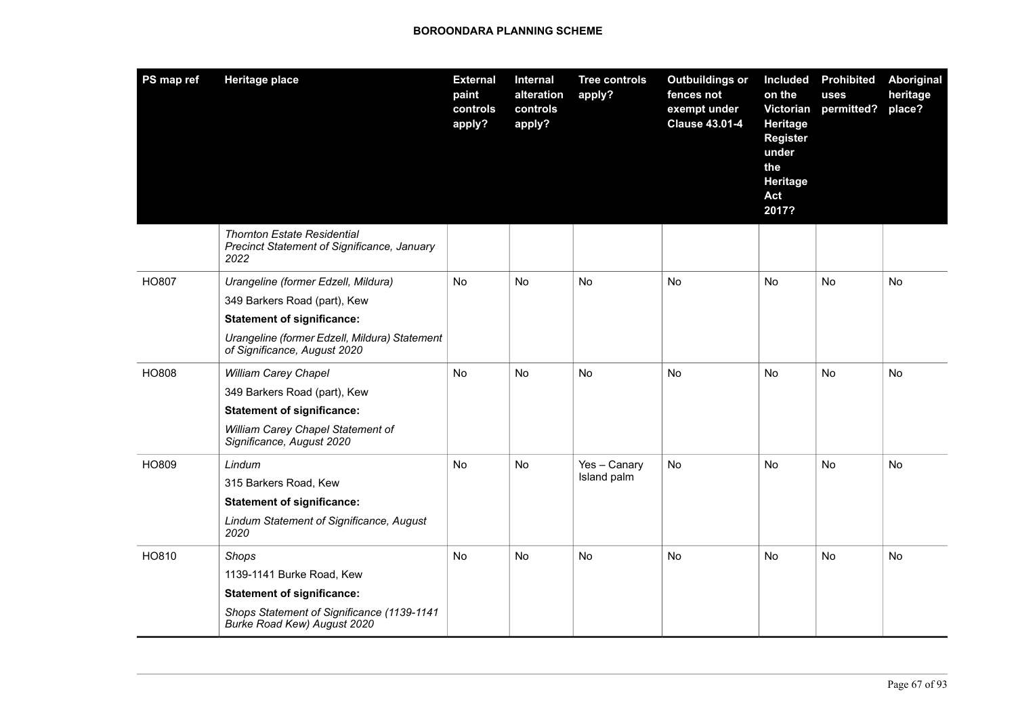| PS map ref   | <b>Heritage place</b>                                                                                                                                                                     | <b>External</b><br>paint<br>controls<br>apply? | Internal<br>alteration<br>controls<br>apply? | <b>Tree controls</b><br>apply? | <b>Outbuildings or</b><br>fences not<br>exempt under<br><b>Clause 43.01-4</b> | <b>Included</b><br>on the<br>Victorian<br>Heritage<br><b>Register</b><br>under<br>the<br>Heritage<br>Act<br>2017? | <b>Prohibited</b><br>uses<br>permitted? | Aboriginal<br>heritage<br>place? |
|--------------|-------------------------------------------------------------------------------------------------------------------------------------------------------------------------------------------|------------------------------------------------|----------------------------------------------|--------------------------------|-------------------------------------------------------------------------------|-------------------------------------------------------------------------------------------------------------------|-----------------------------------------|----------------------------------|
|              | <b>Thornton Estate Residential</b><br>Precinct Statement of Significance, January<br>2022                                                                                                 |                                                |                                              |                                |                                                                               |                                                                                                                   |                                         |                                  |
| <b>HO807</b> | Urangeline (former Edzell, Mildura)<br>349 Barkers Road (part), Kew<br><b>Statement of significance:</b><br>Urangeline (former Edzell, Mildura) Statement<br>of Significance, August 2020 | No.                                            | No                                           | <b>No</b>                      | N <sub>o</sub>                                                                | No                                                                                                                | <b>No</b>                               | No.                              |
| HO808        | <b>William Carey Chapel</b><br>349 Barkers Road (part), Kew<br><b>Statement of significance:</b><br>William Carey Chapel Statement of<br>Significance, August 2020                        | No                                             | No                                           | No                             | No                                                                            | No                                                                                                                | No                                      | No                               |
| HO809        | Lindum<br>315 Barkers Road, Kew<br><b>Statement of significance:</b><br>Lindum Statement of Significance, August<br>2020                                                                  | No.                                            | No                                           | Yes - Canary<br>Island palm    | No                                                                            | No                                                                                                                | No                                      | No                               |
| HO810        | Shops<br>1139-1141 Burke Road, Kew<br><b>Statement of significance:</b><br>Shops Statement of Significance (1139-1141<br>Burke Road Kew) August 2020                                      | No                                             | No                                           | No                             | No                                                                            | No                                                                                                                | No                                      | No                               |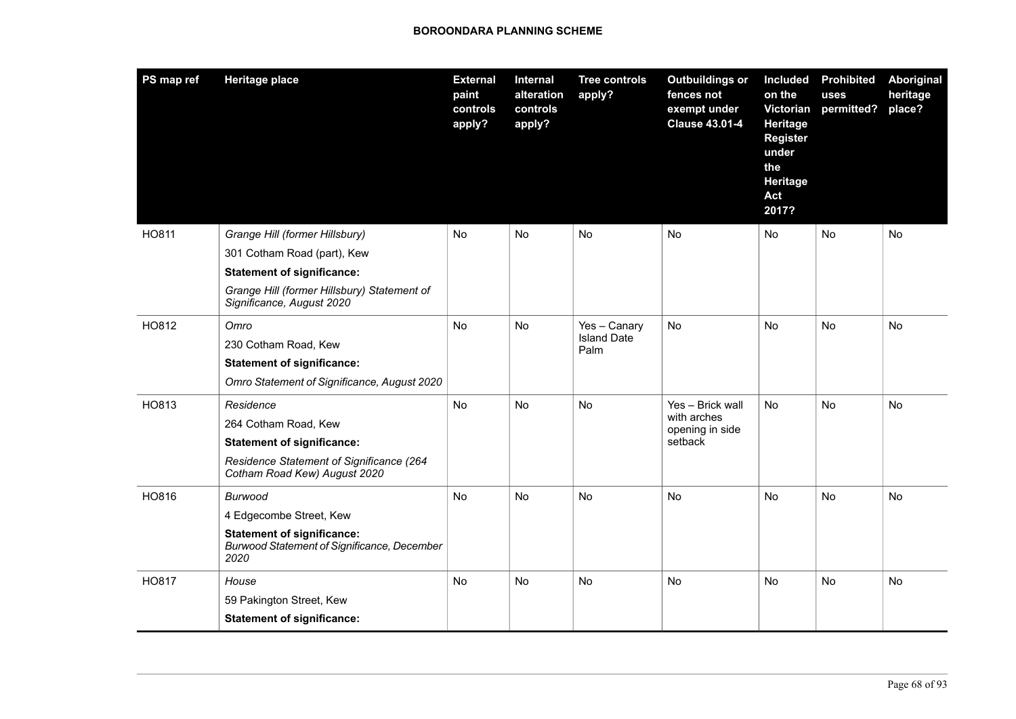| PS map ref   | <b>Heritage place</b>                                                                           | <b>External</b><br>paint<br>controls<br>apply? | Internal<br>alteration<br>controls<br>apply? | <b>Tree controls</b><br>apply? | <b>Outbuildings or</b><br>fences not<br>exempt under<br><b>Clause 43.01-4</b> | Included<br>on the<br>Victorian<br>Heritage<br><b>Register</b><br>under<br>the<br><b>Heritage</b><br>Act<br>2017? | <b>Prohibited</b><br>uses<br>permitted? | Aboriginal<br>heritage<br>place? |
|--------------|-------------------------------------------------------------------------------------------------|------------------------------------------------|----------------------------------------------|--------------------------------|-------------------------------------------------------------------------------|-------------------------------------------------------------------------------------------------------------------|-----------------------------------------|----------------------------------|
| <b>HO811</b> | Grange Hill (former Hillsbury)                                                                  | N <sub>o</sub>                                 | <b>No</b>                                    | No.                            | <b>No</b>                                                                     | No.                                                                                                               | No.                                     | No                               |
|              | 301 Cotham Road (part), Kew                                                                     |                                                |                                              |                                |                                                                               |                                                                                                                   |                                         |                                  |
|              | <b>Statement of significance:</b>                                                               |                                                |                                              |                                |                                                                               |                                                                                                                   |                                         |                                  |
|              | Grange Hill (former Hillsbury) Statement of<br>Significance, August 2020                        |                                                |                                              |                                |                                                                               |                                                                                                                   |                                         |                                  |
| HO812        | Omro                                                                                            | No                                             | No                                           | Yes - Canary                   | No                                                                            | No                                                                                                                | No                                      | No                               |
|              | 230 Cotham Road, Kew                                                                            |                                                |                                              | <b>Island Date</b><br>Palm     |                                                                               |                                                                                                                   |                                         |                                  |
|              | <b>Statement of significance:</b>                                                               |                                                |                                              |                                |                                                                               |                                                                                                                   |                                         |                                  |
|              | Omro Statement of Significance, August 2020                                                     |                                                |                                              |                                |                                                                               |                                                                                                                   |                                         |                                  |
| HO813        | Residence                                                                                       | No                                             | No                                           | <b>No</b>                      | Yes - Brick wall                                                              | No                                                                                                                | No                                      | No                               |
|              | 264 Cotham Road, Kew                                                                            |                                                |                                              |                                | with arches<br>opening in side                                                |                                                                                                                   |                                         |                                  |
|              | <b>Statement of significance:</b>                                                               |                                                |                                              |                                | setback                                                                       |                                                                                                                   |                                         |                                  |
|              | Residence Statement of Significance (264<br>Cotham Road Kew) August 2020                        |                                                |                                              |                                |                                                                               |                                                                                                                   |                                         |                                  |
| HO816        | Burwood                                                                                         | No                                             | No                                           | No                             | No                                                                            | No                                                                                                                | No                                      | No                               |
|              | 4 Edgecombe Street, Kew                                                                         |                                                |                                              |                                |                                                                               |                                                                                                                   |                                         |                                  |
|              | <b>Statement of significance:</b><br><b>Burwood Statement of Significance, December</b><br>2020 |                                                |                                              |                                |                                                                               |                                                                                                                   |                                         |                                  |
| HO817        | House                                                                                           | N <sub>o</sub>                                 | <b>No</b>                                    | <b>No</b>                      | <b>No</b>                                                                     | <b>No</b>                                                                                                         | N <sub>o</sub>                          | No                               |
|              | 59 Pakington Street, Kew                                                                        |                                                |                                              |                                |                                                                               |                                                                                                                   |                                         |                                  |
|              | <b>Statement of significance:</b>                                                               |                                                |                                              |                                |                                                                               |                                                                                                                   |                                         |                                  |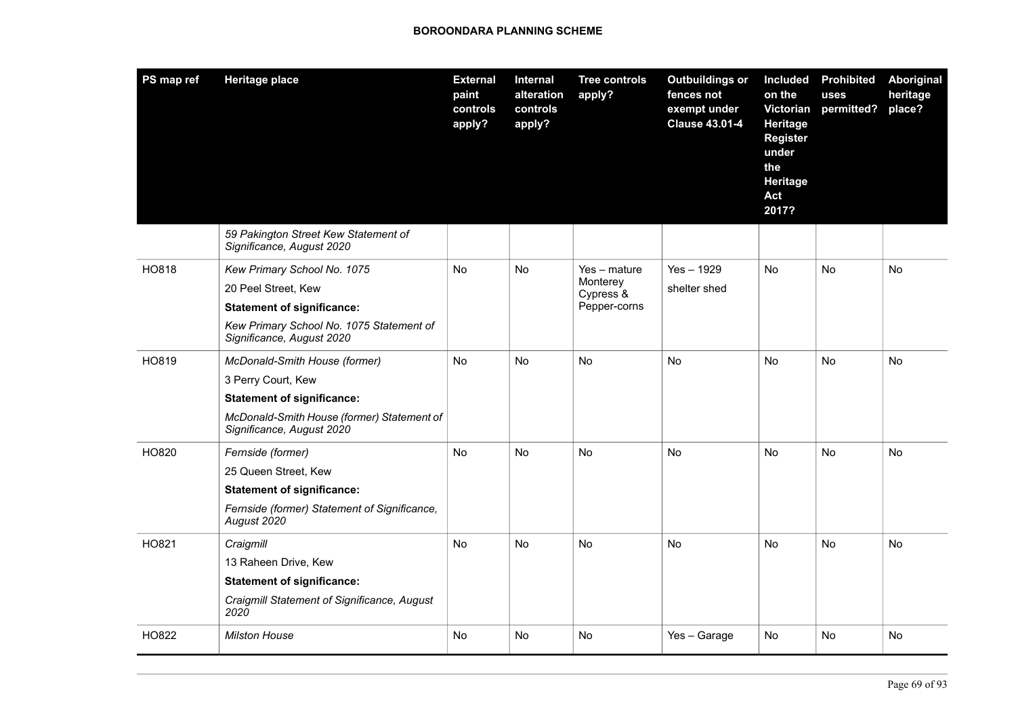| PS map ref | <b>Heritage place</b>                                                   | <b>External</b><br>paint<br>controls<br>apply? | Internal<br>alteration<br>controls<br>apply? | <b>Tree controls</b><br>apply? | <b>Outbuildings or</b><br>fences not<br>exempt under<br><b>Clause 43.01-4</b> | <b>Included</b><br>on the<br>Victorian<br>Heritage<br><b>Register</b><br>under<br>the<br>Heritage<br>Act<br>2017? | <b>Prohibited</b><br>uses<br>permitted? | Aboriginal<br>heritage<br>place? |
|------------|-------------------------------------------------------------------------|------------------------------------------------|----------------------------------------------|--------------------------------|-------------------------------------------------------------------------------|-------------------------------------------------------------------------------------------------------------------|-----------------------------------------|----------------------------------|
|            | 59 Pakington Street Kew Statement of<br>Significance, August 2020       |                                                |                                              |                                |                                                                               |                                                                                                                   |                                         |                                  |
| HO818      | Kew Primary School No. 1075                                             | <b>No</b>                                      | <b>No</b>                                    | Yes - mature                   | $Yes - 1929$                                                                  | <b>No</b>                                                                                                         | <b>No</b>                               | <b>No</b>                        |
|            | 20 Peel Street, Kew                                                     |                                                |                                              | Monterey<br>Cypress &          | shelter shed                                                                  |                                                                                                                   |                                         |                                  |
|            | <b>Statement of significance:</b>                                       |                                                |                                              | Pepper-corns                   |                                                                               |                                                                                                                   |                                         |                                  |
|            | Kew Primary School No. 1075 Statement of<br>Significance, August 2020   |                                                |                                              |                                |                                                                               |                                                                                                                   |                                         |                                  |
| HO819      | McDonald-Smith House (former)                                           | <b>No</b>                                      | No.                                          | No                             | No                                                                            | <b>No</b>                                                                                                         | No.                                     | No                               |
|            | 3 Perry Court, Kew                                                      |                                                |                                              |                                |                                                                               |                                                                                                                   |                                         |                                  |
|            | <b>Statement of significance:</b>                                       |                                                |                                              |                                |                                                                               |                                                                                                                   |                                         |                                  |
|            | McDonald-Smith House (former) Statement of<br>Significance, August 2020 |                                                |                                              |                                |                                                                               |                                                                                                                   |                                         |                                  |
| HO820      | Fernside (former)                                                       | No                                             | No.                                          | No                             | <b>No</b>                                                                     | No                                                                                                                | No.                                     | No                               |
|            | 25 Queen Street, Kew                                                    |                                                |                                              |                                |                                                                               |                                                                                                                   |                                         |                                  |
|            | <b>Statement of significance:</b>                                       |                                                |                                              |                                |                                                                               |                                                                                                                   |                                         |                                  |
|            | Fernside (former) Statement of Significance,<br>August 2020             |                                                |                                              |                                |                                                                               |                                                                                                                   |                                         |                                  |
| HO821      | Craigmill                                                               | <b>No</b>                                      | <b>No</b>                                    | <b>No</b>                      | <b>No</b>                                                                     | <b>No</b>                                                                                                         | No                                      | No                               |
|            | 13 Raheen Drive, Kew                                                    |                                                |                                              |                                |                                                                               |                                                                                                                   |                                         |                                  |
|            | <b>Statement of significance:</b>                                       |                                                |                                              |                                |                                                                               |                                                                                                                   |                                         |                                  |
|            | Craigmill Statement of Significance, August<br>2020                     |                                                |                                              |                                |                                                                               |                                                                                                                   |                                         |                                  |
| HO822      | <b>Milston House</b>                                                    | No                                             | No                                           | No                             | Yes - Garage                                                                  | No                                                                                                                | No                                      | No                               |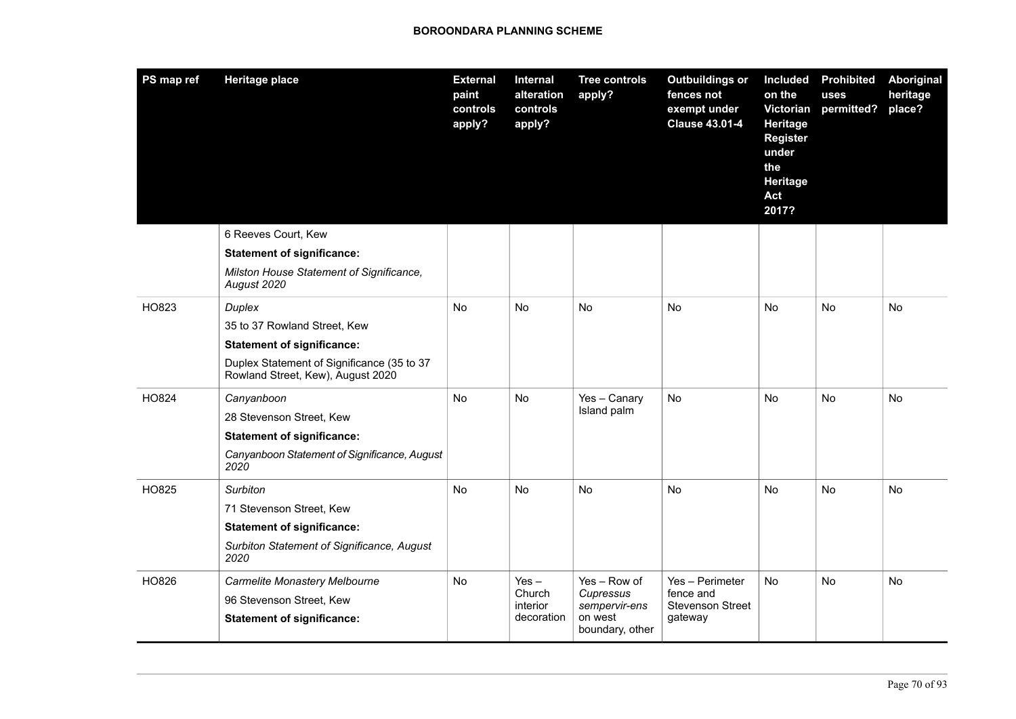| PS map ref | <b>Heritage place</b>                                                           | <b>External</b><br>paint<br>controls<br>apply? | Internal<br>alteration<br>controls<br>apply? | <b>Tree controls</b><br>apply?                                           | <b>Outbuildings or</b><br>fences not<br>exempt under<br><b>Clause 43.01-4</b> | <b>Included</b><br>on the<br>Victorian<br><b>Heritage</b><br>Register<br>under<br>the<br>Heritage<br>Act<br>2017? | <b>Prohibited</b><br>uses<br>permitted? | Aboriginal<br>heritage<br>place? |
|------------|---------------------------------------------------------------------------------|------------------------------------------------|----------------------------------------------|--------------------------------------------------------------------------|-------------------------------------------------------------------------------|-------------------------------------------------------------------------------------------------------------------|-----------------------------------------|----------------------------------|
|            | 6 Reeves Court, Kew                                                             |                                                |                                              |                                                                          |                                                                               |                                                                                                                   |                                         |                                  |
|            | <b>Statement of significance:</b>                                               |                                                |                                              |                                                                          |                                                                               |                                                                                                                   |                                         |                                  |
|            | Milston House Statement of Significance,<br>August 2020                         |                                                |                                              |                                                                          |                                                                               |                                                                                                                   |                                         |                                  |
| HO823      | Duplex                                                                          | No.                                            | No                                           | No                                                                       | No                                                                            | No                                                                                                                | No                                      | No                               |
|            | 35 to 37 Rowland Street, Kew                                                    |                                                |                                              |                                                                          |                                                                               |                                                                                                                   |                                         |                                  |
|            | <b>Statement of significance:</b>                                               |                                                |                                              |                                                                          |                                                                               |                                                                                                                   |                                         |                                  |
|            | Duplex Statement of Significance (35 to 37<br>Rowland Street, Kew), August 2020 |                                                |                                              |                                                                          |                                                                               |                                                                                                                   |                                         |                                  |
| HO824      | Canyanboon                                                                      | No.                                            | <b>No</b>                                    | Yes - Canary<br>Island palm                                              | <b>No</b>                                                                     | No                                                                                                                | No.                                     | No                               |
|            | 28 Stevenson Street, Kew                                                        |                                                |                                              |                                                                          |                                                                               |                                                                                                                   |                                         |                                  |
|            | <b>Statement of significance:</b>                                               |                                                |                                              |                                                                          |                                                                               |                                                                                                                   |                                         |                                  |
|            | Canyanboon Statement of Significance, August<br>2020                            |                                                |                                              |                                                                          |                                                                               |                                                                                                                   |                                         |                                  |
| HO825      | Surbiton                                                                        | No.                                            | No                                           | No                                                                       | No                                                                            | No                                                                                                                | No                                      | No                               |
|            | 71 Stevenson Street, Kew                                                        |                                                |                                              |                                                                          |                                                                               |                                                                                                                   |                                         |                                  |
|            | <b>Statement of significance:</b>                                               |                                                |                                              |                                                                          |                                                                               |                                                                                                                   |                                         |                                  |
|            | Surbiton Statement of Significance, August<br>2020                              |                                                |                                              |                                                                          |                                                                               |                                                                                                                   |                                         |                                  |
| HO826      | Carmelite Monastery Melbourne                                                   | No                                             | $Yes -$<br>Church<br>interior<br>decoration  | Yes - Row of<br>Cupressus<br>sempervir-ens<br>on west<br>boundary, other | Yes - Perimeter<br>fence and<br><b>Stevenson Street</b><br>gateway            | No.                                                                                                               | No.                                     | No                               |
|            | 96 Stevenson Street, Kew                                                        |                                                |                                              |                                                                          |                                                                               |                                                                                                                   |                                         |                                  |
|            | <b>Statement of significance:</b>                                               |                                                |                                              |                                                                          |                                                                               |                                                                                                                   |                                         |                                  |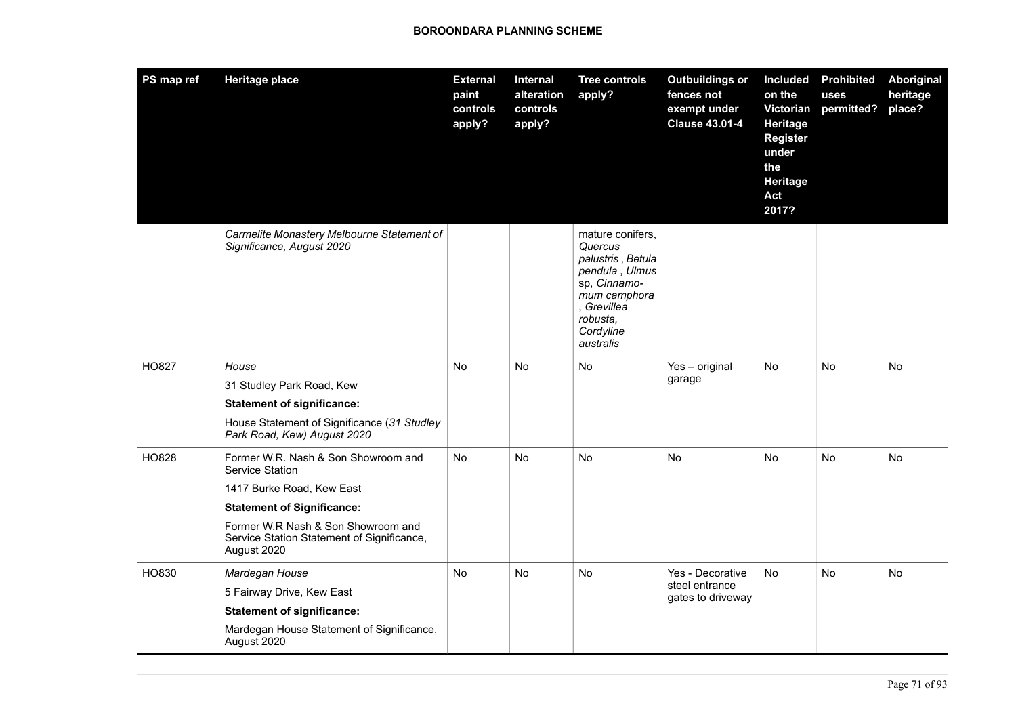| PS map ref   | <b>Heritage place</b>                                                                                                                                                                                                       | <b>External</b><br>paint<br>controls<br>apply? | Internal<br>alteration<br>controls<br>apply? | <b>Tree controls</b><br>apply?                                                                                                                          | <b>Outbuildings or</b><br>fences not<br>exempt under<br><b>Clause 43.01-4</b> | <b>Included</b><br>on the<br>Victorian<br>Heritage<br><b>Register</b><br>under<br>the<br>Heritage<br>Act<br>2017? | <b>Prohibited</b><br>uses<br>permitted? | Aboriginal<br>heritage<br>place? |
|--------------|-----------------------------------------------------------------------------------------------------------------------------------------------------------------------------------------------------------------------------|------------------------------------------------|----------------------------------------------|---------------------------------------------------------------------------------------------------------------------------------------------------------|-------------------------------------------------------------------------------|-------------------------------------------------------------------------------------------------------------------|-----------------------------------------|----------------------------------|
|              | Carmelite Monastery Melbourne Statement of<br>Significance, August 2020                                                                                                                                                     |                                                |                                              | mature conifers,<br>Quercus<br>palustris, Betula<br>pendula, Ulmus<br>sp, Cinnamo-<br>mum camphora<br>, Grevillea<br>robusta,<br>Cordyline<br>australis |                                                                               |                                                                                                                   |                                         |                                  |
| <b>HO827</b> | House<br>31 Studley Park Road, Kew<br><b>Statement of significance:</b><br>House Statement of Significance (31 Studley<br>Park Road, Kew) August 2020                                                                       | <b>No</b>                                      | <b>No</b>                                    | No                                                                                                                                                      | Yes - original<br>garage                                                      | <b>No</b>                                                                                                         | <b>No</b>                               | <b>No</b>                        |
| HO828        | Former W.R. Nash & Son Showroom and<br>Service Station<br>1417 Burke Road, Kew East<br><b>Statement of Significance:</b><br>Former W.R Nash & Son Showroom and<br>Service Station Statement of Significance,<br>August 2020 | No.                                            | <b>No</b>                                    | <b>No</b>                                                                                                                                               | <b>No</b>                                                                     | <b>No</b>                                                                                                         | No.                                     | No                               |
| HO830        | Mardegan House<br>5 Fairway Drive, Kew East<br><b>Statement of significance:</b><br>Mardegan House Statement of Significance,<br>August 2020                                                                                | <b>No</b>                                      | <b>No</b>                                    | <b>No</b>                                                                                                                                               | Yes - Decorative<br>steel entrance<br>gates to driveway                       | <b>No</b>                                                                                                         | <b>No</b>                               | No                               |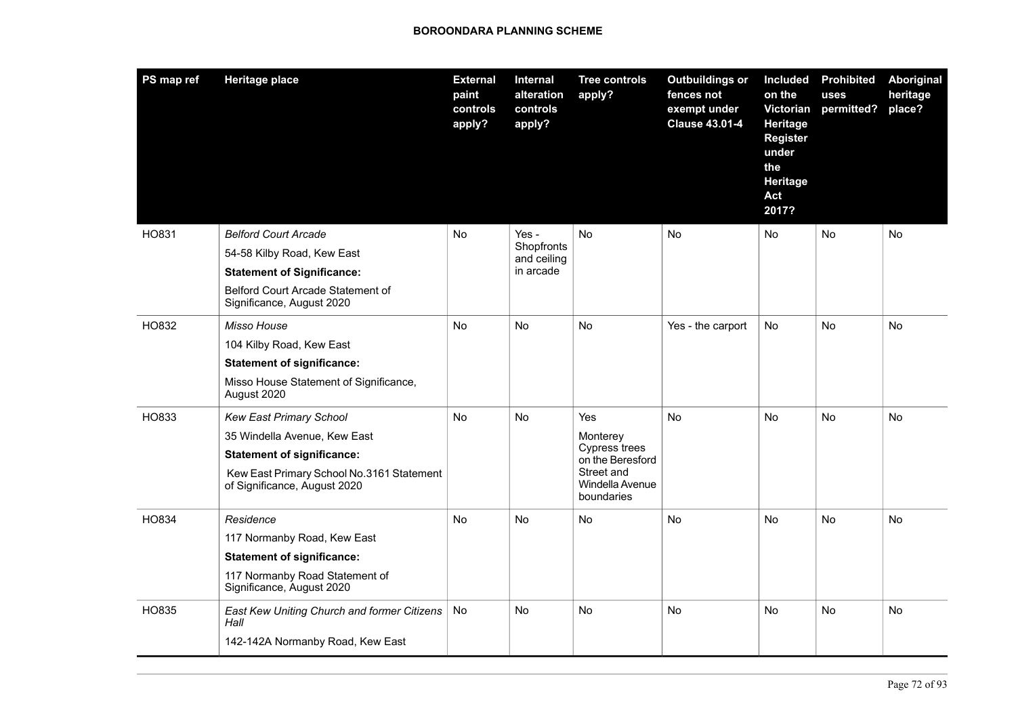| PS map ref | <b>Heritage place</b>                                                     | <b>External</b><br>paint<br>controls<br>apply? | Internal<br>alteration<br>controls<br>apply?    | <b>Tree controls</b><br>apply?                                                                      | <b>Outbuildings or</b><br>fences not<br>exempt under<br><b>Clause 43.01-4</b> | <b>Included</b><br>on the<br>Victorian<br>Heritage<br><b>Register</b><br>under<br>the<br>Heritage<br>Act<br>2017? | <b>Prohibited</b><br>uses<br>permitted? | Aboriginal<br>heritage<br>place? |
|------------|---------------------------------------------------------------------------|------------------------------------------------|-------------------------------------------------|-----------------------------------------------------------------------------------------------------|-------------------------------------------------------------------------------|-------------------------------------------------------------------------------------------------------------------|-----------------------------------------|----------------------------------|
| HO831      | <b>Belford Court Arcade</b>                                               | No.                                            | Yes -<br>Shopfronts<br>and ceiling<br>in arcade | No                                                                                                  | No                                                                            | No.                                                                                                               | No.                                     | No                               |
|            | 54-58 Kilby Road, Kew East                                                |                                                |                                                 |                                                                                                     |                                                                               |                                                                                                                   |                                         |                                  |
|            | <b>Statement of Significance:</b>                                         |                                                |                                                 |                                                                                                     |                                                                               |                                                                                                                   |                                         |                                  |
|            | Belford Court Arcade Statement of<br>Significance, August 2020            |                                                |                                                 |                                                                                                     |                                                                               |                                                                                                                   |                                         |                                  |
| HO832      | Misso House                                                               | No                                             | <b>No</b>                                       | <b>No</b>                                                                                           | Yes - the carport                                                             | No                                                                                                                | <b>No</b>                               | <b>No</b>                        |
|            | 104 Kilby Road, Kew East                                                  |                                                |                                                 |                                                                                                     |                                                                               |                                                                                                                   |                                         |                                  |
|            | <b>Statement of significance:</b>                                         |                                                |                                                 |                                                                                                     |                                                                               |                                                                                                                   |                                         |                                  |
|            | Misso House Statement of Significance,<br>August 2020                     |                                                |                                                 |                                                                                                     |                                                                               |                                                                                                                   |                                         |                                  |
| HO833      | <b>Kew East Primary School</b>                                            | No                                             | No                                              | Yes<br>Monterey<br>Cypress trees<br>on the Beresford<br>Street and<br>Windella Avenue<br>boundaries | <b>No</b>                                                                     | <b>No</b>                                                                                                         | No                                      | No                               |
|            | 35 Windella Avenue, Kew East                                              |                                                |                                                 |                                                                                                     |                                                                               |                                                                                                                   |                                         |                                  |
|            | <b>Statement of significance:</b>                                         |                                                |                                                 |                                                                                                     |                                                                               |                                                                                                                   |                                         |                                  |
|            | Kew East Primary School No.3161 Statement<br>of Significance, August 2020 |                                                |                                                 |                                                                                                     |                                                                               |                                                                                                                   |                                         |                                  |
| HO834      | Residence                                                                 | No                                             | No                                              | <b>No</b>                                                                                           | <b>No</b>                                                                     | No                                                                                                                | No                                      | No                               |
|            | 117 Normanby Road, Kew East                                               |                                                |                                                 |                                                                                                     |                                                                               |                                                                                                                   |                                         |                                  |
|            | <b>Statement of significance:</b>                                         |                                                |                                                 |                                                                                                     |                                                                               |                                                                                                                   |                                         |                                  |
|            | 117 Normanby Road Statement of<br>Significance, August 2020               |                                                |                                                 |                                                                                                     |                                                                               |                                                                                                                   |                                         |                                  |
| HO835      | East Kew Uniting Church and former Citizens<br>Hall                       | <b>No</b>                                      | No                                              | <b>No</b>                                                                                           | No                                                                            | No.                                                                                                               | No.                                     | No                               |
|            | 142-142A Normanby Road, Kew East                                          |                                                |                                                 |                                                                                                     |                                                                               |                                                                                                                   |                                         |                                  |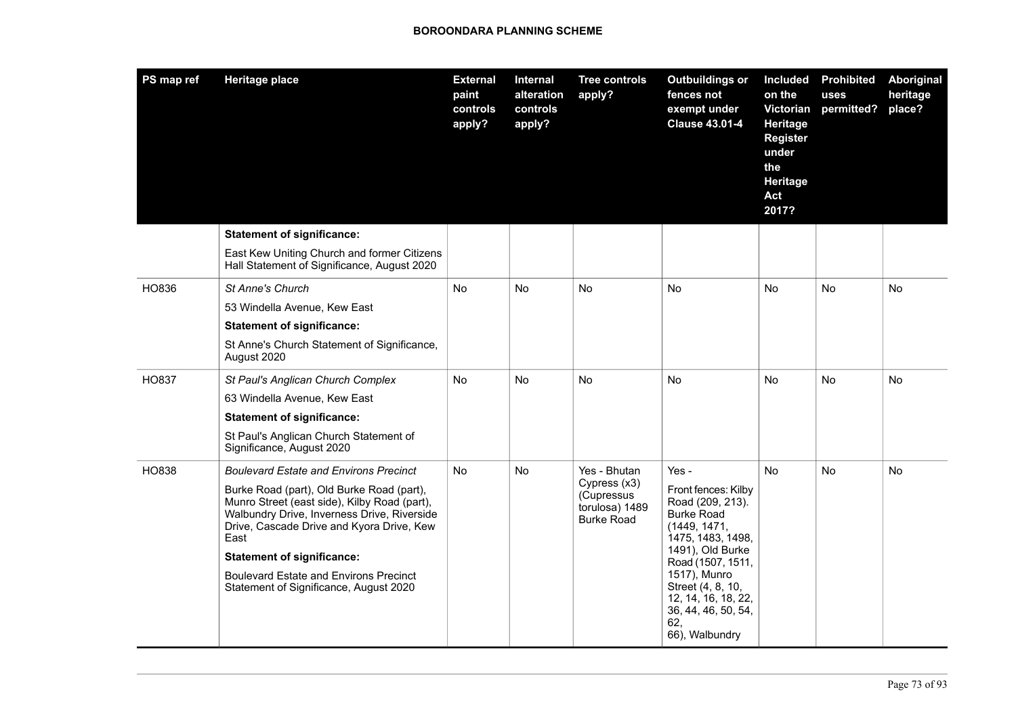| PS map ref | <b>Heritage place</b>                                                                                                                                                                                                                                                                                                         | <b>External</b><br>paint<br>controls<br>apply? | Internal<br>alteration<br>controls<br>apply? | <b>Tree controls</b><br>apply?                                    | <b>Outbuildings or</b><br>fences not<br>exempt under<br><b>Clause 43.01-4</b>                                                                                                                          | <b>Included</b><br>on the<br><b>Victorian</b><br>Heritage<br><b>Register</b><br>under<br>the<br>Heritage<br>Act<br>2017? | <b>Prohibited</b><br>uses<br>permitted? | Aboriginal<br>heritage<br>place? |
|------------|-------------------------------------------------------------------------------------------------------------------------------------------------------------------------------------------------------------------------------------------------------------------------------------------------------------------------------|------------------------------------------------|----------------------------------------------|-------------------------------------------------------------------|--------------------------------------------------------------------------------------------------------------------------------------------------------------------------------------------------------|--------------------------------------------------------------------------------------------------------------------------|-----------------------------------------|----------------------------------|
|            | <b>Statement of significance:</b>                                                                                                                                                                                                                                                                                             |                                                |                                              |                                                                   |                                                                                                                                                                                                        |                                                                                                                          |                                         |                                  |
|            | East Kew Uniting Church and former Citizens<br>Hall Statement of Significance, August 2020                                                                                                                                                                                                                                    |                                                |                                              |                                                                   |                                                                                                                                                                                                        |                                                                                                                          |                                         |                                  |
| HO836      | <b>St Anne's Church</b>                                                                                                                                                                                                                                                                                                       | <b>No</b>                                      | <b>No</b>                                    | <b>No</b>                                                         | <b>No</b>                                                                                                                                                                                              | <b>No</b>                                                                                                                | No.                                     | No                               |
|            | 53 Windella Avenue, Kew East                                                                                                                                                                                                                                                                                                  |                                                |                                              |                                                                   |                                                                                                                                                                                                        |                                                                                                                          |                                         |                                  |
|            | <b>Statement of significance:</b>                                                                                                                                                                                                                                                                                             |                                                |                                              |                                                                   |                                                                                                                                                                                                        |                                                                                                                          |                                         |                                  |
|            | St Anne's Church Statement of Significance,<br>August 2020                                                                                                                                                                                                                                                                    |                                                |                                              |                                                                   |                                                                                                                                                                                                        |                                                                                                                          |                                         |                                  |
| HO837      | St Paul's Anglican Church Complex                                                                                                                                                                                                                                                                                             | <b>No</b>                                      | No.                                          | No                                                                | <b>No</b>                                                                                                                                                                                              | N <sub>o</sub>                                                                                                           | No.                                     | No                               |
|            | 63 Windella Avenue, Kew East                                                                                                                                                                                                                                                                                                  |                                                |                                              |                                                                   |                                                                                                                                                                                                        |                                                                                                                          |                                         |                                  |
|            | <b>Statement of significance:</b>                                                                                                                                                                                                                                                                                             |                                                |                                              |                                                                   |                                                                                                                                                                                                        |                                                                                                                          |                                         |                                  |
|            | St Paul's Anglican Church Statement of<br>Significance, August 2020                                                                                                                                                                                                                                                           |                                                |                                              |                                                                   |                                                                                                                                                                                                        |                                                                                                                          |                                         |                                  |
| HO838      | <b>Boulevard Estate and Environs Precinct</b>                                                                                                                                                                                                                                                                                 | <b>No</b>                                      | No                                           | Yes - Bhutan                                                      | Yes -                                                                                                                                                                                                  | <b>No</b>                                                                                                                | <b>No</b>                               | <b>No</b>                        |
|            | Burke Road (part), Old Burke Road (part),<br>Munro Street (east side), Kilby Road (part),<br>Walbundry Drive, Inverness Drive, Riverside<br>Drive, Cascade Drive and Kyora Drive, Kew<br>East<br><b>Statement of significance:</b><br><b>Boulevard Estate and Environs Precinct</b><br>Statement of Significance, August 2020 |                                                |                                              | Cypress (x3)<br>(Cupressus<br>torulosa) 1489<br><b>Burke Road</b> | Front fences: Kilby<br>Road (209, 213).<br><b>Burke Road</b><br>(1449, 1471,<br>1475, 1483, 1498,<br>1491), Old Burke<br>Road (1507, 1511,<br>1517), Munro<br>Street (4, 8, 10,<br>12, 14, 16, 18, 22, |                                                                                                                          |                                         |                                  |
|            |                                                                                                                                                                                                                                                                                                                               |                                                |                                              |                                                                   | 36, 44, 46, 50, 54,<br>62,<br>66), Walbundry                                                                                                                                                           |                                                                                                                          |                                         |                                  |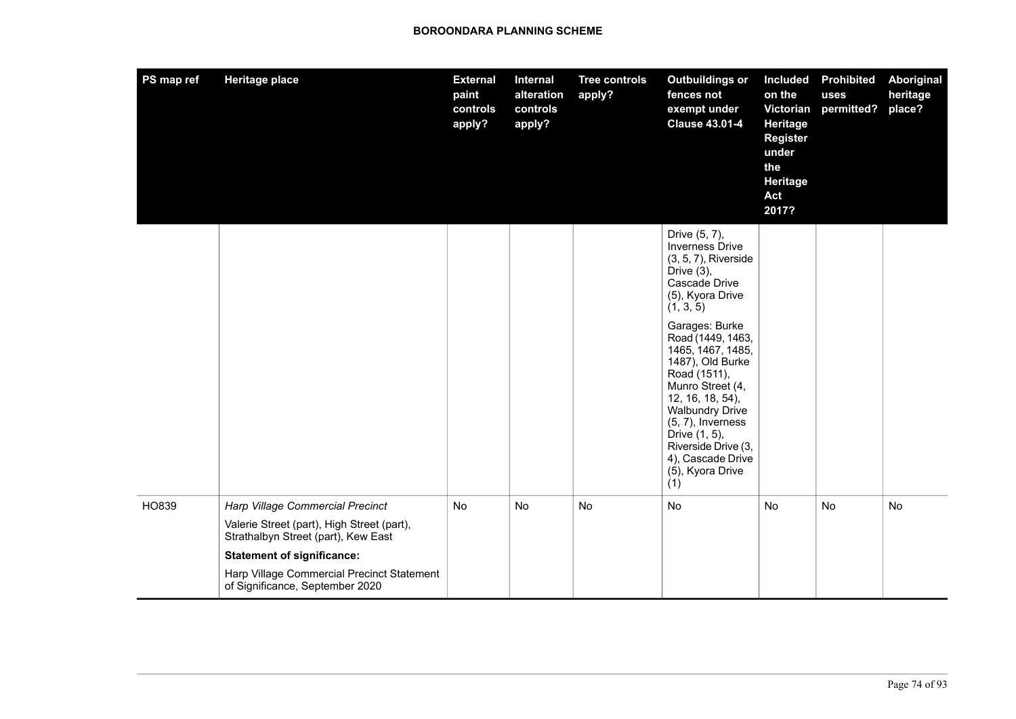| PS map ref | <b>Heritage place</b>                                                             | <b>External</b><br>paint<br>controls<br>apply? | Internal<br>alteration<br>controls<br>apply? | <b>Tree controls</b><br>apply? | <b>Outbuildings or</b><br>fences not<br>exempt under<br><b>Clause 43.01-4</b>                                                                                                                                                                                                  | <b>Included</b><br>on the<br>Victorian<br>Heritage<br><b>Register</b><br>under<br>the<br>Heritage<br>Act<br>2017? | <b>Prohibited</b><br>uses<br>permitted? | <b>Aboriginal</b><br>heritage<br>place? |
|------------|-----------------------------------------------------------------------------------|------------------------------------------------|----------------------------------------------|--------------------------------|--------------------------------------------------------------------------------------------------------------------------------------------------------------------------------------------------------------------------------------------------------------------------------|-------------------------------------------------------------------------------------------------------------------|-----------------------------------------|-----------------------------------------|
|            |                                                                                   |                                                |                                              |                                | Drive (5, 7),<br><b>Inverness Drive</b><br>$(3, 5, 7)$ , Riverside<br>Drive $(3)$ ,<br>Cascade Drive<br>(5), Kyora Drive<br>(1, 3, 5)                                                                                                                                          |                                                                                                                   |                                         |                                         |
|            |                                                                                   |                                                |                                              |                                | Garages: Burke<br>Road (1449, 1463,<br>1465, 1467, 1485,<br>1487), Old Burke<br>Road (1511),<br>Munro Street (4,<br>12, 16, 18, 54),<br><b>Walbundry Drive</b><br>$(5, 7)$ , Inverness<br>Drive (1, 5),<br>Riverside Drive (3,<br>4), Cascade Drive<br>(5), Kyora Drive<br>(1) |                                                                                                                   |                                         |                                         |
| HO839      | Harp Village Commercial Precinct                                                  | No                                             | No                                           | No                             | No                                                                                                                                                                                                                                                                             | No                                                                                                                | No                                      | No                                      |
|            | Valerie Street (part), High Street (part),<br>Strathalbyn Street (part), Kew East |                                                |                                              |                                |                                                                                                                                                                                                                                                                                |                                                                                                                   |                                         |                                         |
|            | <b>Statement of significance:</b>                                                 |                                                |                                              |                                |                                                                                                                                                                                                                                                                                |                                                                                                                   |                                         |                                         |
|            | Harp Village Commercial Precinct Statement<br>of Significance, September 2020     |                                                |                                              |                                |                                                                                                                                                                                                                                                                                |                                                                                                                   |                                         |                                         |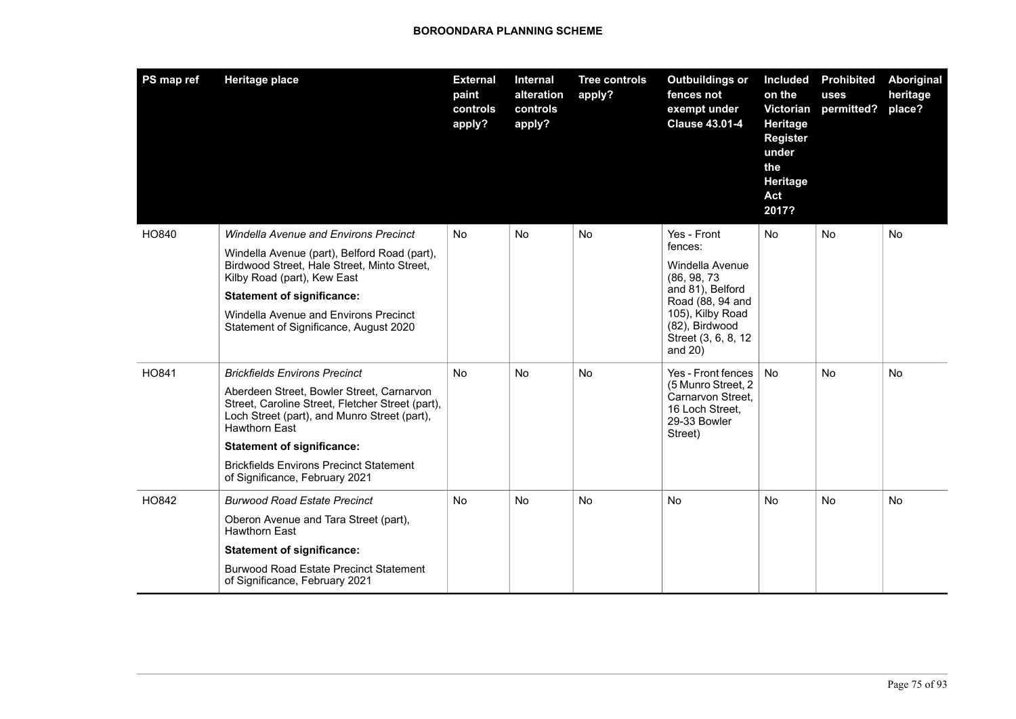| PS map ref | <b>Heritage place</b>                                                                                                                                                                                                                                                                                                                  | <b>External</b><br>paint<br>controls<br>apply? | <b>Internal</b><br>alteration<br>controls<br>apply? | <b>Tree controls</b><br>apply? | <b>Outbuildings or</b><br>fences not<br>exempt under<br><b>Clause 43.01-4</b>                                                                                             | <b>Included</b><br>on the<br>Victorian<br>Heritage<br><b>Register</b><br>under<br>the<br>Heritage<br>Act<br>2017? | <b>Prohibited</b><br>uses<br>permitted? | Aboriginal<br>heritage<br>place? |
|------------|----------------------------------------------------------------------------------------------------------------------------------------------------------------------------------------------------------------------------------------------------------------------------------------------------------------------------------------|------------------------------------------------|-----------------------------------------------------|--------------------------------|---------------------------------------------------------------------------------------------------------------------------------------------------------------------------|-------------------------------------------------------------------------------------------------------------------|-----------------------------------------|----------------------------------|
| HO840      | <b>Windella Avenue and Environs Precinct</b><br>Windella Avenue (part), Belford Road (part),<br>Birdwood Street, Hale Street, Minto Street,<br>Kilby Road (part), Kew East<br><b>Statement of significance:</b><br>Windella Avenue and Environs Precinct<br>Statement of Significance, August 2020                                     | <b>No</b>                                      | <b>No</b>                                           | <b>No</b>                      | Yes - Front<br>fences:<br>Windella Avenue<br>(86, 98, 73)<br>and 81), Belford<br>Road (88, 94 and<br>105), Kilby Road<br>(82), Birdwood<br>Street (3, 6, 8, 12<br>and 20) | <b>No</b>                                                                                                         | <b>No</b>                               | <b>No</b>                        |
| HO841      | <b>Brickfields Environs Precinct</b><br>Aberdeen Street, Bowler Street, Carnarvon<br>Street, Caroline Street, Fletcher Street (part),<br>Loch Street (part), and Munro Street (part),<br><b>Hawthorn East</b><br><b>Statement of significance:</b><br><b>Brickfields Environs Precinct Statement</b><br>of Significance, February 2021 | <b>No</b>                                      | <b>No</b>                                           | <b>No</b>                      | Yes - Front fences<br>(5 Munro Street, 2<br>Carnarvon Street,<br>16 Loch Street,<br>29-33 Bowler<br>Street)                                                               | <b>No</b>                                                                                                         | No.                                     | <b>No</b>                        |
| HO842      | <b>Burwood Road Estate Precinct</b><br>Oberon Avenue and Tara Street (part),<br><b>Hawthorn East</b><br><b>Statement of significance:</b><br><b>Burwood Road Estate Precinct Statement</b><br>of Significance, February 2021                                                                                                           | <b>No</b>                                      | <b>No</b>                                           | <b>No</b>                      | <b>No</b>                                                                                                                                                                 | No                                                                                                                | <b>No</b>                               | <b>No</b>                        |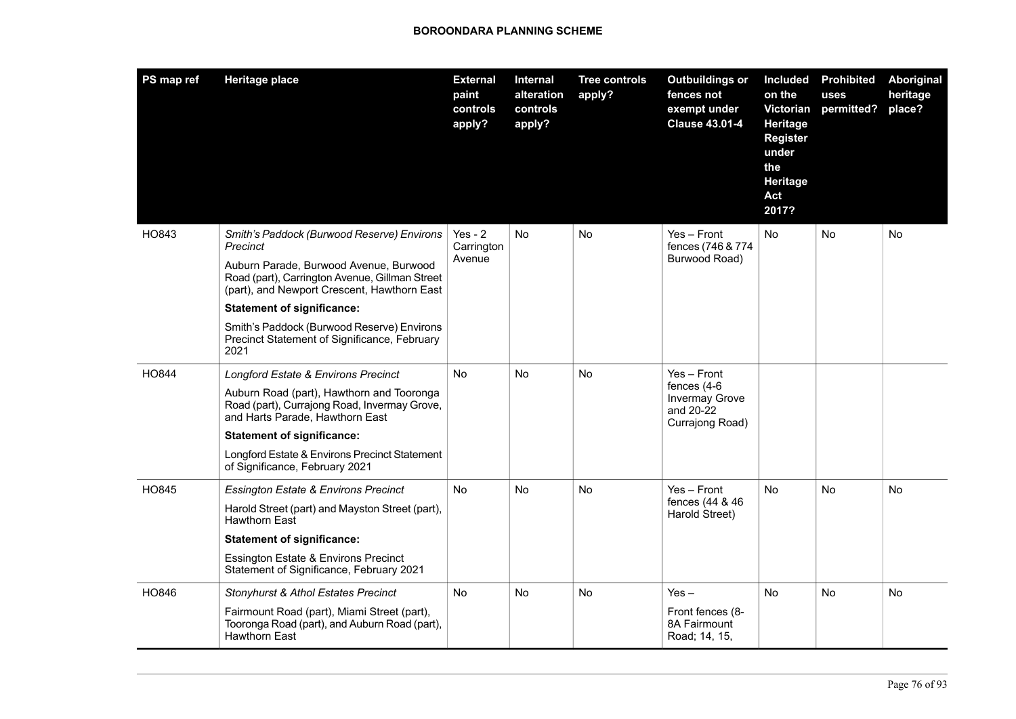| PS map ref | <b>Heritage place</b>                                                                                                                                                                             | <b>External</b><br>paint<br>controls<br>apply? | Internal<br>alteration<br>controls<br>apply? | <b>Tree controls</b><br>apply? | <b>Outbuildings or</b><br>fences not<br>exempt under<br><b>Clause 43.01-4</b> | <b>Included</b><br>on the<br>Victorian<br>Heritage<br><b>Register</b><br>under<br>the<br>Heritage<br>Act<br>2017? | <b>Prohibited</b><br>uses<br>permitted? | Aboriginal<br>heritage<br>place? |
|------------|---------------------------------------------------------------------------------------------------------------------------------------------------------------------------------------------------|------------------------------------------------|----------------------------------------------|--------------------------------|-------------------------------------------------------------------------------|-------------------------------------------------------------------------------------------------------------------|-----------------------------------------|----------------------------------|
| HO843      | Smith's Paddock (Burwood Reserve) Environs<br>Precinct<br>Auburn Parade, Burwood Avenue, Burwood<br>Road (part), Carrington Avenue, Gillman Street<br>(part), and Newport Crescent, Hawthorn East | $Yes - 2$<br>Carrington<br>Avenue              | No                                           | No.                            | $Yes - Front$<br>fences (746 & 774)<br>Burwood Road)                          | No                                                                                                                | No                                      | No                               |
|            | <b>Statement of significance:</b>                                                                                                                                                                 |                                                |                                              |                                |                                                                               |                                                                                                                   |                                         |                                  |
|            | Smith's Paddock (Burwood Reserve) Environs<br>Precinct Statement of Significance, February<br>2021                                                                                                |                                                |                                              |                                |                                                                               |                                                                                                                   |                                         |                                  |
| HO844      | Longford Estate & Environs Precinct                                                                                                                                                               | No                                             | <b>No</b>                                    | <b>No</b>                      | Yes - Front                                                                   |                                                                                                                   |                                         |                                  |
|            | Auburn Road (part), Hawthorn and Tooronga<br>Road (part), Currajong Road, Invermay Grove,<br>and Harts Parade, Hawthorn East                                                                      |                                                |                                              |                                | fences (4-6<br><b>Invermay Grove</b><br>and 20-22<br>Currajong Road)          |                                                                                                                   |                                         |                                  |
|            | <b>Statement of significance:</b>                                                                                                                                                                 |                                                |                                              |                                |                                                                               |                                                                                                                   |                                         |                                  |
|            | Longford Estate & Environs Precinct Statement<br>of Significance, February 2021                                                                                                                   |                                                |                                              |                                |                                                                               |                                                                                                                   |                                         |                                  |
| HO845      | <b>Essington Estate &amp; Environs Precinct</b>                                                                                                                                                   | No.                                            | No                                           | <b>No</b>                      | $Yes - Front$                                                                 | No                                                                                                                | No                                      | No                               |
|            | Harold Street (part) and Mayston Street (part),<br><b>Hawthorn East</b>                                                                                                                           |                                                |                                              |                                | fences (44 & 46<br>Harold Street)                                             |                                                                                                                   |                                         |                                  |
|            | <b>Statement of significance:</b>                                                                                                                                                                 |                                                |                                              |                                |                                                                               |                                                                                                                   |                                         |                                  |
|            | <b>Essington Estate &amp; Environs Precinct</b><br>Statement of Significance, February 2021                                                                                                       |                                                |                                              |                                |                                                                               |                                                                                                                   |                                         |                                  |
| HO846      | <b>Stonyhurst &amp; Athol Estates Precinct</b>                                                                                                                                                    | No.                                            | No                                           | <b>No</b>                      | $Yes -$                                                                       | <b>No</b>                                                                                                         | No                                      | No                               |
|            | Fairmount Road (part), Miami Street (part),<br>Tooronga Road (part), and Auburn Road (part),<br><b>Hawthorn East</b>                                                                              |                                                |                                              |                                | Front fences (8-<br>8A Fairmount<br>Road; 14, 15,                             |                                                                                                                   |                                         |                                  |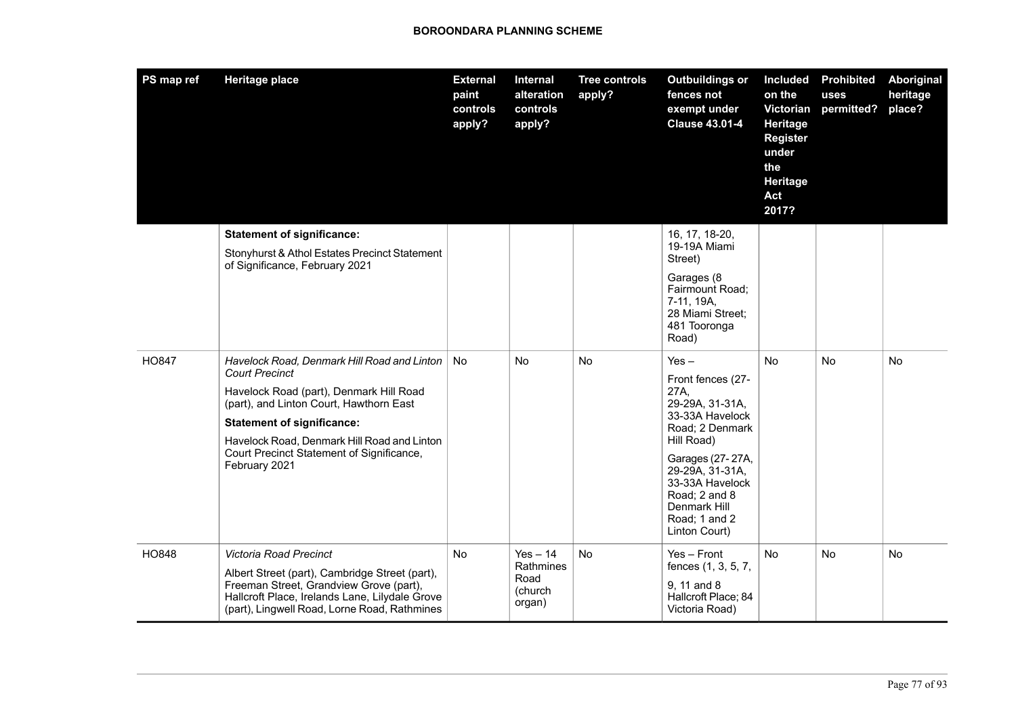| PS map ref   | <b>Heritage place</b>                                                                                                                                                                                                                                                                                        | <b>External</b><br>paint<br>controls<br>apply? | Internal<br>alteration<br>controls<br>apply?         | <b>Tree controls</b><br>apply? | <b>Outbuildings or</b><br>fences not<br>exempt under<br><b>Clause 43.01-4</b>                                                                                                                                                            | <b>Included</b><br>on the<br>Victorian<br>Heritage<br><b>Register</b><br>under<br>the<br>Heritage<br>Act<br>2017? | <b>Prohibited</b><br>uses<br>permitted? | Aboriginal<br>heritage<br>place? |
|--------------|--------------------------------------------------------------------------------------------------------------------------------------------------------------------------------------------------------------------------------------------------------------------------------------------------------------|------------------------------------------------|------------------------------------------------------|--------------------------------|------------------------------------------------------------------------------------------------------------------------------------------------------------------------------------------------------------------------------------------|-------------------------------------------------------------------------------------------------------------------|-----------------------------------------|----------------------------------|
|              | <b>Statement of significance:</b><br>Stonyhurst & Athol Estates Precinct Statement<br>of Significance, February 2021                                                                                                                                                                                         |                                                |                                                      |                                | 16, 17, 18-20,<br>19-19A Miami<br>Street)<br>Garages (8<br>Fairmount Road;<br>7-11, 19A,<br>28 Miami Street;<br>481 Tooronga<br>Road)                                                                                                    |                                                                                                                   |                                         |                                  |
| <b>HO847</b> | Havelock Road, Denmark Hill Road and Linton<br><b>Court Precinct</b><br>Havelock Road (part), Denmark Hill Road<br>(part), and Linton Court, Hawthorn East<br><b>Statement of significance:</b><br>Havelock Road, Denmark Hill Road and Linton<br>Court Precinct Statement of Significance,<br>February 2021 | <b>No</b>                                      | N <sub>o</sub>                                       | <b>No</b>                      | $Yes -$<br>Front fences (27-<br>27A,<br>29-29A, 31-31A,<br>33-33A Havelock<br>Road: 2 Denmark<br>Hill Road)<br>Garages (27-27A,<br>29-29A, 31-31A,<br>33-33A Havelock<br>Road; 2 and 8<br>Denmark Hill<br>Road; 1 and 2<br>Linton Court) | <b>No</b>                                                                                                         | N <sub>o</sub>                          | N <sub>o</sub>                   |
| HO848        | Victoria Road Precinct<br>Albert Street (part), Cambridge Street (part),<br>Freeman Street, Grandview Grove (part),<br>Hallcroft Place, Irelands Lane, Lilydale Grove<br>(part), Lingwell Road, Lorne Road, Rathmines                                                                                        | No                                             | $Yes - 14$<br>Rathmines<br>Road<br>(church<br>organ) | No                             | $Yes - Front$<br>fences (1, 3, 5, 7,<br>9, 11 and 8<br>Hallcroft Place; 84<br>Victoria Road)                                                                                                                                             | <b>No</b>                                                                                                         | No.                                     | No.                              |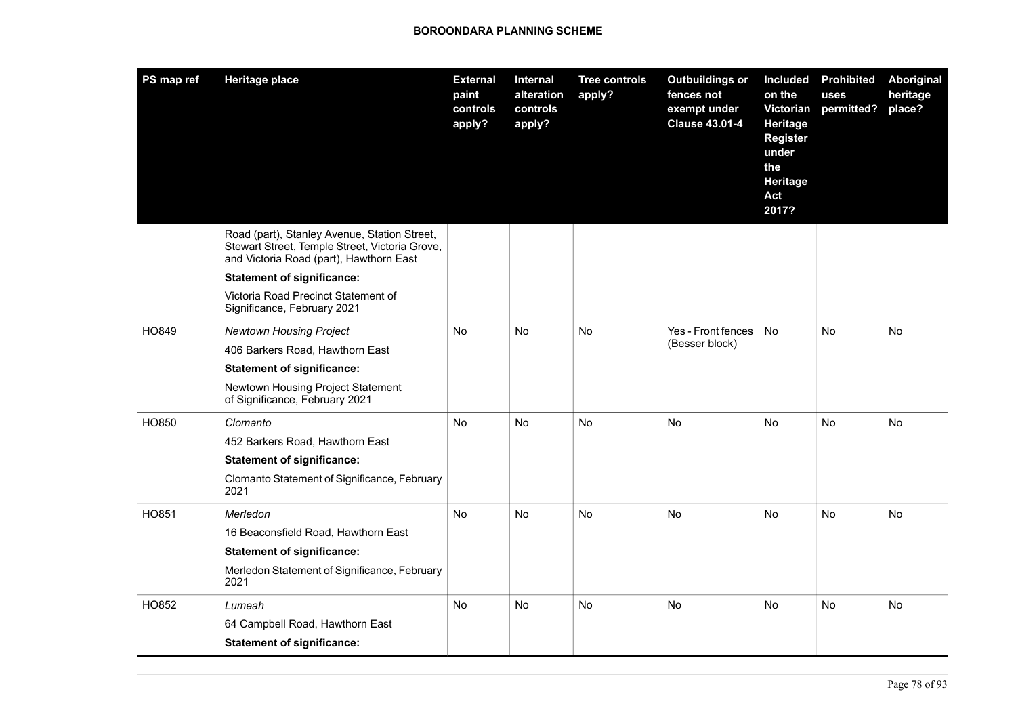| PS map ref | <b>Heritage place</b>                                                                                                                     | <b>External</b><br>paint<br>controls<br>apply? | Internal<br>alteration<br>controls<br>apply? | <b>Tree controls</b><br>apply? | <b>Outbuildings or</b><br>fences not<br>exempt under<br><b>Clause 43.01-4</b> | <b>Included</b><br>on the<br>Victorian<br>Heritage<br><b>Register</b><br>under<br>the<br>Heritage<br>Act<br>2017? | <b>Prohibited</b><br>uses<br>permitted? | Aboriginal<br>heritage<br>place? |
|------------|-------------------------------------------------------------------------------------------------------------------------------------------|------------------------------------------------|----------------------------------------------|--------------------------------|-------------------------------------------------------------------------------|-------------------------------------------------------------------------------------------------------------------|-----------------------------------------|----------------------------------|
|            | Road (part), Stanley Avenue, Station Street,<br>Stewart Street, Temple Street, Victoria Grove,<br>and Victoria Road (part), Hawthorn East |                                                |                                              |                                |                                                                               |                                                                                                                   |                                         |                                  |
|            | <b>Statement of significance:</b>                                                                                                         |                                                |                                              |                                |                                                                               |                                                                                                                   |                                         |                                  |
|            | Victoria Road Precinct Statement of<br>Significance, February 2021                                                                        |                                                |                                              |                                |                                                                               |                                                                                                                   |                                         |                                  |
| HO849      | <b>Newtown Housing Project</b>                                                                                                            | No.                                            | No                                           | No                             | Yes - Front fences                                                            | No                                                                                                                | No                                      | No                               |
|            | 406 Barkers Road, Hawthorn East                                                                                                           |                                                |                                              |                                | (Besser block)                                                                |                                                                                                                   |                                         |                                  |
|            | <b>Statement of significance:</b>                                                                                                         |                                                |                                              |                                |                                                                               |                                                                                                                   |                                         |                                  |
|            | Newtown Housing Project Statement<br>of Significance, February 2021                                                                       |                                                |                                              |                                |                                                                               |                                                                                                                   |                                         |                                  |
| HO850      | Clomanto                                                                                                                                  | No                                             | No                                           | No                             | No                                                                            | No                                                                                                                | No                                      | No                               |
|            | 452 Barkers Road, Hawthorn East                                                                                                           |                                                |                                              |                                |                                                                               |                                                                                                                   |                                         |                                  |
|            | <b>Statement of significance:</b>                                                                                                         |                                                |                                              |                                |                                                                               |                                                                                                                   |                                         |                                  |
|            | Clomanto Statement of Significance, February<br>2021                                                                                      |                                                |                                              |                                |                                                                               |                                                                                                                   |                                         |                                  |
| HO851      | Merledon                                                                                                                                  | <b>No</b>                                      | <b>No</b>                                    | <b>No</b>                      | <b>No</b>                                                                     | <b>No</b>                                                                                                         | <b>No</b>                               | <b>No</b>                        |
|            | 16 Beaconsfield Road, Hawthorn East                                                                                                       |                                                |                                              |                                |                                                                               |                                                                                                                   |                                         |                                  |
|            | <b>Statement of significance:</b>                                                                                                         |                                                |                                              |                                |                                                                               |                                                                                                                   |                                         |                                  |
|            | Merledon Statement of Significance, February<br>2021                                                                                      |                                                |                                              |                                |                                                                               |                                                                                                                   |                                         |                                  |
| HO852      | Lumeah                                                                                                                                    | No.                                            | No                                           | No                             | <b>No</b>                                                                     | No.                                                                                                               | No                                      | No                               |
|            | 64 Campbell Road, Hawthorn East                                                                                                           |                                                |                                              |                                |                                                                               |                                                                                                                   |                                         |                                  |
|            | <b>Statement of significance:</b>                                                                                                         |                                                |                                              |                                |                                                                               |                                                                                                                   |                                         |                                  |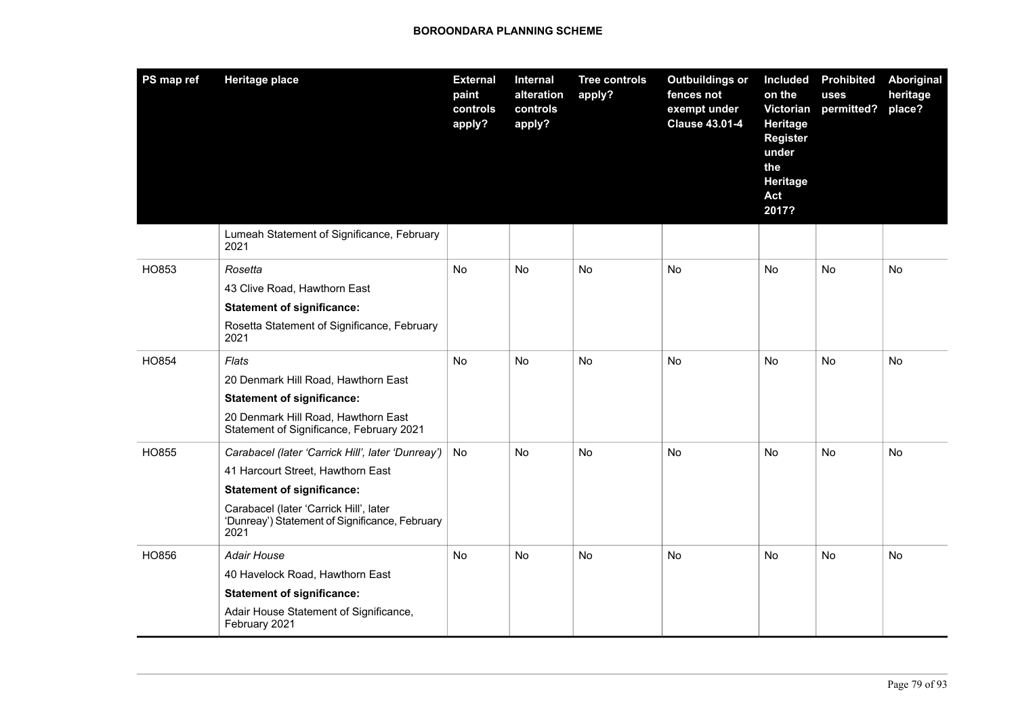| PS map ref | <b>Heritage place</b>                                                                            | <b>External</b><br>paint<br>controls<br>apply? | <b>Internal</b><br>alteration<br>controls<br>apply? | <b>Tree controls</b><br>apply? | <b>Outbuildings or</b><br>fences not<br>exempt under<br><b>Clause 43.01-4</b> | <b>Included</b><br>on the<br>Victorian<br>Heritage<br><b>Register</b><br>under<br>the<br>Heritage<br>Act<br>2017? | <b>Prohibited</b><br>uses<br>permitted? | Aboriginal<br>heritage<br>place? |
|------------|--------------------------------------------------------------------------------------------------|------------------------------------------------|-----------------------------------------------------|--------------------------------|-------------------------------------------------------------------------------|-------------------------------------------------------------------------------------------------------------------|-----------------------------------------|----------------------------------|
|            | Lumeah Statement of Significance, February<br>2021                                               |                                                |                                                     |                                |                                                                               |                                                                                                                   |                                         |                                  |
| HO853      | Rosetta                                                                                          | No                                             | No                                                  | No                             | No                                                                            | No                                                                                                                | No                                      | No                               |
|            | 43 Clive Road, Hawthorn East                                                                     |                                                |                                                     |                                |                                                                               |                                                                                                                   |                                         |                                  |
|            | <b>Statement of significance:</b>                                                                |                                                |                                                     |                                |                                                                               |                                                                                                                   |                                         |                                  |
|            | Rosetta Statement of Significance, February<br>2021                                              |                                                |                                                     |                                |                                                                               |                                                                                                                   |                                         |                                  |
| HO854      | Flats                                                                                            | No                                             | No                                                  | <b>No</b>                      | No                                                                            | <b>No</b>                                                                                                         | No                                      | No                               |
|            | 20 Denmark Hill Road, Hawthorn East                                                              |                                                |                                                     |                                |                                                                               |                                                                                                                   |                                         |                                  |
|            | <b>Statement of significance:</b>                                                                |                                                |                                                     |                                |                                                                               |                                                                                                                   |                                         |                                  |
|            | 20 Denmark Hill Road, Hawthorn East<br>Statement of Significance, February 2021                  |                                                |                                                     |                                |                                                                               |                                                                                                                   |                                         |                                  |
| HO855      | Carabacel (later 'Carrick Hill', later 'Dunreay')                                                | No                                             | No                                                  | No                             | No                                                                            | No                                                                                                                | No                                      | No                               |
|            | 41 Harcourt Street, Hawthorn East                                                                |                                                |                                                     |                                |                                                                               |                                                                                                                   |                                         |                                  |
|            | <b>Statement of significance:</b>                                                                |                                                |                                                     |                                |                                                                               |                                                                                                                   |                                         |                                  |
|            | Carabacel (later 'Carrick Hill', later<br>'Dunreay') Statement of Significance, February<br>2021 |                                                |                                                     |                                |                                                                               |                                                                                                                   |                                         |                                  |
| HO856      | Adair House                                                                                      | <b>No</b>                                      | <b>No</b>                                           | <b>No</b>                      | <b>No</b>                                                                     | <b>No</b>                                                                                                         | <b>No</b>                               | <b>No</b>                        |
|            | 40 Havelock Road, Hawthorn East                                                                  |                                                |                                                     |                                |                                                                               |                                                                                                                   |                                         |                                  |
|            | <b>Statement of significance:</b>                                                                |                                                |                                                     |                                |                                                                               |                                                                                                                   |                                         |                                  |
|            | Adair House Statement of Significance,<br>February 2021                                          |                                                |                                                     |                                |                                                                               |                                                                                                                   |                                         |                                  |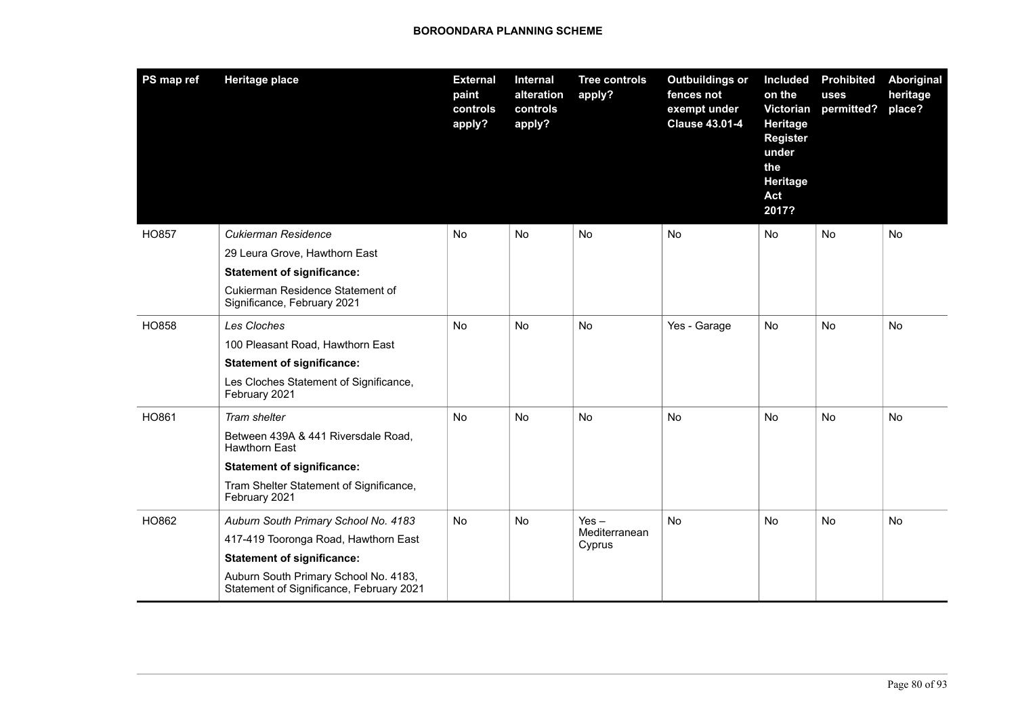| PS map ref   | <b>Heritage place</b>                                                             | <b>External</b><br>paint<br>controls<br>apply? | Internal<br>alteration<br>controls<br>apply? | <b>Tree controls</b><br>apply? | <b>Outbuildings or</b><br>fences not<br>exempt under<br><b>Clause 43.01-4</b> | <b>Included</b><br>on the<br>Victorian<br>Heritage<br><b>Register</b><br>under<br>the<br><b>Heritage</b><br>Act<br>2017? | <b>Prohibited</b><br>uses<br>permitted? | Aboriginal<br>heritage<br>place? |
|--------------|-----------------------------------------------------------------------------------|------------------------------------------------|----------------------------------------------|--------------------------------|-------------------------------------------------------------------------------|--------------------------------------------------------------------------------------------------------------------------|-----------------------------------------|----------------------------------|
| <b>HO857</b> | Cukierman Residence                                                               | <b>No</b>                                      | <b>No</b>                                    | <b>No</b>                      | <b>No</b>                                                                     | <b>No</b>                                                                                                                | <b>No</b>                               | <b>No</b>                        |
|              | 29 Leura Grove, Hawthorn East                                                     |                                                |                                              |                                |                                                                               |                                                                                                                          |                                         |                                  |
|              | <b>Statement of significance:</b>                                                 |                                                |                                              |                                |                                                                               |                                                                                                                          |                                         |                                  |
|              | Cukierman Residence Statement of<br>Significance, February 2021                   |                                                |                                              |                                |                                                                               |                                                                                                                          |                                         |                                  |
| HO858        | Les Cloches                                                                       | No                                             | No                                           | No                             | Yes - Garage                                                                  | <b>No</b>                                                                                                                | <b>No</b>                               | <b>No</b>                        |
|              | 100 Pleasant Road, Hawthorn East                                                  |                                                |                                              |                                |                                                                               |                                                                                                                          |                                         |                                  |
|              | <b>Statement of significance:</b>                                                 |                                                |                                              |                                |                                                                               |                                                                                                                          |                                         |                                  |
|              | Les Cloches Statement of Significance,<br>February 2021                           |                                                |                                              |                                |                                                                               |                                                                                                                          |                                         |                                  |
| HO861        | Tram shelter                                                                      | No                                             | No                                           | No                             | No                                                                            | No                                                                                                                       | No                                      | No                               |
|              | Between 439A & 441 Riversdale Road,<br><b>Hawthorn East</b>                       |                                                |                                              |                                |                                                                               |                                                                                                                          |                                         |                                  |
|              | <b>Statement of significance:</b>                                                 |                                                |                                              |                                |                                                                               |                                                                                                                          |                                         |                                  |
|              | Tram Shelter Statement of Significance,<br>February 2021                          |                                                |                                              |                                |                                                                               |                                                                                                                          |                                         |                                  |
| HO862        | Auburn South Primary School No. 4183                                              | No                                             | No                                           | $Yes -$                        | No                                                                            | No                                                                                                                       | <b>No</b>                               | <b>No</b>                        |
|              | 417-419 Tooronga Road, Hawthorn East                                              |                                                |                                              | Mediterranean<br>Cyprus        |                                                                               |                                                                                                                          |                                         |                                  |
|              | <b>Statement of significance:</b>                                                 |                                                |                                              |                                |                                                                               |                                                                                                                          |                                         |                                  |
|              | Auburn South Primary School No. 4183,<br>Statement of Significance, February 2021 |                                                |                                              |                                |                                                                               |                                                                                                                          |                                         |                                  |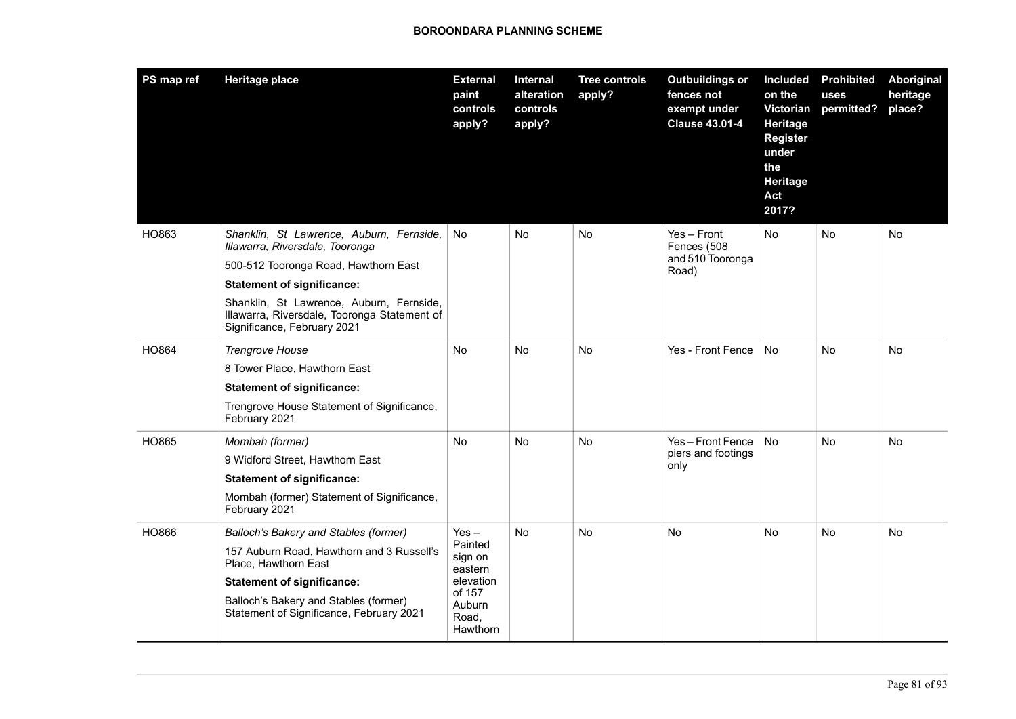| PS map ref | <b>Heritage place</b>                                                                                                                                                                                                                                                               | <b>External</b><br>paint<br>controls<br>apply?                                                 | Internal<br>alteration<br>controls<br>apply? | <b>Tree controls</b><br>apply? | <b>Outbuildings or</b><br>fences not<br>exempt under<br><b>Clause 43.01-4</b> | <b>Included</b><br>on the<br>Victorian<br>Heritage<br><b>Register</b><br>under<br>the<br><b>Heritage</b><br>Act<br>2017? | <b>Prohibited</b><br>uses<br>permitted? | <b>Aboriginal</b><br>heritage<br>place? |
|------------|-------------------------------------------------------------------------------------------------------------------------------------------------------------------------------------------------------------------------------------------------------------------------------------|------------------------------------------------------------------------------------------------|----------------------------------------------|--------------------------------|-------------------------------------------------------------------------------|--------------------------------------------------------------------------------------------------------------------------|-----------------------------------------|-----------------------------------------|
| HO863      | Shanklin, St Lawrence, Auburn, Fernside,<br>Illawarra, Riversdale, Tooronga<br>500-512 Tooronga Road, Hawthorn East<br><b>Statement of significance:</b><br>Shanklin, St Lawrence, Auburn, Fernside,<br>Illawarra, Riversdale, Tooronga Statement of<br>Significance, February 2021 | No                                                                                             | No                                           | No                             | $Yes - Front$<br>Fences (508<br>and 510 Tooronga<br>Road)                     | No                                                                                                                       | No                                      | No                                      |
| HO864      | <b>Trengrove House</b><br>8 Tower Place, Hawthorn East<br><b>Statement of significance:</b><br>Trengrove House Statement of Significance,<br>February 2021                                                                                                                          | No                                                                                             | No.                                          | No                             | Yes - Front Fence                                                             | No.                                                                                                                      | No                                      | No                                      |
| HO865      | Mombah (former)<br>9 Widford Street, Hawthorn East<br><b>Statement of significance:</b><br>Mombah (former) Statement of Significance,<br>February 2021                                                                                                                              | No                                                                                             | No.                                          | No                             | Yes-Front Fence<br>piers and footings<br>only                                 | No                                                                                                                       | No                                      | No                                      |
| HO866      | Balloch's Bakery and Stables (former)<br>157 Auburn Road, Hawthorn and 3 Russell's<br>Place, Hawthorn East<br><b>Statement of significance:</b><br>Balloch's Bakery and Stables (former)<br>Statement of Significance, February 2021                                                | $Yes -$<br>Painted<br>sign on<br>eastern<br>elevation<br>of 157<br>Auburn<br>Road.<br>Hawthorn | No                                           | No                             | No                                                                            | No                                                                                                                       | No                                      | No                                      |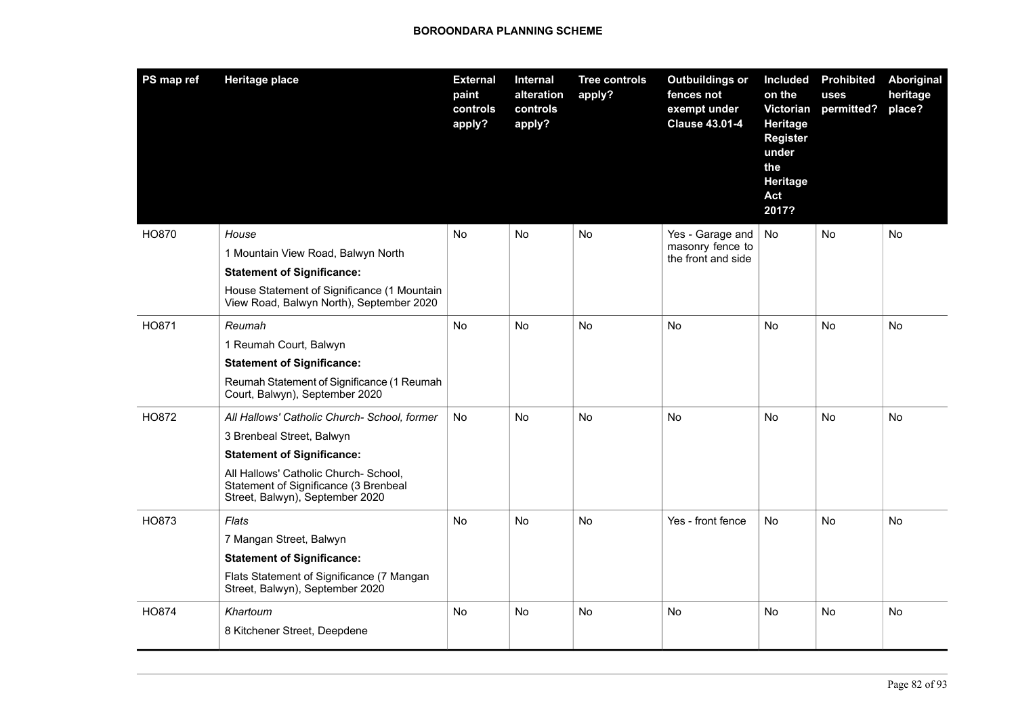| PS map ref | <b>Heritage place</b>                                                                                             | <b>External</b><br>paint<br>controls<br>apply? | <b>Internal</b><br>alteration<br>controls<br>apply? | <b>Tree controls</b><br>apply? | <b>Outbuildings or</b><br>fences not<br>exempt under<br><b>Clause 43.01-4</b> | <b>Included</b><br>on the<br>Victorian<br>Heritage<br><b>Register</b><br>under<br>the<br>Heritage<br>Act<br>2017? | <b>Prohibited</b><br>uses<br>permitted? | Aboriginal<br>heritage<br>place? |
|------------|-------------------------------------------------------------------------------------------------------------------|------------------------------------------------|-----------------------------------------------------|--------------------------------|-------------------------------------------------------------------------------|-------------------------------------------------------------------------------------------------------------------|-----------------------------------------|----------------------------------|
| HO870      | House                                                                                                             | <b>No</b>                                      | No.                                                 | <b>No</b>                      | Yes - Garage and                                                              | <b>No</b>                                                                                                         | No                                      | No                               |
|            | 1 Mountain View Road, Balwyn North                                                                                |                                                |                                                     |                                | masonry fence to<br>the front and side                                        |                                                                                                                   |                                         |                                  |
|            | <b>Statement of Significance:</b>                                                                                 |                                                |                                                     |                                |                                                                               |                                                                                                                   |                                         |                                  |
|            | House Statement of Significance (1 Mountain<br>View Road, Balwyn North), September 2020                           |                                                |                                                     |                                |                                                                               |                                                                                                                   |                                         |                                  |
| HO871      | Reumah                                                                                                            | No                                             | No                                                  | No                             | No                                                                            | No                                                                                                                | <b>No</b>                               | No                               |
|            | 1 Reumah Court, Balwyn                                                                                            |                                                |                                                     |                                |                                                                               |                                                                                                                   |                                         |                                  |
|            | <b>Statement of Significance:</b>                                                                                 |                                                |                                                     |                                |                                                                               |                                                                                                                   |                                         |                                  |
|            | Reumah Statement of Significance (1 Reumah<br>Court, Balwyn), September 2020                                      |                                                |                                                     |                                |                                                                               |                                                                                                                   |                                         |                                  |
| HO872      | All Hallows' Catholic Church- School, former                                                                      | <b>No</b>                                      | No                                                  | <b>No</b>                      | No                                                                            | No                                                                                                                | No                                      | No                               |
|            | 3 Brenbeal Street, Balwyn                                                                                         |                                                |                                                     |                                |                                                                               |                                                                                                                   |                                         |                                  |
|            | <b>Statement of Significance:</b>                                                                                 |                                                |                                                     |                                |                                                                               |                                                                                                                   |                                         |                                  |
|            | All Hallows' Catholic Church- School,<br>Statement of Significance (3 Brenbeal<br>Street, Balwyn), September 2020 |                                                |                                                     |                                |                                                                               |                                                                                                                   |                                         |                                  |
| HO873      | Flats                                                                                                             | <b>No</b>                                      | <b>No</b>                                           | <b>No</b>                      | Yes - front fence                                                             | <b>No</b>                                                                                                         | <b>No</b>                               | <b>No</b>                        |
|            | 7 Mangan Street, Balwyn                                                                                           |                                                |                                                     |                                |                                                                               |                                                                                                                   |                                         |                                  |
|            | <b>Statement of Significance:</b>                                                                                 |                                                |                                                     |                                |                                                                               |                                                                                                                   |                                         |                                  |
|            | Flats Statement of Significance (7 Mangan<br>Street, Balwyn), September 2020                                      |                                                |                                                     |                                |                                                                               |                                                                                                                   |                                         |                                  |
| HO874      | Khartoum                                                                                                          | No                                             | <b>No</b>                                           | <b>No</b>                      | No                                                                            | No                                                                                                                | <b>No</b>                               | No                               |
|            | 8 Kitchener Street, Deepdene                                                                                      |                                                |                                                     |                                |                                                                               |                                                                                                                   |                                         |                                  |
|            |                                                                                                                   |                                                |                                                     |                                |                                                                               |                                                                                                                   |                                         |                                  |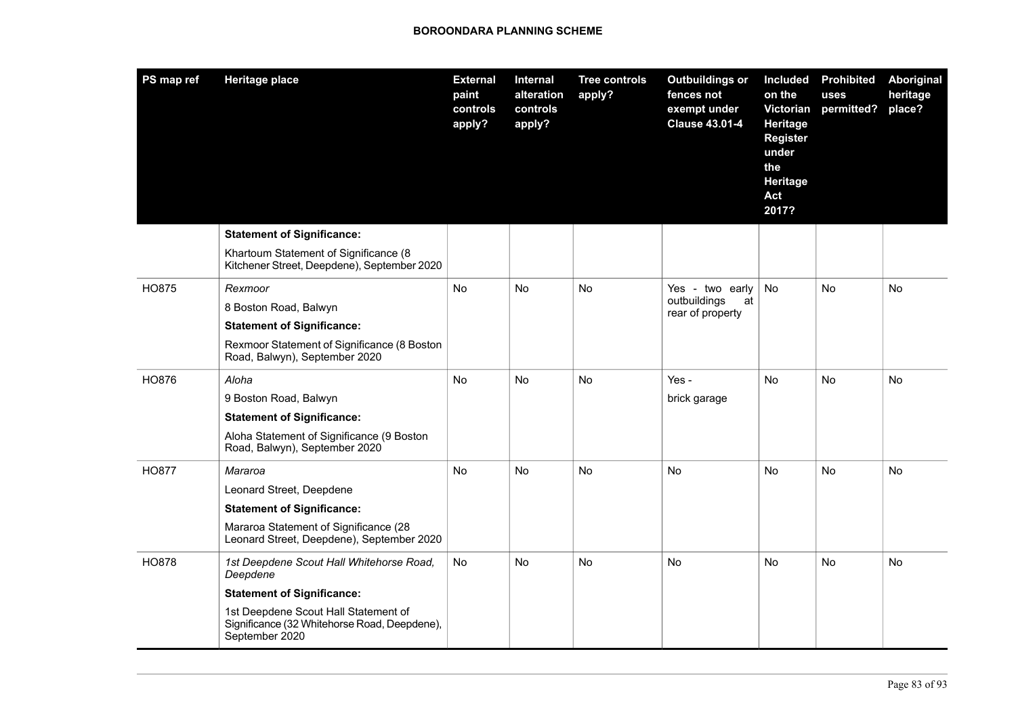| PS map ref   | <b>Heritage place</b>                                                                                  | <b>External</b><br>paint<br>controls<br>apply? | Internal<br>alteration<br>controls<br>apply? | <b>Tree controls</b><br>apply? | <b>Outbuildings or</b><br>fences not<br>exempt under<br><b>Clause 43.01-4</b> | <b>Included</b><br>on the<br>Victorian<br><b>Heritage</b><br><b>Register</b><br>under<br>the<br>Heritage<br>Act<br>2017? | <b>Prohibited</b><br>uses<br>permitted? | Aboriginal<br>heritage<br>place? |
|--------------|--------------------------------------------------------------------------------------------------------|------------------------------------------------|----------------------------------------------|--------------------------------|-------------------------------------------------------------------------------|--------------------------------------------------------------------------------------------------------------------------|-----------------------------------------|----------------------------------|
|              | <b>Statement of Significance:</b>                                                                      |                                                |                                              |                                |                                                                               |                                                                                                                          |                                         |                                  |
|              | Khartoum Statement of Significance (8<br>Kitchener Street, Deepdene), September 2020                   |                                                |                                              |                                |                                                                               |                                                                                                                          |                                         |                                  |
| HO875        | Rexmoor                                                                                                | <b>No</b>                                      | No.                                          | No                             | Yes - two early                                                               | <b>No</b>                                                                                                                | No                                      | No                               |
|              | 8 Boston Road, Balwyn                                                                                  |                                                |                                              |                                | outbuildings<br>at<br>rear of property                                        |                                                                                                                          |                                         |                                  |
|              | <b>Statement of Significance:</b>                                                                      |                                                |                                              |                                |                                                                               |                                                                                                                          |                                         |                                  |
|              | Rexmoor Statement of Significance (8 Boston<br>Road, Balwyn), September 2020                           |                                                |                                              |                                |                                                                               |                                                                                                                          |                                         |                                  |
| HO876        | Aloha                                                                                                  | <b>No</b>                                      | No.                                          | No                             | Yes -                                                                         | No.                                                                                                                      | No.                                     | No                               |
|              | 9 Boston Road, Balwyn                                                                                  |                                                |                                              |                                | brick garage                                                                  |                                                                                                                          |                                         |                                  |
|              | <b>Statement of Significance:</b>                                                                      |                                                |                                              |                                |                                                                               |                                                                                                                          |                                         |                                  |
|              | Aloha Statement of Significance (9 Boston<br>Road, Balwyn), September 2020                             |                                                |                                              |                                |                                                                               |                                                                                                                          |                                         |                                  |
| <b>HO877</b> | Mararoa                                                                                                | <b>No</b>                                      | No.                                          | No                             | <b>No</b>                                                                     | No.                                                                                                                      | No.                                     | No                               |
|              | Leonard Street, Deepdene                                                                               |                                                |                                              |                                |                                                                               |                                                                                                                          |                                         |                                  |
|              | <b>Statement of Significance:</b>                                                                      |                                                |                                              |                                |                                                                               |                                                                                                                          |                                         |                                  |
|              | Mararoa Statement of Significance (28<br>Leonard Street, Deepdene), September 2020                     |                                                |                                              |                                |                                                                               |                                                                                                                          |                                         |                                  |
| <b>HO878</b> | 1st Deepdene Scout Hall Whitehorse Road,<br>Deepdene                                                   | No                                             | No                                           | <b>No</b>                      | No                                                                            | No                                                                                                                       | No                                      | No                               |
|              | <b>Statement of Significance:</b>                                                                      |                                                |                                              |                                |                                                                               |                                                                                                                          |                                         |                                  |
|              | 1st Deepdene Scout Hall Statement of<br>Significance (32 Whitehorse Road, Deepdene),<br>September 2020 |                                                |                                              |                                |                                                                               |                                                                                                                          |                                         |                                  |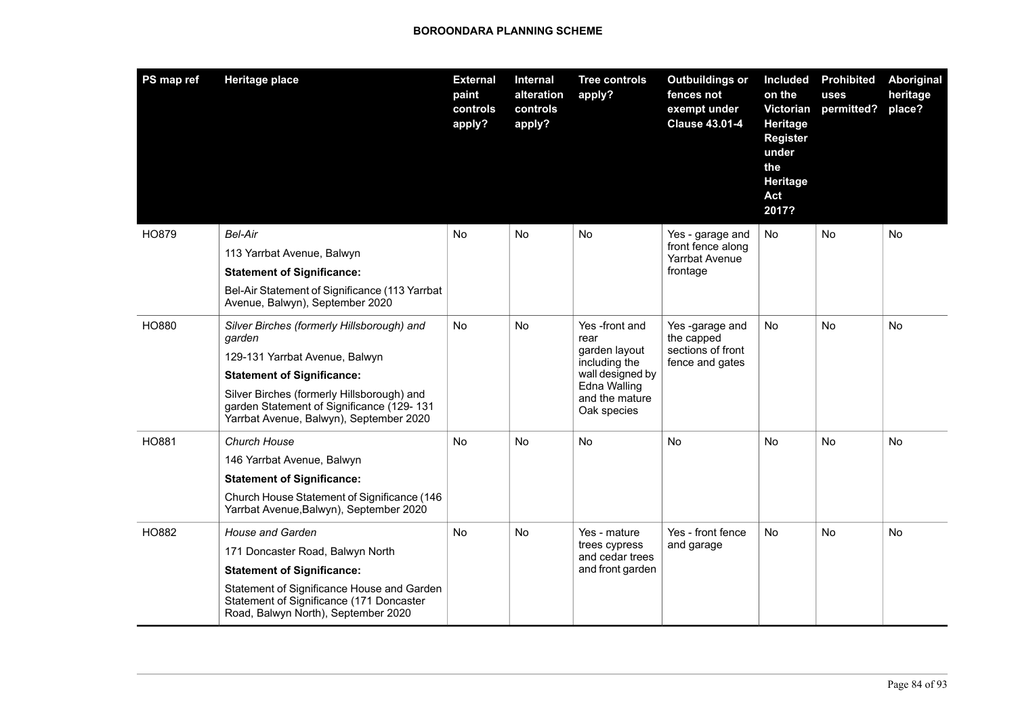| PS map ref   | <b>Heritage place</b>                                                                                                              | <b>External</b><br>paint<br>controls<br>apply? | <b>Internal</b><br>alteration<br>controls<br>apply? | <b>Tree controls</b><br>apply?                | <b>Outbuildings or</b><br>fences not<br>exempt under<br><b>Clause 43.01-4</b> | <b>Included</b><br>on the<br>Victorian<br>Heritage<br><b>Register</b><br>under<br>the<br>Heritage<br>Act<br>2017? | <b>Prohibited</b><br>uses<br>permitted? | Aboriginal<br>heritage<br>place? |
|--------------|------------------------------------------------------------------------------------------------------------------------------------|------------------------------------------------|-----------------------------------------------------|-----------------------------------------------|-------------------------------------------------------------------------------|-------------------------------------------------------------------------------------------------------------------|-----------------------------------------|----------------------------------|
| HO879        | Bel-Air<br>113 Yarrbat Avenue, Balwyn                                                                                              | No                                             | No                                                  | No                                            | Yes - garage and<br>front fence along                                         | No.                                                                                                               | No                                      | No                               |
|              | <b>Statement of Significance:</b>                                                                                                  |                                                |                                                     |                                               | <b>Yarrbat Avenue</b><br>frontage                                             |                                                                                                                   |                                         |                                  |
| <b>HO880</b> | Bel-Air Statement of Significance (113 Yarrbat<br>Avenue, Balwyn), September 2020                                                  |                                                |                                                     |                                               |                                                                               |                                                                                                                   |                                         |                                  |
|              | Silver Birches (formerly Hillsborough) and<br>garden                                                                               | No                                             | No                                                  | Yes -front and<br>rear<br>garden layout       | Yes-garage and<br>the capped<br>sections of front<br>fence and gates          | No                                                                                                                | No                                      | No                               |
|              | 129-131 Yarrbat Avenue, Balwyn                                                                                                     |                                                |                                                     | including the                                 |                                                                               |                                                                                                                   |                                         |                                  |
|              | <b>Statement of Significance:</b>                                                                                                  |                                                |                                                     | wall designed by                              |                                                                               |                                                                                                                   |                                         |                                  |
|              | Silver Birches (formerly Hillsborough) and<br>garden Statement of Significance (129-131<br>Yarrbat Avenue, Balwyn), September 2020 |                                                |                                                     | Edna Walling<br>and the mature<br>Oak species |                                                                               |                                                                                                                   |                                         |                                  |
| HO881        | Church House                                                                                                                       | <b>No</b>                                      | <b>No</b>                                           | <b>No</b>                                     | <b>No</b>                                                                     | <b>No</b>                                                                                                         | N <sub>o</sub>                          | <b>No</b>                        |
|              | 146 Yarrbat Avenue, Balwyn                                                                                                         |                                                |                                                     |                                               |                                                                               |                                                                                                                   |                                         |                                  |
|              | <b>Statement of Significance:</b>                                                                                                  |                                                |                                                     |                                               |                                                                               |                                                                                                                   |                                         |                                  |
|              | Church House Statement of Significance (146<br>Yarrbat Avenue, Balwyn), September 2020                                             |                                                |                                                     |                                               |                                                                               |                                                                                                                   |                                         |                                  |
| HO882        | <b>House and Garden</b>                                                                                                            | <b>No</b>                                      | <b>No</b>                                           | Yes - mature                                  | Yes - front fence                                                             | <b>No</b>                                                                                                         | <b>No</b>                               | No                               |
|              | 171 Doncaster Road, Balwyn North                                                                                                   |                                                |                                                     | trees cypress<br>and cedar trees              | and garage                                                                    |                                                                                                                   |                                         |                                  |
|              | <b>Statement of Significance:</b>                                                                                                  |                                                |                                                     | and front garden                              |                                                                               |                                                                                                                   |                                         |                                  |
|              | Statement of Significance House and Garden<br>Statement of Significance (171 Doncaster<br>Road, Balwyn North), September 2020      |                                                |                                                     |                                               |                                                                               |                                                                                                                   |                                         |                                  |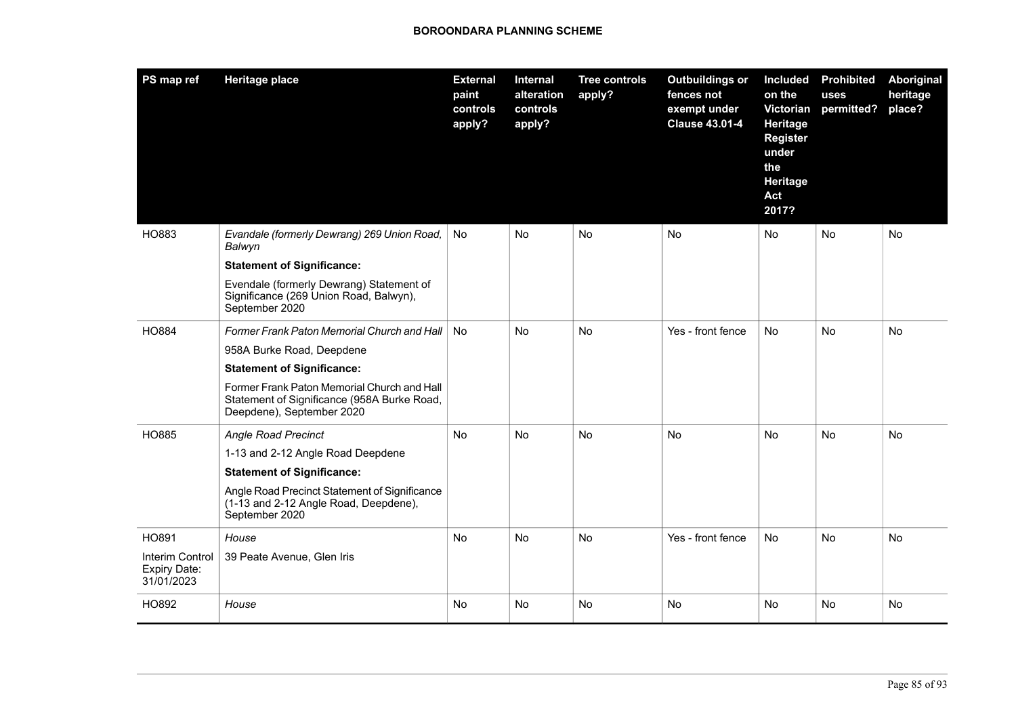| PS map ref                                    | <b>Heritage place</b>                                                                                                   | <b>External</b><br>paint<br>controls<br>apply? | Internal<br>alteration<br>controls<br>apply? | <b>Tree controls</b><br>apply? | <b>Outbuildings or</b><br>fences not<br>exempt under<br><b>Clause 43.01-4</b> | <b>Included</b><br>on the<br><b>Victorian</b><br>Heritage<br><b>Register</b><br>under<br>the<br>Heritage<br>Act<br>2017? | <b>Prohibited</b><br>uses<br>permitted? | Aboriginal<br>heritage<br>place? |
|-----------------------------------------------|-------------------------------------------------------------------------------------------------------------------------|------------------------------------------------|----------------------------------------------|--------------------------------|-------------------------------------------------------------------------------|--------------------------------------------------------------------------------------------------------------------------|-----------------------------------------|----------------------------------|
| HO883                                         | Evandale (formerly Dewrang) 269 Union Road,<br>Balwyn                                                                   | No.                                            | <b>No</b>                                    | <b>No</b>                      | <b>No</b>                                                                     | <b>No</b>                                                                                                                | <b>No</b>                               | <b>No</b>                        |
|                                               | <b>Statement of Significance:</b>                                                                                       |                                                |                                              |                                |                                                                               |                                                                                                                          |                                         |                                  |
|                                               | Evendale (formerly Dewrang) Statement of<br>Significance (269 Union Road, Balwyn),<br>September 2020                    |                                                |                                              |                                |                                                                               |                                                                                                                          |                                         |                                  |
| <b>HO884</b>                                  | Former Frank Paton Memorial Church and Hall                                                                             | <b>No</b>                                      | <b>No</b>                                    | <b>No</b>                      | Yes - front fence                                                             | No                                                                                                                       | No                                      | No                               |
|                                               | 958A Burke Road, Deepdene                                                                                               |                                                |                                              |                                |                                                                               |                                                                                                                          |                                         |                                  |
|                                               | <b>Statement of Significance:</b>                                                                                       |                                                |                                              |                                |                                                                               |                                                                                                                          |                                         |                                  |
|                                               | Former Frank Paton Memorial Church and Hall<br>Statement of Significance (958A Burke Road,<br>Deepdene), September 2020 |                                                |                                              |                                |                                                                               |                                                                                                                          |                                         |                                  |
| HO885                                         | <b>Angle Road Precinct</b>                                                                                              | No                                             | No                                           | No                             | No                                                                            | No                                                                                                                       | No                                      | No                               |
|                                               | 1-13 and 2-12 Angle Road Deepdene                                                                                       |                                                |                                              |                                |                                                                               |                                                                                                                          |                                         |                                  |
|                                               | <b>Statement of Significance:</b>                                                                                       |                                                |                                              |                                |                                                                               |                                                                                                                          |                                         |                                  |
|                                               | Angle Road Precinct Statement of Significance<br>(1-13 and 2-12 Angle Road, Deepdene),<br>September 2020                |                                                |                                              |                                |                                                                               |                                                                                                                          |                                         |                                  |
| HO891                                         | House                                                                                                                   | No.                                            | No                                           | No                             | Yes - front fence                                                             | No                                                                                                                       | No                                      | No                               |
| Interim Control<br>Expiry Date:<br>31/01/2023 | 39 Peate Avenue, Glen Iris                                                                                              |                                                |                                              |                                |                                                                               |                                                                                                                          |                                         |                                  |
| HO892                                         | House                                                                                                                   | No                                             | No                                           | No                             | No                                                                            | No                                                                                                                       | No                                      | No                               |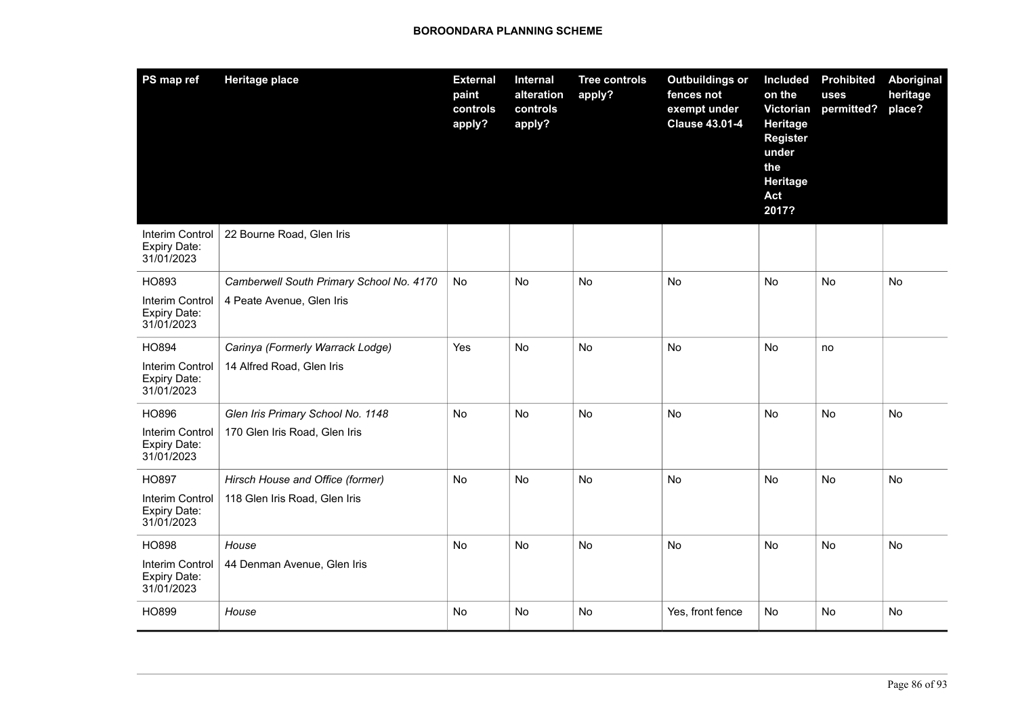| PS map ref                                           | <b>Heritage place</b>                    | <b>External</b><br>paint<br>controls<br>apply? | Internal<br>alteration<br>controls<br>apply? | <b>Tree controls</b><br>apply? | <b>Outbuildings or</b><br>fences not<br>exempt under<br><b>Clause 43.01-4</b> | Included<br>on the<br>Victorian<br><b>Heritage</b><br><b>Register</b><br>under<br>the<br>Heritage<br>Act<br>2017? | <b>Prohibited</b><br>uses<br>permitted? | Aboriginal<br>heritage<br>place? |
|------------------------------------------------------|------------------------------------------|------------------------------------------------|----------------------------------------------|--------------------------------|-------------------------------------------------------------------------------|-------------------------------------------------------------------------------------------------------------------|-----------------------------------------|----------------------------------|
| Interim Control<br>Expiry Date:<br>31/01/2023        | 22 Bourne Road, Glen Iris                |                                                |                                              |                                |                                                                               |                                                                                                                   |                                         |                                  |
| HO893                                                | Camberwell South Primary School No. 4170 | <b>No</b>                                      | <b>No</b>                                    | No.                            | <b>No</b>                                                                     | No                                                                                                                | <b>No</b>                               | <b>No</b>                        |
| Interim Control<br>Expiry Date:<br>31/01/2023        | 4 Peate Avenue, Glen Iris                |                                                |                                              |                                |                                                                               |                                                                                                                   |                                         |                                  |
| HO894                                                | Carinya (Formerly Warrack Lodge)         | Yes                                            | No                                           | <b>No</b>                      | No                                                                            | No                                                                                                                | no                                      |                                  |
| Interim Control<br><b>Expiry Date:</b><br>31/01/2023 | 14 Alfred Road, Glen Iris                |                                                |                                              |                                |                                                                               |                                                                                                                   |                                         |                                  |
| HO896                                                | Glen Iris Primary School No. 1148        | No                                             | No                                           | <b>No</b>                      | No                                                                            | No                                                                                                                | No                                      | No                               |
| Interim Control<br>Expiry Date:<br>31/01/2023        | 170 Glen Iris Road, Glen Iris            |                                                |                                              |                                |                                                                               |                                                                                                                   |                                         |                                  |
| HO897                                                | Hirsch House and Office (former)         | <b>No</b>                                      | No                                           | No                             | <b>No</b>                                                                     | No                                                                                                                | No                                      | No                               |
| Interim Control<br><b>Expiry Date:</b><br>31/01/2023 | 118 Glen Iris Road, Glen Iris            |                                                |                                              |                                |                                                                               |                                                                                                                   |                                         |                                  |
| <b>HO898</b>                                         | House                                    | No                                             | No                                           | No                             | No                                                                            | No                                                                                                                | No                                      | No                               |
| Interim Control<br>Expiry Date:<br>31/01/2023        | 44 Denman Avenue, Glen Iris              |                                                |                                              |                                |                                                                               |                                                                                                                   |                                         |                                  |
| HO899                                                | House                                    | No                                             | <b>No</b>                                    | <b>No</b>                      | Yes, front fence                                                              | No                                                                                                                | No                                      | No                               |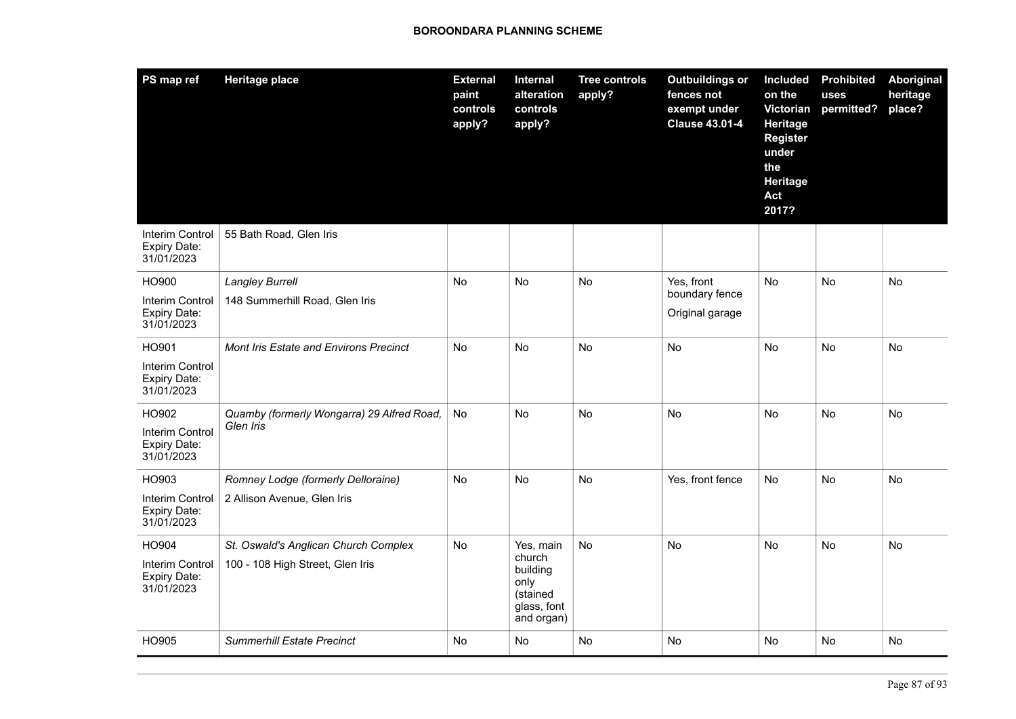| PS map ref                                                    | <b>Heritage place</b>                                                    | <b>External</b><br>paint<br>controls<br>apply? | Internal<br>alteration<br>controls<br>apply?                                     | <b>Tree controls</b><br>apply? | <b>Outbuildings or</b><br>fences not<br>exempt under<br><b>Clause 43.01-4</b> | <b>Included</b><br>on the<br>Victorian<br><b>Heritage</b><br><b>Register</b><br>under<br>the<br>Heritage<br>Act<br>2017? | <b>Prohibited</b><br>uses<br>permitted? | Aboriginal<br>heritage<br>place? |
|---------------------------------------------------------------|--------------------------------------------------------------------------|------------------------------------------------|----------------------------------------------------------------------------------|--------------------------------|-------------------------------------------------------------------------------|--------------------------------------------------------------------------------------------------------------------------|-----------------------------------------|----------------------------------|
| Interim Control<br>Expiry Date:<br>31/01/2023                 | 55 Bath Road, Glen Iris                                                  |                                                |                                                                                  |                                |                                                                               |                                                                                                                          |                                         |                                  |
| HO900<br>Interim Control<br><b>Expiry Date:</b><br>31/01/2023 | <b>Langley Burrell</b><br>148 Summerhill Road, Glen Iris                 | <b>No</b>                                      | <b>No</b>                                                                        | <b>No</b>                      | Yes, front<br>boundary fence<br>Original garage                               | <b>No</b>                                                                                                                | <b>No</b>                               | <b>No</b>                        |
| HO901<br>Interim Control<br><b>Expiry Date:</b><br>31/01/2023 | <b>Mont Iris Estate and Environs Precinct</b>                            | No                                             | No                                                                               | No                             | No                                                                            | No                                                                                                                       | No                                      | No                               |
| HO902<br><b>Interim Control</b><br>Expiry Date:<br>31/01/2023 | Quamby (formerly Wongarra) 29 Alfred Road,<br>Glen Iris                  | No                                             | No                                                                               | No                             | No                                                                            | No                                                                                                                       | No                                      | No                               |
| HO903<br>Interim Control<br>Expiry Date:<br>31/01/2023        | Romney Lodge (formerly Delloraine)<br>2 Allison Avenue, Glen Iris        | <b>No</b>                                      | <b>No</b>                                                                        | <b>No</b>                      | Yes, front fence                                                              | <b>No</b>                                                                                                                | <b>No</b>                               | <b>No</b>                        |
| HO904<br>Interim Control<br>Expiry Date:<br>31/01/2023        | St. Oswald's Anglican Church Complex<br>100 - 108 High Street, Glen Iris | No                                             | Yes, main<br>church<br>building<br>only<br>(stained<br>glass, font<br>and organ) | <b>No</b>                      | No                                                                            | <b>No</b>                                                                                                                | No                                      | <b>No</b>                        |
| HO905                                                         | <b>Summerhill Estate Precinct</b>                                        | No                                             | No                                                                               | <b>No</b>                      | No                                                                            | <b>No</b>                                                                                                                | No                                      | No                               |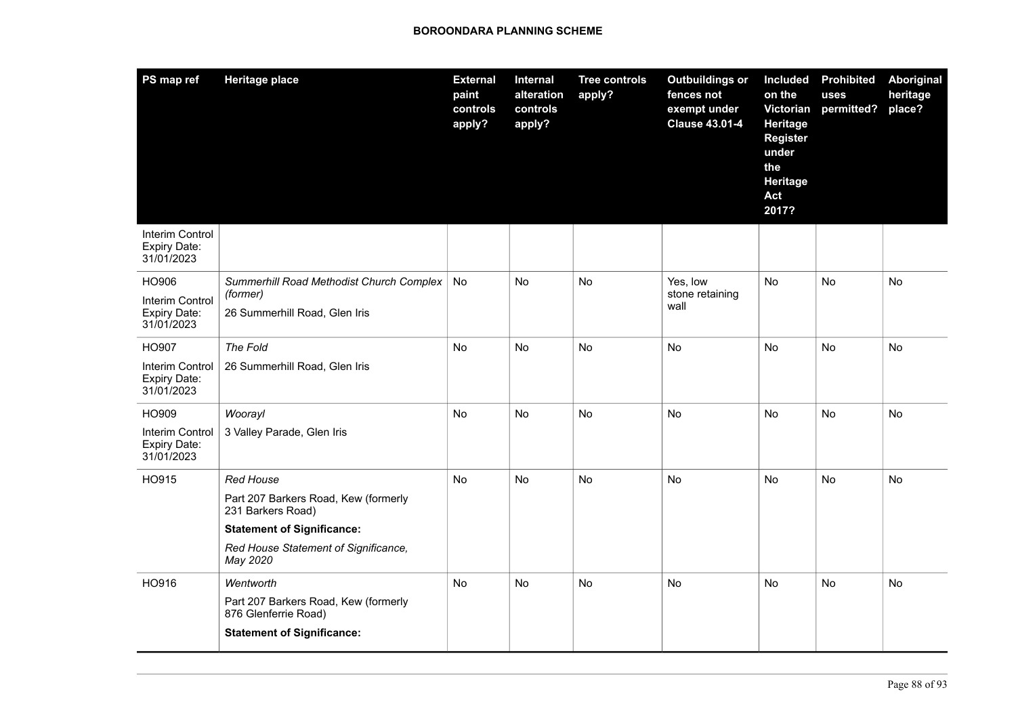| PS map ref                                                    | <b>Heritage place</b>                                                                                                                                                  | <b>External</b><br>paint<br>controls<br>apply? | Internal<br>alteration<br>controls<br>apply? | <b>Tree controls</b><br>apply? | <b>Outbuildings or</b><br>fences not<br>exempt under<br><b>Clause 43.01-4</b> | <b>Included</b><br>on the<br>Victorian<br>Heritage<br><b>Register</b><br>under<br>the<br>Heritage<br>Act<br>2017? | <b>Prohibited</b><br>uses<br>permitted? | Aboriginal<br>heritage<br>place? |
|---------------------------------------------------------------|------------------------------------------------------------------------------------------------------------------------------------------------------------------------|------------------------------------------------|----------------------------------------------|--------------------------------|-------------------------------------------------------------------------------|-------------------------------------------------------------------------------------------------------------------|-----------------------------------------|----------------------------------|
| Interim Control<br><b>Expiry Date:</b><br>31/01/2023          |                                                                                                                                                                        |                                                |                                              |                                |                                                                               |                                                                                                                   |                                         |                                  |
| HO906<br>Interim Control<br>Expiry Date:<br>31/01/2023        | Summerhill Road Methodist Church Complex<br>(former)<br>26 Summerhill Road, Glen Iris                                                                                  | No                                             | No                                           | No                             | Yes, low<br>stone retaining<br>wall                                           | No                                                                                                                | <b>No</b>                               | No                               |
| HO907<br>Interim Control<br>Expiry Date:<br>31/01/2023        | The Fold<br>26 Summerhill Road, Glen Iris                                                                                                                              | <b>No</b>                                      | No                                           | <b>No</b>                      | No                                                                            | <b>No</b>                                                                                                         | <b>No</b>                               | No                               |
| HO909<br>Interim Control<br><b>Expiry Date:</b><br>31/01/2023 | Woorayl<br>3 Valley Parade, Glen Iris                                                                                                                                  | No                                             | No                                           | No                             | No                                                                            | No                                                                                                                | No                                      | No                               |
| HO915                                                         | <b>Red House</b><br>Part 207 Barkers Road, Kew (formerly<br>231 Barkers Road)<br><b>Statement of Significance:</b><br>Red House Statement of Significance,<br>May 2020 | <b>No</b>                                      | <b>No</b>                                    | <b>No</b>                      | <b>No</b>                                                                     | <b>No</b>                                                                                                         | No                                      | No                               |
| HO916                                                         | Wentworth<br>Part 207 Barkers Road, Kew (formerly<br>876 Glenferrie Road)<br><b>Statement of Significance:</b>                                                         | No                                             | <b>No</b>                                    | <b>No</b>                      | No                                                                            | No                                                                                                                | No                                      | No                               |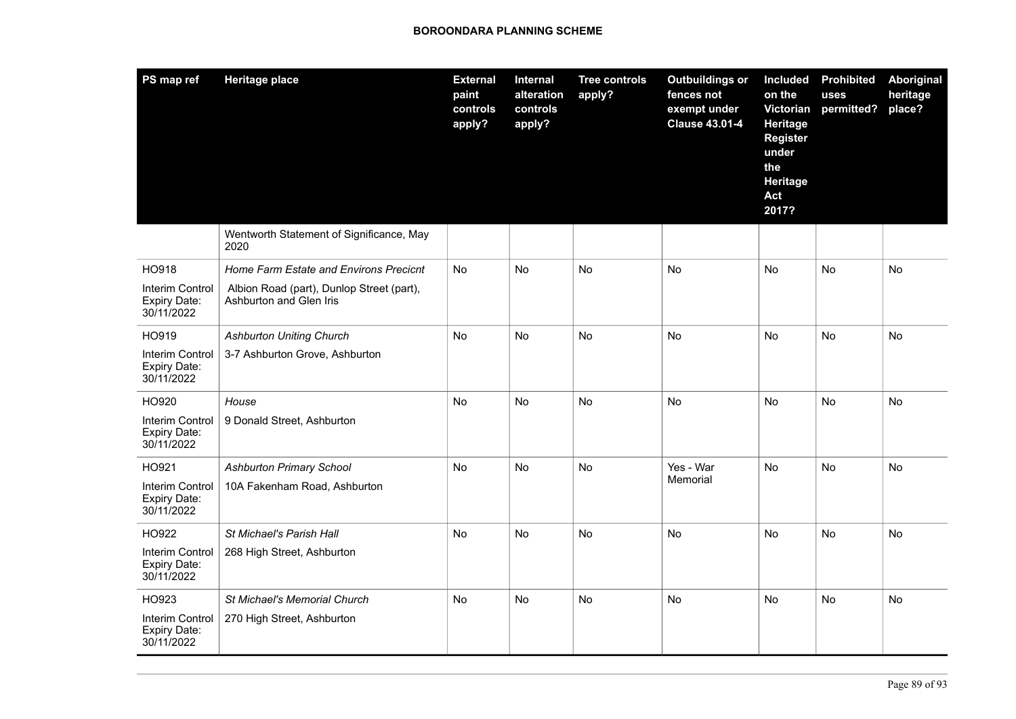| PS map ref                                    | <b>Heritage place</b>                                                | <b>External</b><br>paint<br>controls<br>apply? | Internal<br>alteration<br>controls<br>apply? | <b>Tree controls</b><br>apply? | <b>Outbuildings or</b><br>fences not<br>exempt under<br><b>Clause 43.01-4</b> | <b>Included</b><br>on the<br>Victorian<br>Heritage<br><b>Register</b><br>under<br>the<br><b>Heritage</b><br>Act<br>2017? | <b>Prohibited</b><br>uses<br>permitted? | <b>Aboriginal</b><br>heritage<br>place? |
|-----------------------------------------------|----------------------------------------------------------------------|------------------------------------------------|----------------------------------------------|--------------------------------|-------------------------------------------------------------------------------|--------------------------------------------------------------------------------------------------------------------------|-----------------------------------------|-----------------------------------------|
|                                               | Wentworth Statement of Significance, May<br>2020                     |                                                |                                              |                                |                                                                               |                                                                                                                          |                                         |                                         |
| HO918                                         | Home Farm Estate and Environs Precicnt                               | <b>No</b>                                      | <b>No</b>                                    | <b>No</b>                      | <b>No</b>                                                                     | <b>No</b>                                                                                                                | <b>No</b>                               | <b>No</b>                               |
| Interim Control<br>Expiry Date:<br>30/11/2022 | Albion Road (part), Dunlop Street (part),<br>Ashburton and Glen Iris |                                                |                                              |                                |                                                                               |                                                                                                                          |                                         |                                         |
| HO919                                         | <b>Ashburton Uniting Church</b>                                      | <b>No</b>                                      | No                                           | <b>No</b>                      | <b>No</b>                                                                     | No.                                                                                                                      | No.                                     | No                                      |
| Interim Control<br>Expiry Date:<br>30/11/2022 | 3-7 Ashburton Grove, Ashburton                                       |                                                |                                              |                                |                                                                               |                                                                                                                          |                                         |                                         |
| HO920                                         | House                                                                | No                                             | <b>No</b>                                    | <b>No</b>                      | No                                                                            | <b>No</b>                                                                                                                | <b>No</b>                               | No                                      |
| Interim Control<br>Expiry Date:<br>30/11/2022 | 9 Donald Street, Ashburton                                           |                                                |                                              |                                |                                                                               |                                                                                                                          |                                         |                                         |
| HO921                                         | <b>Ashburton Primary School</b>                                      | No                                             | No                                           | No                             | Yes - War                                                                     | No                                                                                                                       | No                                      | No                                      |
| Interim Control<br>Expiry Date:<br>30/11/2022 | 10A Fakenham Road, Ashburton                                         |                                                |                                              |                                | Memorial                                                                      |                                                                                                                          |                                         |                                         |
| HO922                                         | St Michael's Parish Hall                                             | <b>No</b>                                      | No                                           | No                             | <b>No</b>                                                                     | No                                                                                                                       | No.                                     | No                                      |
| Interim Control<br>Expiry Date:<br>30/11/2022 | 268 High Street, Ashburton                                           |                                                |                                              |                                |                                                                               |                                                                                                                          |                                         |                                         |
| HO923                                         | <b>St Michael's Memorial Church</b>                                  | <b>No</b>                                      | No                                           | No                             | No                                                                            | No.                                                                                                                      | No.                                     | No                                      |
| Interim Control<br>Expiry Date:<br>30/11/2022 | 270 High Street, Ashburton                                           |                                                |                                              |                                |                                                                               |                                                                                                                          |                                         |                                         |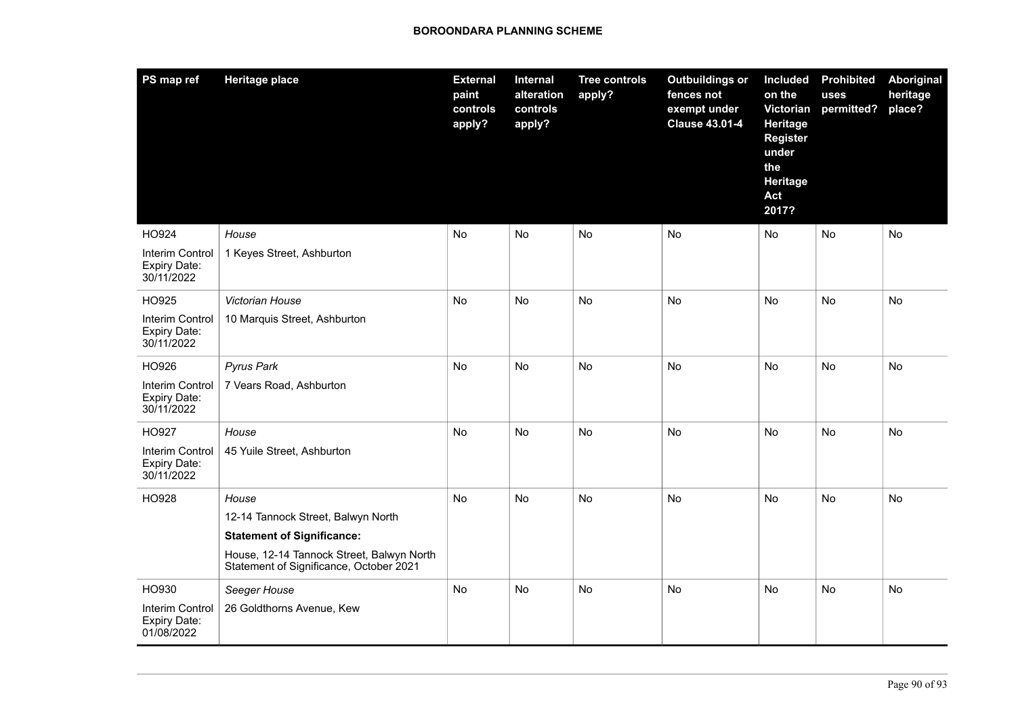| PS map ref                                    | <b>Heritage place</b>                                                                | <b>External</b><br>paint<br>controls<br>apply? | Internal<br>alteration<br>controls<br>apply? | <b>Tree controls</b><br>apply? | <b>Outbuildings or</b><br>fences not<br>exempt under<br><b>Clause 43.01-4</b> | Included<br>on the<br>Victorian<br>Heritage<br><b>Register</b><br>under<br>the<br>Heritage<br>Act<br>2017? | <b>Prohibited</b><br>uses<br>permitted? | Aboriginal<br>heritage<br>place? |
|-----------------------------------------------|--------------------------------------------------------------------------------------|------------------------------------------------|----------------------------------------------|--------------------------------|-------------------------------------------------------------------------------|------------------------------------------------------------------------------------------------------------|-----------------------------------------|----------------------------------|
| HO924                                         | House                                                                                | No                                             | No                                           | No                             | No                                                                            | No                                                                                                         | No                                      | No                               |
| Interim Control<br>Expiry Date:<br>30/11/2022 | 1 Keyes Street, Ashburton                                                            |                                                |                                              |                                |                                                                               |                                                                                                            |                                         |                                  |
| HO925                                         | Victorian House                                                                      | No                                             | No                                           | No                             | No                                                                            | No                                                                                                         | No                                      | No                               |
| Interim Control<br>Expiry Date:<br>30/11/2022 | 10 Marquis Street, Ashburton                                                         |                                                |                                              |                                |                                                                               |                                                                                                            |                                         |                                  |
| HO926                                         | <b>Pyrus Park</b>                                                                    | No                                             | No                                           | <b>No</b>                      | <b>No</b>                                                                     | No                                                                                                         | No                                      | No                               |
| Interim Control<br>Expiry Date:<br>30/11/2022 | 7 Vears Road, Ashburton                                                              |                                                |                                              |                                |                                                                               |                                                                                                            |                                         |                                  |
| HO927                                         | House                                                                                | No                                             | No                                           | <b>No</b>                      | No                                                                            | No                                                                                                         | No                                      | No                               |
| Interim Control<br>Expiry Date:<br>30/11/2022 | 45 Yuile Street, Ashburton                                                           |                                                |                                              |                                |                                                                               |                                                                                                            |                                         |                                  |
| HO928                                         | House                                                                                | No                                             | No                                           | <b>No</b>                      | No                                                                            | <b>No</b>                                                                                                  | No                                      | No                               |
|                                               | 12-14 Tannock Street, Balwyn North                                                   |                                                |                                              |                                |                                                                               |                                                                                                            |                                         |                                  |
|                                               | <b>Statement of Significance:</b>                                                    |                                                |                                              |                                |                                                                               |                                                                                                            |                                         |                                  |
|                                               | House, 12-14 Tannock Street, Balwyn North<br>Statement of Significance, October 2021 |                                                |                                              |                                |                                                                               |                                                                                                            |                                         |                                  |
| HO930                                         | Seeger House                                                                         | No                                             | No                                           | <b>No</b>                      | <b>No</b>                                                                     | No                                                                                                         | No                                      | No                               |
| Interim Control<br>Expiry Date:<br>01/08/2022 | 26 Goldthorns Avenue, Kew                                                            |                                                |                                              |                                |                                                                               |                                                                                                            |                                         |                                  |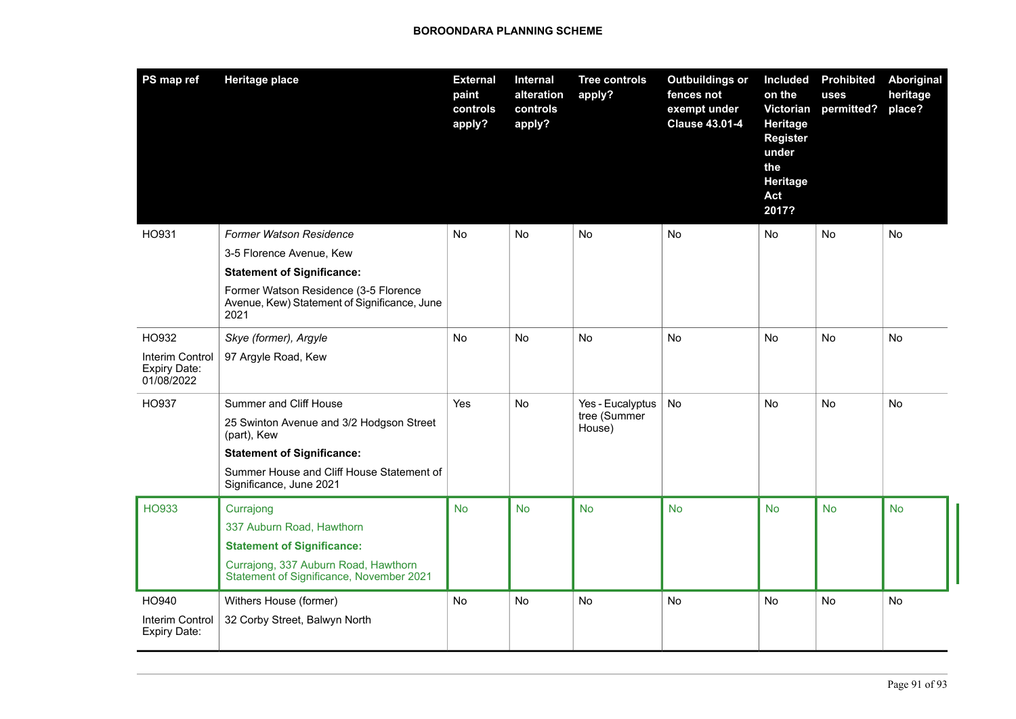| PS map ref                                           | <b>Heritage place</b>                                                                         | <b>External</b><br>paint<br>controls<br>apply? | Internal<br>alteration<br>controls<br>apply? | <b>Tree controls</b><br>apply?             | <b>Outbuildings or</b><br>fences not<br>exempt under<br><b>Clause 43.01-4</b> | Included<br>on the<br>Victorian<br>Heritage<br><b>Register</b><br>under<br>the<br>Heritage<br>Act<br>2017? | <b>Prohibited</b><br>uses<br>permitted? | <b>Aboriginal</b><br>heritage<br>place? |
|------------------------------------------------------|-----------------------------------------------------------------------------------------------|------------------------------------------------|----------------------------------------------|--------------------------------------------|-------------------------------------------------------------------------------|------------------------------------------------------------------------------------------------------------|-----------------------------------------|-----------------------------------------|
| HO931                                                | <b>Former Watson Residence</b>                                                                | No                                             | No                                           | No                                         | No                                                                            | <b>No</b>                                                                                                  | No                                      | No                                      |
|                                                      | 3-5 Florence Avenue, Kew                                                                      |                                                |                                              |                                            |                                                                               |                                                                                                            |                                         |                                         |
|                                                      | <b>Statement of Significance:</b>                                                             |                                                |                                              |                                            |                                                                               |                                                                                                            |                                         |                                         |
|                                                      | Former Watson Residence (3-5 Florence<br>Avenue, Kew) Statement of Significance, June<br>2021 |                                                |                                              |                                            |                                                                               |                                                                                                            |                                         |                                         |
| HO932                                                | Skye (former), Argyle                                                                         | No                                             | No                                           | No                                         | No                                                                            | <b>No</b>                                                                                                  | No                                      | No                                      |
| Interim Control<br><b>Expiry Date:</b><br>01/08/2022 | 97 Argyle Road, Kew                                                                           |                                                |                                              |                                            |                                                                               |                                                                                                            |                                         |                                         |
| HO937                                                | Summer and Cliff House                                                                        | Yes                                            | No                                           | Yes - Eucalyptus<br>tree (Summer<br>House) | No                                                                            | <b>No</b>                                                                                                  | No                                      | No                                      |
|                                                      | 25 Swinton Avenue and 3/2 Hodgson Street<br>(part), Kew                                       |                                                |                                              |                                            |                                                                               |                                                                                                            |                                         |                                         |
|                                                      | <b>Statement of Significance:</b>                                                             |                                                |                                              |                                            |                                                                               |                                                                                                            |                                         |                                         |
|                                                      | Summer House and Cliff House Statement of<br>Significance, June 2021                          |                                                |                                              |                                            |                                                                               |                                                                                                            |                                         |                                         |
| <b>HO933</b>                                         | Currajong                                                                                     | <b>No</b>                                      | <b>No</b>                                    | <b>No</b>                                  | <b>No</b>                                                                     | <b>No</b>                                                                                                  | <b>No</b>                               | <b>No</b>                               |
|                                                      | 337 Auburn Road, Hawthorn                                                                     |                                                |                                              |                                            |                                                                               |                                                                                                            |                                         |                                         |
|                                                      | <b>Statement of Significance:</b>                                                             |                                                |                                              |                                            |                                                                               |                                                                                                            |                                         |                                         |
|                                                      | Currajong, 337 Auburn Road, Hawthorn<br>Statement of Significance, November 2021              |                                                |                                              |                                            |                                                                               |                                                                                                            |                                         |                                         |
| HO940                                                | Withers House (former)                                                                        | No                                             | <b>No</b>                                    | <b>No</b>                                  | <b>No</b>                                                                     | <b>No</b>                                                                                                  | No                                      | No                                      |
| Interim Control<br>Expiry Date:                      | 32 Corby Street, Balwyn North                                                                 |                                                |                                              |                                            |                                                                               |                                                                                                            |                                         |                                         |